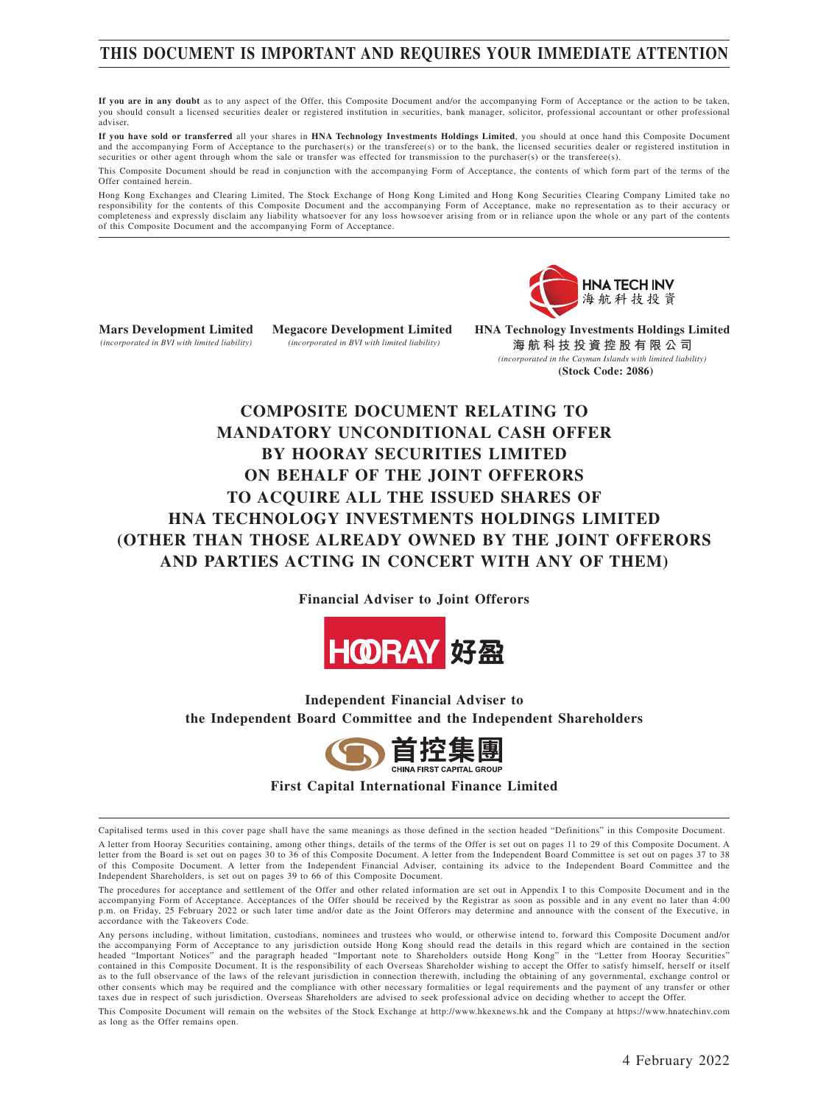## **THIS DOCUMENT IS IMPORTANT AND REQUIRES YOUR IMMEDIATE ATTENTION**

**If you are in any doubt** as to any aspect of the Offer, this Composite Document and/or the accompanying Form of Acceptance or the action to be taken, you should consult a licensed securities dealer or registered institution in securities, bank manager, solicitor, professional accountant or other professional adviser.

**If you have sold or transferred** all your shares in **HNA Technology Investments Holdings Limited**, you should at once hand this Composite Document and the accompanying Form of Acceptance to the purchaser(s) or the transferee(s) or to the bank, the licensed securities dealer or registered institution in securities or other agent through whom the sale or transfer was effected for transmission to the purchaser(s) or the transferee(s).

This Composite Document should be read in conjunction with the accompanying Form of Acceptance, the contents of which form part of the terms of the Offer contained herein.

Hong Kong Exchanges and Clearing Limited, The Stock Exchange of Hong Kong Limited and Hong Kong Securities Clearing Company Limited take no responsibility for the contents of this Composite Document and the accompanying Form of Acceptance, make no representation as to their accuracy or completeness and expressly disclaim any liability whatsoever for any loss howsoever arising from or in reliance upon the whole or any part of the contents of this Composite Document and the accompanying Form of Acceptance.



**Mars Development Limited** *(incorporated in BVI with limited liability)*

**Megacore Development Limited**  *(incorporated in BVI with limited liability)*

**HNA Technology Investments Holdings Limited 海航科技投資控股有限公司** *(incorporated in the Cayman Islands with limited liability)* **(Stock Code: 2086)**

## **COMPOSITE DOCUMENT RELATING TO MANDATORY UNCONDITIONAL CASH OFFER BY HOORAY SECURITIES LIMITED ON BEHALF OF THE JOINT OFFERORS TO ACQUIRE ALL THE ISSUED SHARES OF HNA TECHNOLOGY INVESTMENTS HOLDINGS LIMITED (OTHER THAN THOSE ALREADY OWNED BY THE JOINT OFFERORS AND PARTIES ACTING IN CONCERT WITH ANY OF THEM)**

**Financial Adviser to Joint Offerors**



**Independent Financial Adviser to the Independent Board Committee and the Independent Shareholders**



**First Capital International Finance Limited**

Capitalised terms used in this cover page shall have the same meanings as those defined in the section headed "Definitions" in this Composite Document. A letter from Hooray Securities containing, among other things, details of the terms of the Offer is set out on pages 11 to 29 of this Composite Document. A letter from the Board is set out on pages 30 to 36 of this Composite Document. A letter from the Independent Board Committee is set out on pages 37 to 38 of this Composite Document. A letter from the Independent Financial Adviser, containing its advice to the Independent Board Committee and the Independent Shareholders, is set out on pages 39 to 66 of this Composite Document.

The procedures for acceptance and settlement of the Offer and other related information are set out in Appendix I to this Composite Document and in the accompanying Form of Acceptance. Acceptances of the Offer should be received by the Registrar as soon as possible and in any event no later than 4:00 p.m. on Friday, 25 February 2022 or such later time and/or date as the Joint Offerors may determine and announce with the consent of the Executive, in accordance with the Takeovers Code.

Any persons including, without limitation, custodians, nominees and trustees who would, or otherwise intend to, forward this Composite Document and/or the accompanying Form of Acceptance to any jurisdiction outside Hong Kong should read the details in this regard which are contained in the section headed "Important Notices" and the paragraph headed "Important note to Shareholders outside Hong Kong" in the "Letter from Hooray Securities" contained in this Composite Document. It is the responsibility of each Overseas Shareholder wishing to accept the Offer to satisfy himself, herself or itself as to the full observance of the laws of the relevant jurisdiction in connection therewith, including the obtaining of any governmental, exchange control or other consents which may be required and the compliance with other necessary formalities or legal requirements and the payment of any transfer or other taxes due in respect of such jurisdiction. Overseas Shareholders are advised to seek professional advice on deciding whether to accept the Offer.

This Composite Document will remain on the websites of the Stock Exchange at http://www.hkexnews.hk and the Company at https://www.hnatechinv.com as long as the Offer remains open.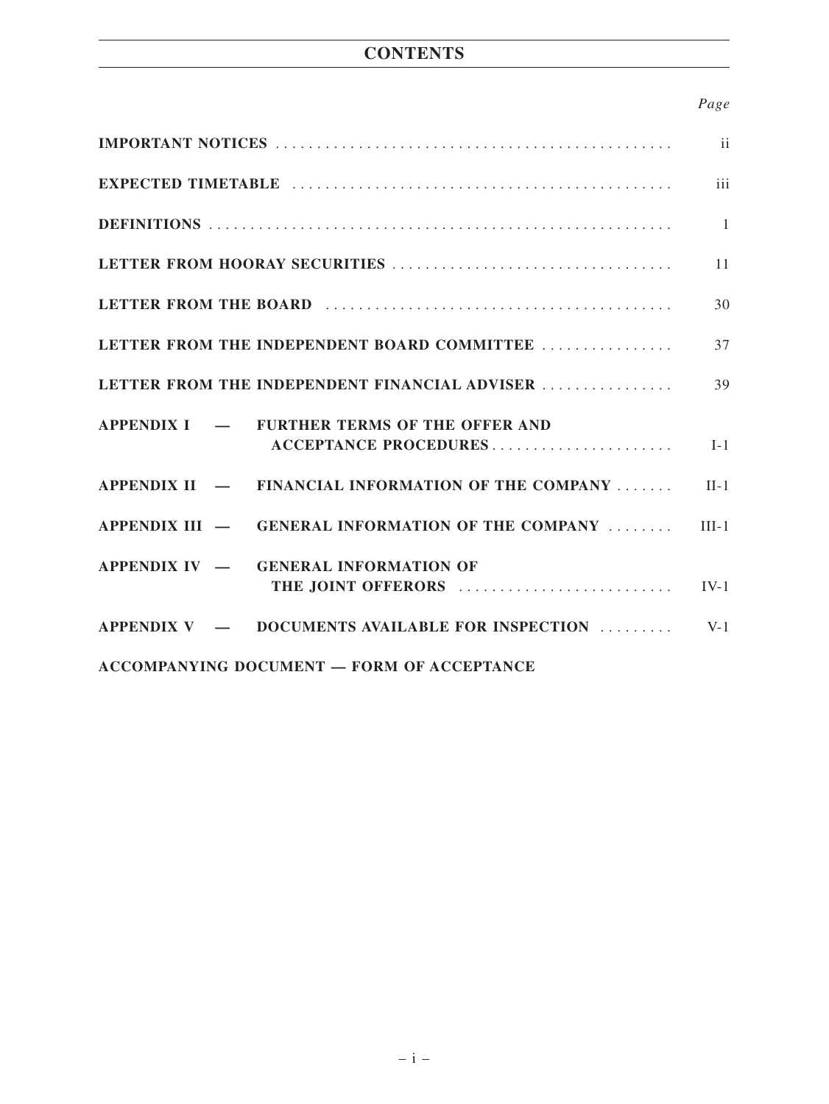## **CONTENTS**

## *Page*

|                                                              | ii           |
|--------------------------------------------------------------|--------------|
|                                                              | iii          |
|                                                              | $\mathbf{1}$ |
|                                                              | 11           |
|                                                              | 30           |
| LETTER FROM THE INDEPENDENT BOARD COMMITTEE                  | 37           |
| LETTER FROM THE INDEPENDENT FINANCIAL ADVISER                | 39           |
| APPENDIX I — FURTHER TERMS OF THE OFFER AND                  | $I-1$        |
| APPENDIX $II$ $-$ FINANCIAL INFORMATION OF THE COMPANY       | $II-1$       |
| APPENDIX III $-$ GENERAL INFORMATION OF THE COMPANY $\ldots$ | $III-1$      |
| APPENDIX IV - GENERAL INFORMATION OF<br>THE JOINT OFFERORS   | $IV-1$       |
| $APPENDIX V - DOCUMENTS AVAILABLE FOR INSPECTION $           | $V-1$        |
| <b>ACCOMPANYING DOCUMENT - FORM OF ACCEPTANCE</b>            |              |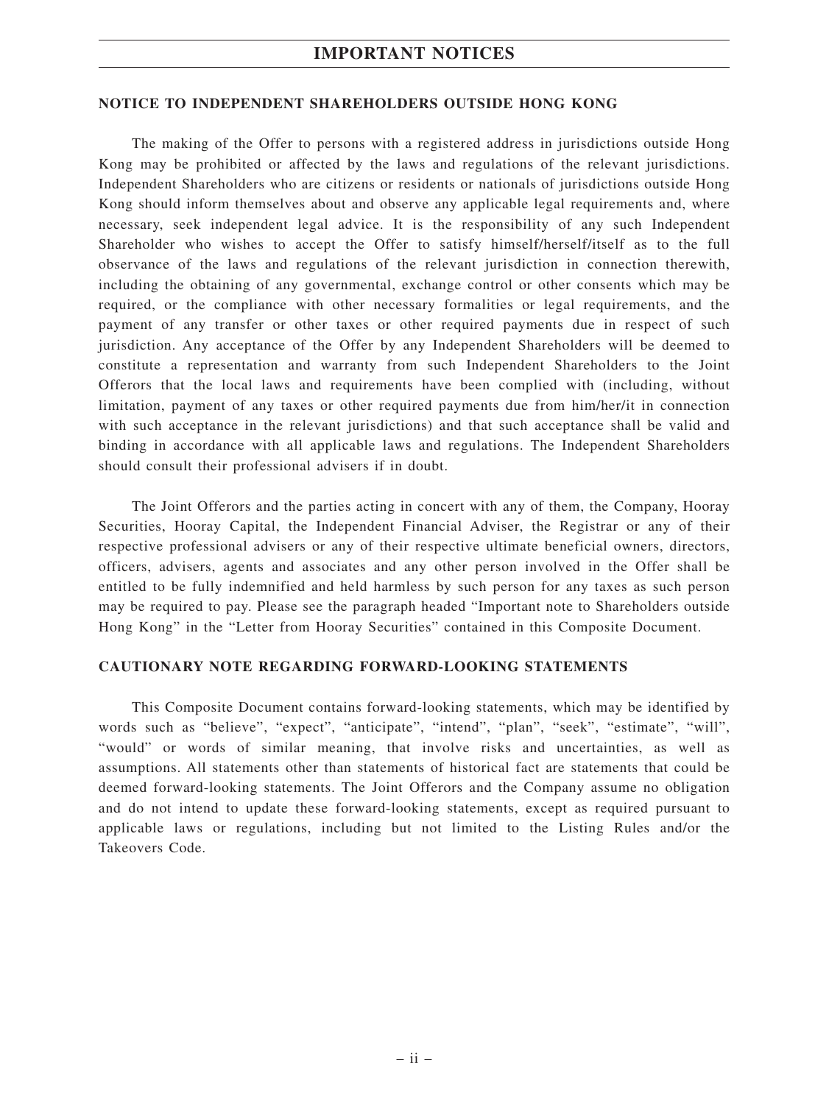### **IMPORTANT NOTICES**

#### **NOTICE TO INDEPENDENT SHAREHOLDERS OUTSIDE HONG KONG**

The making of the Offer to persons with a registered address in jurisdictions outside Hong Kong may be prohibited or affected by the laws and regulations of the relevant jurisdictions. Independent Shareholders who are citizens or residents or nationals of jurisdictions outside Hong Kong should inform themselves about and observe any applicable legal requirements and, where necessary, seek independent legal advice. It is the responsibility of any such Independent Shareholder who wishes to accept the Offer to satisfy himself/herself/itself as to the full observance of the laws and regulations of the relevant jurisdiction in connection therewith, including the obtaining of any governmental, exchange control or other consents which may be required, or the compliance with other necessary formalities or legal requirements, and the payment of any transfer or other taxes or other required payments due in respect of such jurisdiction. Any acceptance of the Offer by any Independent Shareholders will be deemed to constitute a representation and warranty from such Independent Shareholders to the Joint Offerors that the local laws and requirements have been complied with (including, without limitation, payment of any taxes or other required payments due from him/her/it in connection with such acceptance in the relevant jurisdictions) and that such acceptance shall be valid and binding in accordance with all applicable laws and regulations. The Independent Shareholders should consult their professional advisers if in doubt.

The Joint Offerors and the parties acting in concert with any of them, the Company, Hooray Securities, Hooray Capital, the Independent Financial Adviser, the Registrar or any of their respective professional advisers or any of their respective ultimate beneficial owners, directors, officers, advisers, agents and associates and any other person involved in the Offer shall be entitled to be fully indemnified and held harmless by such person for any taxes as such person may be required to pay. Please see the paragraph headed "Important note to Shareholders outside Hong Kong" in the "Letter from Hooray Securities" contained in this Composite Document.

### **CAUTIONARY NOTE REGARDING FORWARD-LOOKING STATEMENTS**

This Composite Document contains forward-looking statements, which may be identified by words such as "believe", "expect", "anticipate", "intend", "plan", "seek", "estimate", "will", "would" or words of similar meaning, that involve risks and uncertainties, as well as assumptions. All statements other than statements of historical fact are statements that could be deemed forward-looking statements. The Joint Offerors and the Company assume no obligation and do not intend to update these forward-looking statements, except as required pursuant to applicable laws or regulations, including but not limited to the Listing Rules and/or the Takeovers Code.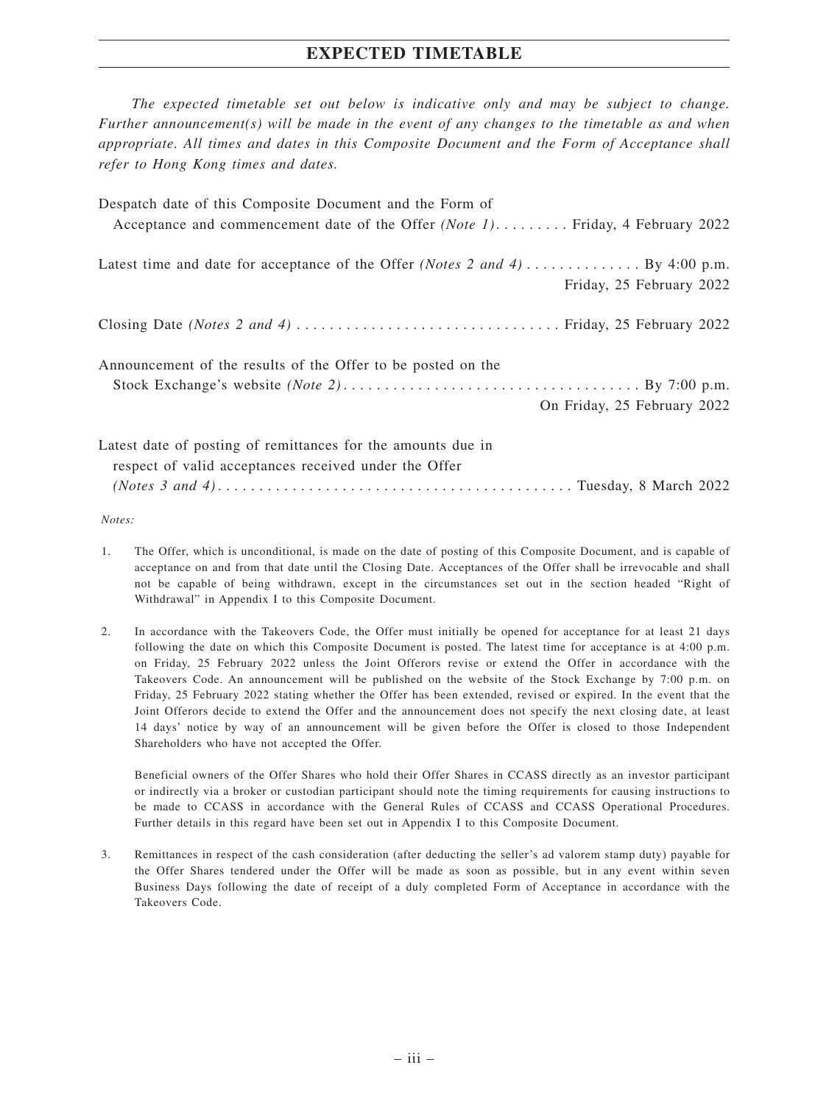## **EXPECTED TIMETABLE**

*The expected timetable set out below is indicative only and may be subject to change. Further announcement(s) will be made in the event of any changes to the timetable as and when appropriate. All times and dates in this Composite Document and the Form of Acceptance shall refer to Hong Kong times and dates.*

| Despatch date of this Composite Document and the Form of<br>Acceptance and commencement date of the Offer (Note 1) Friday, 4 February 2022 |
|--------------------------------------------------------------------------------------------------------------------------------------------|
| Friday, 25 February 2022                                                                                                                   |
|                                                                                                                                            |
| Announcement of the results of the Offer to be posted on the<br>On Friday, 25 February 2022                                                |
| Latest date of posting of remittances for the amounts due in<br>respect of valid acceptances received under the Offer                      |

*Notes:*

- 1. The Offer, which is unconditional, is made on the date of posting of this Composite Document, and is capable of acceptance on and from that date until the Closing Date. Acceptances of the Offer shall be irrevocable and shall not be capable of being withdrawn, except in the circumstances set out in the section headed "Right of Withdrawal" in Appendix I to this Composite Document.
- 2. In accordance with the Takeovers Code, the Offer must initially be opened for acceptance for at least 21 days following the date on which this Composite Document is posted. The latest time for acceptance is at 4:00 p.m. on Friday, 25 February 2022 unless the Joint Offerors revise or extend the Offer in accordance with the Takeovers Code. An announcement will be published on the website of the Stock Exchange by 7:00 p.m. on Friday, 25 February 2022 stating whether the Offer has been extended, revised or expired. In the event that the Joint Offerors decide to extend the Offer and the announcement does not specify the next closing date, at least 14 days' notice by way of an announcement will be given before the Offer is closed to those Independent Shareholders who have not accepted the Offer.

Beneficial owners of the Offer Shares who hold their Offer Shares in CCASS directly as an investor participant or indirectly via a broker or custodian participant should note the timing requirements for causing instructions to be made to CCASS in accordance with the General Rules of CCASS and CCASS Operational Procedures. Further details in this regard have been set out in Appendix I to this Composite Document.

3. Remittances in respect of the cash consideration (after deducting the seller's ad valorem stamp duty) payable for the Offer Shares tendered under the Offer will be made as soon as possible, but in any event within seven Business Days following the date of receipt of a duly completed Form of Acceptance in accordance with the Takeovers Code.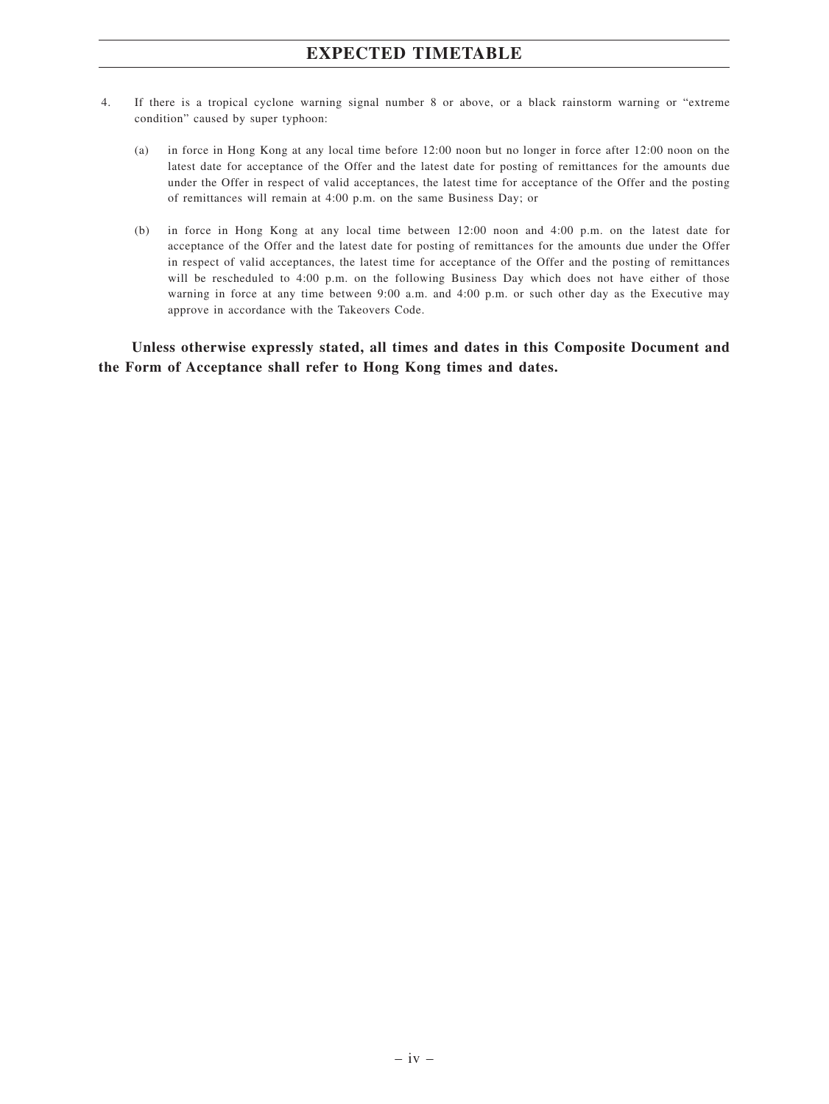## **EXPECTED TIMETABLE**

- 4. If there is a tropical cyclone warning signal number 8 or above, or a black rainstorm warning or "extreme condition" caused by super typhoon:
	- (a) in force in Hong Kong at any local time before 12:00 noon but no longer in force after 12:00 noon on the latest date for acceptance of the Offer and the latest date for posting of remittances for the amounts due under the Offer in respect of valid acceptances, the latest time for acceptance of the Offer and the posting of remittances will remain at 4:00 p.m. on the same Business Day; or
	- (b) in force in Hong Kong at any local time between 12:00 noon and 4:00 p.m. on the latest date for acceptance of the Offer and the latest date for posting of remittances for the amounts due under the Offer in respect of valid acceptances, the latest time for acceptance of the Offer and the posting of remittances will be rescheduled to 4:00 p.m. on the following Business Day which does not have either of those warning in force at any time between 9:00 a.m. and 4:00 p.m. or such other day as the Executive may approve in accordance with the Takeovers Code.

**Unless otherwise expressly stated, all times and dates in this Composite Document and the Form of Acceptance shall refer to Hong Kong times and dates.**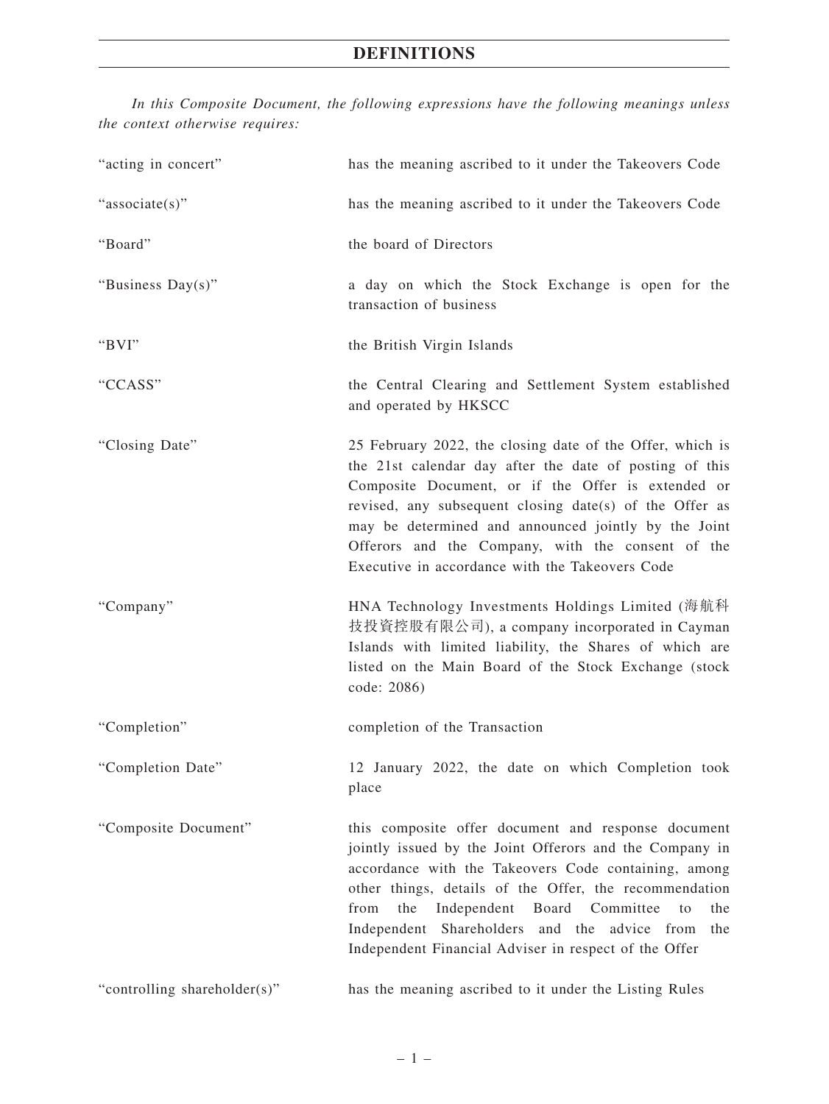*In this Composite Document, the following expressions have the following meanings unless the context otherwise requires:*

| "acting in concert"          | has the meaning ascribed to it under the Takeovers Code                                                                                                                                                                                                                                                                                                                                                        |  |  |  |
|------------------------------|----------------------------------------------------------------------------------------------------------------------------------------------------------------------------------------------------------------------------------------------------------------------------------------------------------------------------------------------------------------------------------------------------------------|--|--|--|
| "associate(s)"               | has the meaning ascribed to it under the Takeovers Code                                                                                                                                                                                                                                                                                                                                                        |  |  |  |
| "Board"                      | the board of Directors                                                                                                                                                                                                                                                                                                                                                                                         |  |  |  |
| "Business Day(s)"            | a day on which the Stock Exchange is open for the<br>transaction of business                                                                                                                                                                                                                                                                                                                                   |  |  |  |
| "BVI"                        | the British Virgin Islands                                                                                                                                                                                                                                                                                                                                                                                     |  |  |  |
| "CCASS"                      | the Central Clearing and Settlement System established<br>and operated by HKSCC                                                                                                                                                                                                                                                                                                                                |  |  |  |
| "Closing Date"               | 25 February 2022, the closing date of the Offer, which is<br>the 21st calendar day after the date of posting of this<br>Composite Document, or if the Offer is extended or<br>revised, any subsequent closing date(s) of the Offer as<br>may be determined and announced jointly by the Joint<br>Offerors and the Company, with the consent of the<br>Executive in accordance with the Takeovers Code          |  |  |  |
| "Company"                    | HNA Technology Investments Holdings Limited (海航科<br>技投資控股有限公司), a company incorporated in Cayman<br>Islands with limited liability, the Shares of which are<br>listed on the Main Board of the Stock Exchange (stock<br>code: 2086)                                                                                                                                                                            |  |  |  |
| "Completion"                 | completion of the Transaction                                                                                                                                                                                                                                                                                                                                                                                  |  |  |  |
| "Completion Date"            | 12 January 2022, the date on which Completion took<br>place                                                                                                                                                                                                                                                                                                                                                    |  |  |  |
| "Composite Document"         | this composite offer document and response document<br>jointly issued by the Joint Offerors and the Company in<br>accordance with the Takeovers Code containing, among<br>other things, details of the Offer, the recommendation<br>from<br>the<br>Independent Board<br>Committee<br>the<br>to<br>Independent Shareholders and the advice from<br>the<br>Independent Financial Adviser in respect of the Offer |  |  |  |
| "controlling shareholder(s)" | has the meaning ascribed to it under the Listing Rules                                                                                                                                                                                                                                                                                                                                                         |  |  |  |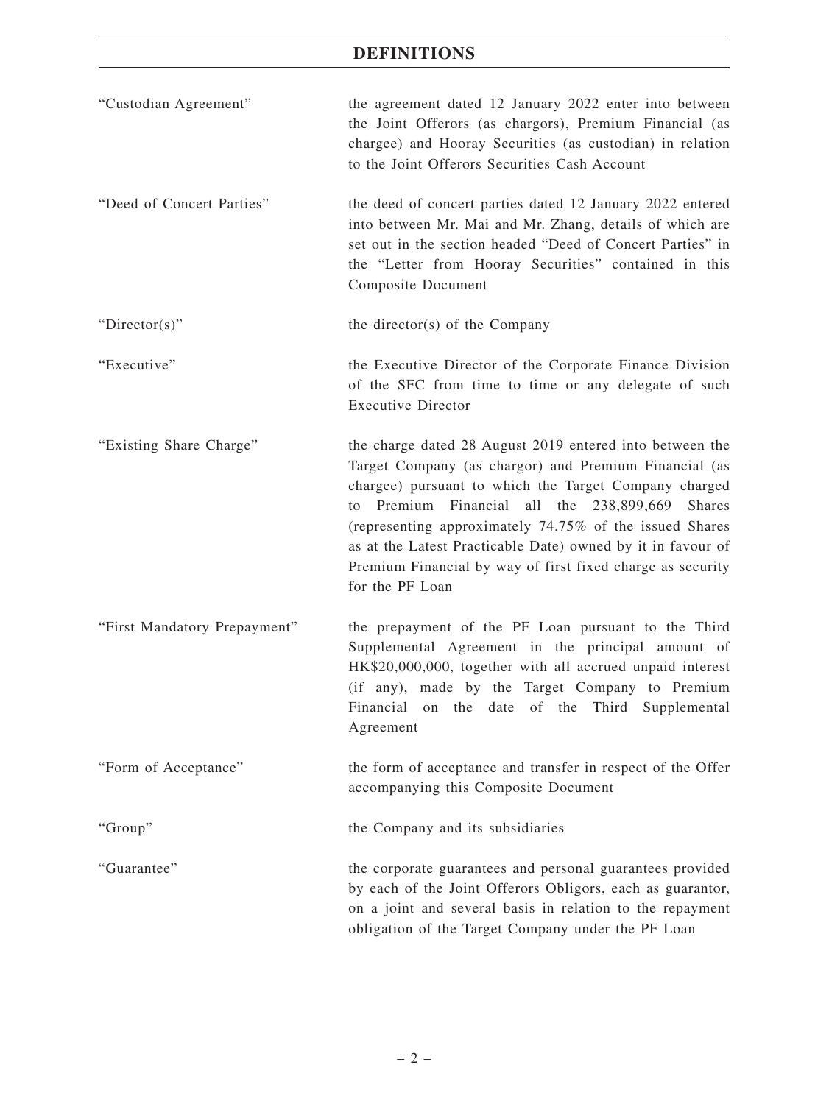| "Custodian Agreement"        | the agreement dated 12 January 2022 enter into between<br>the Joint Offerors (as chargors), Premium Financial (as<br>chargee) and Hooray Securities (as custodian) in relation<br>to the Joint Offerors Securities Cash Account                                                                                                                                                                                                                          |
|------------------------------|----------------------------------------------------------------------------------------------------------------------------------------------------------------------------------------------------------------------------------------------------------------------------------------------------------------------------------------------------------------------------------------------------------------------------------------------------------|
| "Deed of Concert Parties"    | the deed of concert parties dated 12 January 2022 entered<br>into between Mr. Mai and Mr. Zhang, details of which are<br>set out in the section headed "Deed of Concert Parties" in<br>the "Letter from Hooray Securities" contained in this<br><b>Composite Document</b>                                                                                                                                                                                |
| "Director(s)"                | the director(s) of the Company                                                                                                                                                                                                                                                                                                                                                                                                                           |
| "Executive"                  | the Executive Director of the Corporate Finance Division<br>of the SFC from time to time or any delegate of such<br><b>Executive Director</b>                                                                                                                                                                                                                                                                                                            |
| "Existing Share Charge"      | the charge dated 28 August 2019 entered into between the<br>Target Company (as chargor) and Premium Financial (as<br>chargee) pursuant to which the Target Company charged<br>Premium Financial<br>all the 238,899,669<br><b>Shares</b><br>to<br>(representing approximately 74.75% of the issued Shares<br>as at the Latest Practicable Date) owned by it in favour of<br>Premium Financial by way of first fixed charge as security<br>for the PF Loan |
| "First Mandatory Prepayment" | the prepayment of the PF Loan pursuant to the Third<br>Supplemental Agreement in the principal amount of<br>HK\$20,000,000, together with all accrued unpaid interest<br>(if any), made by the Target Company to Premium<br>Financial on the date of the Third Supplemental<br>Agreement                                                                                                                                                                 |
| "Form of Acceptance"         | the form of acceptance and transfer in respect of the Offer<br>accompanying this Composite Document                                                                                                                                                                                                                                                                                                                                                      |
| "Group"                      | the Company and its subsidiaries                                                                                                                                                                                                                                                                                                                                                                                                                         |
| "Guarantee"                  | the corporate guarantees and personal guarantees provided<br>by each of the Joint Offerors Obligors, each as guarantor,<br>on a joint and several basis in relation to the repayment<br>obligation of the Target Company under the PF Loan                                                                                                                                                                                                               |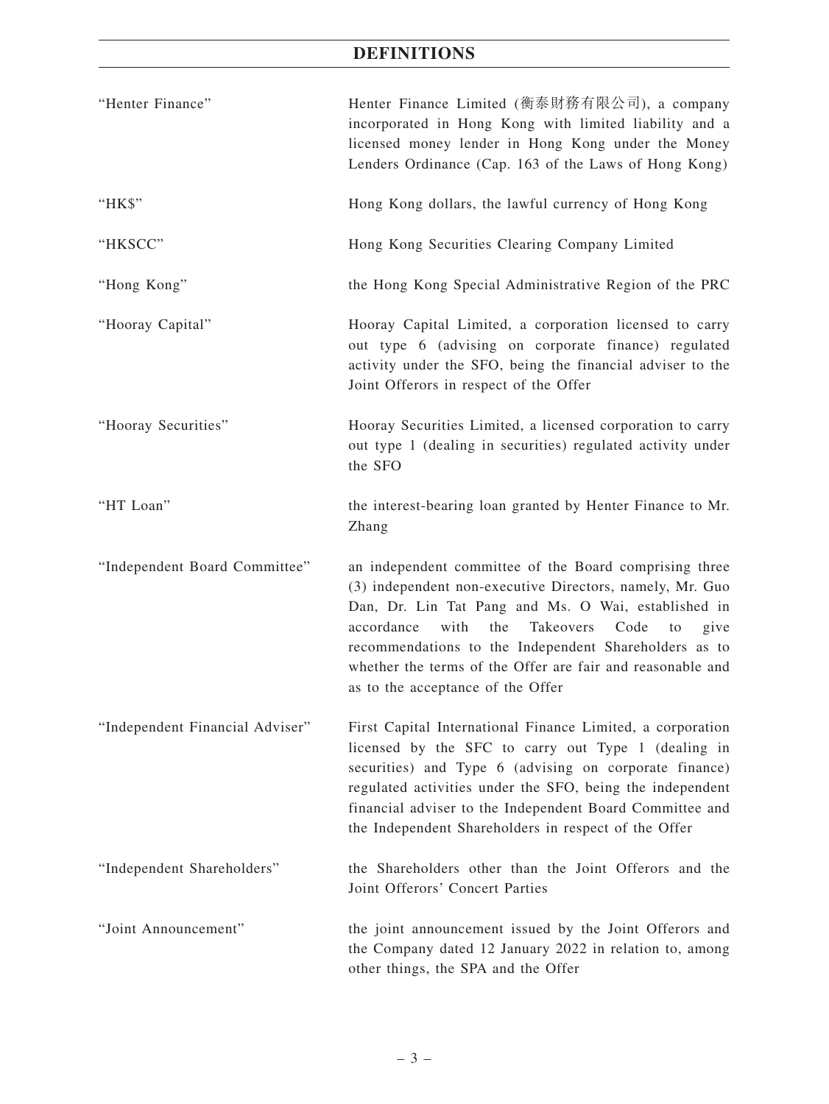| "Henter Finance"                | Henter Finance Limited (衡泰財務有限公司), a company<br>incorporated in Hong Kong with limited liability and a<br>licensed money lender in Hong Kong under the Money<br>Lenders Ordinance (Cap. 163 of the Laws of Hong Kong)                                                                                                                                                                                 |
|---------------------------------|-------------------------------------------------------------------------------------------------------------------------------------------------------------------------------------------------------------------------------------------------------------------------------------------------------------------------------------------------------------------------------------------------------|
| "HK\$"                          | Hong Kong dollars, the lawful currency of Hong Kong                                                                                                                                                                                                                                                                                                                                                   |
| "HKSCC"                         | Hong Kong Securities Clearing Company Limited                                                                                                                                                                                                                                                                                                                                                         |
| "Hong Kong"                     | the Hong Kong Special Administrative Region of the PRC                                                                                                                                                                                                                                                                                                                                                |
| "Hooray Capital"                | Hooray Capital Limited, a corporation licensed to carry<br>out type 6 (advising on corporate finance) regulated<br>activity under the SFO, being the financial adviser to the<br>Joint Offerors in respect of the Offer                                                                                                                                                                               |
| "Hooray Securities"             | Hooray Securities Limited, a licensed corporation to carry<br>out type 1 (dealing in securities) regulated activity under<br>the SFO                                                                                                                                                                                                                                                                  |
| "HT Loan"                       | the interest-bearing loan granted by Henter Finance to Mr.<br>Zhang                                                                                                                                                                                                                                                                                                                                   |
| "Independent Board Committee"   | an independent committee of the Board comprising three<br>(3) independent non-executive Directors, namely, Mr. Guo<br>Dan, Dr. Lin Tat Pang and Ms. O Wai, established in<br>accordance<br>with<br>the<br>Takeovers<br>Code<br>to<br>give<br>recommendations to the Independent Shareholders as to<br>whether the terms of the Offer are fair and reasonable and<br>as to the acceptance of the Offer |
| "Independent Financial Adviser" | First Capital International Finance Limited, a corporation<br>licensed by the SFC to carry out Type 1 (dealing in<br>securities) and Type 6 (advising on corporate finance)<br>regulated activities under the SFO, being the independent<br>financial adviser to the Independent Board Committee and<br>the Independent Shareholders in respect of the Offer                                          |
| "Independent Shareholders"      | the Shareholders other than the Joint Offerors and the<br>Joint Offerors' Concert Parties                                                                                                                                                                                                                                                                                                             |
| "Joint Announcement"            | the joint announcement issued by the Joint Offerors and<br>the Company dated 12 January 2022 in relation to, among<br>other things, the SPA and the Offer                                                                                                                                                                                                                                             |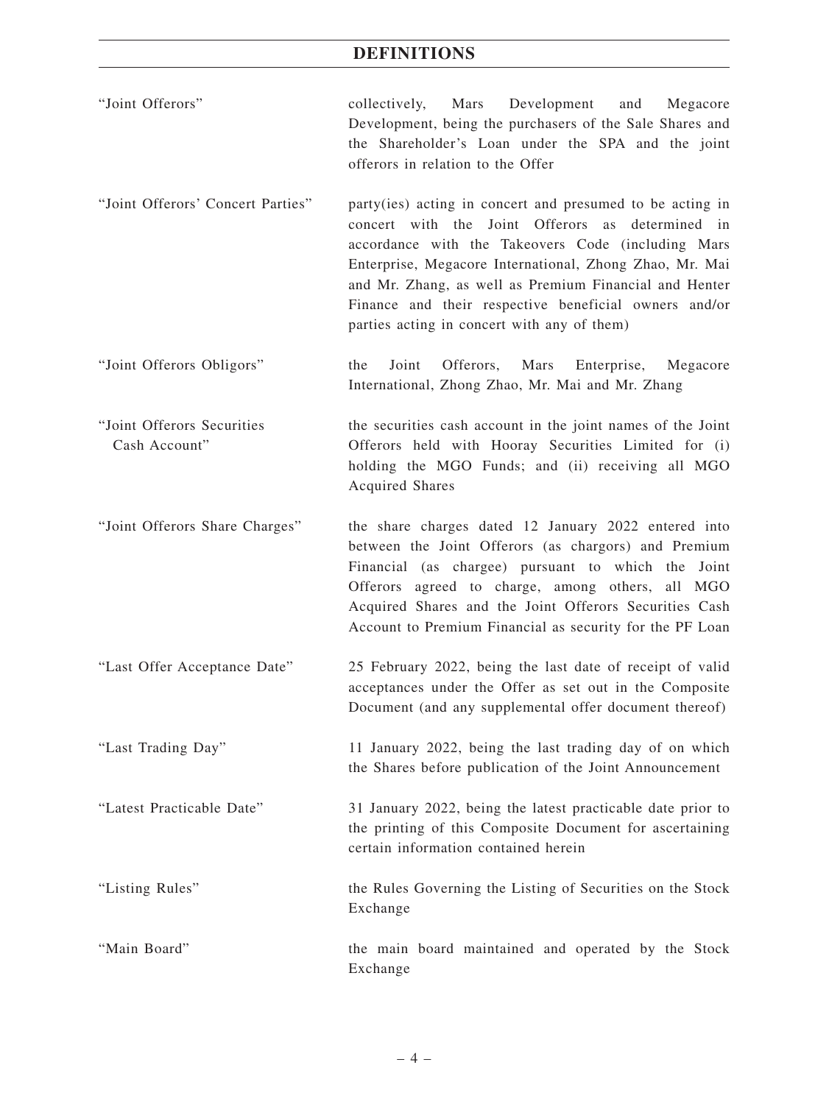- "Joint Offerors" collectively, Mars Development and Megacore Development, being the purchasers of the Sale Shares and the Shareholder's Loan under the SPA and the joint offerors in relation to the Offer
- "Joint Offerors' Concert Parties" party(ies) acting in concert and presumed to be acting in concert with the Joint Offerors as determined in accordance with the Takeovers Code (including Mars Enterprise, Megacore International, Zhong Zhao, Mr. Mai and Mr. Zhang, as well as Premium Financial and Henter Finance and their respective beneficial owners and/or parties acting in concert with any of them)
- "Joint Offerors Obligors" the Joint Offerors, Mars Enterprise, Megacore International, Zhong Zhao, Mr. Mai and Mr. Zhang
- "Joint Offerors Securities Cash Account" the securities cash account in the joint names of the Joint Offerors held with Hooray Securities Limited for (i) holding the MGO Funds; and (ii) receiving all MGO Acquired Shares
- "Joint Offerors Share Charges" the share charges dated 12 January 2022 entered into between the Joint Offerors (as chargors) and Premium Financial (as chargee) pursuant to which the Joint Offerors agreed to charge, among others, all MGO Acquired Shares and the Joint Offerors Securities Cash Account to Premium Financial as security for the PF Loan
- "Last Offer Acceptance Date" 25 February 2022, being the last date of receipt of valid acceptances under the Offer as set out in the Composite Document (and any supplemental offer document thereof)
- "Last Trading Day" 11 January 2022, being the last trading day of on which the Shares before publication of the Joint Announcement

"Latest Practicable Date" 31 January 2022, being the latest practicable date prior to the printing of this Composite Document for ascertaining certain information contained herein

"Listing Rules" the Rules Governing the Listing of Securities on the Stock Exchange

"Main Board" the main board maintained and operated by the Stock Exchange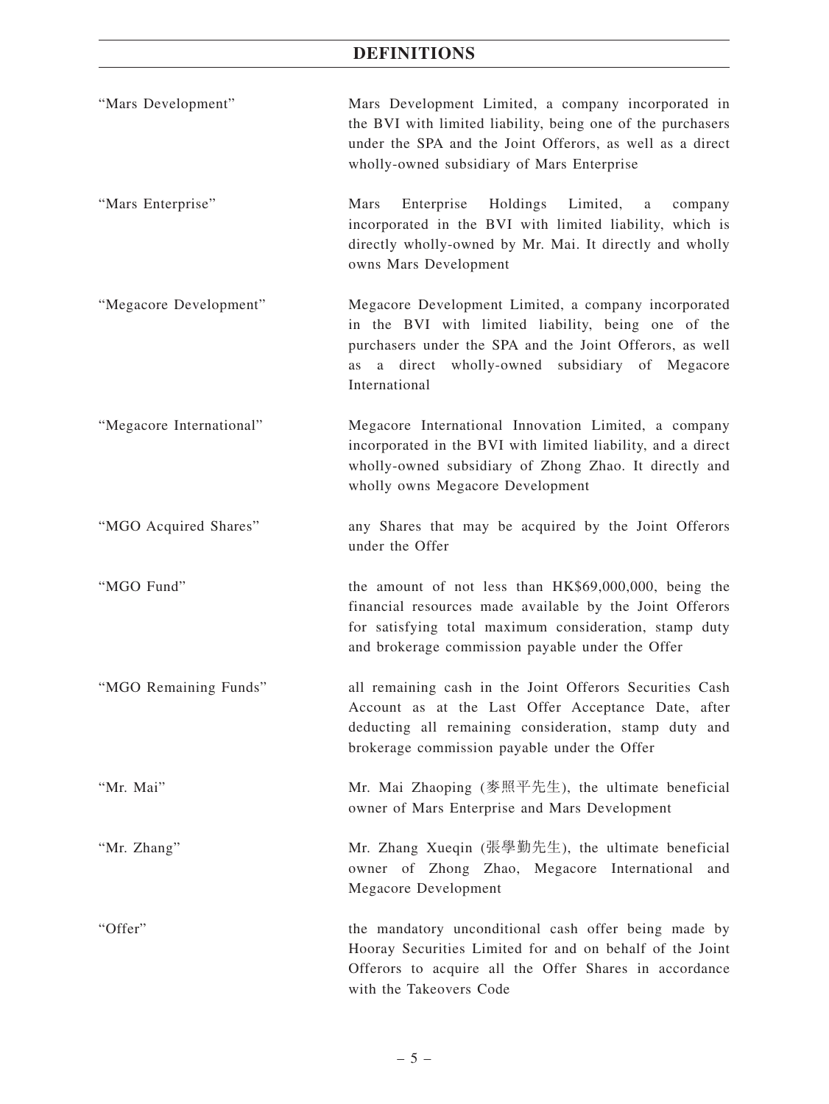- "Mars Development" Mars Development Limited, a company incorporated in the BVI with limited liability, being one of the purchasers under the SPA and the Joint Offerors, as well as a direct wholly-owned subsidiary of Mars Enterprise
- "Mars Enterprise" Mars Enterprise Holdings Limited, a company incorporated in the BVI with limited liability, which is directly wholly-owned by Mr. Mai. It directly and wholly owns Mars Development
- "Megacore Development" Megacore Development Limited, a company incorporated in the BVI with limited liability, being one of the purchasers under the SPA and the Joint Offerors, as well as a direct wholly-owned subsidiary of Megacore International
- "Megacore International" Megacore International Innovation Limited, a company incorporated in the BVI with limited liability, and a direct wholly-owned subsidiary of Zhong Zhao. It directly and wholly owns Megacore Development
- "MGO Acquired Shares" any Shares that may be acquired by the Joint Offerors under the Offer

"MGO Fund" the amount of not less than HK\$69,000,000, being the financial resources made available by the Joint Offerors for satisfying total maximum consideration, stamp duty and brokerage commission payable under the Offer

- "MGO Remaining Funds" all remaining cash in the Joint Offerors Securities Cash Account as at the Last Offer Acceptance Date, after deducting all remaining consideration, stamp duty and brokerage commission payable under the Offer
- "Mr. Mai" Mr. Mai Zhaoping (麥照平先生), the ultimate beneficial owner of Mars Enterprise and Mars Development
- "Mr. Zhang" Mr. Zhang Xueqin (張學勤先生), the ultimate beneficial owner of Zhong Zhao, Megacore International and Megacore Development
- "Offer" the mandatory unconditional cash offer being made by Hooray Securities Limited for and on behalf of the Joint Offerors to acquire all the Offer Shares in accordance with the Takeovers Code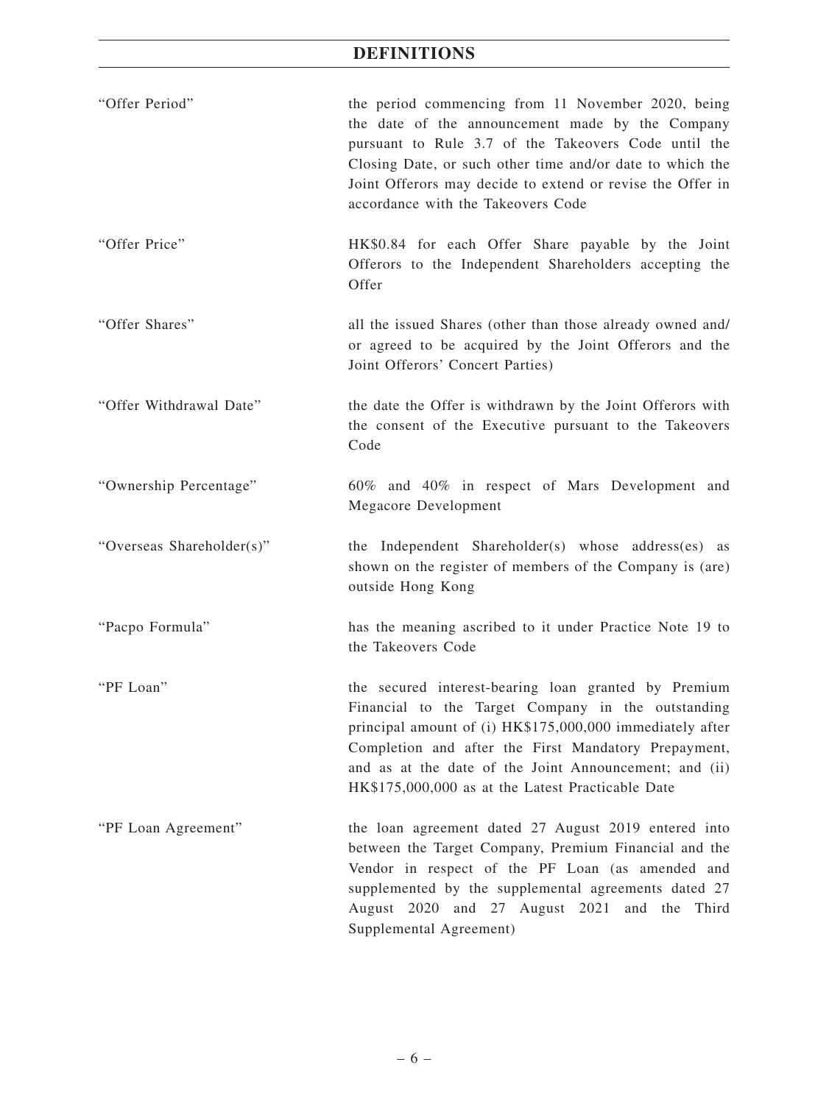| "Offer Period"            | the period commencing from 11 November 2020, being<br>the date of the announcement made by the Company<br>pursuant to Rule 3.7 of the Takeovers Code until the<br>Closing Date, or such other time and/or date to which the<br>Joint Offerors may decide to extend or revise the Offer in<br>accordance with the Takeovers Code                |
|---------------------------|------------------------------------------------------------------------------------------------------------------------------------------------------------------------------------------------------------------------------------------------------------------------------------------------------------------------------------------------|
| "Offer Price"             | HK\$0.84 for each Offer Share payable by the Joint<br>Offerors to the Independent Shareholders accepting the<br>Offer                                                                                                                                                                                                                          |
| "Offer Shares"            | all the issued Shares (other than those already owned and/<br>or agreed to be acquired by the Joint Offerors and the<br>Joint Offerors' Concert Parties)                                                                                                                                                                                       |
| "Offer Withdrawal Date"   | the date the Offer is withdrawn by the Joint Offerors with<br>the consent of the Executive pursuant to the Takeovers<br>Code                                                                                                                                                                                                                   |
| "Ownership Percentage"    | 60% and 40% in respect of Mars Development and<br>Megacore Development                                                                                                                                                                                                                                                                         |
| "Overseas Shareholder(s)" | the Independent Shareholder(s) whose address(es) as<br>shown on the register of members of the Company is (are)<br>outside Hong Kong                                                                                                                                                                                                           |
| "Pacpo Formula"           | has the meaning ascribed to it under Practice Note 19 to<br>the Takeovers Code                                                                                                                                                                                                                                                                 |
| "PF Loan"                 | the secured interest-bearing loan granted by Premium<br>Financial to the Target Company in the outstanding<br>principal amount of (i) HK\$175,000,000 immediately after<br>Completion and after the First Mandatory Prepayment,<br>and as at the date of the Joint Announcement; and (ii)<br>HK\$175,000,000 as at the Latest Practicable Date |
| "PF Loan Agreement"       | the loan agreement dated 27 August 2019 entered into<br>between the Target Company, Premium Financial and the<br>Vendor in respect of the PF Loan (as amended and<br>supplemented by the supplemental agreements dated 27<br>August 2020 and 27 August 2021 and the Third<br>Supplemental Agreement)                                           |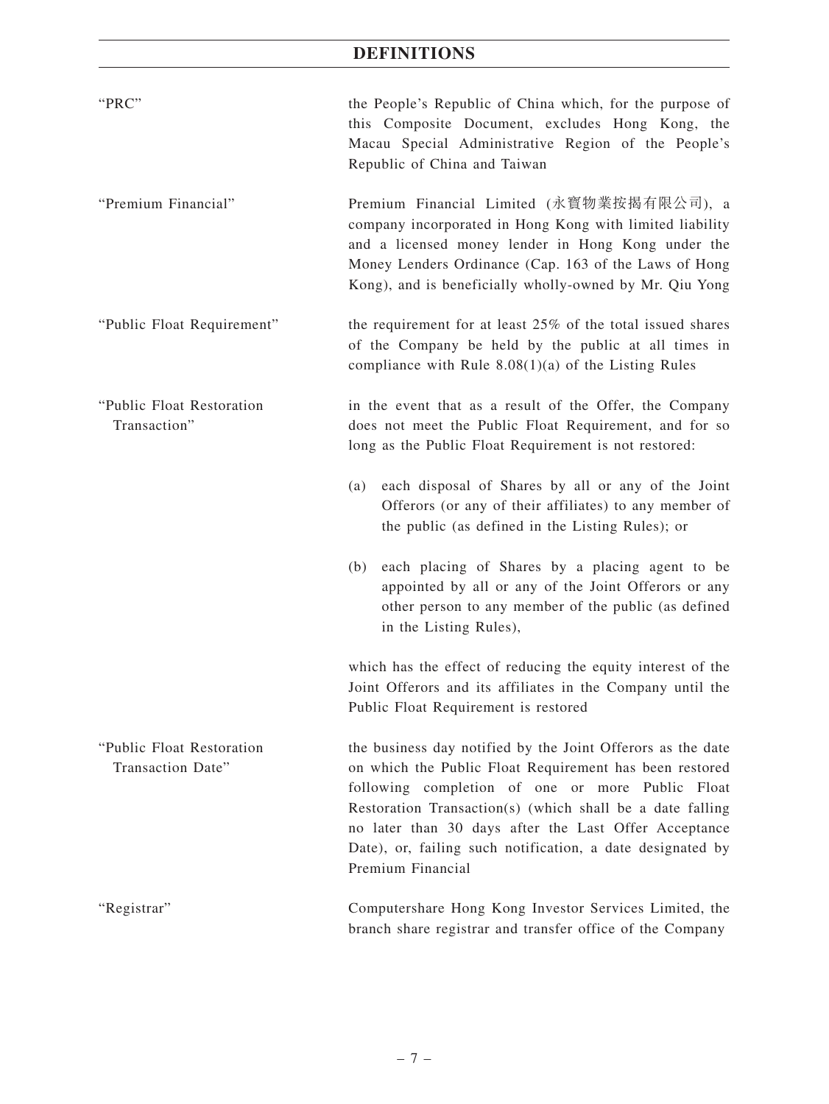| "PRC"                                          | the People's Republic of China which, for the purpose of<br>this Composite Document, excludes Hong Kong, the<br>Macau Special Administrative Region of the People's<br>Republic of China and Taiwan                                                                                                                                                                                 |  |  |  |  |
|------------------------------------------------|-------------------------------------------------------------------------------------------------------------------------------------------------------------------------------------------------------------------------------------------------------------------------------------------------------------------------------------------------------------------------------------|--|--|--|--|
| "Premium Financial"                            | Premium Financial Limited (永寳物業按揭有限公司), a<br>company incorporated in Hong Kong with limited liability<br>and a licensed money lender in Hong Kong under the<br>Money Lenders Ordinance (Cap. 163 of the Laws of Hong<br>Kong), and is beneficially wholly-owned by Mr. Qiu Yong                                                                                                     |  |  |  |  |
| "Public Float Requirement"                     | the requirement for at least 25% of the total issued shares<br>of the Company be held by the public at all times in<br>compliance with Rule $8.08(1)(a)$ of the Listing Rules                                                                                                                                                                                                       |  |  |  |  |
| "Public Float Restoration<br>Transaction"      | in the event that as a result of the Offer, the Company<br>does not meet the Public Float Requirement, and for so<br>long as the Public Float Requirement is not restored:                                                                                                                                                                                                          |  |  |  |  |
|                                                | each disposal of Shares by all or any of the Joint<br>(a)<br>Offerors (or any of their affiliates) to any member of<br>the public (as defined in the Listing Rules); or                                                                                                                                                                                                             |  |  |  |  |
|                                                | each placing of Shares by a placing agent to be<br>(b)<br>appointed by all or any of the Joint Offerors or any<br>other person to any member of the public (as defined<br>in the Listing Rules),                                                                                                                                                                                    |  |  |  |  |
|                                                | which has the effect of reducing the equity interest of the<br>Joint Offerors and its affiliates in the Company until the<br>Public Float Requirement is restored                                                                                                                                                                                                                   |  |  |  |  |
| "Public Float Restoration<br>Transaction Date" | the business day notified by the Joint Offerors as the date<br>on which the Public Float Requirement has been restored<br>following completion of one or more Public Float<br>Restoration Transaction(s) (which shall be a date falling<br>no later than 30 days after the Last Offer Acceptance<br>Date), or, failing such notification, a date designated by<br>Premium Financial |  |  |  |  |
| "Registrar"                                    | Computershare Hong Kong Investor Services Limited, the<br>branch share registrar and transfer office of the Company                                                                                                                                                                                                                                                                 |  |  |  |  |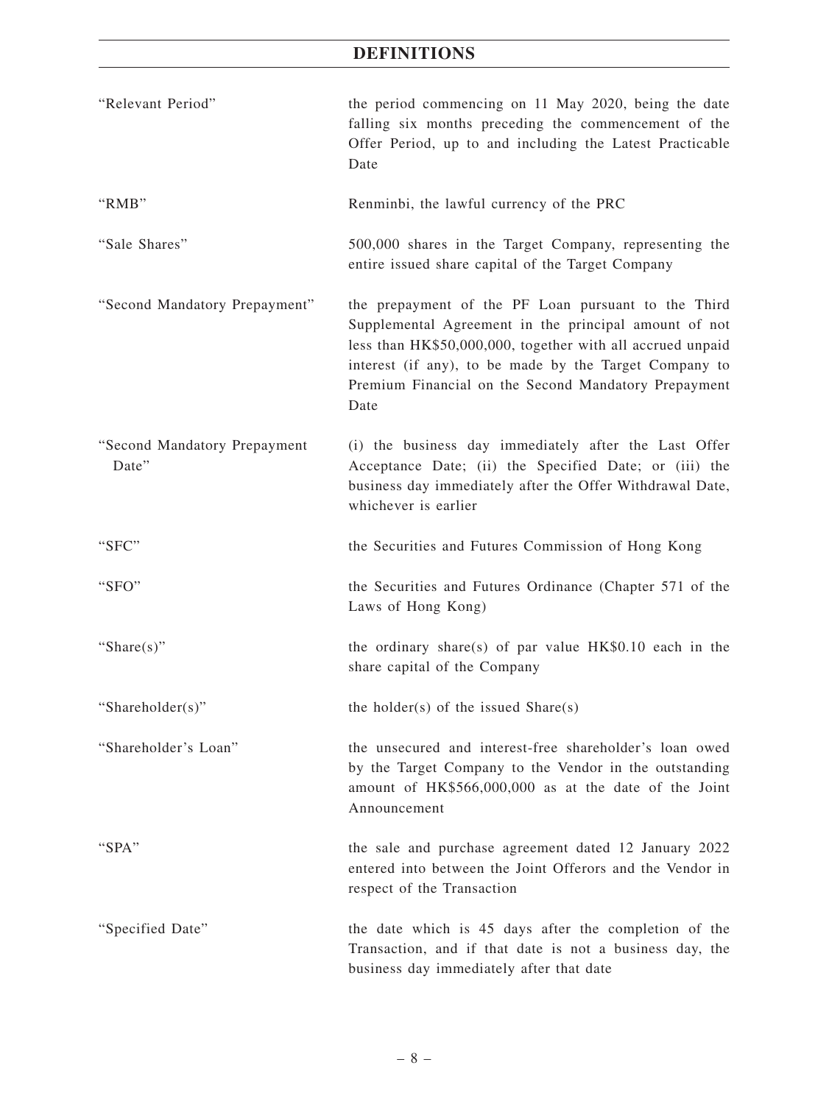| "Relevant Period"                     | the period commencing on 11 May 2020, being the date<br>falling six months preceding the commencement of the<br>Offer Period, up to and including the Latest Practicable<br>Date                                                                                                                     |
|---------------------------------------|------------------------------------------------------------------------------------------------------------------------------------------------------------------------------------------------------------------------------------------------------------------------------------------------------|
| "RMB"                                 | Renminbi, the lawful currency of the PRC                                                                                                                                                                                                                                                             |
| "Sale Shares"                         | 500,000 shares in the Target Company, representing the<br>entire issued share capital of the Target Company                                                                                                                                                                                          |
| "Second Mandatory Prepayment"         | the prepayment of the PF Loan pursuant to the Third<br>Supplemental Agreement in the principal amount of not<br>less than HK\$50,000,000, together with all accrued unpaid<br>interest (if any), to be made by the Target Company to<br>Premium Financial on the Second Mandatory Prepayment<br>Date |
| "Second Mandatory Prepayment<br>Date" | (i) the business day immediately after the Last Offer<br>Acceptance Date; (ii) the Specified Date; or (iii) the<br>business day immediately after the Offer Withdrawal Date,<br>whichever is earlier                                                                                                 |
| "SFC"                                 | the Securities and Futures Commission of Hong Kong                                                                                                                                                                                                                                                   |
| "SFO"                                 | the Securities and Futures Ordinance (Chapter 571 of the<br>Laws of Hong Kong)                                                                                                                                                                                                                       |
| "Share $(s)$ "                        | the ordinary share(s) of par value $HK$0.10$ each in the<br>share capital of the Company                                                                                                                                                                                                             |
| "Shareholder(s)"                      | the holder(s) of the issued Share(s)                                                                                                                                                                                                                                                                 |
| "Shareholder's Loan"                  | the unsecured and interest-free shareholder's loan owed<br>by the Target Company to the Vendor in the outstanding<br>amount of HK\$566,000,000 as at the date of the Joint<br>Announcement                                                                                                           |
| "SPA"                                 | the sale and purchase agreement dated 12 January 2022<br>entered into between the Joint Offerors and the Vendor in<br>respect of the Transaction                                                                                                                                                     |
| "Specified Date"                      | the date which is 45 days after the completion of the<br>Transaction, and if that date is not a business day, the<br>business day immediately after that date                                                                                                                                        |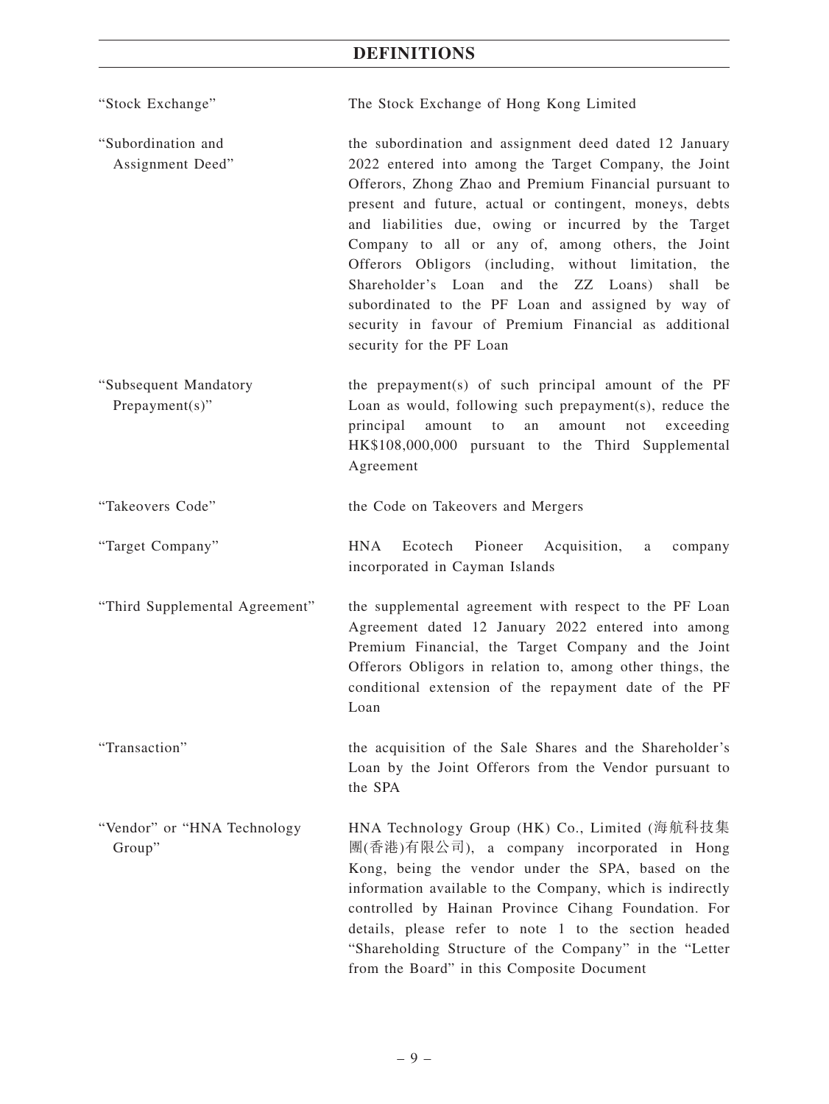| "Stock Exchange" | The Stock Exchange of Hong Kong Limited |  |  |
|------------------|-----------------------------------------|--|--|
|                  |                                         |  |  |

"Subordination and Assignment Deed" the subordination and assignment deed dated 12 January 2022 entered into among the Target Company, the Joint Offerors, Zhong Zhao and Premium Financial pursuant to present and future, actual or contingent, moneys, debts and liabilities due, owing or incurred by the Target Company to all or any of, among others, the Joint Offerors Obligors (including, without limitation, the Shareholder's Loan and the ZZ Loans) shall be subordinated to the PF Loan and assigned by way of security in favour of Premium Financial as additional security for the PF Loan

"Subsequent Mandatory Prepayment(s)" the prepayment(s) of such principal amount of the PF Loan as would, following such prepayment(s), reduce the principal amount to an amount not exceeding HK\$108,000,000 pursuant to the Third Supplemental Agreement

"Takeovers Code" the Code on Takeovers and Mergers

"Target Company" HNA Ecotech Pioneer Acquisition, a company incorporated in Cayman Islands

"Third Supplemental Agreement" the supplemental agreement with respect to the PF Loan Agreement dated 12 January 2022 entered into among Premium Financial, the Target Company and the Joint Offerors Obligors in relation to, among other things, the conditional extension of the repayment date of the PF Loan

"Transaction" the acquisition of the Sale Shares and the Shareholder's Loan by the Joint Offerors from the Vendor pursuant to the SPA

"Vendor" or "HNA Technology Group" HNA Technology Group (HK) Co., Limited (海航科技集 團(香港)有限公司), a company incorporated in Hong Kong, being the vendor under the SPA, based on the information available to the Company, which is indirectly controlled by Hainan Province Cihang Foundation. For details, please refer to note 1 to the section headed "Shareholding Structure of the Company" in the "Letter from the Board" in this Composite Document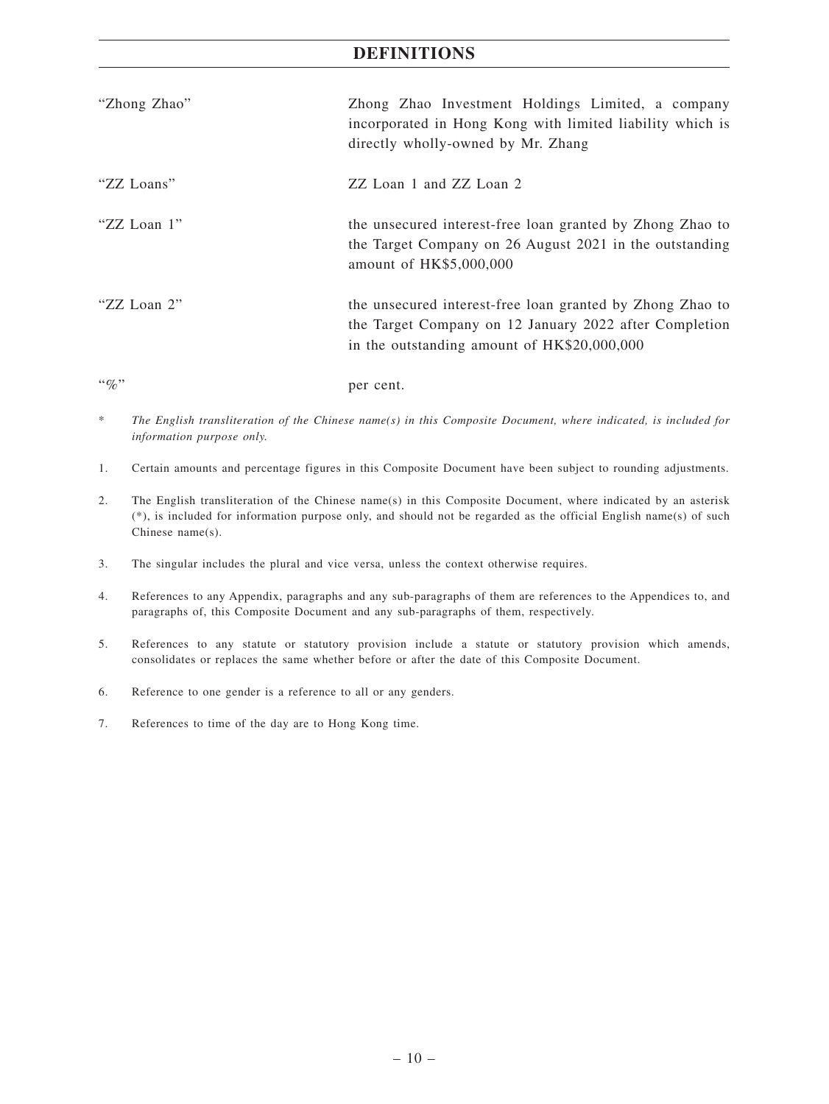| "Zhong Zhao"   | Zhong Zhao Investment Holdings Limited, a company<br>incorporated in Hong Kong with limited liability which is<br>directly wholly-owned by Mr. Zhang               |
|----------------|--------------------------------------------------------------------------------------------------------------------------------------------------------------------|
| "ZZ Loans"     | ZZ Loan 1 and ZZ Loan 2                                                                                                                                            |
| "ZZ Loan 1"    | the unsecured interest-free loan granted by Zhong Zhao to<br>the Target Company on 26 August 2021 in the outstanding<br>amount of HK\$5,000,000                    |
| "ZZ Loan 2"    | the unsecured interest-free loan granted by Zhong Zhao to<br>the Target Company on 12 January 2022 after Completion<br>in the outstanding amount of HK\$20,000,000 |
| $\lq\lq q_0$ " | per cent.                                                                                                                                                          |

- \* *The English transliteration of the Chinese name(s) in this Composite Document, where indicated, is included for information purpose only.*
- 1. Certain amounts and percentage figures in this Composite Document have been subject to rounding adjustments.
- 2. The English transliteration of the Chinese name(s) in this Composite Document, where indicated by an asterisk (\*), is included for information purpose only, and should not be regarded as the official English name(s) of such Chinese name(s).
- 3. The singular includes the plural and vice versa, unless the context otherwise requires.
- 4. References to any Appendix, paragraphs and any sub-paragraphs of them are references to the Appendices to, and paragraphs of, this Composite Document and any sub-paragraphs of them, respectively.
- 5. References to any statute or statutory provision include a statute or statutory provision which amends, consolidates or replaces the same whether before or after the date of this Composite Document.
- 6. Reference to one gender is a reference to all or any genders.
- 7. References to time of the day are to Hong Kong time.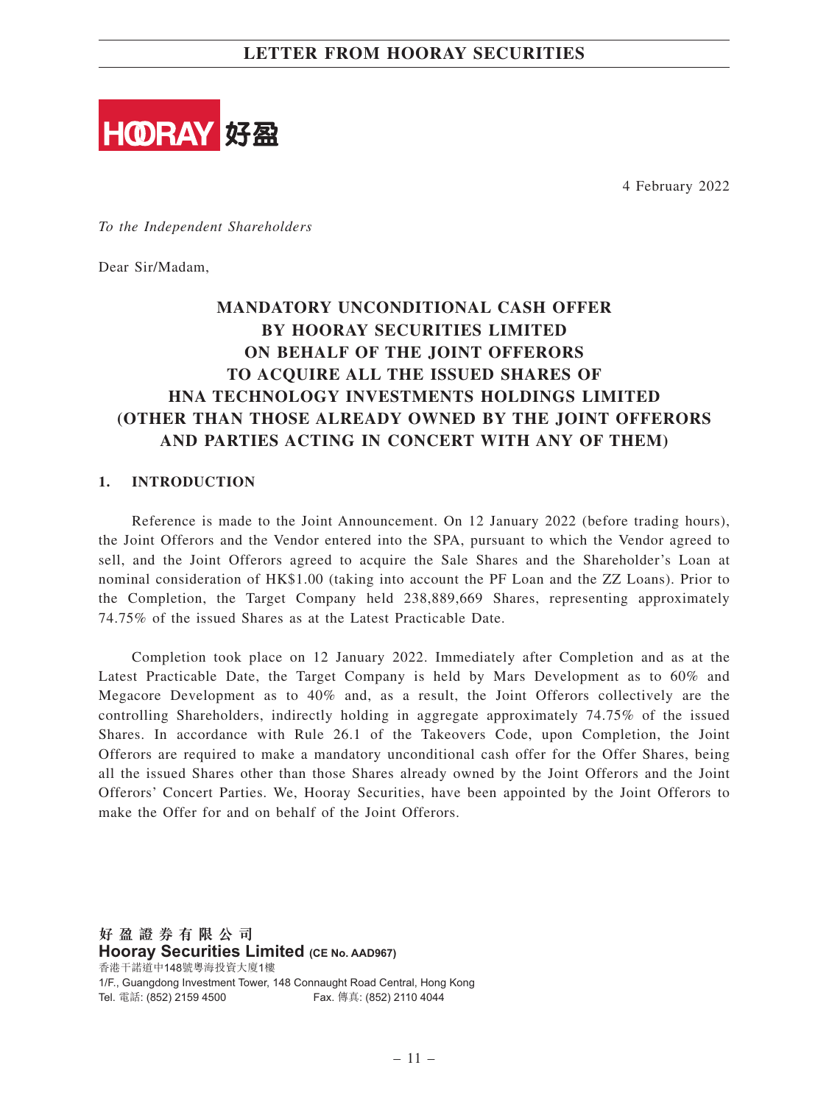

4 February 2022

*To the Independent Shareholders*

Dear Sir/Madam,

## **MANDATORY UNCONDITIONAL CASH OFFER BY HOORAY SECURITIES LIMITED ON BEHALF OF THE JOINT OFFERORS TO ACQUIRE ALL THE ISSUED SHARES OF HNA TECHNOLOGY INVESTMENTS HOLDINGS LIMITED (OTHER THAN THOSE ALREADY OWNED BY THE JOINT OFFERORS AND PARTIES ACTING IN CONCERT WITH ANY OF THEM)**

#### **1. INTRODUCTION**

Reference is made to the Joint Announcement. On 12 January 2022 (before trading hours), the Joint Offerors and the Vendor entered into the SPA, pursuant to which the Vendor agreed to sell, and the Joint Offerors agreed to acquire the Sale Shares and the Shareholder's Loan at nominal consideration of HK\$1.00 (taking into account the PF Loan and the ZZ Loans). Prior to the Completion, the Target Company held 238,889,669 Shares, representing approximately 74.75% of the issued Shares as at the Latest Practicable Date.

Completion took place on 12 January 2022. Immediately after Completion and as at the Latest Practicable Date, the Target Company is held by Mars Development as to 60% and Megacore Development as to 40% and, as a result, the Joint Offerors collectively are the controlling Shareholders, indirectly holding in aggregate approximately 74.75% of the issued Shares. In accordance with Rule 26.1 of the Takeovers Code, upon Completion, the Joint Offerors are required to make a mandatory unconditional cash offer for the Offer Shares, being all the issued Shares other than those Shares already owned by the Joint Offerors and the Joint Offerors' Concert Parties. We, Hooray Securities, have been appointed by the Joint Offerors to make the Offer for and on behalf of the Joint Offerors.

**好 盈 證 券 有 限 公 司 Hooray Securities Limited (CE No. AAD967)** 香港干諾道中148號粵海投資大廈1樓 1/F., Guangdong Investment Tower, 148 Connaught Road Central, Hong Kong Tel. 電話: (852) 2159 4500 Fax. 傳真: (852) 2110 4044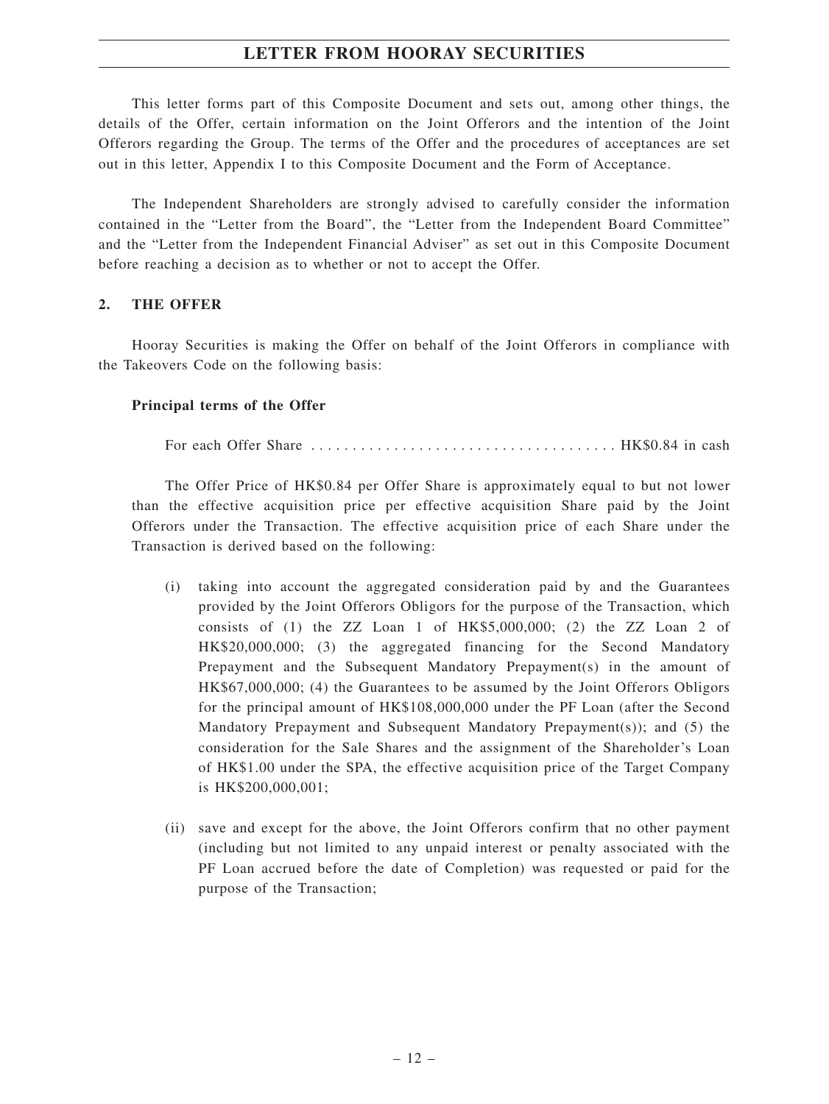This letter forms part of this Composite Document and sets out, among other things, the details of the Offer, certain information on the Joint Offerors and the intention of the Joint Offerors regarding the Group. The terms of the Offer and the procedures of acceptances are set out in this letter, Appendix I to this Composite Document and the Form of Acceptance.

The Independent Shareholders are strongly advised to carefully consider the information contained in the "Letter from the Board", the "Letter from the Independent Board Committee" and the "Letter from the Independent Financial Adviser" as set out in this Composite Document before reaching a decision as to whether or not to accept the Offer.

#### **2. THE OFFER**

Hooray Securities is making the Offer on behalf of the Joint Offerors in compliance with the Takeovers Code on the following basis:

#### **Principal terms of the Offer**

For each Offer Share ..................................... HK\$0.84 in cash

The Offer Price of HK\$0.84 per Offer Share is approximately equal to but not lower than the effective acquisition price per effective acquisition Share paid by the Joint Offerors under the Transaction. The effective acquisition price of each Share under the Transaction is derived based on the following:

- (i) taking into account the aggregated consideration paid by and the Guarantees provided by the Joint Offerors Obligors for the purpose of the Transaction, which consists of  $(1)$  the ZZ Loan 1 of HK\$5,000,000;  $(2)$  the ZZ Loan 2 of HK\$20,000,000; (3) the aggregated financing for the Second Mandatory Prepayment and the Subsequent Mandatory Prepayment(s) in the amount of HK\$67,000,000; (4) the Guarantees to be assumed by the Joint Offerors Obligors for the principal amount of HK\$108,000,000 under the PF Loan (after the Second Mandatory Prepayment and Subsequent Mandatory Prepayment(s)); and  $(5)$  the consideration for the Sale Shares and the assignment of the Shareholder's Loan of HK\$1.00 under the SPA, the effective acquisition price of the Target Company is HK\$200,000,001;
- (ii) save and except for the above, the Joint Offerors confirm that no other payment (including but not limited to any unpaid interest or penalty associated with the PF Loan accrued before the date of Completion) was requested or paid for the purpose of the Transaction;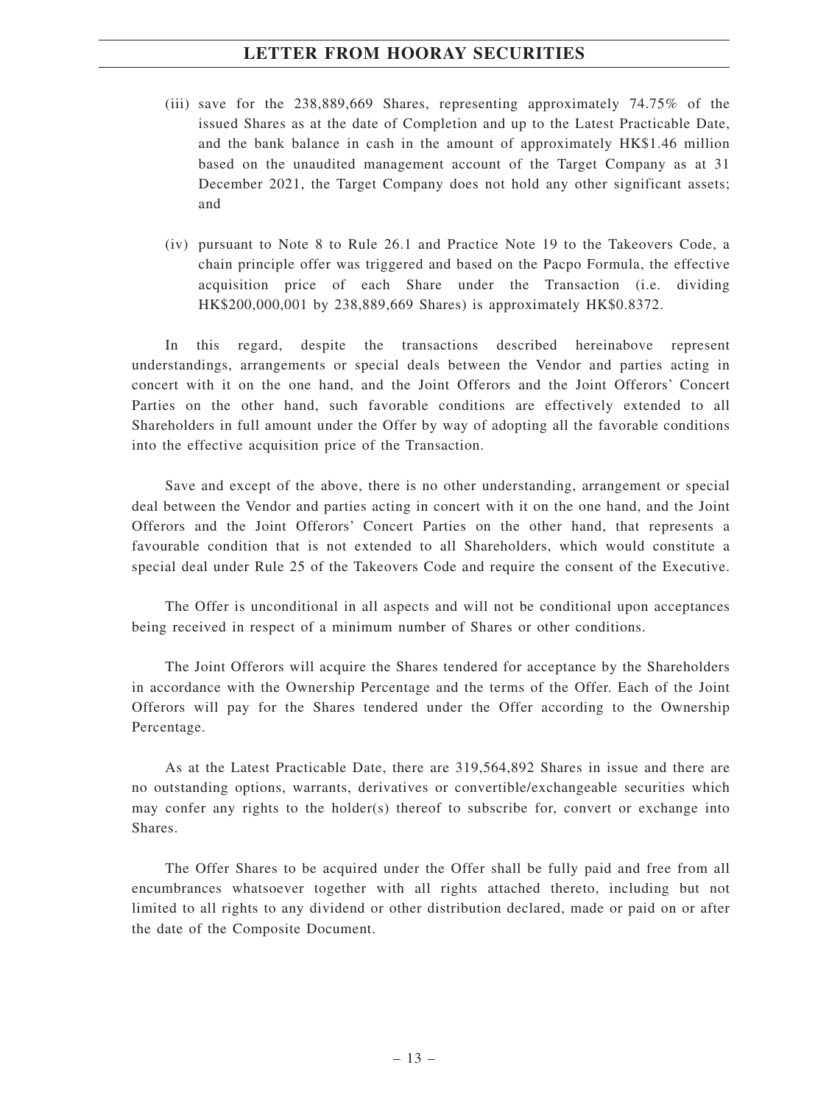- (iii) save for the 238,889,669 Shares, representing approximately 74.75% of the issued Shares as at the date of Completion and up to the Latest Practicable Date, and the bank balance in cash in the amount of approximately HK\$1.46 million based on the unaudited management account of the Target Company as at 31 December 2021, the Target Company does not hold any other significant assets; and
- (iv) pursuant to Note 8 to Rule 26.1 and Practice Note 19 to the Takeovers Code, a chain principle offer was triggered and based on the Pacpo Formula, the effective acquisition price of each Share under the Transaction (i.e. dividing HK\$200,000,001 by 238,889,669 Shares) is approximately HK\$0.8372.

In this regard, despite the transactions described hereinabove represent understandings, arrangements or special deals between the Vendor and parties acting in concert with it on the one hand, and the Joint Offerors and the Joint Offerors' Concert Parties on the other hand, such favorable conditions are effectively extended to all Shareholders in full amount under the Offer by way of adopting all the favorable conditions into the effective acquisition price of the Transaction.

Save and except of the above, there is no other understanding, arrangement or special deal between the Vendor and parties acting in concert with it on the one hand, and the Joint Offerors and the Joint Offerors' Concert Parties on the other hand, that represents a favourable condition that is not extended to all Shareholders, which would constitute a special deal under Rule 25 of the Takeovers Code and require the consent of the Executive.

The Offer is unconditional in all aspects and will not be conditional upon acceptances being received in respect of a minimum number of Shares or other conditions.

The Joint Offerors will acquire the Shares tendered for acceptance by the Shareholders in accordance with the Ownership Percentage and the terms of the Offer. Each of the Joint Offerors will pay for the Shares tendered under the Offer according to the Ownership Percentage.

As at the Latest Practicable Date, there are 319,564,892 Shares in issue and there are no outstanding options, warrants, derivatives or convertible/exchangeable securities which may confer any rights to the holder(s) thereof to subscribe for, convert or exchange into Shares.

The Offer Shares to be acquired under the Offer shall be fully paid and free from all encumbrances whatsoever together with all rights attached thereto, including but not limited to all rights to any dividend or other distribution declared, made or paid on or after the date of the Composite Document.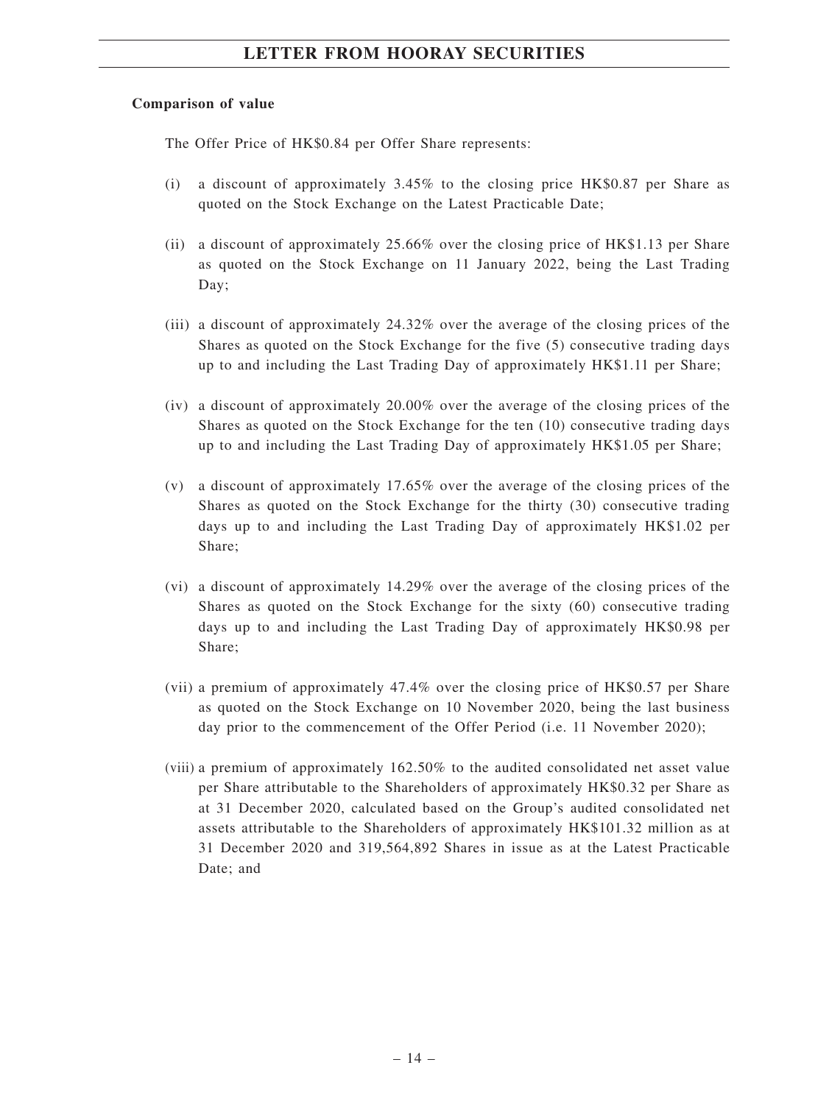#### **Comparison of value**

The Offer Price of HK\$0.84 per Offer Share represents:

- (i) a discount of approximately 3.45% to the closing price HK\$0.87 per Share as quoted on the Stock Exchange on the Latest Practicable Date;
- (ii) a discount of approximately 25.66% over the closing price of HK\$1.13 per Share as quoted on the Stock Exchange on 11 January 2022, being the Last Trading Day;
- (iii) a discount of approximately 24.32% over the average of the closing prices of the Shares as quoted on the Stock Exchange for the five (5) consecutive trading days up to and including the Last Trading Day of approximately HK\$1.11 per Share;
- (iv) a discount of approximately 20.00% over the average of the closing prices of the Shares as quoted on the Stock Exchange for the ten (10) consecutive trading days up to and including the Last Trading Day of approximately HK\$1.05 per Share;
- (v) a discount of approximately 17.65% over the average of the closing prices of the Shares as quoted on the Stock Exchange for the thirty (30) consecutive trading days up to and including the Last Trading Day of approximately HK\$1.02 per Share;
- (vi) a discount of approximately 14.29% over the average of the closing prices of the Shares as quoted on the Stock Exchange for the sixty (60) consecutive trading days up to and including the Last Trading Day of approximately HK\$0.98 per Share;
- (vii) a premium of approximately 47.4% over the closing price of HK\$0.57 per Share as quoted on the Stock Exchange on 10 November 2020, being the last business day prior to the commencement of the Offer Period (i.e. 11 November 2020);
- (viii) a premium of approximately 162.50% to the audited consolidated net asset value per Share attributable to the Shareholders of approximately HK\$0.32 per Share as at 31 December 2020, calculated based on the Group's audited consolidated net assets attributable to the Shareholders of approximately HK\$101.32 million as at 31 December 2020 and 319,564,892 Shares in issue as at the Latest Practicable Date; and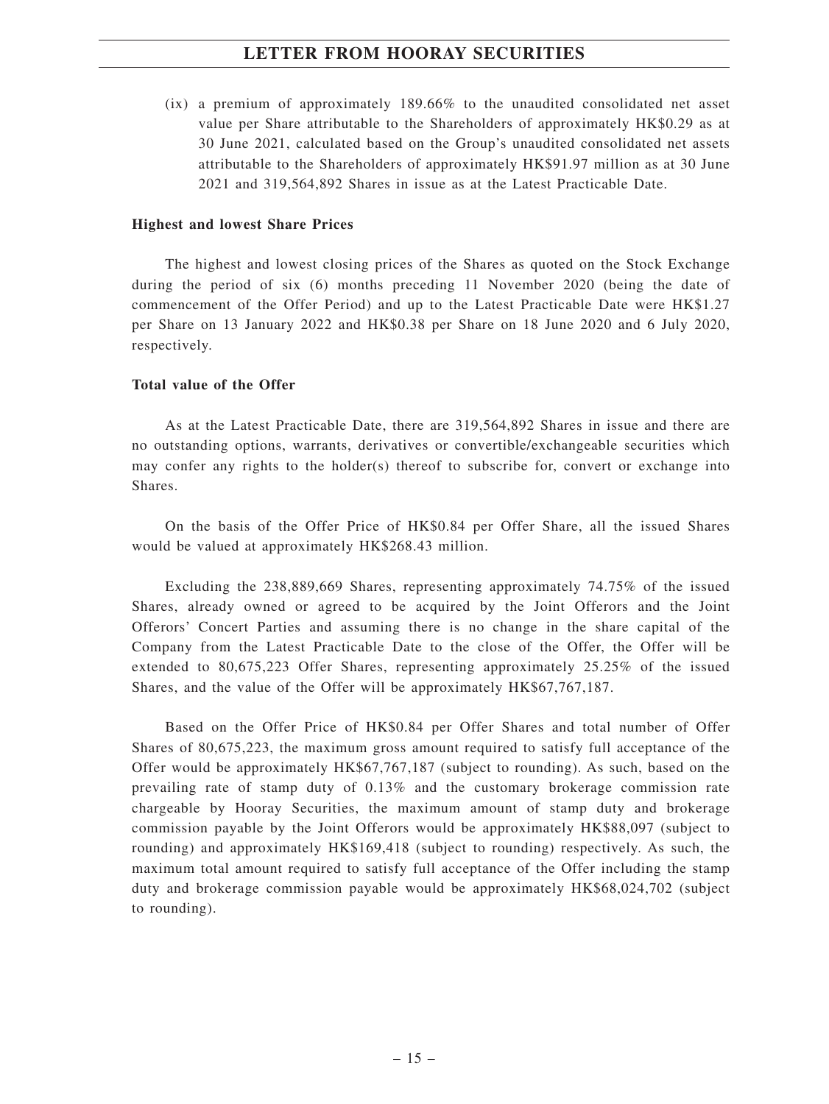(ix) a premium of approximately 189.66% to the unaudited consolidated net asset value per Share attributable to the Shareholders of approximately HK\$0.29 as at 30 June 2021, calculated based on the Group's unaudited consolidated net assets attributable to the Shareholders of approximately HK\$91.97 million as at 30 June 2021 and 319,564,892 Shares in issue as at the Latest Practicable Date.

#### **Highest and lowest Share Prices**

The highest and lowest closing prices of the Shares as quoted on the Stock Exchange during the period of six (6) months preceding 11 November 2020 (being the date of commencement of the Offer Period) and up to the Latest Practicable Date were HK\$1.27 per Share on 13 January 2022 and HK\$0.38 per Share on 18 June 2020 and 6 July 2020, respectively.

#### **Total value of the Offer**

As at the Latest Practicable Date, there are 319,564,892 Shares in issue and there are no outstanding options, warrants, derivatives or convertible/exchangeable securities which may confer any rights to the holder(s) thereof to subscribe for, convert or exchange into Shares.

On the basis of the Offer Price of HK\$0.84 per Offer Share, all the issued Shares would be valued at approximately HK\$268.43 million.

Excluding the 238,889,669 Shares, representing approximately 74.75% of the issued Shares, already owned or agreed to be acquired by the Joint Offerors and the Joint Offerors' Concert Parties and assuming there is no change in the share capital of the Company from the Latest Practicable Date to the close of the Offer, the Offer will be extended to 80,675,223 Offer Shares, representing approximately 25.25% of the issued Shares, and the value of the Offer will be approximately HK\$67,767,187.

Based on the Offer Price of HK\$0.84 per Offer Shares and total number of Offer Shares of 80,675,223, the maximum gross amount required to satisfy full acceptance of the Offer would be approximately HK\$67,767,187 (subject to rounding). As such, based on the prevailing rate of stamp duty of 0.13% and the customary brokerage commission rate chargeable by Hooray Securities, the maximum amount of stamp duty and brokerage commission payable by the Joint Offerors would be approximately HK\$88,097 (subject to rounding) and approximately HK\$169,418 (subject to rounding) respectively. As such, the maximum total amount required to satisfy full acceptance of the Offer including the stamp duty and brokerage commission payable would be approximately HK\$68,024,702 (subject to rounding).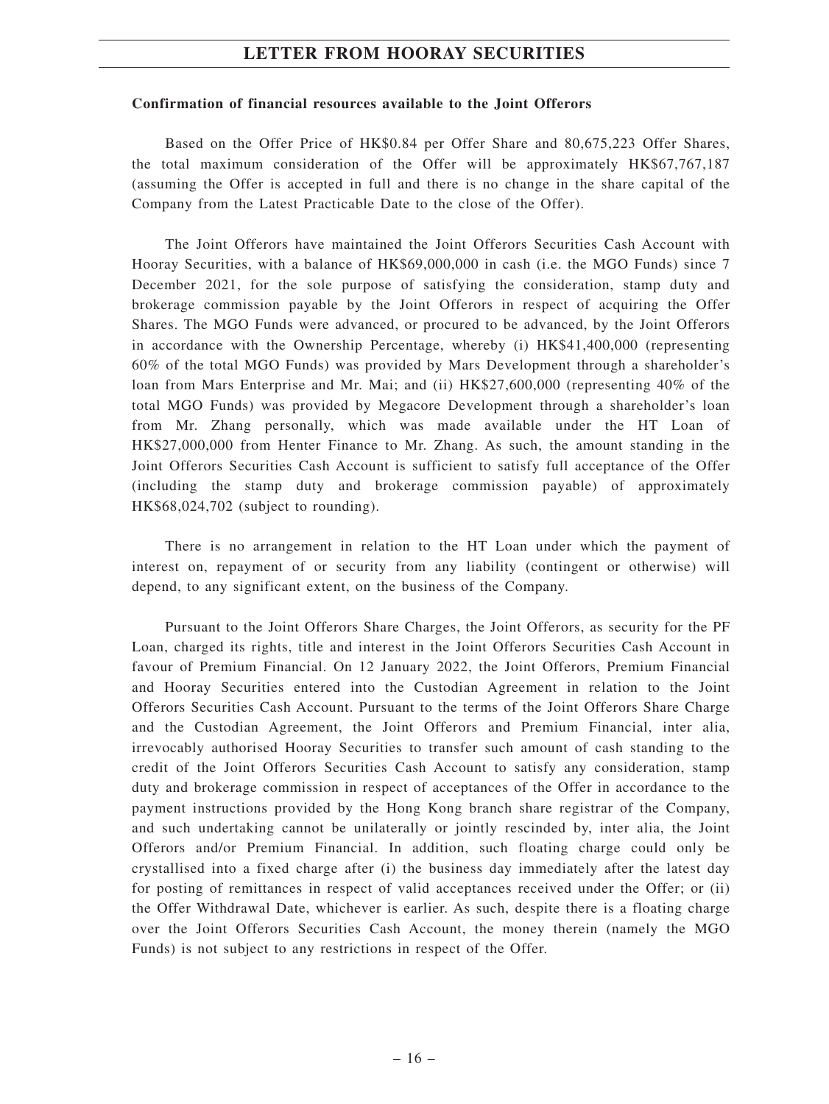#### **Confirmation of financial resources available to the Joint Offerors**

Based on the Offer Price of HK\$0.84 per Offer Share and 80,675,223 Offer Shares, the total maximum consideration of the Offer will be approximately HK\$67,767,187 (assuming the Offer is accepted in full and there is no change in the share capital of the Company from the Latest Practicable Date to the close of the Offer).

The Joint Offerors have maintained the Joint Offerors Securities Cash Account with Hooray Securities, with a balance of HK\$69,000,000 in cash (i.e. the MGO Funds) since 7 December 2021, for the sole purpose of satisfying the consideration, stamp duty and brokerage commission payable by the Joint Offerors in respect of acquiring the Offer Shares. The MGO Funds were advanced, or procured to be advanced, by the Joint Offerors in accordance with the Ownership Percentage, whereby (i) HK\$41,400,000 (representing 60% of the total MGO Funds) was provided by Mars Development through a shareholder's loan from Mars Enterprise and Mr. Mai; and (ii) HK\$27,600,000 (representing 40% of the total MGO Funds) was provided by Megacore Development through a shareholder's loan from Mr. Zhang personally, which was made available under the HT Loan of HK\$27,000,000 from Henter Finance to Mr. Zhang. As such, the amount standing in the Joint Offerors Securities Cash Account is sufficient to satisfy full acceptance of the Offer (including the stamp duty and brokerage commission payable) of approximately HK\$68,024,702 (subject to rounding).

There is no arrangement in relation to the HT Loan under which the payment of interest on, repayment of or security from any liability (contingent or otherwise) will depend, to any significant extent, on the business of the Company.

Pursuant to the Joint Offerors Share Charges, the Joint Offerors, as security for the PF Loan, charged its rights, title and interest in the Joint Offerors Securities Cash Account in favour of Premium Financial. On 12 January 2022, the Joint Offerors, Premium Financial and Hooray Securities entered into the Custodian Agreement in relation to the Joint Offerors Securities Cash Account. Pursuant to the terms of the Joint Offerors Share Charge and the Custodian Agreement, the Joint Offerors and Premium Financial, inter alia, irrevocably authorised Hooray Securities to transfer such amount of cash standing to the credit of the Joint Offerors Securities Cash Account to satisfy any consideration, stamp duty and brokerage commission in respect of acceptances of the Offer in accordance to the payment instructions provided by the Hong Kong branch share registrar of the Company, and such undertaking cannot be unilaterally or jointly rescinded by, inter alia, the Joint Offerors and/or Premium Financial. In addition, such floating charge could only be crystallised into a fixed charge after (i) the business day immediately after the latest day for posting of remittances in respect of valid acceptances received under the Offer; or (ii) the Offer Withdrawal Date, whichever is earlier. As such, despite there is a floating charge over the Joint Offerors Securities Cash Account, the money therein (namely the MGO Funds) is not subject to any restrictions in respect of the Offer.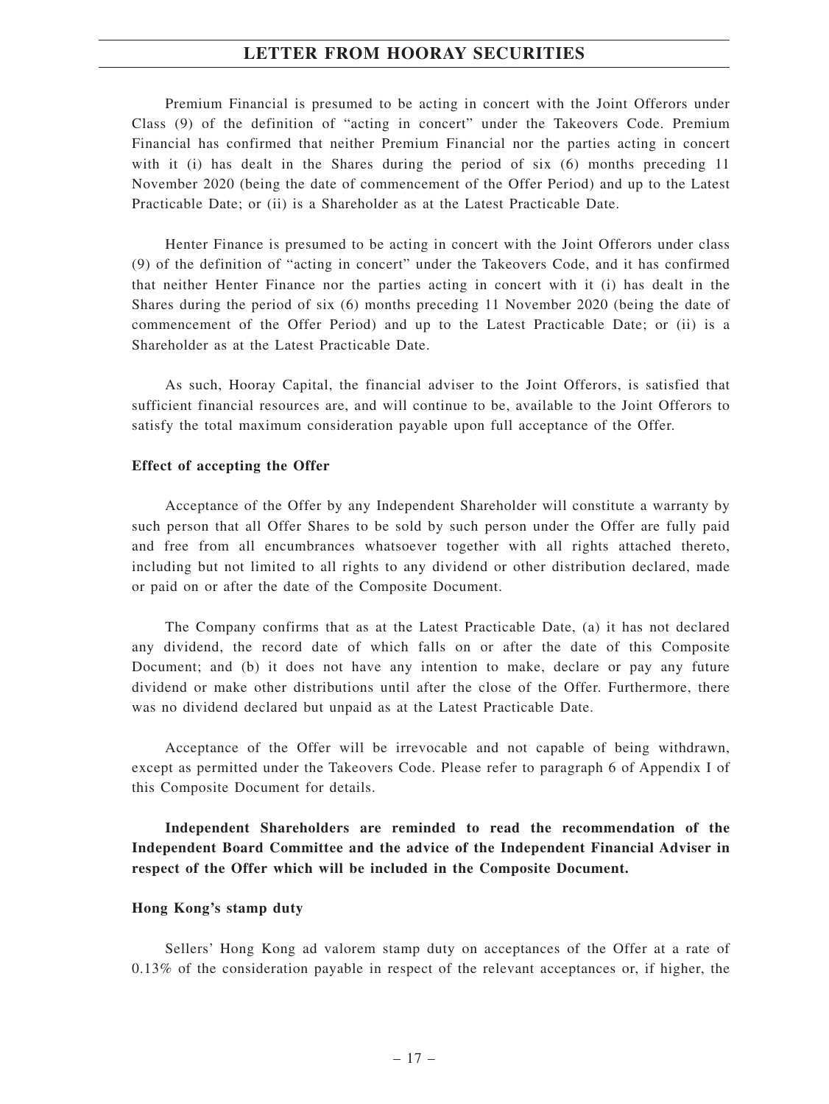Premium Financial is presumed to be acting in concert with the Joint Offerors under Class (9) of the definition of "acting in concert" under the Takeovers Code. Premium Financial has confirmed that neither Premium Financial nor the parties acting in concert with it (i) has dealt in the Shares during the period of six (6) months preceding 11 November 2020 (being the date of commencement of the Offer Period) and up to the Latest Practicable Date; or (ii) is a Shareholder as at the Latest Practicable Date.

Henter Finance is presumed to be acting in concert with the Joint Offerors under class (9) of the definition of "acting in concert" under the Takeovers Code, and it has confirmed that neither Henter Finance nor the parties acting in concert with it (i) has dealt in the Shares during the period of six (6) months preceding 11 November 2020 (being the date of commencement of the Offer Period) and up to the Latest Practicable Date; or (ii) is a Shareholder as at the Latest Practicable Date.

As such, Hooray Capital, the financial adviser to the Joint Offerors, is satisfied that sufficient financial resources are, and will continue to be, available to the Joint Offerors to satisfy the total maximum consideration payable upon full acceptance of the Offer.

#### **Effect of accepting the Offer**

Acceptance of the Offer by any Independent Shareholder will constitute a warranty by such person that all Offer Shares to be sold by such person under the Offer are fully paid and free from all encumbrances whatsoever together with all rights attached thereto, including but not limited to all rights to any dividend or other distribution declared, made or paid on or after the date of the Composite Document.

The Company confirms that as at the Latest Practicable Date, (a) it has not declared any dividend, the record date of which falls on or after the date of this Composite Document; and (b) it does not have any intention to make, declare or pay any future dividend or make other distributions until after the close of the Offer. Furthermore, there was no dividend declared but unpaid as at the Latest Practicable Date.

Acceptance of the Offer will be irrevocable and not capable of being withdrawn, except as permitted under the Takeovers Code. Please refer to paragraph 6 of Appendix I of this Composite Document for details.

**Independent Shareholders are reminded to read the recommendation of the Independent Board Committee and the advice of the Independent Financial Adviser in respect of the Offer which will be included in the Composite Document.**

#### **Hong Kong's stamp duty**

Sellers' Hong Kong ad valorem stamp duty on acceptances of the Offer at a rate of 0.13% of the consideration payable in respect of the relevant acceptances or, if higher, the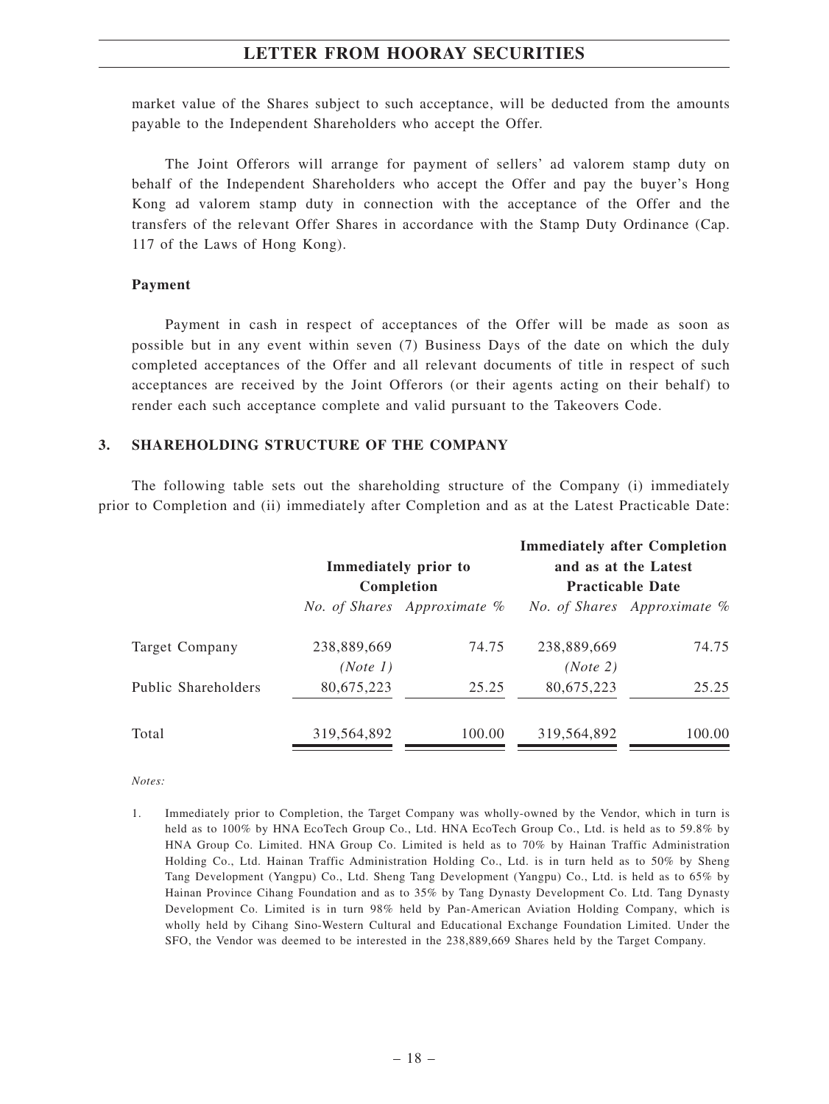market value of the Shares subject to such acceptance, will be deducted from the amounts payable to the Independent Shareholders who accept the Offer.

The Joint Offerors will arrange for payment of sellers' ad valorem stamp duty on behalf of the Independent Shareholders who accept the Offer and pay the buyer's Hong Kong ad valorem stamp duty in connection with the acceptance of the Offer and the transfers of the relevant Offer Shares in accordance with the Stamp Duty Ordinance (Cap. 117 of the Laws of Hong Kong).

#### **Payment**

Payment in cash in respect of acceptances of the Offer will be made as soon as possible but in any event within seven (7) Business Days of the date on which the duly completed acceptances of the Offer and all relevant documents of title in respect of such acceptances are received by the Joint Offerors (or their agents acting on their behalf) to render each such acceptance complete and valid pursuant to the Takeovers Code.

#### **3. SHAREHOLDING STRUCTURE OF THE COMPANY**

The following table sets out the shareholding structure of the Company (i) immediately prior to Completion and (ii) immediately after Completion and as at the Latest Practicable Date:

|             |        |                                                     | <b>Immediately after Completion</b><br>and as at the Latest |  |
|-------------|--------|-----------------------------------------------------|-------------------------------------------------------------|--|
| Completion  |        | <b>Practicable Date</b>                             |                                                             |  |
|             |        |                                                     | <i>No. of Shares Approximate %</i>                          |  |
| 238,889,669 | 74.75  | 238,889,669                                         | 74.75                                                       |  |
| (Note 1)    |        | (Note 2)                                            |                                                             |  |
| 80,675,223  | 25.25  | 80,675,223                                          | 25.25                                                       |  |
| 319,564,892 | 100.00 | 319,564,892                                         | 100.00                                                      |  |
|             |        | Immediately prior to<br>No. of Shares Approximate % |                                                             |  |

*Notes:*

<sup>1.</sup> Immediately prior to Completion, the Target Company was wholly-owned by the Vendor, which in turn is held as to 100% by HNA EcoTech Group Co., Ltd. HNA EcoTech Group Co., Ltd. is held as to 59.8% by HNA Group Co. Limited. HNA Group Co. Limited is held as to 70% by Hainan Traffic Administration Holding Co., Ltd. Hainan Traffic Administration Holding Co., Ltd. is in turn held as to 50% by Sheng Tang Development (Yangpu) Co., Ltd. Sheng Tang Development (Yangpu) Co., Ltd. is held as to 65% by Hainan Province Cihang Foundation and as to 35% by Tang Dynasty Development Co. Ltd. Tang Dynasty Development Co. Limited is in turn 98% held by Pan-American Aviation Holding Company, which is wholly held by Cihang Sino-Western Cultural and Educational Exchange Foundation Limited. Under the SFO, the Vendor was deemed to be interested in the 238,889,669 Shares held by the Target Company.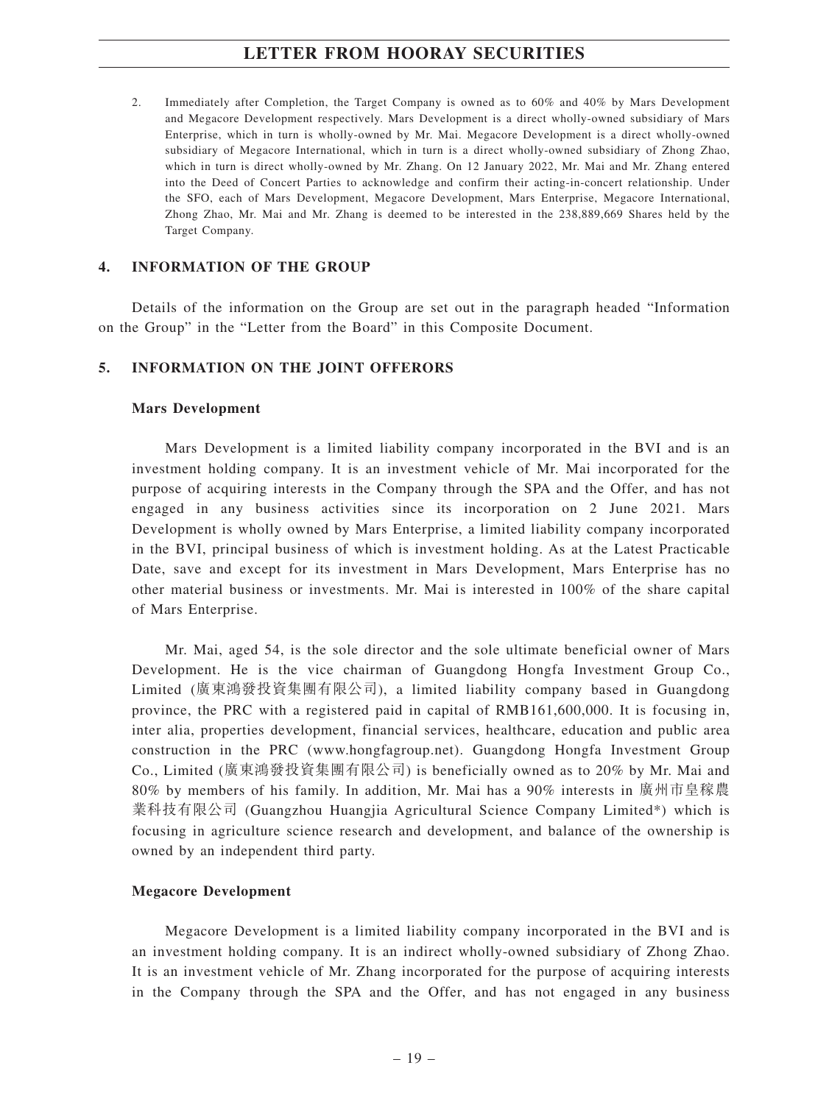2. Immediately after Completion, the Target Company is owned as to 60% and 40% by Mars Development and Megacore Development respectively. Mars Development is a direct wholly-owned subsidiary of Mars Enterprise, which in turn is wholly-owned by Mr. Mai. Megacore Development is a direct wholly-owned subsidiary of Megacore International, which in turn is a direct wholly-owned subsidiary of Zhong Zhao, which in turn is direct wholly-owned by Mr. Zhang. On 12 January 2022, Mr. Mai and Mr. Zhang entered into the Deed of Concert Parties to acknowledge and confirm their acting-in-concert relationship. Under the SFO, each of Mars Development, Megacore Development, Mars Enterprise, Megacore International, Zhong Zhao, Mr. Mai and Mr. Zhang is deemed to be interested in the 238,889,669 Shares held by the Target Company.

#### **4. INFORMATION OF THE GROUP**

Details of the information on the Group are set out in the paragraph headed "Information on the Group" in the "Letter from the Board" in this Composite Document.

#### **5. INFORMATION ON THE JOINT OFFERORS**

#### **Mars Development**

Mars Development is a limited liability company incorporated in the BVI and is an investment holding company. It is an investment vehicle of Mr. Mai incorporated for the purpose of acquiring interests in the Company through the SPA and the Offer, and has not engaged in any business activities since its incorporation on 2 June 2021. Mars Development is wholly owned by Mars Enterprise, a limited liability company incorporated in the BVI, principal business of which is investment holding. As at the Latest Practicable Date, save and except for its investment in Mars Development, Mars Enterprise has no other material business or investments. Mr. Mai is interested in 100% of the share capital of Mars Enterprise.

Mr. Mai, aged 54, is the sole director and the sole ultimate beneficial owner of Mars Development. He is the vice chairman of Guangdong Hongfa Investment Group Co., Limited (廣東鴻發投資集團有限公司), a limited liability company based in Guangdong province, the PRC with a registered paid in capital of RMB161,600,000. It is focusing in, inter alia, properties development, financial services, healthcare, education and public area construction in the PRC (www.hongfagroup.net). Guangdong Hongfa Investment Group Co., Limited (廣東鴻發投資集團有限公司) is beneficially owned as to 20% by Mr. Mai and 80% by members of his family. In addition, Mr. Mai has a 90% interests in 廣州市皇稼農 業科技有限公司 (Guangzhou Huangjia Agricultural Science Company Limited\*) which is focusing in agriculture science research and development, and balance of the ownership is owned by an independent third party.

#### **Megacore Development**

Megacore Development is a limited liability company incorporated in the BVI and is an investment holding company. It is an indirect wholly-owned subsidiary of Zhong Zhao. It is an investment vehicle of Mr. Zhang incorporated for the purpose of acquiring interests in the Company through the SPA and the Offer, and has not engaged in any business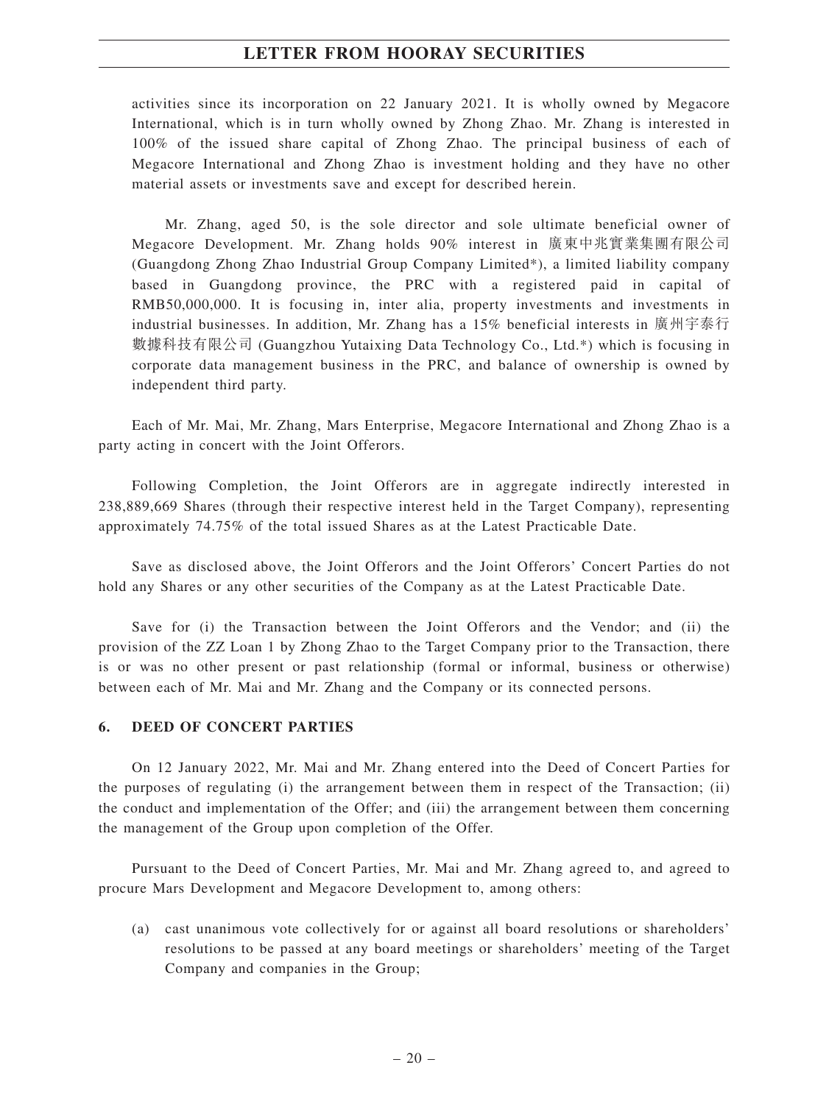activities since its incorporation on 22 January 2021. It is wholly owned by Megacore International, which is in turn wholly owned by Zhong Zhao. Mr. Zhang is interested in 100% of the issued share capital of Zhong Zhao. The principal business of each of Megacore International and Zhong Zhao is investment holding and they have no other material assets or investments save and except for described herein.

Mr. Zhang, aged 50, is the sole director and sole ultimate beneficial owner of Megacore Development. Mr. Zhang holds 90% interest in 廣東中兆實業集團有限公司 (Guangdong Zhong Zhao Industrial Group Company Limited\*), a limited liability company based in Guangdong province, the PRC with a registered paid in capital of RMB50,000,000. It is focusing in, inter alia, property investments and investments in industrial businesses. In addition, Mr. Zhang has a 15% beneficial interests in 廣州宇泰行 數據科技有限公司 (Guangzhou Yutaixing Data Technology Co., Ltd.\*) which is focusing in corporate data management business in the PRC, and balance of ownership is owned by independent third party.

Each of Mr. Mai, Mr. Zhang, Mars Enterprise, Megacore International and Zhong Zhao is a party acting in concert with the Joint Offerors.

Following Completion, the Joint Offerors are in aggregate indirectly interested in 238,889,669 Shares (through their respective interest held in the Target Company), representing approximately 74.75% of the total issued Shares as at the Latest Practicable Date.

Save as disclosed above, the Joint Offerors and the Joint Offerors' Concert Parties do not hold any Shares or any other securities of the Company as at the Latest Practicable Date.

Save for (i) the Transaction between the Joint Offerors and the Vendor; and (ii) the provision of the ZZ Loan 1 by Zhong Zhao to the Target Company prior to the Transaction, there is or was no other present or past relationship (formal or informal, business or otherwise) between each of Mr. Mai and Mr. Zhang and the Company or its connected persons.

#### **6. DEED OF CONCERT PARTIES**

On 12 January 2022, Mr. Mai and Mr. Zhang entered into the Deed of Concert Parties for the purposes of regulating (i) the arrangement between them in respect of the Transaction; (ii) the conduct and implementation of the Offer; and (iii) the arrangement between them concerning the management of the Group upon completion of the Offer.

Pursuant to the Deed of Concert Parties, Mr. Mai and Mr. Zhang agreed to, and agreed to procure Mars Development and Megacore Development to, among others:

(a) cast unanimous vote collectively for or against all board resolutions or shareholders' resolutions to be passed at any board meetings or shareholders' meeting of the Target Company and companies in the Group;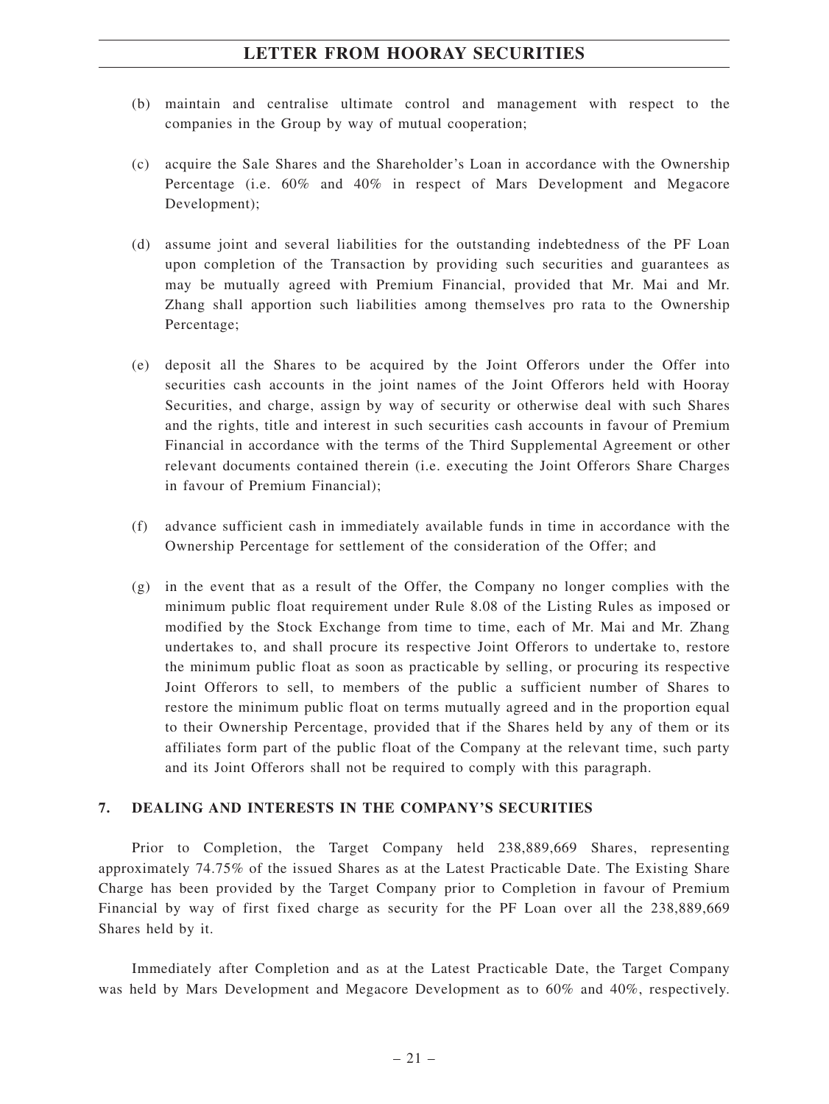- (b) maintain and centralise ultimate control and management with respect to the companies in the Group by way of mutual cooperation;
- (c) acquire the Sale Shares and the Shareholder's Loan in accordance with the Ownership Percentage (i.e. 60% and 40% in respect of Mars Development and Megacore Development);
- (d) assume joint and several liabilities for the outstanding indebtedness of the PF Loan upon completion of the Transaction by providing such securities and guarantees as may be mutually agreed with Premium Financial, provided that Mr. Mai and Mr. Zhang shall apportion such liabilities among themselves pro rata to the Ownership Percentage;
- (e) deposit all the Shares to be acquired by the Joint Offerors under the Offer into securities cash accounts in the joint names of the Joint Offerors held with Hooray Securities, and charge, assign by way of security or otherwise deal with such Shares and the rights, title and interest in such securities cash accounts in favour of Premium Financial in accordance with the terms of the Third Supplemental Agreement or other relevant documents contained therein (i.e. executing the Joint Offerors Share Charges in favour of Premium Financial);
- (f) advance sufficient cash in immediately available funds in time in accordance with the Ownership Percentage for settlement of the consideration of the Offer; and
- (g) in the event that as a result of the Offer, the Company no longer complies with the minimum public float requirement under Rule 8.08 of the Listing Rules as imposed or modified by the Stock Exchange from time to time, each of Mr. Mai and Mr. Zhang undertakes to, and shall procure its respective Joint Offerors to undertake to, restore the minimum public float as soon as practicable by selling, or procuring its respective Joint Offerors to sell, to members of the public a sufficient number of Shares to restore the minimum public float on terms mutually agreed and in the proportion equal to their Ownership Percentage, provided that if the Shares held by any of them or its affiliates form part of the public float of the Company at the relevant time, such party and its Joint Offerors shall not be required to comply with this paragraph.

### **7. DEALING AND INTERESTS IN THE COMPANY'S SECURITIES**

Prior to Completion, the Target Company held 238,889,669 Shares, representing approximately 74.75% of the issued Shares as at the Latest Practicable Date. The Existing Share Charge has been provided by the Target Company prior to Completion in favour of Premium Financial by way of first fixed charge as security for the PF Loan over all the 238,889,669 Shares held by it.

Immediately after Completion and as at the Latest Practicable Date, the Target Company was held by Mars Development and Megacore Development as to 60% and 40%, respectively.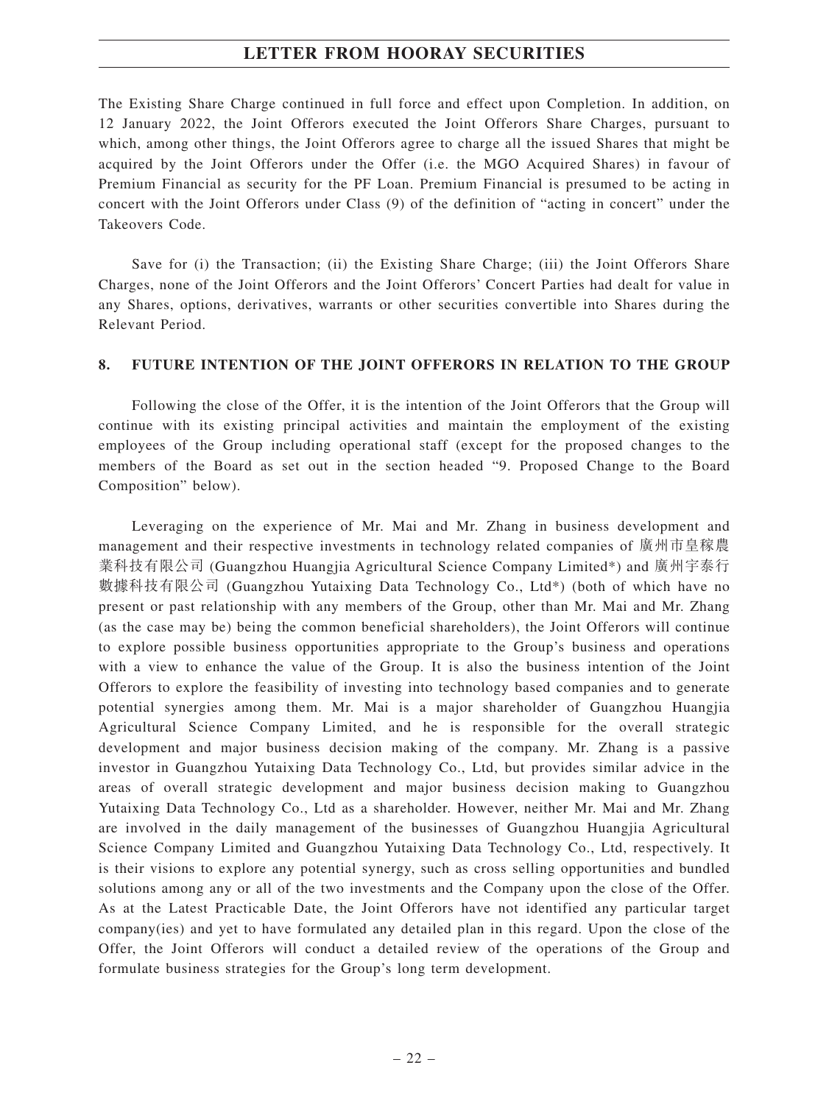The Existing Share Charge continued in full force and effect upon Completion. In addition, on 12 January 2022, the Joint Offerors executed the Joint Offerors Share Charges, pursuant to which, among other things, the Joint Offerors agree to charge all the issued Shares that might be acquired by the Joint Offerors under the Offer (i.e. the MGO Acquired Shares) in favour of Premium Financial as security for the PF Loan. Premium Financial is presumed to be acting in concert with the Joint Offerors under Class (9) of the definition of "acting in concert" under the Takeovers Code.

Save for (i) the Transaction; (ii) the Existing Share Charge; (iii) the Joint Offerors Share Charges, none of the Joint Offerors and the Joint Offerors' Concert Parties had dealt for value in any Shares, options, derivatives, warrants or other securities convertible into Shares during the Relevant Period.

#### **8. FUTURE INTENTION OF THE JOINT OFFERORS IN RELATION TO THE GROUP**

Following the close of the Offer, it is the intention of the Joint Offerors that the Group will continue with its existing principal activities and maintain the employment of the existing employees of the Group including operational staff (except for the proposed changes to the members of the Board as set out in the section headed "9. Proposed Change to the Board Composition" below).

Leveraging on the experience of Mr. Mai and Mr. Zhang in business development and management and their respective investments in technology related companies of 廣州市皇稼農 業科技有限公司 (Guangzhou Huangjia Agricultural Science Company Limited\*) and 廣州宇泰行 數據科技有限公司 (Guangzhou Yutaixing Data Technology Co., Ltd\*) (both of which have no present or past relationship with any members of the Group, other than Mr. Mai and Mr. Zhang (as the case may be) being the common beneficial shareholders), the Joint Offerors will continue to explore possible business opportunities appropriate to the Group's business and operations with a view to enhance the value of the Group. It is also the business intention of the Joint Offerors to explore the feasibility of investing into technology based companies and to generate potential synergies among them. Mr. Mai is a major shareholder of Guangzhou Huangjia Agricultural Science Company Limited, and he is responsible for the overall strategic development and major business decision making of the company. Mr. Zhang is a passive investor in Guangzhou Yutaixing Data Technology Co., Ltd, but provides similar advice in the areas of overall strategic development and major business decision making to Guangzhou Yutaixing Data Technology Co., Ltd as a shareholder. However, neither Mr. Mai and Mr. Zhang are involved in the daily management of the businesses of Guangzhou Huangjia Agricultural Science Company Limited and Guangzhou Yutaixing Data Technology Co., Ltd, respectively. It is their visions to explore any potential synergy, such as cross selling opportunities and bundled solutions among any or all of the two investments and the Company upon the close of the Offer. As at the Latest Practicable Date, the Joint Offerors have not identified any particular target company(ies) and yet to have formulated any detailed plan in this regard. Upon the close of the Offer, the Joint Offerors will conduct a detailed review of the operations of the Group and formulate business strategies for the Group's long term development.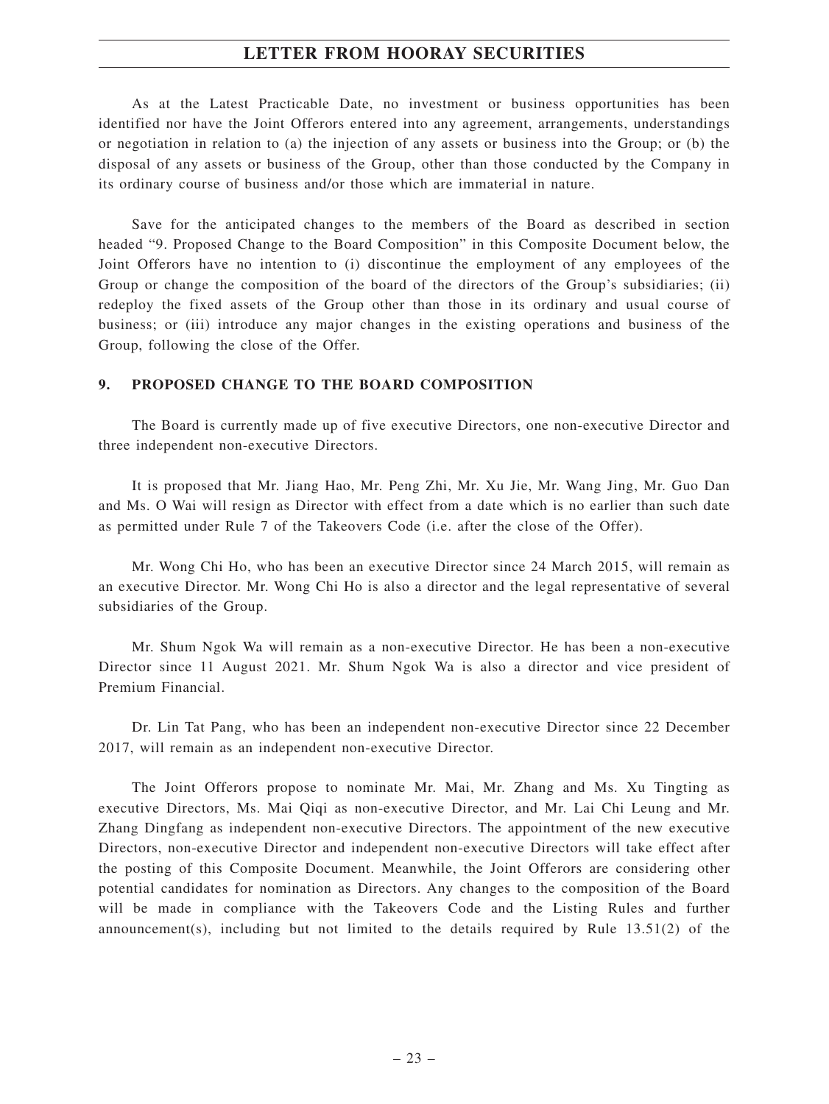As at the Latest Practicable Date, no investment or business opportunities has been identified nor have the Joint Offerors entered into any agreement, arrangements, understandings or negotiation in relation to (a) the injection of any assets or business into the Group; or (b) the disposal of any assets or business of the Group, other than those conducted by the Company in its ordinary course of business and/or those which are immaterial in nature.

Save for the anticipated changes to the members of the Board as described in section headed "9. Proposed Change to the Board Composition" in this Composite Document below, the Joint Offerors have no intention to (i) discontinue the employment of any employees of the Group or change the composition of the board of the directors of the Group's subsidiaries; (ii) redeploy the fixed assets of the Group other than those in its ordinary and usual course of business; or (iii) introduce any major changes in the existing operations and business of the Group, following the close of the Offer.

#### **9. PROPOSED CHANGE TO THE BOARD COMPOSITION**

The Board is currently made up of five executive Directors, one non-executive Director and three independent non-executive Directors.

It is proposed that Mr. Jiang Hao, Mr. Peng Zhi, Mr. Xu Jie, Mr. Wang Jing, Mr. Guo Dan and Ms. O Wai will resign as Director with effect from a date which is no earlier than such date as permitted under Rule 7 of the Takeovers Code (i.e. after the close of the Offer).

Mr. Wong Chi Ho, who has been an executive Director since 24 March 2015, will remain as an executive Director. Mr. Wong Chi Ho is also a director and the legal representative of several subsidiaries of the Group.

Mr. Shum Ngok Wa will remain as a non-executive Director. He has been a non-executive Director since 11 August 2021. Mr. Shum Ngok Wa is also a director and vice president of Premium Financial.

Dr. Lin Tat Pang, who has been an independent non-executive Director since 22 December 2017, will remain as an independent non-executive Director.

The Joint Offerors propose to nominate Mr. Mai, Mr. Zhang and Ms. Xu Tingting as executive Directors, Ms. Mai Qiqi as non-executive Director, and Mr. Lai Chi Leung and Mr. Zhang Dingfang as independent non-executive Directors. The appointment of the new executive Directors, non-executive Director and independent non-executive Directors will take effect after the posting of this Composite Document. Meanwhile, the Joint Offerors are considering other potential candidates for nomination as Directors. Any changes to the composition of the Board will be made in compliance with the Takeovers Code and the Listing Rules and further announcement(s), including but not limited to the details required by Rule  $13.51(2)$  of the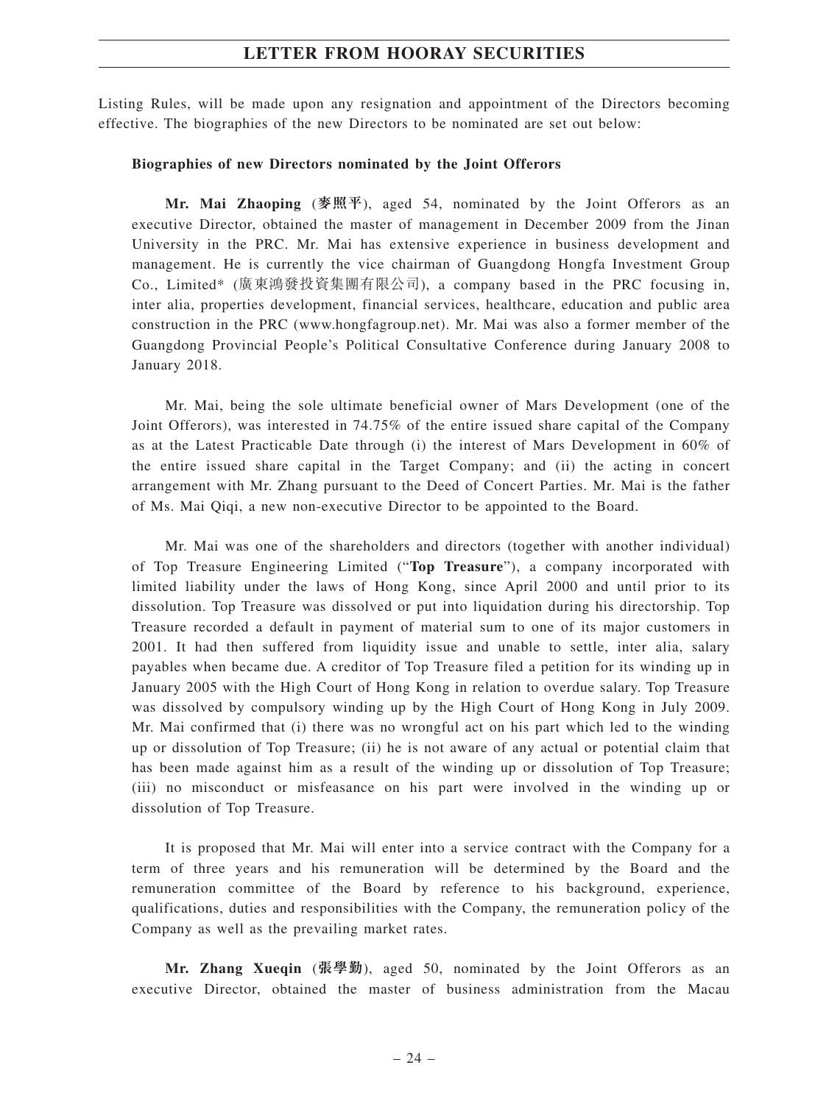Listing Rules, will be made upon any resignation and appointment of the Directors becoming effective. The biographies of the new Directors to be nominated are set out below:

#### **Biographies of new Directors nominated by the Joint Offerors**

**Mr. Mai Zhaoping** (**麥照平**), aged 54, nominated by the Joint Offerors as an executive Director, obtained the master of management in December 2009 from the Jinan University in the PRC. Mr. Mai has extensive experience in business development and management. He is currently the vice chairman of Guangdong Hongfa Investment Group Co., Limited\* (廣東鴻發投資集團有限公司), a company based in the PRC focusing in, inter alia, properties development, financial services, healthcare, education and public area construction in the PRC (www.hongfagroup.net). Mr. Mai was also a former member of the Guangdong Provincial People's Political Consultative Conference during January 2008 to January 2018.

Mr. Mai, being the sole ultimate beneficial owner of Mars Development (one of the Joint Offerors), was interested in 74.75% of the entire issued share capital of the Company as at the Latest Practicable Date through (i) the interest of Mars Development in 60% of the entire issued share capital in the Target Company; and (ii) the acting in concert arrangement with Mr. Zhang pursuant to the Deed of Concert Parties. Mr. Mai is the father of Ms. Mai Qiqi, a new non-executive Director to be appointed to the Board.

Mr. Mai was one of the shareholders and directors (together with another individual) of Top Treasure Engineering Limited ("**Top Treasure**"), a company incorporated with limited liability under the laws of Hong Kong, since April 2000 and until prior to its dissolution. Top Treasure was dissolved or put into liquidation during his directorship. Top Treasure recorded a default in payment of material sum to one of its major customers in 2001. It had then suffered from liquidity issue and unable to settle, inter alia, salary payables when became due. A creditor of Top Treasure filed a petition for its winding up in January 2005 with the High Court of Hong Kong in relation to overdue salary. Top Treasure was dissolved by compulsory winding up by the High Court of Hong Kong in July 2009. Mr. Mai confirmed that (i) there was no wrongful act on his part which led to the winding up or dissolution of Top Treasure; (ii) he is not aware of any actual or potential claim that has been made against him as a result of the winding up or dissolution of Top Treasure; (iii) no misconduct or misfeasance on his part were involved in the winding up or dissolution of Top Treasure.

It is proposed that Mr. Mai will enter into a service contract with the Company for a term of three years and his remuneration will be determined by the Board and the remuneration committee of the Board by reference to his background, experience, qualifications, duties and responsibilities with the Company, the remuneration policy of the Company as well as the prevailing market rates.

**Mr. Zhang Xueqin** (**張學勤**), aged 50, nominated by the Joint Offerors as an executive Director, obtained the master of business administration from the Macau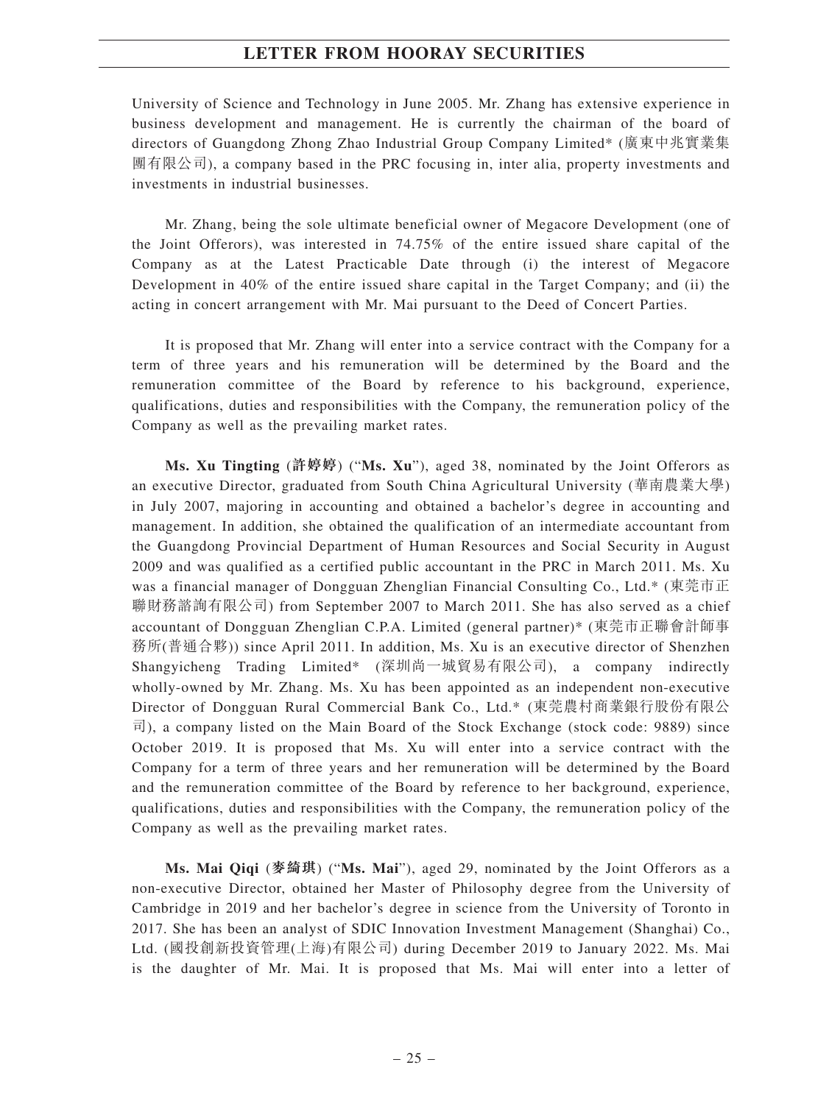University of Science and Technology in June 2005. Mr. Zhang has extensive experience in business development and management. He is currently the chairman of the board of directors of Guangdong Zhong Zhao Industrial Group Company Limited\* (廣東中兆實業集 團有限公司), a company based in the PRC focusing in, inter alia, property investments and investments in industrial businesses.

Mr. Zhang, being the sole ultimate beneficial owner of Megacore Development (one of the Joint Offerors), was interested in 74.75% of the entire issued share capital of the Company as at the Latest Practicable Date through (i) the interest of Megacore Development in 40% of the entire issued share capital in the Target Company; and (ii) the acting in concert arrangement with Mr. Mai pursuant to the Deed of Concert Parties.

It is proposed that Mr. Zhang will enter into a service contract with the Company for a term of three years and his remuneration will be determined by the Board and the remuneration committee of the Board by reference to his background, experience, qualifications, duties and responsibilities with the Company, the remuneration policy of the Company as well as the prevailing market rates.

**Ms. Xu Tingting** (**許婷婷**) ("**Ms. Xu**"), aged 38, nominated by the Joint Offerors as an executive Director, graduated from South China Agricultural University (華南農業大學) in July 2007, majoring in accounting and obtained a bachelor's degree in accounting and management. In addition, she obtained the qualification of an intermediate accountant from the Guangdong Provincial Department of Human Resources and Social Security in August 2009 and was qualified as a certified public accountant in the PRC in March 2011. Ms. Xu was a financial manager of Dongguan Zhenglian Financial Consulting Co., Ltd.\* (東莞市正 聯財務諮詢有限公司) from September 2007 to March 2011. She has also served as a chief accountant of Dongguan Zhenglian C.P.A. Limited (general partner)\* (東莞市正聯會計師事 務所(普通合夥)) since April 2011. In addition, Ms. Xu is an executive director of Shenzhen Shangyicheng Trading Limited\* (深圳尚一城貿易有限公司), a company indirectly wholly-owned by Mr. Zhang. Ms. Xu has been appointed as an independent non-executive Director of Dongguan Rural Commercial Bank Co., Ltd.\* (東莞農村商業銀行股份有限公 司), a company listed on the Main Board of the Stock Exchange (stock code: 9889) since October 2019. It is proposed that Ms. Xu will enter into a service contract with the Company for a term of three years and her remuneration will be determined by the Board and the remuneration committee of the Board by reference to her background, experience, qualifications, duties and responsibilities with the Company, the remuneration policy of the Company as well as the prevailing market rates.

**Ms. Mai Qiqi** (**麥綺琪**) ("**Ms. Mai**"), aged 29, nominated by the Joint Offerors as a non-executive Director, obtained her Master of Philosophy degree from the University of Cambridge in 2019 and her bachelor's degree in science from the University of Toronto in 2017. She has been an analyst of SDIC Innovation Investment Management (Shanghai) Co., Ltd. (國投創新投資管理(上海)有限公司) during December 2019 to January 2022. Ms. Mai is the daughter of Mr. Mai. It is proposed that Ms. Mai will enter into a letter of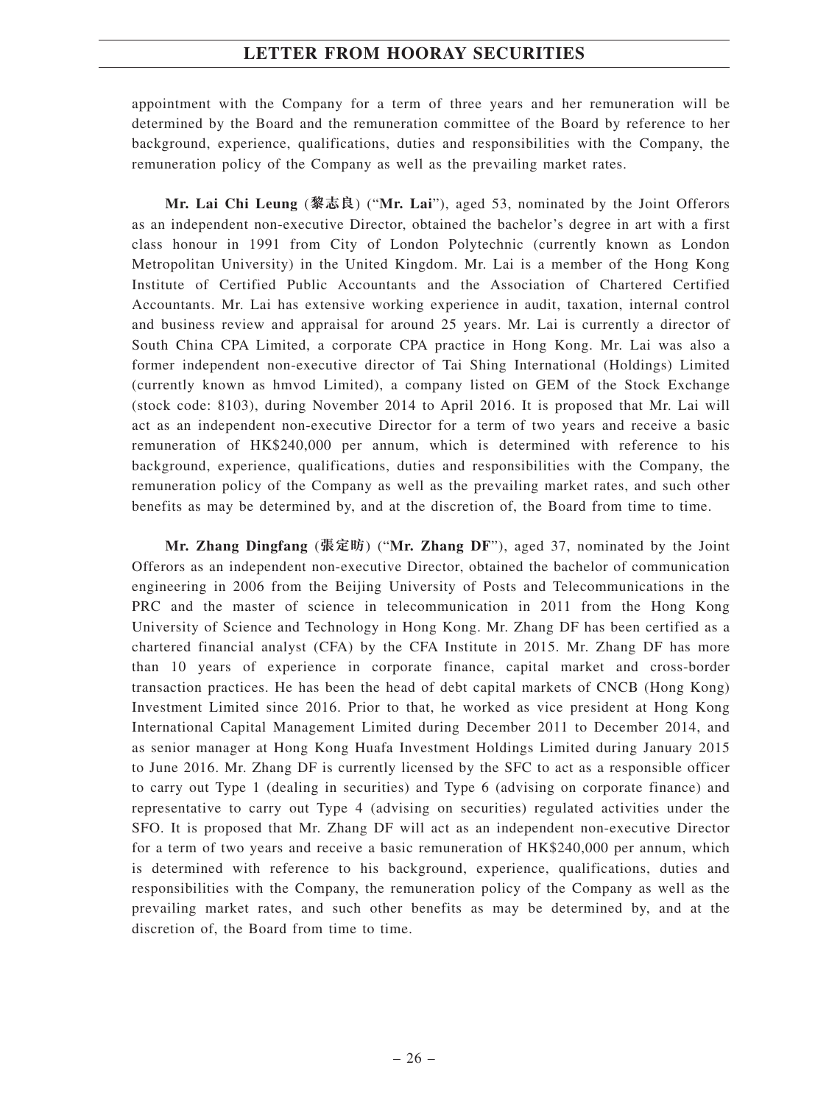appointment with the Company for a term of three years and her remuneration will be determined by the Board and the remuneration committee of the Board by reference to her background, experience, qualifications, duties and responsibilities with the Company, the remuneration policy of the Company as well as the prevailing market rates.

**Mr. Lai Chi Leung** (**黎志良**) ("**Mr. Lai**"), aged 53, nominated by the Joint Offerors as an independent non-executive Director, obtained the bachelor's degree in art with a first class honour in 1991 from City of London Polytechnic (currently known as London Metropolitan University) in the United Kingdom. Mr. Lai is a member of the Hong Kong Institute of Certified Public Accountants and the Association of Chartered Certified Accountants. Mr. Lai has extensive working experience in audit, taxation, internal control and business review and appraisal for around 25 years. Mr. Lai is currently a director of South China CPA Limited, a corporate CPA practice in Hong Kong. Mr. Lai was also a former independent non-executive director of Tai Shing International (Holdings) Limited (currently known as hmvod Limited), a company listed on GEM of the Stock Exchange (stock code: 8103), during November 2014 to April 2016. It is proposed that Mr. Lai will act as an independent non-executive Director for a term of two years and receive a basic remuneration of HK\$240,000 per annum, which is determined with reference to his background, experience, qualifications, duties and responsibilities with the Company, the remuneration policy of the Company as well as the prevailing market rates, and such other benefits as may be determined by, and at the discretion of, the Board from time to time.

**Mr. Zhang Dingfang** (**張定昉**) ("**Mr. Zhang DF**"), aged 37, nominated by the Joint Offerors as an independent non-executive Director, obtained the bachelor of communication engineering in 2006 from the Beijing University of Posts and Telecommunications in the PRC and the master of science in telecommunication in 2011 from the Hong Kong University of Science and Technology in Hong Kong. Mr. Zhang DF has been certified as a chartered financial analyst (CFA) by the CFA Institute in 2015. Mr. Zhang DF has more than 10 years of experience in corporate finance, capital market and cross-border transaction practices. He has been the head of debt capital markets of CNCB (Hong Kong) Investment Limited since 2016. Prior to that, he worked as vice president at Hong Kong International Capital Management Limited during December 2011 to December 2014, and as senior manager at Hong Kong Huafa Investment Holdings Limited during January 2015 to June 2016. Mr. Zhang DF is currently licensed by the SFC to act as a responsible officer to carry out Type 1 (dealing in securities) and Type 6 (advising on corporate finance) and representative to carry out Type 4 (advising on securities) regulated activities under the SFO. It is proposed that Mr. Zhang DF will act as an independent non-executive Director for a term of two years and receive a basic remuneration of HK\$240,000 per annum, which is determined with reference to his background, experience, qualifications, duties and responsibilities with the Company, the remuneration policy of the Company as well as the prevailing market rates, and such other benefits as may be determined by, and at the discretion of, the Board from time to time.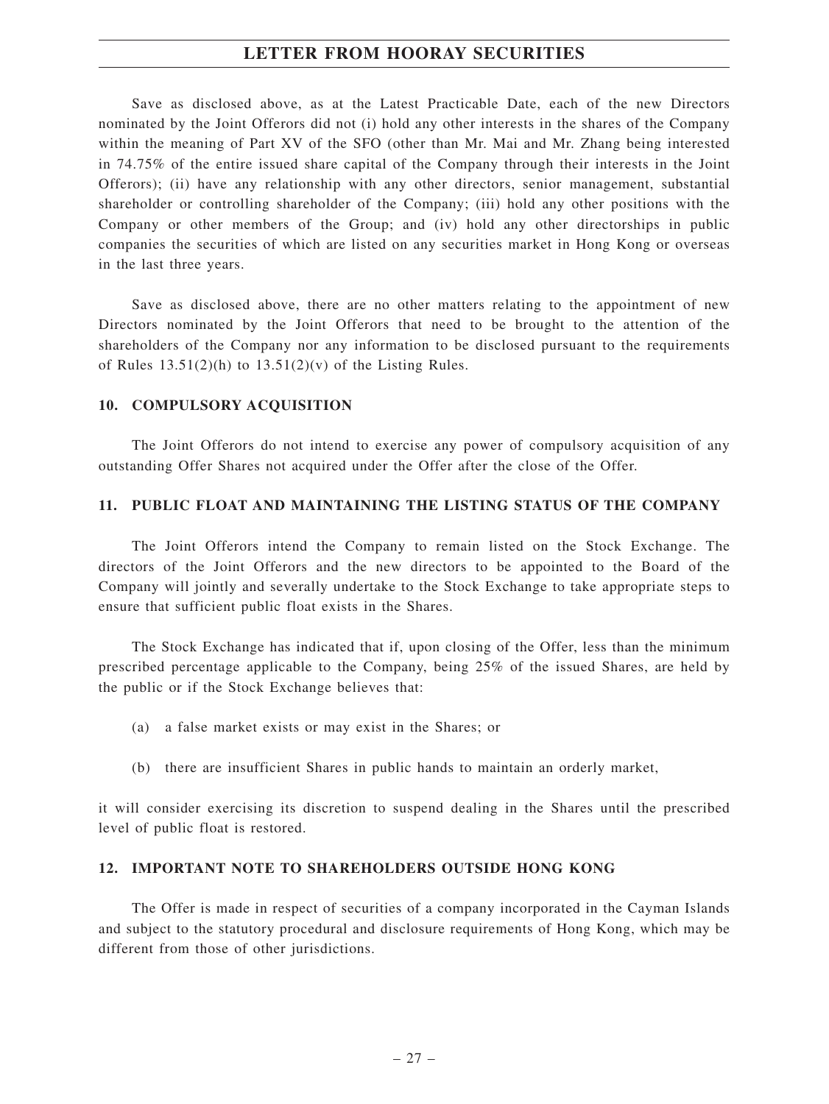Save as disclosed above, as at the Latest Practicable Date, each of the new Directors nominated by the Joint Offerors did not (i) hold any other interests in the shares of the Company within the meaning of Part XV of the SFO (other than Mr. Mai and Mr. Zhang being interested in 74.75% of the entire issued share capital of the Company through their interests in the Joint Offerors); (ii) have any relationship with any other directors, senior management, substantial shareholder or controlling shareholder of the Company; (iii) hold any other positions with the Company or other members of the Group; and (iv) hold any other directorships in public companies the securities of which are listed on any securities market in Hong Kong or overseas in the last three years.

Save as disclosed above, there are no other matters relating to the appointment of new Directors nominated by the Joint Offerors that need to be brought to the attention of the shareholders of the Company nor any information to be disclosed pursuant to the requirements of Rules  $13.51(2)(h)$  to  $13.51(2)(v)$  of the Listing Rules.

#### **10. COMPULSORY ACQUISITION**

The Joint Offerors do not intend to exercise any power of compulsory acquisition of any outstanding Offer Shares not acquired under the Offer after the close of the Offer.

#### **11. PUBLIC FLOAT AND MAINTAINING THE LISTING STATUS OF THE COMPANY**

The Joint Offerors intend the Company to remain listed on the Stock Exchange. The directors of the Joint Offerors and the new directors to be appointed to the Board of the Company will jointly and severally undertake to the Stock Exchange to take appropriate steps to ensure that sufficient public float exists in the Shares.

The Stock Exchange has indicated that if, upon closing of the Offer, less than the minimum prescribed percentage applicable to the Company, being 25% of the issued Shares, are held by the public or if the Stock Exchange believes that:

- (a) a false market exists or may exist in the Shares; or
- (b) there are insufficient Shares in public hands to maintain an orderly market,

it will consider exercising its discretion to suspend dealing in the Shares until the prescribed level of public float is restored.

#### **12. IMPORTANT NOTE TO SHAREHOLDERS OUTSIDE HONG KONG**

The Offer is made in respect of securities of a company incorporated in the Cayman Islands and subject to the statutory procedural and disclosure requirements of Hong Kong, which may be different from those of other jurisdictions.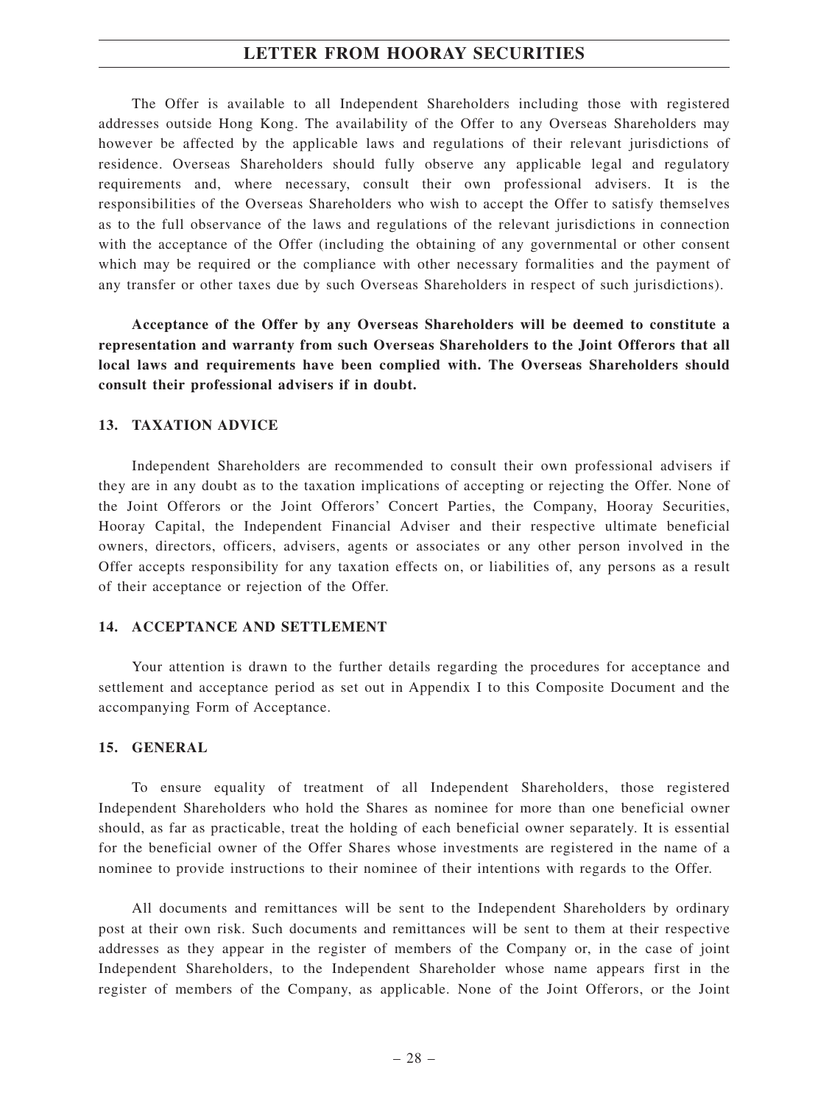The Offer is available to all Independent Shareholders including those with registered addresses outside Hong Kong. The availability of the Offer to any Overseas Shareholders may however be affected by the applicable laws and regulations of their relevant jurisdictions of residence. Overseas Shareholders should fully observe any applicable legal and regulatory requirements and, where necessary, consult their own professional advisers. It is the responsibilities of the Overseas Shareholders who wish to accept the Offer to satisfy themselves as to the full observance of the laws and regulations of the relevant jurisdictions in connection with the acceptance of the Offer (including the obtaining of any governmental or other consent which may be required or the compliance with other necessary formalities and the payment of any transfer or other taxes due by such Overseas Shareholders in respect of such jurisdictions).

**Acceptance of the Offer by any Overseas Shareholders will be deemed to constitute a representation and warranty from such Overseas Shareholders to the Joint Offerors that all local laws and requirements have been complied with. The Overseas Shareholders should consult their professional advisers if in doubt.**

#### **13. TAXATION ADVICE**

Independent Shareholders are recommended to consult their own professional advisers if they are in any doubt as to the taxation implications of accepting or rejecting the Offer. None of the Joint Offerors or the Joint Offerors' Concert Parties, the Company, Hooray Securities, Hooray Capital, the Independent Financial Adviser and their respective ultimate beneficial owners, directors, officers, advisers, agents or associates or any other person involved in the Offer accepts responsibility for any taxation effects on, or liabilities of, any persons as a result of their acceptance or rejection of the Offer.

#### **14. ACCEPTANCE AND SETTLEMENT**

Your attention is drawn to the further details regarding the procedures for acceptance and settlement and acceptance period as set out in Appendix I to this Composite Document and the accompanying Form of Acceptance.

#### **15. GENERAL**

To ensure equality of treatment of all Independent Shareholders, those registered Independent Shareholders who hold the Shares as nominee for more than one beneficial owner should, as far as practicable, treat the holding of each beneficial owner separately. It is essential for the beneficial owner of the Offer Shares whose investments are registered in the name of a nominee to provide instructions to their nominee of their intentions with regards to the Offer.

All documents and remittances will be sent to the Independent Shareholders by ordinary post at their own risk. Such documents and remittances will be sent to them at their respective addresses as they appear in the register of members of the Company or, in the case of joint Independent Shareholders, to the Independent Shareholder whose name appears first in the register of members of the Company, as applicable. None of the Joint Offerors, or the Joint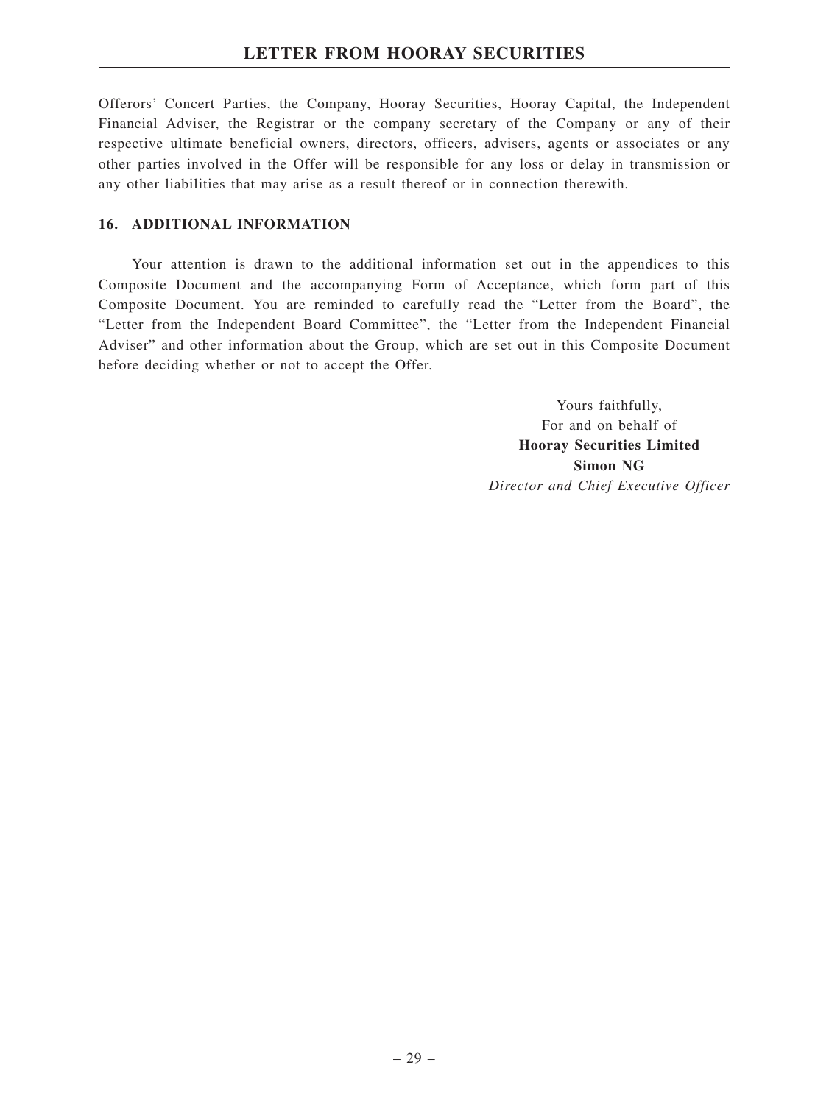Offerors' Concert Parties, the Company, Hooray Securities, Hooray Capital, the Independent Financial Adviser, the Registrar or the company secretary of the Company or any of their respective ultimate beneficial owners, directors, officers, advisers, agents or associates or any other parties involved in the Offer will be responsible for any loss or delay in transmission or any other liabilities that may arise as a result thereof or in connection therewith.

### **16. ADDITIONAL INFORMATION**

Your attention is drawn to the additional information set out in the appendices to this Composite Document and the accompanying Form of Acceptance, which form part of this Composite Document. You are reminded to carefully read the "Letter from the Board", the "Letter from the Independent Board Committee", the "Letter from the Independent Financial Adviser" and other information about the Group, which are set out in this Composite Document before deciding whether or not to accept the Offer.

> Yours faithfully, For and on behalf of **Hooray Securities Limited Simon NG** *Director and Chief Executive Officer*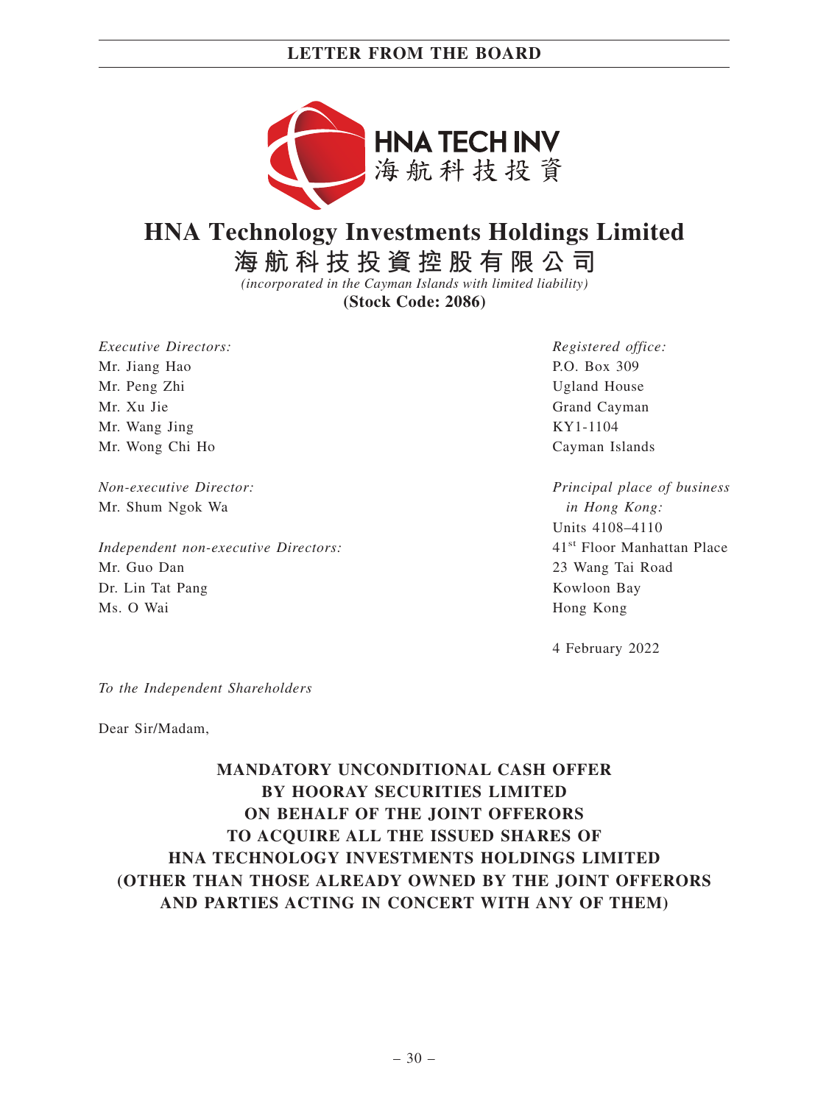## **LETTER FROM THE BOARD**



# **HNA Technology Investments Holdings Limited**

**海航科技投資控股有限公司**

*(incorporated in the Cayman Islands with limited liability)*

**(Stock Code: 2086)**

*Executive Directors:* Mr. Jiang Hao Mr. Peng Zhi Mr. Xu Jie Mr. Wang Jing Mr. Wong Chi Ho

*Non-executive Director:* Mr. Shum Ngok Wa

*Independent non-executive Directors:* Mr. Guo Dan Dr. Lin Tat Pang Ms. O Wai

*Registered office:* P.O. Box 309 Ugland House Grand Cayman KY1-1104 Cayman Islands

*Principal place of business in Hong Kong:* Units 4108–4110 41st Floor Manhattan Place 23 Wang Tai Road Kowloon Bay Hong Kong

4 February 2022

*To the Independent Shareholders*

Dear Sir/Madam,

## **MANDATORY UNCONDITIONAL CASH OFFER BY HOORAY SECURITIES LIMITED ON BEHALF OF THE JOINT OFFERORS TO ACQUIRE ALL THE ISSUED SHARES OF HNA TECHNOLOGY INVESTMENTS HOLDINGS LIMITED (OTHER THAN THOSE ALREADY OWNED BY THE JOINT OFFERORS AND PARTIES ACTING IN CONCERT WITH ANY OF THEM)**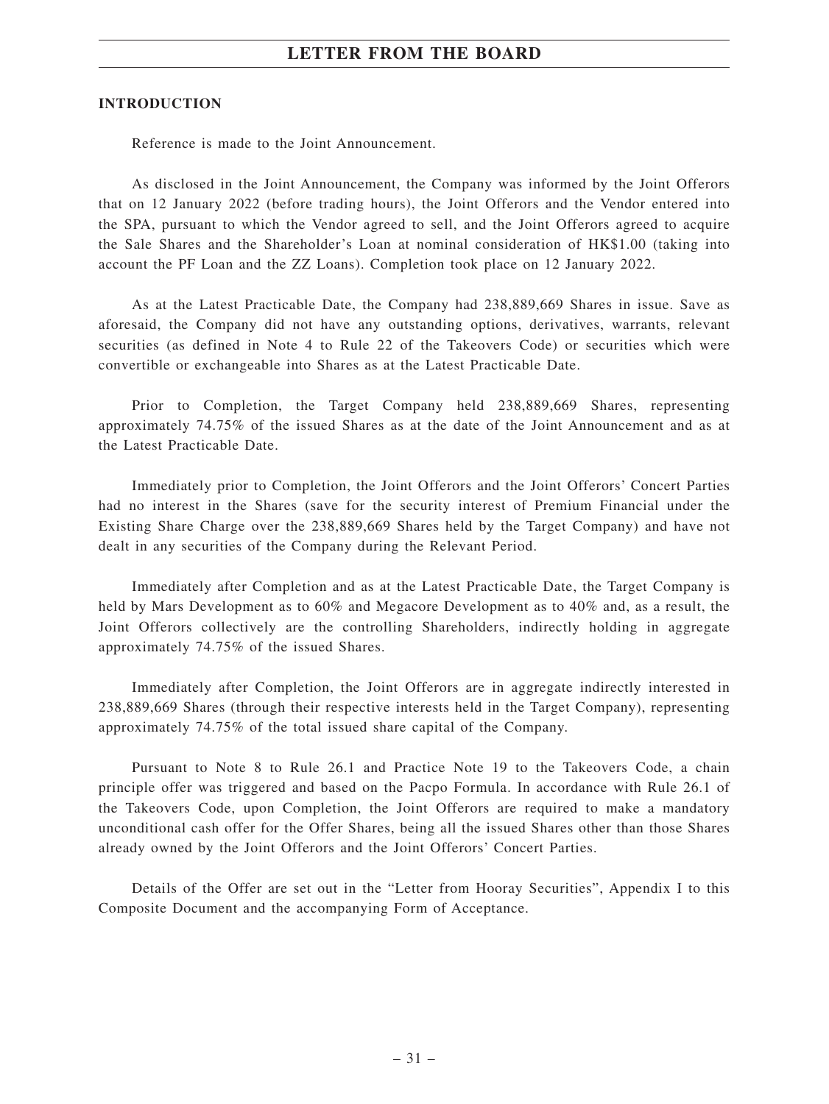## **LETTER FROM THE BOARD**

#### **INTRODUCTION**

Reference is made to the Joint Announcement.

As disclosed in the Joint Announcement, the Company was informed by the Joint Offerors that on 12 January 2022 (before trading hours), the Joint Offerors and the Vendor entered into the SPA, pursuant to which the Vendor agreed to sell, and the Joint Offerors agreed to acquire the Sale Shares and the Shareholder's Loan at nominal consideration of HK\$1.00 (taking into account the PF Loan and the ZZ Loans). Completion took place on 12 January 2022.

As at the Latest Practicable Date, the Company had 238,889,669 Shares in issue. Save as aforesaid, the Company did not have any outstanding options, derivatives, warrants, relevant securities (as defined in Note 4 to Rule 22 of the Takeovers Code) or securities which were convertible or exchangeable into Shares as at the Latest Practicable Date.

Prior to Completion, the Target Company held 238,889,669 Shares, representing approximately 74.75% of the issued Shares as at the date of the Joint Announcement and as at the Latest Practicable Date.

Immediately prior to Completion, the Joint Offerors and the Joint Offerors' Concert Parties had no interest in the Shares (save for the security interest of Premium Financial under the Existing Share Charge over the 238,889,669 Shares held by the Target Company) and have not dealt in any securities of the Company during the Relevant Period.

Immediately after Completion and as at the Latest Practicable Date, the Target Company is held by Mars Development as to 60% and Megacore Development as to 40% and, as a result, the Joint Offerors collectively are the controlling Shareholders, indirectly holding in aggregate approximately 74.75% of the issued Shares.

Immediately after Completion, the Joint Offerors are in aggregate indirectly interested in 238,889,669 Shares (through their respective interests held in the Target Company), representing approximately 74.75% of the total issued share capital of the Company.

Pursuant to Note 8 to Rule 26.1 and Practice Note 19 to the Takeovers Code, a chain principle offer was triggered and based on the Pacpo Formula. In accordance with Rule 26.1 of the Takeovers Code, upon Completion, the Joint Offerors are required to make a mandatory unconditional cash offer for the Offer Shares, being all the issued Shares other than those Shares already owned by the Joint Offerors and the Joint Offerors' Concert Parties.

Details of the Offer are set out in the "Letter from Hooray Securities", Appendix I to this Composite Document and the accompanying Form of Acceptance.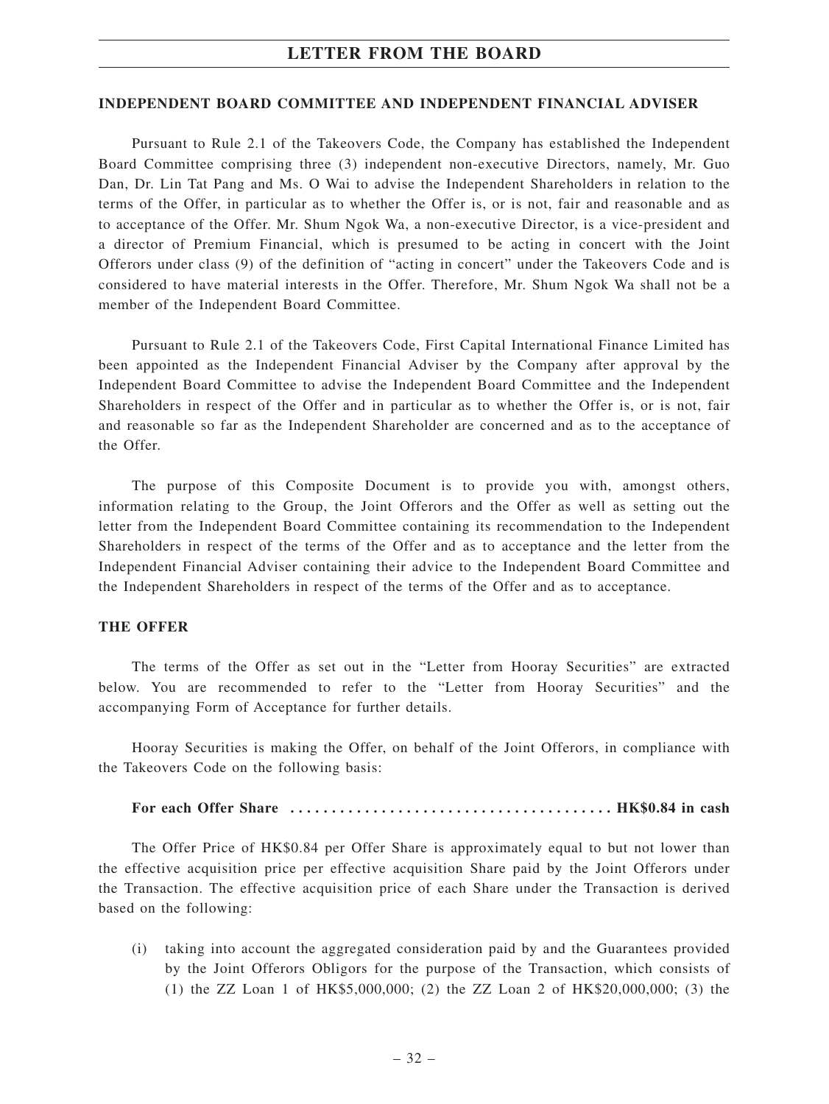#### **INDEPENDENT BOARD COMMITTEE AND INDEPENDENT FINANCIAL ADVISER**

Pursuant to Rule 2.1 of the Takeovers Code, the Company has established the Independent Board Committee comprising three (3) independent non-executive Directors, namely, Mr. Guo Dan, Dr. Lin Tat Pang and Ms. O Wai to advise the Independent Shareholders in relation to the terms of the Offer, in particular as to whether the Offer is, or is not, fair and reasonable and as to acceptance of the Offer. Mr. Shum Ngok Wa, a non-executive Director, is a vice-president and a director of Premium Financial, which is presumed to be acting in concert with the Joint Offerors under class (9) of the definition of "acting in concert" under the Takeovers Code and is considered to have material interests in the Offer. Therefore, Mr. Shum Ngok Wa shall not be a member of the Independent Board Committee.

Pursuant to Rule 2.1 of the Takeovers Code, First Capital International Finance Limited has been appointed as the Independent Financial Adviser by the Company after approval by the Independent Board Committee to advise the Independent Board Committee and the Independent Shareholders in respect of the Offer and in particular as to whether the Offer is, or is not, fair and reasonable so far as the Independent Shareholder are concerned and as to the acceptance of the Offer.

The purpose of this Composite Document is to provide you with, amongst others, information relating to the Group, the Joint Offerors and the Offer as well as setting out the letter from the Independent Board Committee containing its recommendation to the Independent Shareholders in respect of the terms of the Offer and as to acceptance and the letter from the Independent Financial Adviser containing their advice to the Independent Board Committee and the Independent Shareholders in respect of the terms of the Offer and as to acceptance.

## **THE OFFER**

The terms of the Offer as set out in the "Letter from Hooray Securities" are extracted below. You are recommended to refer to the "Letter from Hooray Securities" and the accompanying Form of Acceptance for further details.

Hooray Securities is making the Offer, on behalf of the Joint Offerors, in compliance with the Takeovers Code on the following basis:

#### **For each Offer Share ....................................... HK\$0.84 in cash**

The Offer Price of HK\$0.84 per Offer Share is approximately equal to but not lower than the effective acquisition price per effective acquisition Share paid by the Joint Offerors under the Transaction. The effective acquisition price of each Share under the Transaction is derived based on the following:

(i) taking into account the aggregated consideration paid by and the Guarantees provided by the Joint Offerors Obligors for the purpose of the Transaction, which consists of (1) the ZZ Loan 1 of HK\$5,000,000; (2) the ZZ Loan 2 of HK\$20,000,000; (3) the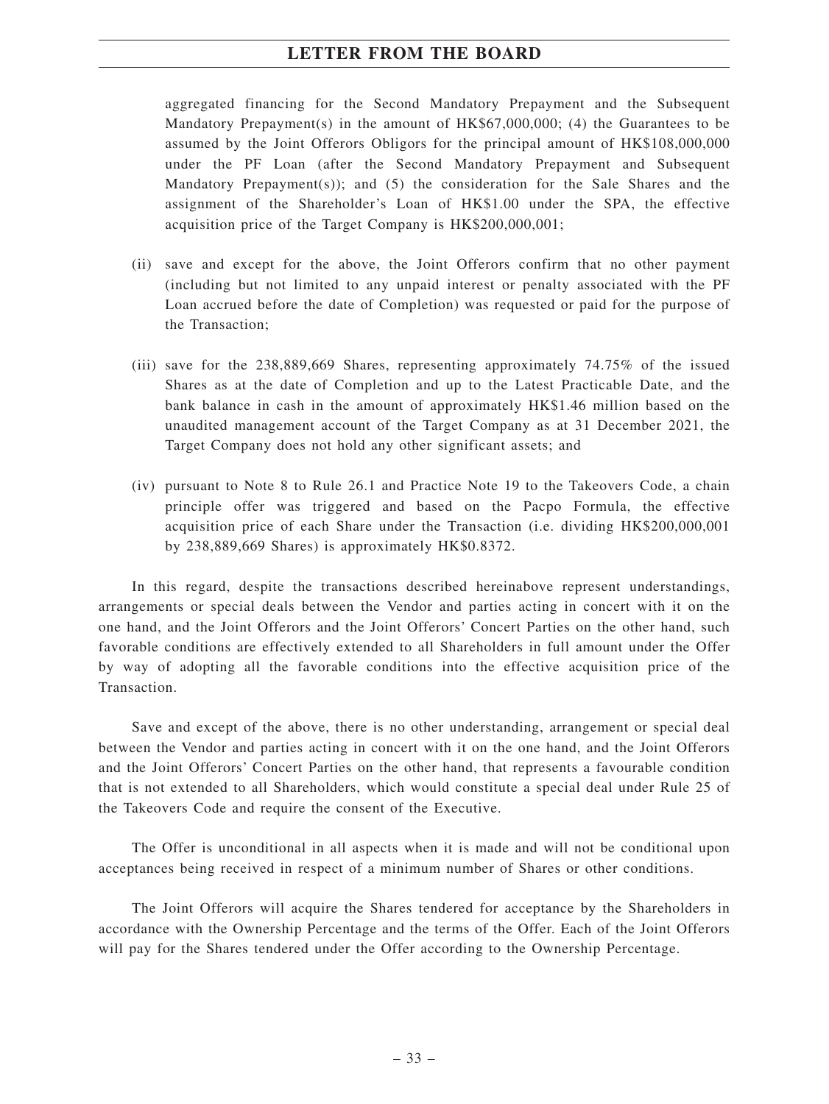aggregated financing for the Second Mandatory Prepayment and the Subsequent Mandatory Prepayment(s) in the amount of HK\$67,000,000; (4) the Guarantees to be assumed by the Joint Offerors Obligors for the principal amount of HK\$108,000,000 under the PF Loan (after the Second Mandatory Prepayment and Subsequent Mandatory Prepayment(s)); and (5) the consideration for the Sale Shares and the assignment of the Shareholder's Loan of HK\$1.00 under the SPA, the effective acquisition price of the Target Company is HK\$200,000,001;

- (ii) save and except for the above, the Joint Offerors confirm that no other payment (including but not limited to any unpaid interest or penalty associated with the PF Loan accrued before the date of Completion) was requested or paid for the purpose of the Transaction;
- (iii) save for the 238,889,669 Shares, representing approximately 74.75% of the issued Shares as at the date of Completion and up to the Latest Practicable Date, and the bank balance in cash in the amount of approximately HK\$1.46 million based on the unaudited management account of the Target Company as at 31 December 2021, the Target Company does not hold any other significant assets; and
- (iv) pursuant to Note 8 to Rule 26.1 and Practice Note 19 to the Takeovers Code, a chain principle offer was triggered and based on the Pacpo Formula, the effective acquisition price of each Share under the Transaction (i.e. dividing HK\$200,000,001 by 238,889,669 Shares) is approximately HK\$0.8372.

In this regard, despite the transactions described hereinabove represent understandings, arrangements or special deals between the Vendor and parties acting in concert with it on the one hand, and the Joint Offerors and the Joint Offerors' Concert Parties on the other hand, such favorable conditions are effectively extended to all Shareholders in full amount under the Offer by way of adopting all the favorable conditions into the effective acquisition price of the Transaction.

Save and except of the above, there is no other understanding, arrangement or special deal between the Vendor and parties acting in concert with it on the one hand, and the Joint Offerors and the Joint Offerors' Concert Parties on the other hand, that represents a favourable condition that is not extended to all Shareholders, which would constitute a special deal under Rule 25 of the Takeovers Code and require the consent of the Executive.

The Offer is unconditional in all aspects when it is made and will not be conditional upon acceptances being received in respect of a minimum number of Shares or other conditions.

The Joint Offerors will acquire the Shares tendered for acceptance by the Shareholders in accordance with the Ownership Percentage and the terms of the Offer. Each of the Joint Offerors will pay for the Shares tendered under the Offer according to the Ownership Percentage.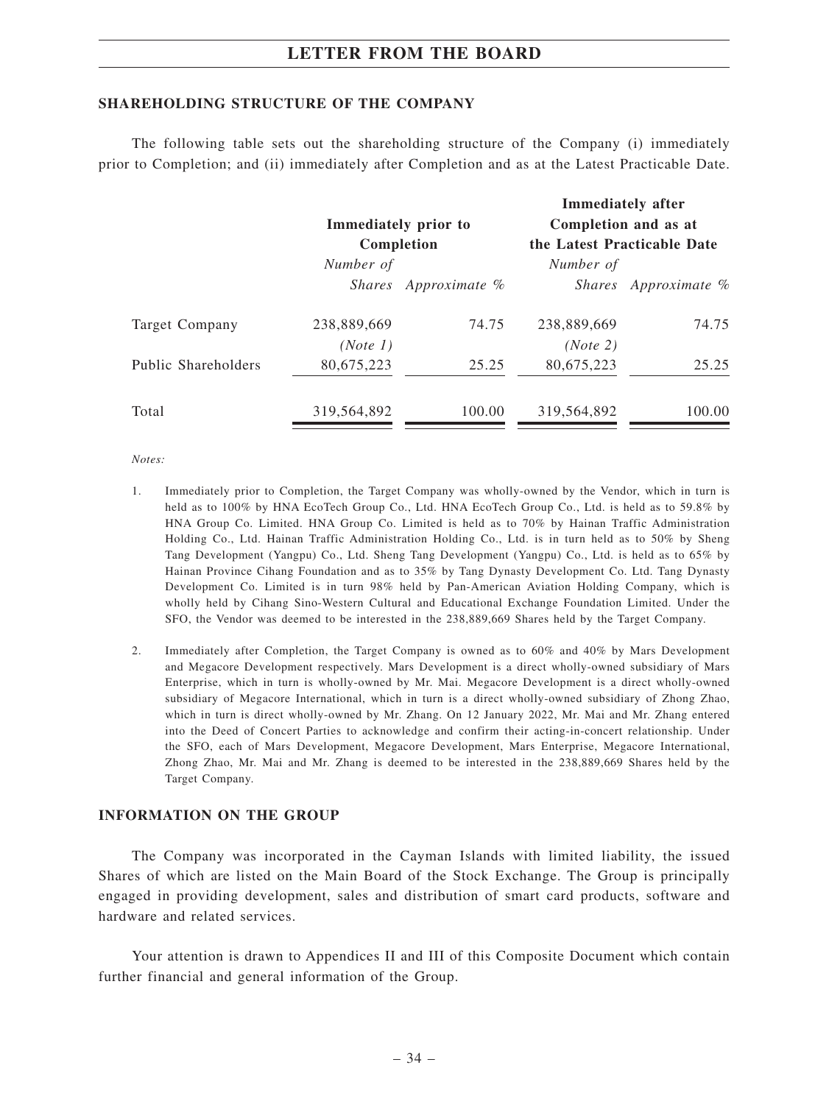### **SHAREHOLDING STRUCTURE OF THE COMPANY**

The following table sets out the shareholding structure of the Company (i) immediately prior to Completion; and (ii) immediately after Completion and as at the Latest Practicable Date.

|                     |             | Immediately prior to |                             | <b>Immediately after</b><br>Completion and as at |  |
|---------------------|-------------|----------------------|-----------------------------|--------------------------------------------------|--|
|                     |             | Completion           | the Latest Practicable Date |                                                  |  |
|                     | Number of   |                      | Number of                   |                                                  |  |
|                     |             | Shares Approximate % |                             | Shares Approximate %                             |  |
| Target Company      | 238,889,669 | 74.75                | 238,889,669                 | 74.75                                            |  |
|                     | (Note 1)    |                      | (Note 2)                    |                                                  |  |
| Public Shareholders | 80,675,223  | 25.25                | 80,675,223                  | 25.25                                            |  |
| Total               | 319,564,892 | 100.00               | 319,564,892                 | 100.00                                           |  |

*Notes:*

- 1. Immediately prior to Completion, the Target Company was wholly-owned by the Vendor, which in turn is held as to 100% by HNA EcoTech Group Co., Ltd. HNA EcoTech Group Co., Ltd. is held as to 59.8% by HNA Group Co. Limited. HNA Group Co. Limited is held as to 70% by Hainan Traffic Administration Holding Co., Ltd. Hainan Traffic Administration Holding Co., Ltd. is in turn held as to 50% by Sheng Tang Development (Yangpu) Co., Ltd. Sheng Tang Development (Yangpu) Co., Ltd. is held as to 65% by Hainan Province Cihang Foundation and as to 35% by Tang Dynasty Development Co. Ltd. Tang Dynasty Development Co. Limited is in turn 98% held by Pan-American Aviation Holding Company, which is wholly held by Cihang Sino-Western Cultural and Educational Exchange Foundation Limited. Under the SFO, the Vendor was deemed to be interested in the 238,889,669 Shares held by the Target Company.
- 2. Immediately after Completion, the Target Company is owned as to 60% and 40% by Mars Development and Megacore Development respectively. Mars Development is a direct wholly-owned subsidiary of Mars Enterprise, which in turn is wholly-owned by Mr. Mai. Megacore Development is a direct wholly-owned subsidiary of Megacore International, which in turn is a direct wholly-owned subsidiary of Zhong Zhao, which in turn is direct wholly-owned by Mr. Zhang. On 12 January 2022, Mr. Mai and Mr. Zhang entered into the Deed of Concert Parties to acknowledge and confirm their acting-in-concert relationship. Under the SFO, each of Mars Development, Megacore Development, Mars Enterprise, Megacore International, Zhong Zhao, Mr. Mai and Mr. Zhang is deemed to be interested in the 238,889,669 Shares held by the Target Company.

## **INFORMATION ON THE GROUP**

The Company was incorporated in the Cayman Islands with limited liability, the issued Shares of which are listed on the Main Board of the Stock Exchange. The Group is principally engaged in providing development, sales and distribution of smart card products, software and hardware and related services.

Your attention is drawn to Appendices II and III of this Composite Document which contain further financial and general information of the Group.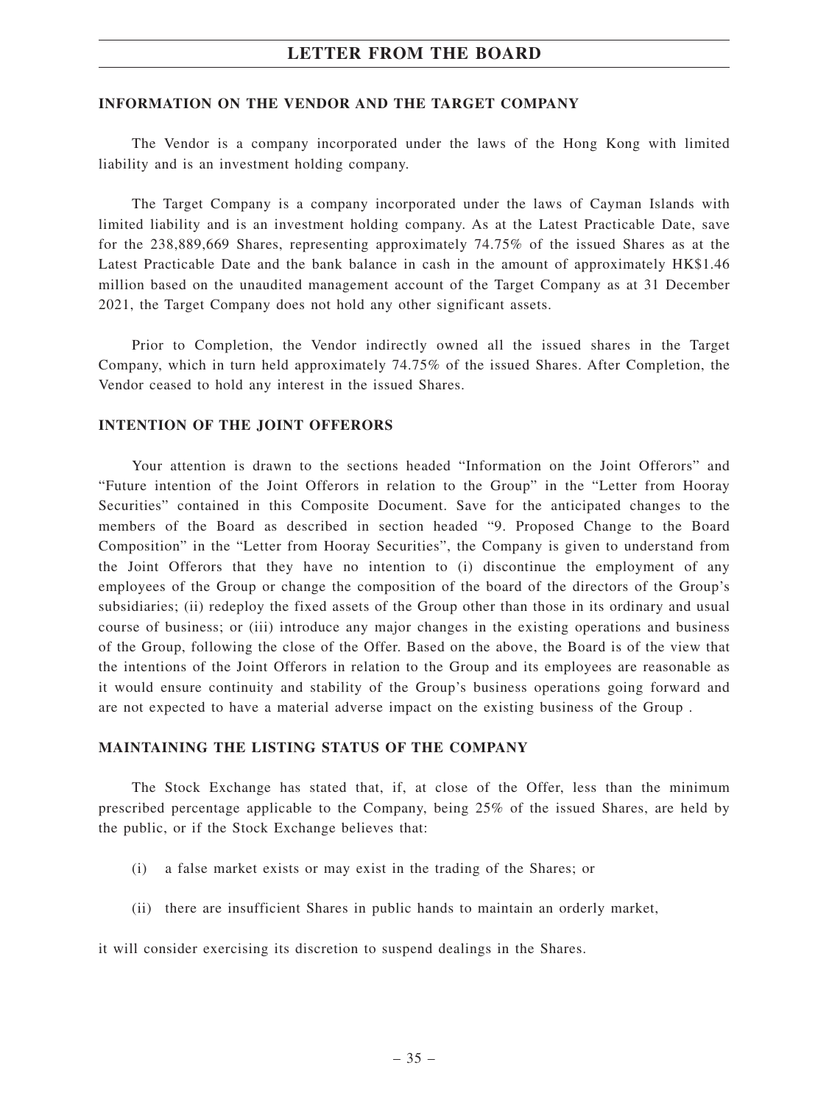## **INFORMATION ON THE VENDOR AND THE TARGET COMPANY**

The Vendor is a company incorporated under the laws of the Hong Kong with limited liability and is an investment holding company.

The Target Company is a company incorporated under the laws of Cayman Islands with limited liability and is an investment holding company. As at the Latest Practicable Date, save for the 238,889,669 Shares, representing approximately 74.75% of the issued Shares as at the Latest Practicable Date and the bank balance in cash in the amount of approximately HK\$1.46 million based on the unaudited management account of the Target Company as at 31 December 2021, the Target Company does not hold any other significant assets.

Prior to Completion, the Vendor indirectly owned all the issued shares in the Target Company, which in turn held approximately 74.75% of the issued Shares. After Completion, the Vendor ceased to hold any interest in the issued Shares.

## **INTENTION OF THE JOINT OFFERORS**

Your attention is drawn to the sections headed "Information on the Joint Offerors" and "Future intention of the Joint Offerors in relation to the Group" in the "Letter from Hooray Securities" contained in this Composite Document. Save for the anticipated changes to the members of the Board as described in section headed "9. Proposed Change to the Board Composition" in the "Letter from Hooray Securities", the Company is given to understand from the Joint Offerors that they have no intention to (i) discontinue the employment of any employees of the Group or change the composition of the board of the directors of the Group's subsidiaries; (ii) redeploy the fixed assets of the Group other than those in its ordinary and usual course of business; or (iii) introduce any major changes in the existing operations and business of the Group, following the close of the Offer. Based on the above, the Board is of the view that the intentions of the Joint Offerors in relation to the Group and its employees are reasonable as it would ensure continuity and stability of the Group's business operations going forward and are not expected to have a material adverse impact on the existing business of the Group .

#### **MAINTAINING THE LISTING STATUS OF THE COMPANY**

The Stock Exchange has stated that, if, at close of the Offer, less than the minimum prescribed percentage applicable to the Company, being 25% of the issued Shares, are held by the public, or if the Stock Exchange believes that:

- (i) a false market exists or may exist in the trading of the Shares; or
- (ii) there are insufficient Shares in public hands to maintain an orderly market,

it will consider exercising its discretion to suspend dealings in the Shares.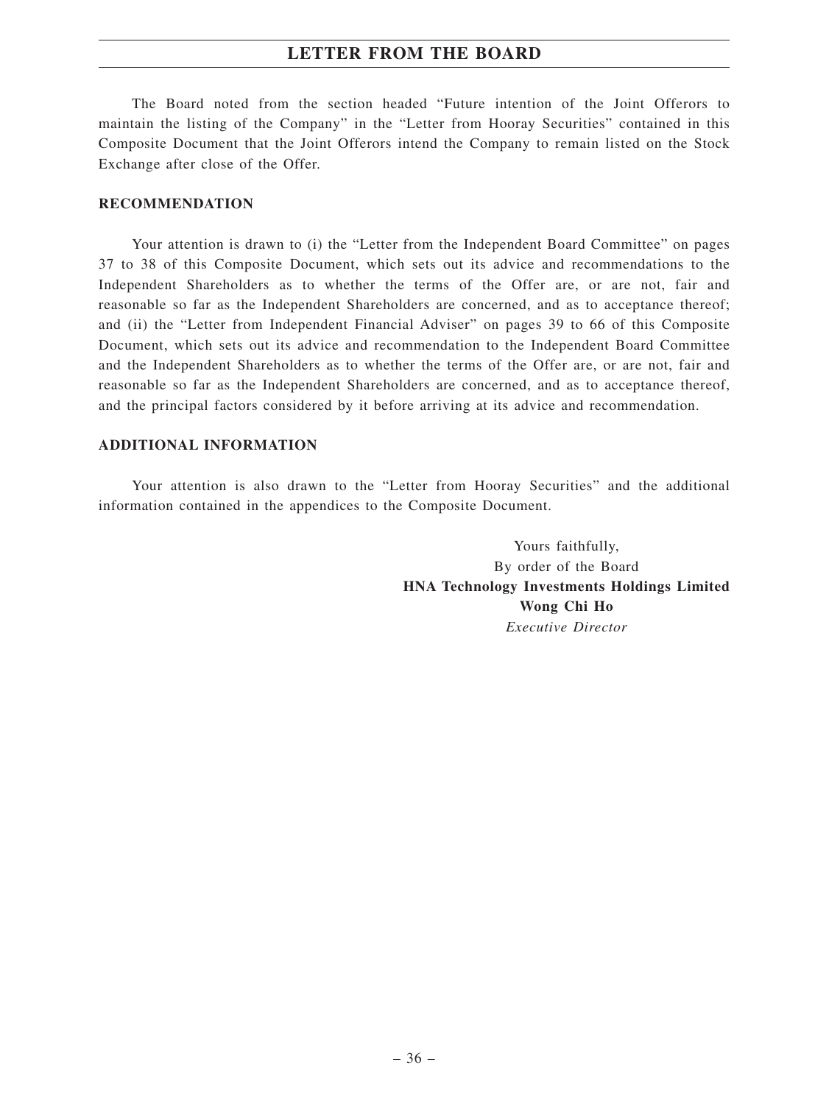The Board noted from the section headed "Future intention of the Joint Offerors to maintain the listing of the Company" in the "Letter from Hooray Securities" contained in this Composite Document that the Joint Offerors intend the Company to remain listed on the Stock Exchange after close of the Offer.

## **RECOMMENDATION**

Your attention is drawn to (i) the "Letter from the Independent Board Committee" on pages 37 to 38 of this Composite Document, which sets out its advice and recommendations to the Independent Shareholders as to whether the terms of the Offer are, or are not, fair and reasonable so far as the Independent Shareholders are concerned, and as to acceptance thereof; and (ii) the "Letter from Independent Financial Adviser" on pages 39 to 66 of this Composite Document, which sets out its advice and recommendation to the Independent Board Committee and the Independent Shareholders as to whether the terms of the Offer are, or are not, fair and reasonable so far as the Independent Shareholders are concerned, and as to acceptance thereof, and the principal factors considered by it before arriving at its advice and recommendation.

## **ADDITIONAL INFORMATION**

Your attention is also drawn to the "Letter from Hooray Securities" and the additional information contained in the appendices to the Composite Document.

> Yours faithfully, By order of the Board **HNA Technology Investments Holdings Limited Wong Chi Ho** *Executive Director*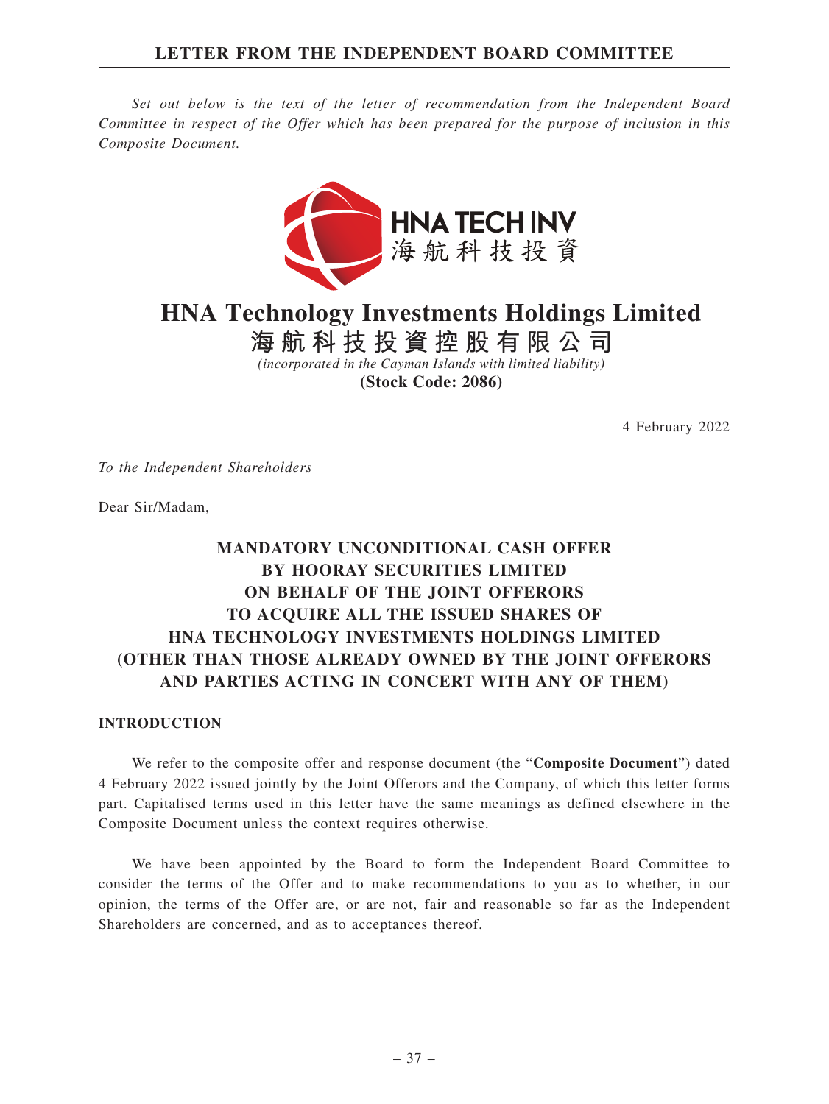# **LETTER FROM THE INDEPENDENT BOARD COMMITTEE**

*Set out below is the text of the letter of recommendation from the Independent Board Committee in respect of the Offer which has been prepared for the purpose of inclusion in this Composite Document.*



**HNA Technology Investments Holdings Limited**

**海航科技投資控股有限公司** *(incorporated in the Cayman Islands with limited liability)*

**(Stock Code: 2086)**

4 February 2022

*To the Independent Shareholders*

Dear Sir/Madam,

# **MANDATORY UNCONDITIONAL CASH OFFER BY HOORAY SECURITIES LIMITED ON BEHALF OF THE JOINT OFFERORS TO ACQUIRE ALL THE ISSUED SHARES OF HNA TECHNOLOGY INVESTMENTS HOLDINGS LIMITED (OTHER THAN THOSE ALREADY OWNED BY THE JOINT OFFERORS AND PARTIES ACTING IN CONCERT WITH ANY OF THEM)**

## **INTRODUCTION**

We refer to the composite offer and response document (the "**Composite Document**") dated 4 February 2022 issued jointly by the Joint Offerors and the Company, of which this letter forms part. Capitalised terms used in this letter have the same meanings as defined elsewhere in the Composite Document unless the context requires otherwise.

We have been appointed by the Board to form the Independent Board Committee to consider the terms of the Offer and to make recommendations to you as to whether, in our opinion, the terms of the Offer are, or are not, fair and reasonable so far as the Independent Shareholders are concerned, and as to acceptances thereof.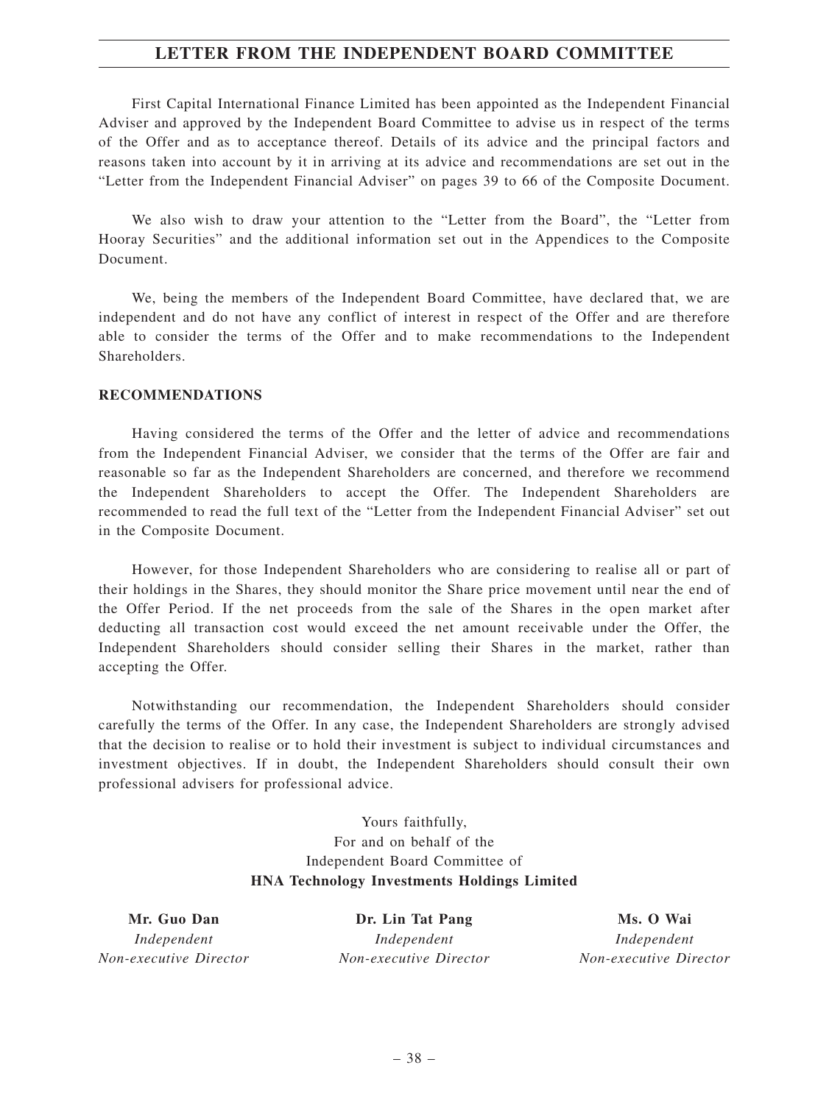## **LETTER FROM THE INDEPENDENT BOARD COMMITTEE**

First Capital International Finance Limited has been appointed as the Independent Financial Adviser and approved by the Independent Board Committee to advise us in respect of the terms of the Offer and as to acceptance thereof. Details of its advice and the principal factors and reasons taken into account by it in arriving at its advice and recommendations are set out in the "Letter from the Independent Financial Adviser" on pages 39 to 66 of the Composite Document.

We also wish to draw your attention to the "Letter from the Board", the "Letter from Hooray Securities" and the additional information set out in the Appendices to the Composite Document.

We, being the members of the Independent Board Committee, have declared that, we are independent and do not have any conflict of interest in respect of the Offer and are therefore able to consider the terms of the Offer and to make recommendations to the Independent **Shareholders** 

#### **RECOMMENDATIONS**

Having considered the terms of the Offer and the letter of advice and recommendations from the Independent Financial Adviser, we consider that the terms of the Offer are fair and reasonable so far as the Independent Shareholders are concerned, and therefore we recommend the Independent Shareholders to accept the Offer. The Independent Shareholders are recommended to read the full text of the "Letter from the Independent Financial Adviser" set out in the Composite Document.

However, for those Independent Shareholders who are considering to realise all or part of their holdings in the Shares, they should monitor the Share price movement until near the end of the Offer Period. If the net proceeds from the sale of the Shares in the open market after deducting all transaction cost would exceed the net amount receivable under the Offer, the Independent Shareholders should consider selling their Shares in the market, rather than accepting the Offer.

Notwithstanding our recommendation, the Independent Shareholders should consider carefully the terms of the Offer. In any case, the Independent Shareholders are strongly advised that the decision to realise or to hold their investment is subject to individual circumstances and investment objectives. If in doubt, the Independent Shareholders should consult their own professional advisers for professional advice.

> Yours faithfully, For and on behalf of the Independent Board Committee of **HNA Technology Investments Holdings Limited**

**Mr. Guo Dan** *Independent Non-executive Director*

**Dr. Lin Tat Pang** *Independent Non-executive Director*

**Ms. O Wai** *Independent Non-executive Director*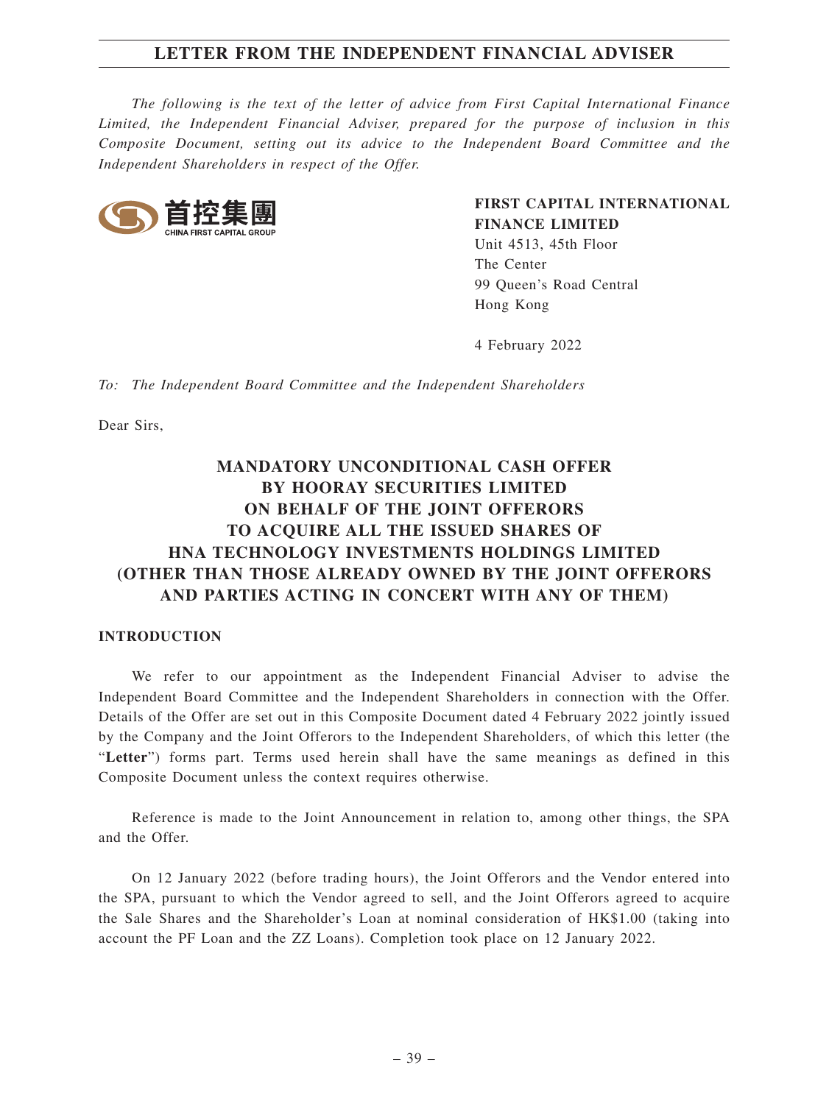*The following is the text of the letter of advice from First Capital International Finance Limited, the Independent Financial Adviser, prepared for the purpose of inclusion in this Composite Document, setting out its advice to the Independent Board Committee and the Independent Shareholders in respect of the Offer.*



**FIRST CAPITAL INTERNATIONAL FINANCE LIMITED**

Unit 4513, 45th Floor The Center 99 Queen's Road Central Hong Kong

4 February 2022

*To: The Independent Board Committee and the Independent Shareholders*

Dear Sirs,

# **MANDATORY UNCONDITIONAL CASH OFFER BY HOORAY SECURITIES LIMITED ON BEHALF OF THE JOINT OFFERORS TO ACQUIRE ALL THE ISSUED SHARES OF HNA TECHNOLOGY INVESTMENTS HOLDINGS LIMITED (OTHER THAN THOSE ALREADY OWNED BY THE JOINT OFFERORS AND PARTIES ACTING IN CONCERT WITH ANY OF THEM)**

## **INTRODUCTION**

We refer to our appointment as the Independent Financial Adviser to advise the Independent Board Committee and the Independent Shareholders in connection with the Offer. Details of the Offer are set out in this Composite Document dated 4 February 2022 jointly issued by the Company and the Joint Offerors to the Independent Shareholders, of which this letter (the "**Letter**") forms part. Terms used herein shall have the same meanings as defined in this Composite Document unless the context requires otherwise.

Reference is made to the Joint Announcement in relation to, among other things, the SPA and the Offer.

On 12 January 2022 (before trading hours), the Joint Offerors and the Vendor entered into the SPA, pursuant to which the Vendor agreed to sell, and the Joint Offerors agreed to acquire the Sale Shares and the Shareholder's Loan at nominal consideration of HK\$1.00 (taking into account the PF Loan and the ZZ Loans). Completion took place on 12 January 2022.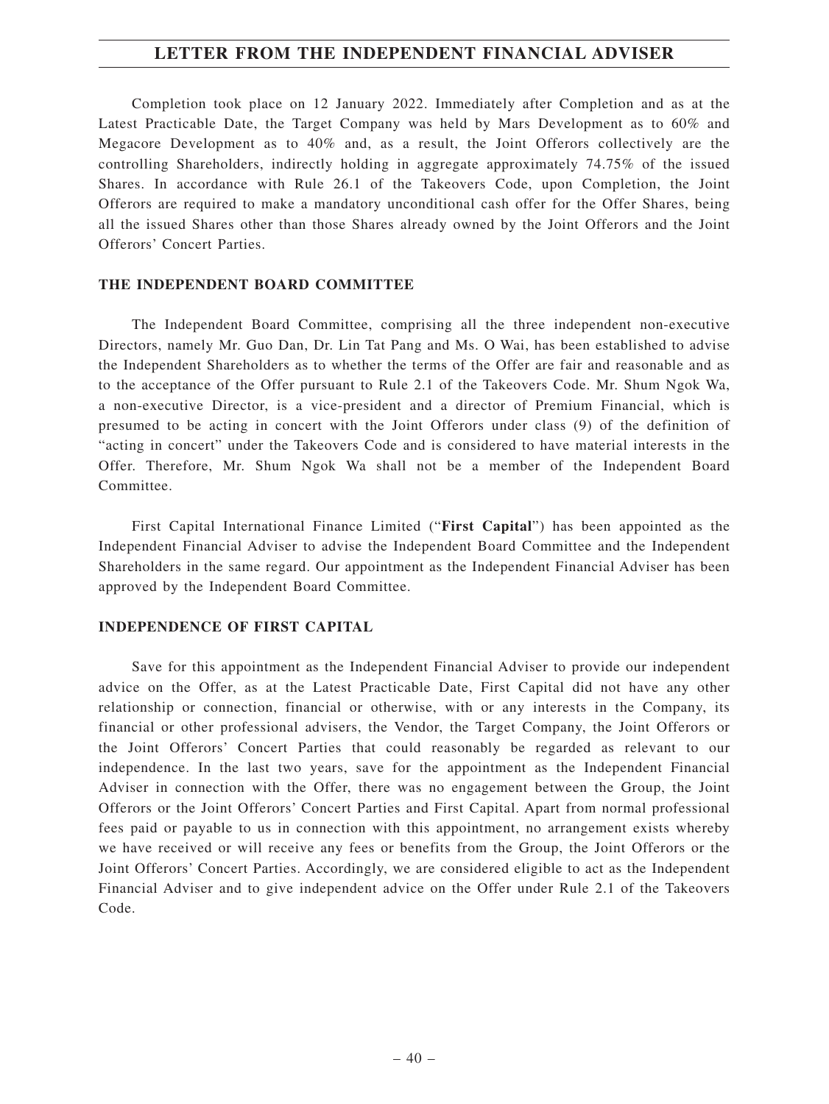Completion took place on 12 January 2022. Immediately after Completion and as at the Latest Practicable Date, the Target Company was held by Mars Development as to 60% and Megacore Development as to 40% and, as a result, the Joint Offerors collectively are the controlling Shareholders, indirectly holding in aggregate approximately 74.75% of the issued Shares. In accordance with Rule 26.1 of the Takeovers Code, upon Completion, the Joint Offerors are required to make a mandatory unconditional cash offer for the Offer Shares, being all the issued Shares other than those Shares already owned by the Joint Offerors and the Joint Offerors' Concert Parties.

## **THE INDEPENDENT BOARD COMMITTEE**

The Independent Board Committee, comprising all the three independent non-executive Directors, namely Mr. Guo Dan, Dr. Lin Tat Pang and Ms. O Wai, has been established to advise the Independent Shareholders as to whether the terms of the Offer are fair and reasonable and as to the acceptance of the Offer pursuant to Rule 2.1 of the Takeovers Code. Mr. Shum Ngok Wa, a non-executive Director, is a vice-president and a director of Premium Financial, which is presumed to be acting in concert with the Joint Offerors under class (9) of the definition of "acting in concert" under the Takeovers Code and is considered to have material interests in the Offer. Therefore, Mr. Shum Ngok Wa shall not be a member of the Independent Board Committee.

First Capital International Finance Limited ("**First Capital**") has been appointed as the Independent Financial Adviser to advise the Independent Board Committee and the Independent Shareholders in the same regard. Our appointment as the Independent Financial Adviser has been approved by the Independent Board Committee.

## **INDEPENDENCE OF FIRST CAPITAL**

Save for this appointment as the Independent Financial Adviser to provide our independent advice on the Offer, as at the Latest Practicable Date, First Capital did not have any other relationship or connection, financial or otherwise, with or any interests in the Company, its financial or other professional advisers, the Vendor, the Target Company, the Joint Offerors or the Joint Offerors' Concert Parties that could reasonably be regarded as relevant to our independence. In the last two years, save for the appointment as the Independent Financial Adviser in connection with the Offer, there was no engagement between the Group, the Joint Offerors or the Joint Offerors' Concert Parties and First Capital. Apart from normal professional fees paid or payable to us in connection with this appointment, no arrangement exists whereby we have received or will receive any fees or benefits from the Group, the Joint Offerors or the Joint Offerors' Concert Parties. Accordingly, we are considered eligible to act as the Independent Financial Adviser and to give independent advice on the Offer under Rule 2.1 of the Takeovers Code.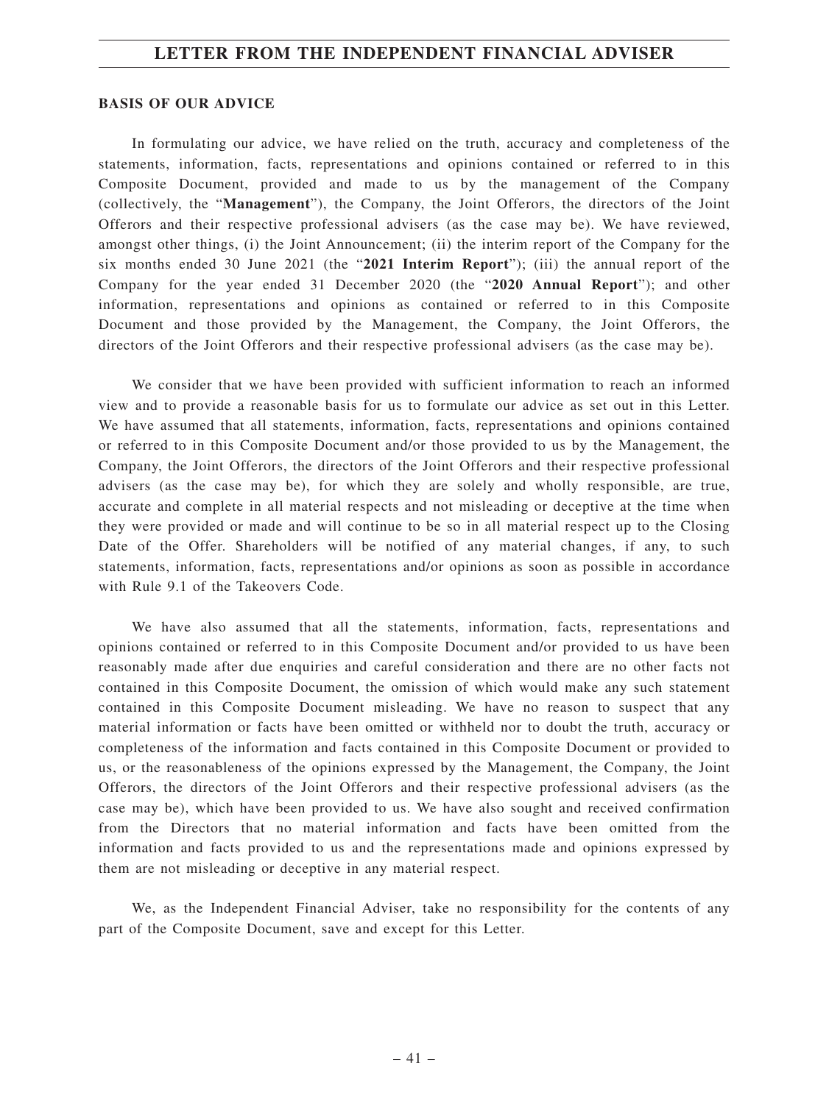#### **BASIS OF OUR ADVICE**

In formulating our advice, we have relied on the truth, accuracy and completeness of the statements, information, facts, representations and opinions contained or referred to in this Composite Document, provided and made to us by the management of the Company (collectively, the "**Management**"), the Company, the Joint Offerors, the directors of the Joint Offerors and their respective professional advisers (as the case may be). We have reviewed, amongst other things, (i) the Joint Announcement; (ii) the interim report of the Company for the six months ended 30 June 2021 (the "**2021 Interim Report**"); (iii) the annual report of the Company for the year ended 31 December 2020 (the "**2020 Annual Report**"); and other information, representations and opinions as contained or referred to in this Composite Document and those provided by the Management, the Company, the Joint Offerors, the directors of the Joint Offerors and their respective professional advisers (as the case may be).

We consider that we have been provided with sufficient information to reach an informed view and to provide a reasonable basis for us to formulate our advice as set out in this Letter. We have assumed that all statements, information, facts, representations and opinions contained or referred to in this Composite Document and/or those provided to us by the Management, the Company, the Joint Offerors, the directors of the Joint Offerors and their respective professional advisers (as the case may be), for which they are solely and wholly responsible, are true, accurate and complete in all material respects and not misleading or deceptive at the time when they were provided or made and will continue to be so in all material respect up to the Closing Date of the Offer. Shareholders will be notified of any material changes, if any, to such statements, information, facts, representations and/or opinions as soon as possible in accordance with Rule 9.1 of the Takeovers Code.

We have also assumed that all the statements, information, facts, representations and opinions contained or referred to in this Composite Document and/or provided to us have been reasonably made after due enquiries and careful consideration and there are no other facts not contained in this Composite Document, the omission of which would make any such statement contained in this Composite Document misleading. We have no reason to suspect that any material information or facts have been omitted or withheld nor to doubt the truth, accuracy or completeness of the information and facts contained in this Composite Document or provided to us, or the reasonableness of the opinions expressed by the Management, the Company, the Joint Offerors, the directors of the Joint Offerors and their respective professional advisers (as the case may be), which have been provided to us. We have also sought and received confirmation from the Directors that no material information and facts have been omitted from the information and facts provided to us and the representations made and opinions expressed by them are not misleading or deceptive in any material respect.

We, as the Independent Financial Adviser, take no responsibility for the contents of any part of the Composite Document, save and except for this Letter.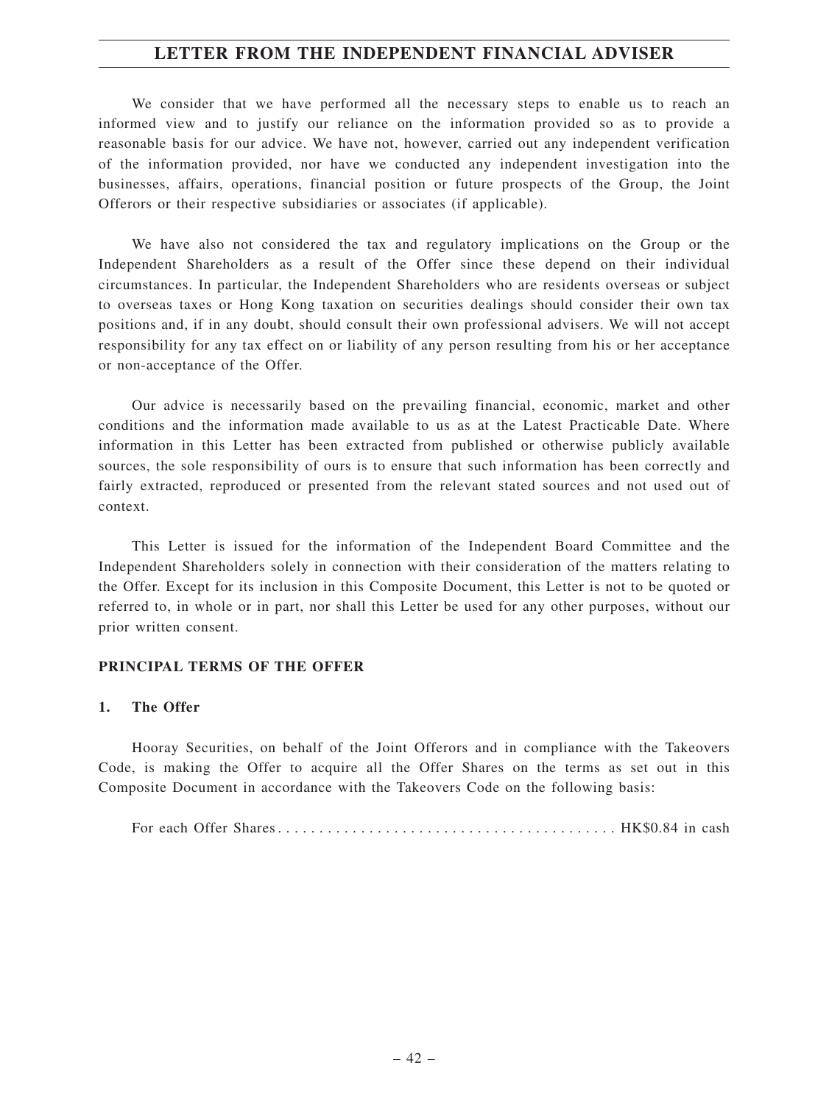We consider that we have performed all the necessary steps to enable us to reach an informed view and to justify our reliance on the information provided so as to provide a reasonable basis for our advice. We have not, however, carried out any independent verification of the information provided, nor have we conducted any independent investigation into the businesses, affairs, operations, financial position or future prospects of the Group, the Joint Offerors or their respective subsidiaries or associates (if applicable).

We have also not considered the tax and regulatory implications on the Group or the Independent Shareholders as a result of the Offer since these depend on their individual circumstances. In particular, the Independent Shareholders who are residents overseas or subject to overseas taxes or Hong Kong taxation on securities dealings should consider their own tax positions and, if in any doubt, should consult their own professional advisers. We will not accept responsibility for any tax effect on or liability of any person resulting from his or her acceptance or non-acceptance of the Offer.

Our advice is necessarily based on the prevailing financial, economic, market and other conditions and the information made available to us as at the Latest Practicable Date. Where information in this Letter has been extracted from published or otherwise publicly available sources, the sole responsibility of ours is to ensure that such information has been correctly and fairly extracted, reproduced or presented from the relevant stated sources and not used out of context.

This Letter is issued for the information of the Independent Board Committee and the Independent Shareholders solely in connection with their consideration of the matters relating to the Offer. Except for its inclusion in this Composite Document, this Letter is not to be quoted or referred to, in whole or in part, nor shall this Letter be used for any other purposes, without our prior written consent.

## **PRINCIPAL TERMS OF THE OFFER**

## **1. The Offer**

Hooray Securities, on behalf of the Joint Offerors and in compliance with the Takeovers Code, is making the Offer to acquire all the Offer Shares on the terms as set out in this Composite Document in accordance with the Takeovers Code on the following basis:

For each Offer Shares......................................... HK\$0.84 in cash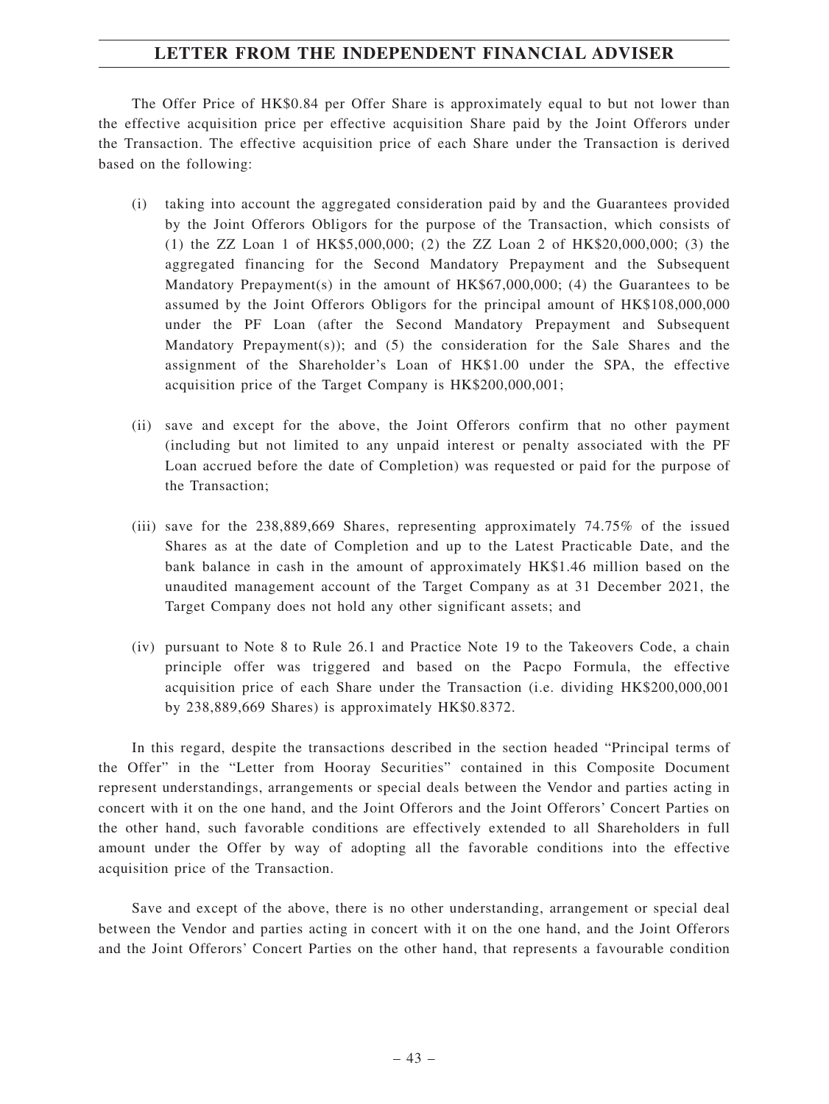The Offer Price of HK\$0.84 per Offer Share is approximately equal to but not lower than the effective acquisition price per effective acquisition Share paid by the Joint Offerors under the Transaction. The effective acquisition price of each Share under the Transaction is derived based on the following:

- (i) taking into account the aggregated consideration paid by and the Guarantees provided by the Joint Offerors Obligors for the purpose of the Transaction, which consists of (1) the ZZ Loan 1 of HK\$5,000,000; (2) the ZZ Loan 2 of HK\$20,000,000; (3) the aggregated financing for the Second Mandatory Prepayment and the Subsequent Mandatory Prepayment(s) in the amount of  $HK$67,000,000$ ; (4) the Guarantees to be assumed by the Joint Offerors Obligors for the principal amount of HK\$108,000,000 under the PF Loan (after the Second Mandatory Prepayment and Subsequent Mandatory Prepayment(s)); and (5) the consideration for the Sale Shares and the assignment of the Shareholder's Loan of HK\$1.00 under the SPA, the effective acquisition price of the Target Company is HK\$200,000,001;
- (ii) save and except for the above, the Joint Offerors confirm that no other payment (including but not limited to any unpaid interest or penalty associated with the PF Loan accrued before the date of Completion) was requested or paid for the purpose of the Transaction;
- (iii) save for the 238,889,669 Shares, representing approximately 74.75% of the issued Shares as at the date of Completion and up to the Latest Practicable Date, and the bank balance in cash in the amount of approximately HK\$1.46 million based on the unaudited management account of the Target Company as at 31 December 2021, the Target Company does not hold any other significant assets; and
- (iv) pursuant to Note 8 to Rule 26.1 and Practice Note 19 to the Takeovers Code, a chain principle offer was triggered and based on the Pacpo Formula, the effective acquisition price of each Share under the Transaction (i.e. dividing HK\$200,000,001 by 238,889,669 Shares) is approximately HK\$0.8372.

In this regard, despite the transactions described in the section headed "Principal terms of the Offer" in the "Letter from Hooray Securities" contained in this Composite Document represent understandings, arrangements or special deals between the Vendor and parties acting in concert with it on the one hand, and the Joint Offerors and the Joint Offerors' Concert Parties on the other hand, such favorable conditions are effectively extended to all Shareholders in full amount under the Offer by way of adopting all the favorable conditions into the effective acquisition price of the Transaction.

Save and except of the above, there is no other understanding, arrangement or special deal between the Vendor and parties acting in concert with it on the one hand, and the Joint Offerors and the Joint Offerors' Concert Parties on the other hand, that represents a favourable condition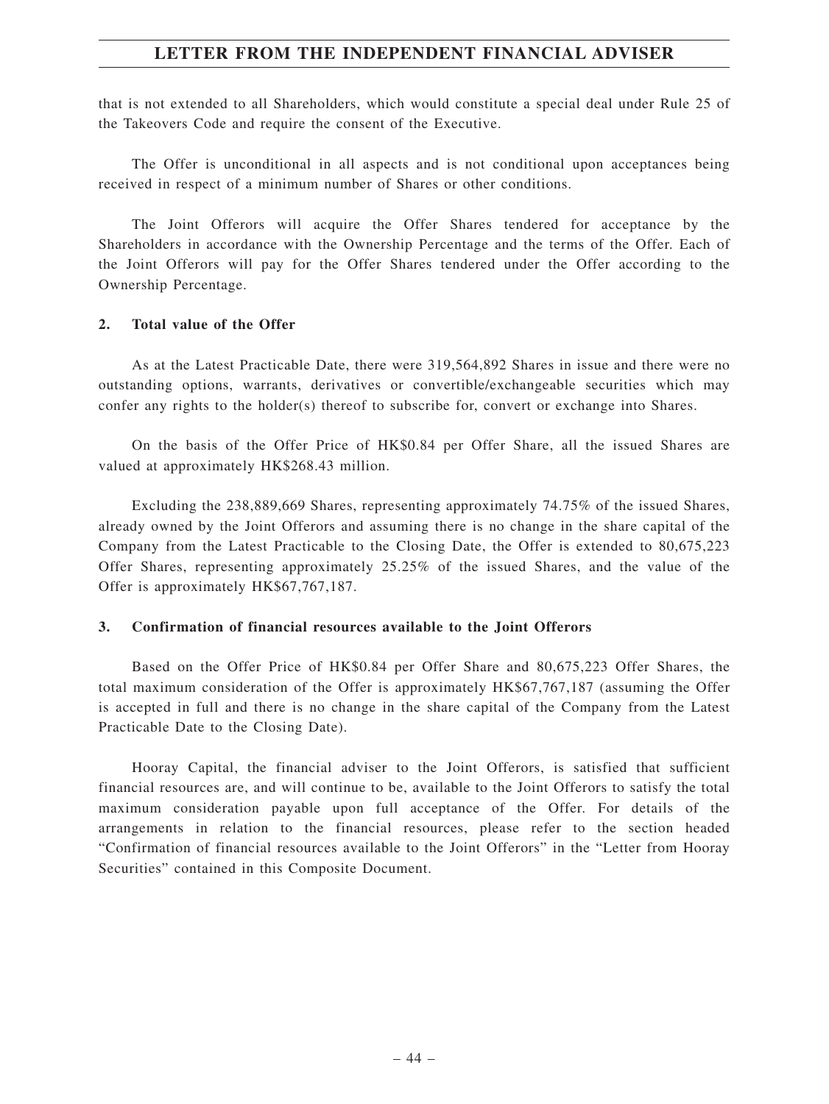that is not extended to all Shareholders, which would constitute a special deal under Rule 25 of the Takeovers Code and require the consent of the Executive.

The Offer is unconditional in all aspects and is not conditional upon acceptances being received in respect of a minimum number of Shares or other conditions.

The Joint Offerors will acquire the Offer Shares tendered for acceptance by the Shareholders in accordance with the Ownership Percentage and the terms of the Offer. Each of the Joint Offerors will pay for the Offer Shares tendered under the Offer according to the Ownership Percentage.

### **2. Total value of the Offer**

As at the Latest Practicable Date, there were 319,564,892 Shares in issue and there were no outstanding options, warrants, derivatives or convertible/exchangeable securities which may confer any rights to the holder(s) thereof to subscribe for, convert or exchange into Shares.

On the basis of the Offer Price of HK\$0.84 per Offer Share, all the issued Shares are valued at approximately HK\$268.43 million.

Excluding the 238,889,669 Shares, representing approximately 74.75% of the issued Shares, already owned by the Joint Offerors and assuming there is no change in the share capital of the Company from the Latest Practicable to the Closing Date, the Offer is extended to 80,675,223 Offer Shares, representing approximately 25.25% of the issued Shares, and the value of the Offer is approximately HK\$67,767,187.

## **3. Confirmation of financial resources available to the Joint Offerors**

Based on the Offer Price of HK\$0.84 per Offer Share and 80,675,223 Offer Shares, the total maximum consideration of the Offer is approximately HK\$67,767,187 (assuming the Offer is accepted in full and there is no change in the share capital of the Company from the Latest Practicable Date to the Closing Date).

Hooray Capital, the financial adviser to the Joint Offerors, is satisfied that sufficient financial resources are, and will continue to be, available to the Joint Offerors to satisfy the total maximum consideration payable upon full acceptance of the Offer. For details of the arrangements in relation to the financial resources, please refer to the section headed "Confirmation of financial resources available to the Joint Offerors" in the "Letter from Hooray Securities" contained in this Composite Document.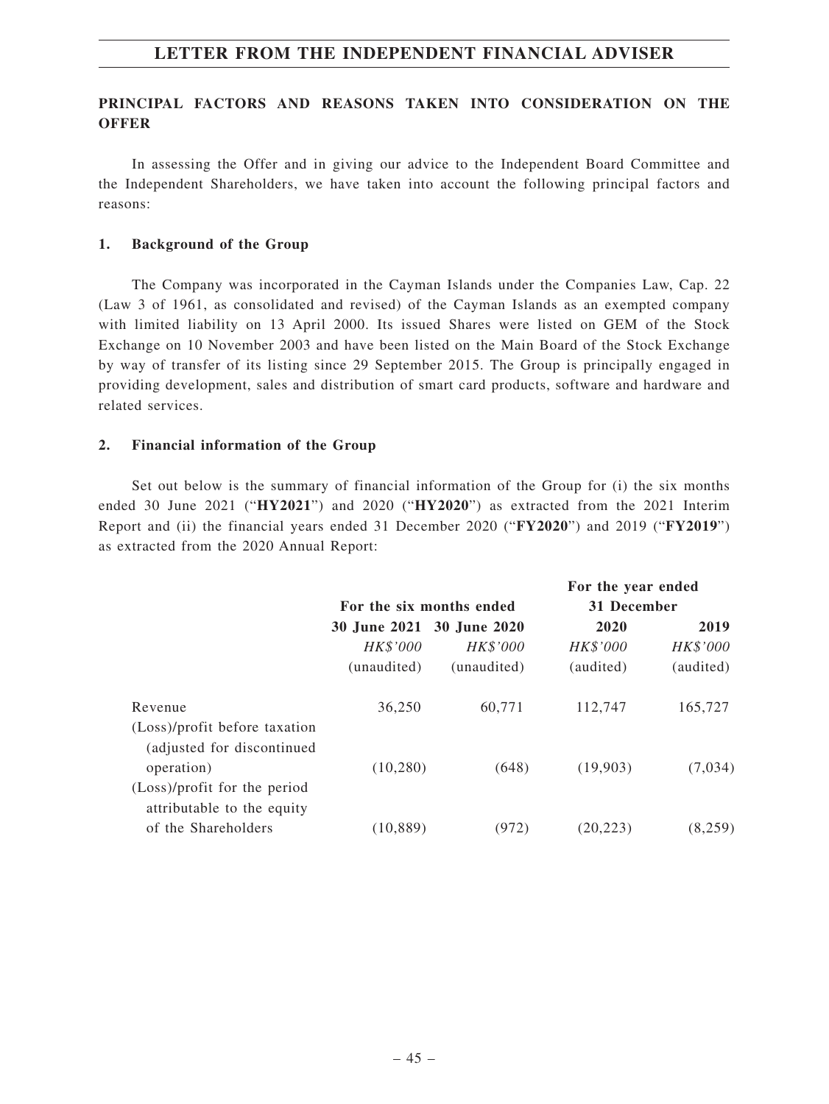# **PRINCIPAL FACTORS AND REASONS TAKEN INTO CONSIDERATION ON THE OFFER**

In assessing the Offer and in giving our advice to the Independent Board Committee and the Independent Shareholders, we have taken into account the following principal factors and reasons:

## **1. Background of the Group**

The Company was incorporated in the Cayman Islands under the Companies Law, Cap. 22 (Law 3 of 1961, as consolidated and revised) of the Cayman Islands as an exempted company with limited liability on 13 April 2000. Its issued Shares were listed on GEM of the Stock Exchange on 10 November 2003 and have been listed on the Main Board of the Stock Exchange by way of transfer of its listing since 29 September 2015. The Group is principally engaged in providing development, sales and distribution of smart card products, software and hardware and related services.

## **2. Financial information of the Group**

Set out below is the summary of financial information of the Group for (i) the six months ended 30 June 2021 ("**HY2021**") and 2020 ("**HY2020**") as extracted from the 2021 Interim Report and (ii) the financial years ended 31 December 2020 ("**FY2020**") and 2019 ("**FY2019**") as extracted from the 2020 Annual Report:

|                                                             |                           |                 | For the year ended |           |
|-------------------------------------------------------------|---------------------------|-----------------|--------------------|-----------|
|                                                             | For the six months ended  |                 | 31 December        |           |
|                                                             | 30 June 2021 30 June 2020 |                 | 2020               | 2019      |
|                                                             | HK\$'000                  | <i>HK\$'000</i> | HK\$'000           | HK\$'000  |
|                                                             | (unaudited)               | (unaudited)     | (audited)          | (audited) |
| Revenue                                                     | 36,250                    | 60,771          | 112,747            | 165,727   |
| (Loss)/profit before taxation<br>(adjusted for discontinued |                           |                 |                    |           |
| operation)                                                  | (10, 280)                 | (648)           | (19,903)           | (7,034)   |
| (Loss)/profit for the period<br>attributable to the equity  |                           |                 |                    |           |
| of the Shareholders                                         | (10, 889)                 | (972)           | (20, 223)          | (8,259)   |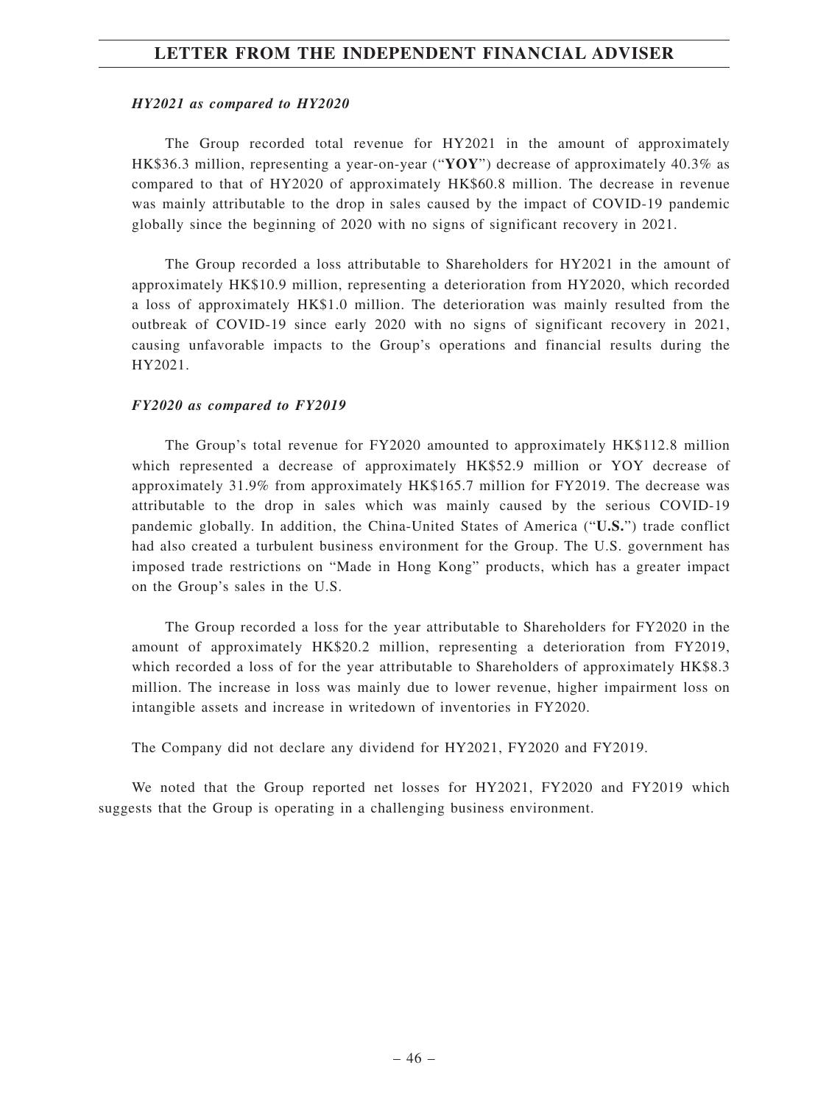#### *HY2021 as compared to HY2020*

The Group recorded total revenue for HY2021 in the amount of approximately HK\$36.3 million, representing a year-on-year ("**YOY**") decrease of approximately 40.3% as compared to that of HY2020 of approximately HK\$60.8 million. The decrease in revenue was mainly attributable to the drop in sales caused by the impact of COVID-19 pandemic globally since the beginning of 2020 with no signs of significant recovery in 2021.

The Group recorded a loss attributable to Shareholders for HY2021 in the amount of approximately HK\$10.9 million, representing a deterioration from HY2020, which recorded a loss of approximately HK\$1.0 million. The deterioration was mainly resulted from the outbreak of COVID-19 since early 2020 with no signs of significant recovery in 2021, causing unfavorable impacts to the Group's operations and financial results during the HY2021.

#### *FY2020 as compared to FY2019*

The Group's total revenue for FY2020 amounted to approximately HK\$112.8 million which represented a decrease of approximately HK\$52.9 million or YOY decrease of approximately 31.9% from approximately HK\$165.7 million for FY2019. The decrease was attributable to the drop in sales which was mainly caused by the serious COVID-19 pandemic globally. In addition, the China-United States of America ("**U.S.**") trade conflict had also created a turbulent business environment for the Group. The U.S. government has imposed trade restrictions on "Made in Hong Kong" products, which has a greater impact on the Group's sales in the U.S.

The Group recorded a loss for the year attributable to Shareholders for FY2020 in the amount of approximately HK\$20.2 million, representing a deterioration from FY2019, which recorded a loss of for the year attributable to Shareholders of approximately HK\$8.3 million. The increase in loss was mainly due to lower revenue, higher impairment loss on intangible assets and increase in writedown of inventories in FY2020.

The Company did not declare any dividend for HY2021, FY2020 and FY2019.

We noted that the Group reported net losses for HY2021, FY2020 and FY2019 which suggests that the Group is operating in a challenging business environment.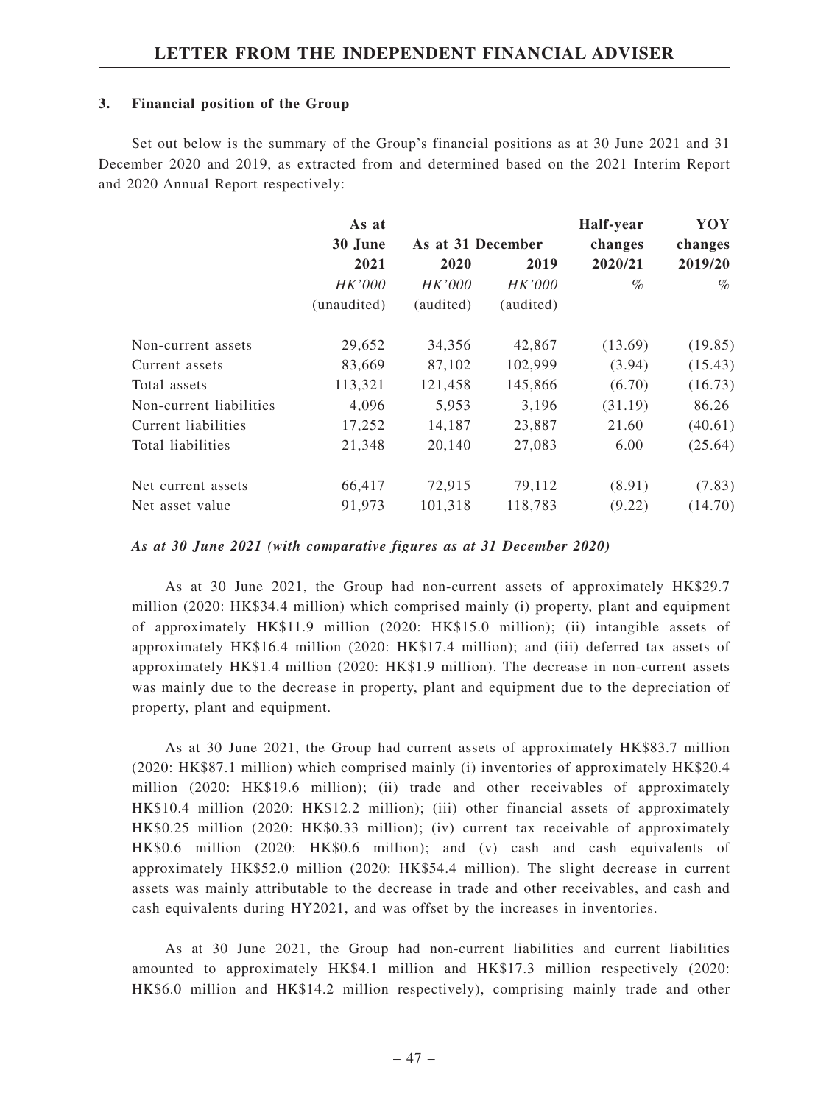## **3. Financial position of the Group**

Set out below is the summary of the Group's financial positions as at 30 June 2021 and 31 December 2020 and 2019, as extracted from and determined based on the 2021 Interim Report and 2020 Annual Report respectively:

|                         | As at       |                   |               | Half-year | YOY     |
|-------------------------|-------------|-------------------|---------------|-----------|---------|
|                         | 30 June     | As at 31 December |               | changes   | changes |
|                         | 2021        | 2020              | 2019          | 2020/21   | 2019/20 |
|                         | HK'000      | HK'000            | <i>HK'000</i> | $\%$      | $\%$    |
|                         | (unaudited) | (audited)         | (audited)     |           |         |
| Non-current assets      | 29,652      | 34,356            | 42,867        | (13.69)   | (19.85) |
| Current assets          | 83,669      | 87,102            | 102,999       | (3.94)    | (15.43) |
| Total assets            | 113,321     | 121,458           | 145,866       | (6.70)    | (16.73) |
| Non-current liabilities | 4,096       | 5,953             | 3,196         | (31.19)   | 86.26   |
| Current liabilities     | 17,252      | 14,187            | 23,887        | 21.60     | (40.61) |
| Total liabilities       | 21,348      | 20,140            | 27,083        | 6.00      | (25.64) |
| Net current assets      | 66,417      | 72,915            | 79,112        | (8.91)    | (7.83)  |
| Net asset value         | 91,973      | 101,318           | 118,783       | (9.22)    | (14.70) |

## *As at 30 June 2021 (with comparative figures as at 31 December 2020)*

As at 30 June 2021, the Group had non-current assets of approximately HK\$29.7 million (2020: HK\$34.4 million) which comprised mainly (i) property, plant and equipment of approximately HK\$11.9 million (2020: HK\$15.0 million); (ii) intangible assets of approximately HK\$16.4 million (2020: HK\$17.4 million); and (iii) deferred tax assets of approximately HK\$1.4 million (2020: HK\$1.9 million). The decrease in non-current assets was mainly due to the decrease in property, plant and equipment due to the depreciation of property, plant and equipment.

As at 30 June 2021, the Group had current assets of approximately HK\$83.7 million (2020: HK\$87.1 million) which comprised mainly (i) inventories of approximately HK\$20.4 million (2020: HK\$19.6 million); (ii) trade and other receivables of approximately HK\$10.4 million (2020: HK\$12.2 million); (iii) other financial assets of approximately HK\$0.25 million (2020: HK\$0.33 million); (iv) current tax receivable of approximately HK\$0.6 million (2020: HK\$0.6 million); and (v) cash and cash equivalents of approximately HK\$52.0 million (2020: HK\$54.4 million). The slight decrease in current assets was mainly attributable to the decrease in trade and other receivables, and cash and cash equivalents during HY2021, and was offset by the increases in inventories.

As at 30 June 2021, the Group had non-current liabilities and current liabilities amounted to approximately HK\$4.1 million and HK\$17.3 million respectively (2020: HK\$6.0 million and HK\$14.2 million respectively), comprising mainly trade and other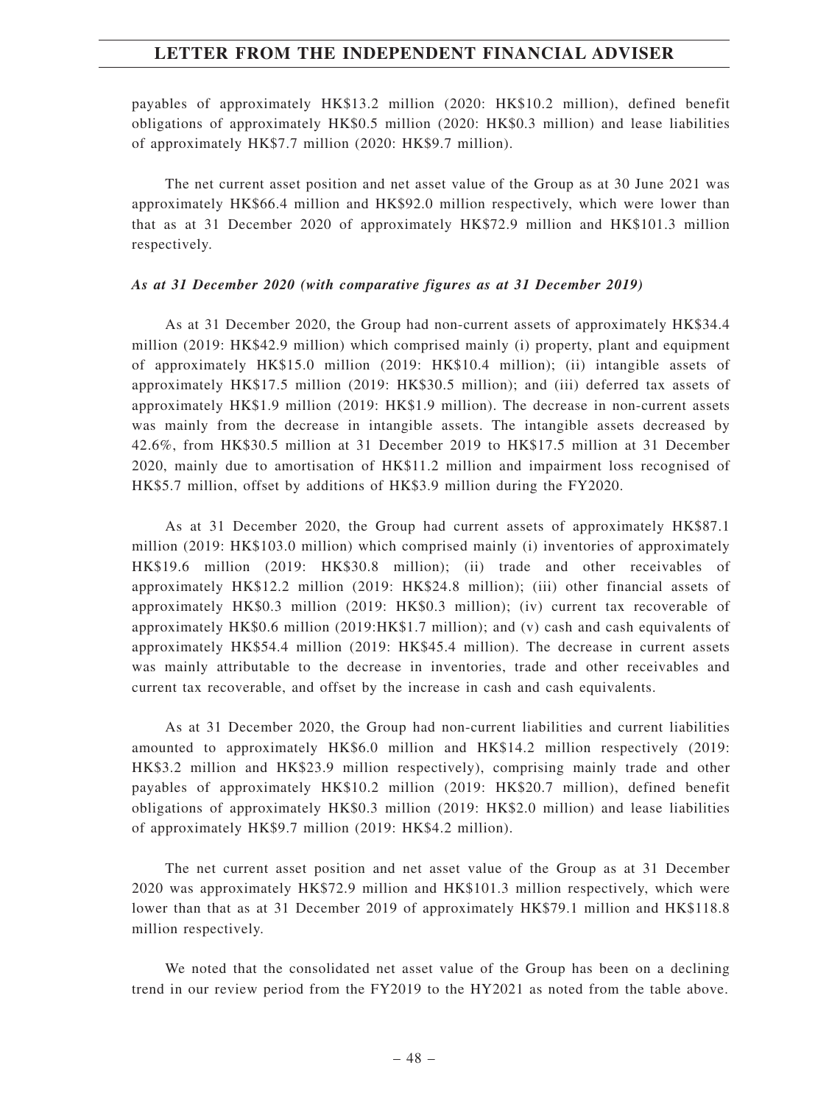payables of approximately HK\$13.2 million (2020: HK\$10.2 million), defined benefit obligations of approximately HK\$0.5 million (2020: HK\$0.3 million) and lease liabilities of approximately HK\$7.7 million (2020: HK\$9.7 million).

The net current asset position and net asset value of the Group as at 30 June 2021 was approximately HK\$66.4 million and HK\$92.0 million respectively, which were lower than that as at 31 December 2020 of approximately HK\$72.9 million and HK\$101.3 million respectively.

#### *As at 31 December 2020 (with comparative figures as at 31 December 2019)*

As at 31 December 2020, the Group had non-current assets of approximately HK\$34.4 million (2019: HK\$42.9 million) which comprised mainly (i) property, plant and equipment of approximately HK\$15.0 million (2019: HK\$10.4 million); (ii) intangible assets of approximately HK\$17.5 million (2019: HK\$30.5 million); and (iii) deferred tax assets of approximately HK\$1.9 million (2019: HK\$1.9 million). The decrease in non-current assets was mainly from the decrease in intangible assets. The intangible assets decreased by 42.6%, from HK\$30.5 million at 31 December 2019 to HK\$17.5 million at 31 December 2020, mainly due to amortisation of HK\$11.2 million and impairment loss recognised of HK\$5.7 million, offset by additions of HK\$3.9 million during the FY2020.

As at 31 December 2020, the Group had current assets of approximately HK\$87.1 million (2019: HK\$103.0 million) which comprised mainly (i) inventories of approximately HK\$19.6 million (2019: HK\$30.8 million); (ii) trade and other receivables of approximately HK\$12.2 million (2019: HK\$24.8 million); (iii) other financial assets of approximately HK\$0.3 million (2019: HK\$0.3 million); (iv) current tax recoverable of approximately HK\$0.6 million (2019:HK\$1.7 million); and (v) cash and cash equivalents of approximately HK\$54.4 million (2019: HK\$45.4 million). The decrease in current assets was mainly attributable to the decrease in inventories, trade and other receivables and current tax recoverable, and offset by the increase in cash and cash equivalents.

As at 31 December 2020, the Group had non-current liabilities and current liabilities amounted to approximately HK\$6.0 million and HK\$14.2 million respectively (2019: HK\$3.2 million and HK\$23.9 million respectively), comprising mainly trade and other payables of approximately HK\$10.2 million (2019: HK\$20.7 million), defined benefit obligations of approximately HK\$0.3 million (2019: HK\$2.0 million) and lease liabilities of approximately HK\$9.7 million (2019: HK\$4.2 million).

The net current asset position and net asset value of the Group as at 31 December 2020 was approximately HK\$72.9 million and HK\$101.3 million respectively, which were lower than that as at 31 December 2019 of approximately HK\$79.1 million and HK\$118.8 million respectively.

We noted that the consolidated net asset value of the Group has been on a declining trend in our review period from the FY2019 to the HY2021 as noted from the table above.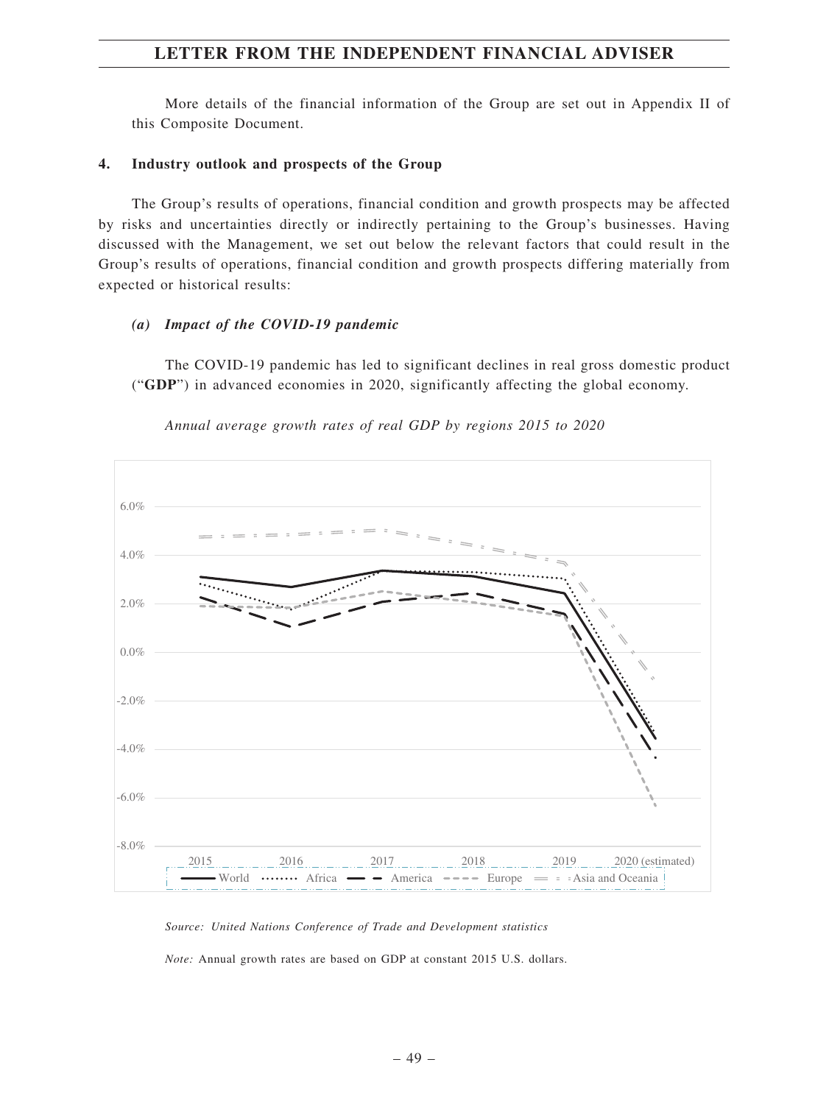More details of the financial information of the Group are set out in Appendix II of this Composite Document.

## **4. Industry outlook and prospects of the Group**

The Group's results of operations, financial condition and growth prospects may be affected by risks and uncertainties directly or indirectly pertaining to the Group's businesses. Having discussed with the Management, we set out below the relevant factors that could result in the Group's results of operations, financial condition and growth prospects differing materially from expected or historical results:

### *(a) Impact of the COVID-19 pandemic*

The COVID-19 pandemic has led to significant declines in real gross domestic product ("**GDP**") in advanced economies in 2020, significantly affecting the global economy.



*Annual average growth rates of real GDP by regions 2015 to 2020*

*Source: United Nations Conference of Trade and Development statistics*

*Note:* Annual growth rates are based on GDP at constant 2015 U.S. dollars.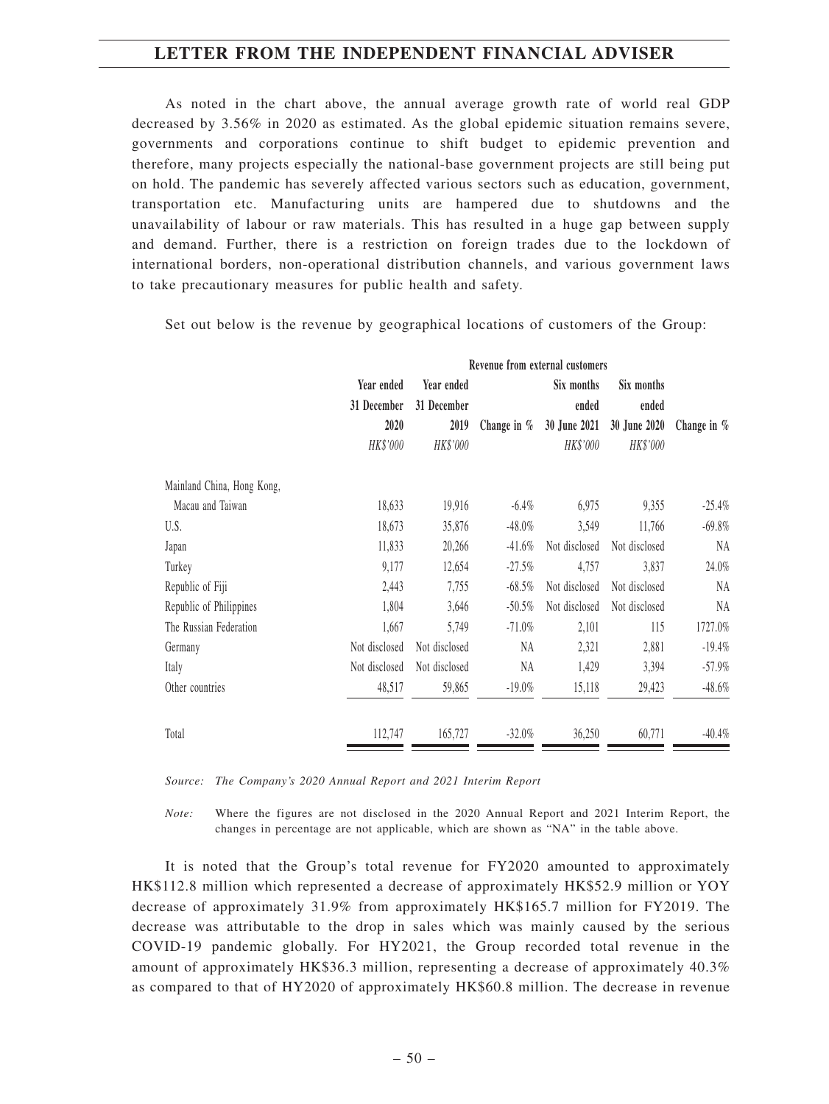As noted in the chart above, the annual average growth rate of world real GDP decreased by 3.56% in 2020 as estimated. As the global epidemic situation remains severe, governments and corporations continue to shift budget to epidemic prevention and therefore, many projects especially the national-base government projects are still being put on hold. The pandemic has severely affected various sectors such as education, government, transportation etc. Manufacturing units are hampered due to shutdowns and the unavailability of labour or raw materials. This has resulted in a huge gap between supply and demand. Further, there is a restriction on foreign trades due to the lockdown of international borders, non-operational distribution channels, and various government laws to take precautionary measures for public health and safety.

|                            | Revenue from external customers |               |               |               |               |               |
|----------------------------|---------------------------------|---------------|---------------|---------------|---------------|---------------|
|                            | Year ended                      | Year ended    |               | Six months    | Six months    |               |
|                            | 31 December                     | 31 December   |               | ended         | ended         |               |
|                            | 2020                            | 2019          | Change in $%$ | 30 June 2021  | 30 June 2020  | Change in $%$ |
|                            | HK\$'000                        | HK\$'000      |               | HK\$'000      | HK\$'000      |               |
| Mainland China, Hong Kong, |                                 |               |               |               |               |               |
| Macau and Taiwan           | 18,633                          | 19,916        | $-6.4\%$      | 6,975         | 9,355         | $-25.4%$      |
| U.S.                       | 18,673                          | 35,876        | $-48.0%$      | 3,549         | 11,766        | $-69.8%$      |
| Japan                      | 11,833                          | 20,266        | $-41.6%$      | Not disclosed | Not disclosed | NA            |
| Turkey                     | 9,177                           | 12,654        | $-27.5%$      | 4,757         | 3,837         | 24.0%         |
| Republic of Fiji           | 2,443                           | 7,755         | $-68.5%$      | Not disclosed | Not disclosed | NA            |
| Republic of Philippines    | 1,804                           | 3,646         | $-50.5%$      | Not disclosed | Not disclosed | NA            |
| The Russian Federation     | 1,667                           | 5,749         | $-71.0%$      | 2,101         | 115           | 1727.0%       |
| Germany                    | Not disclosed                   | Not disclosed | <b>NA</b>     | 2,321         | 2,881         | $-19.4%$      |
| Italy                      | Not disclosed                   | Not disclosed | NA            | 1,429         | 3,394         | $-57.9\%$     |
| Other countries            | 48,517                          | 59,865        | $-19.0\%$     | 15,118        | 29,423        | $-48.6%$      |
| Total                      | 112,747                         | 165,727       | $-32.0%$      | 36,250        | 60,771        | $-40.4%$      |

Set out below is the revenue by geographical locations of customers of the Group:

*Source: The Company's 2020 Annual Report and 2021 Interim Report*

*Note:* Where the figures are not disclosed in the 2020 Annual Report and 2021 Interim Report, the changes in percentage are not applicable, which are shown as "NA" in the table above.

It is noted that the Group's total revenue for FY2020 amounted to approximately HK\$112.8 million which represented a decrease of approximately HK\$52.9 million or YOY decrease of approximately 31.9% from approximately HK\$165.7 million for FY2019. The decrease was attributable to the drop in sales which was mainly caused by the serious COVID-19 pandemic globally. For HY2021, the Group recorded total revenue in the amount of approximately HK\$36.3 million, representing a decrease of approximately 40.3% as compared to that of HY2020 of approximately HK\$60.8 million. The decrease in revenue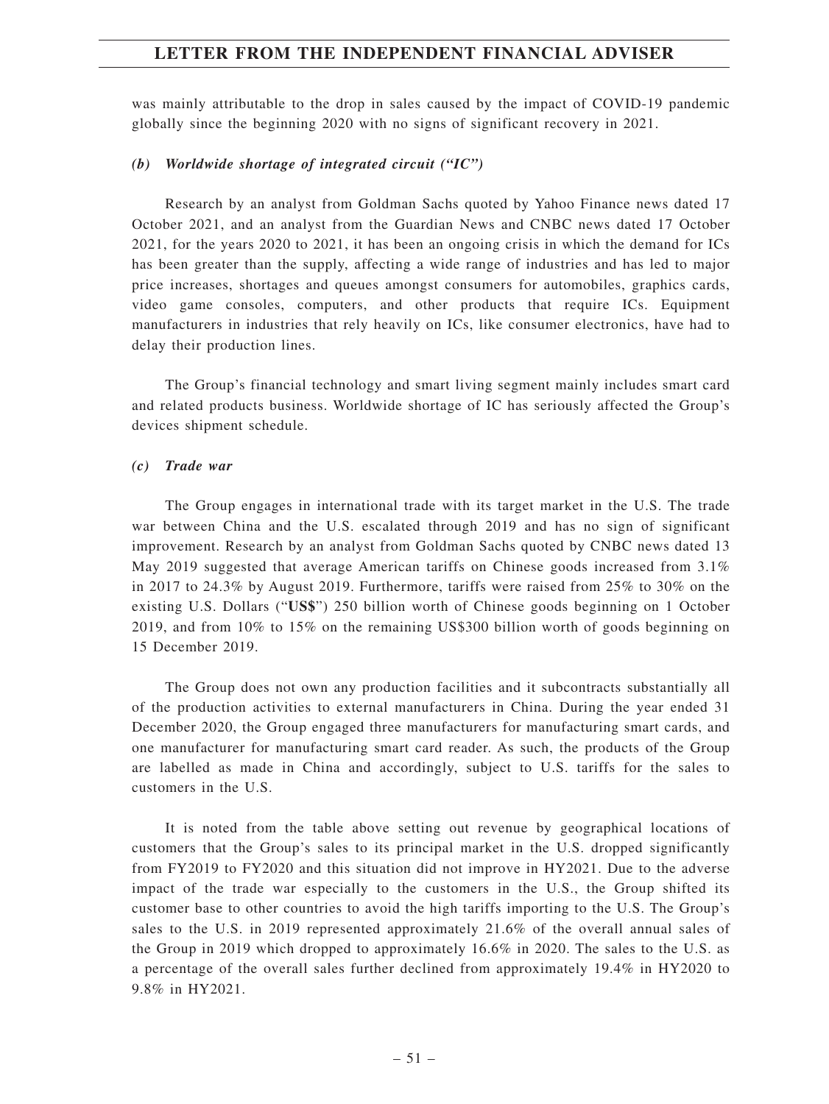was mainly attributable to the drop in sales caused by the impact of COVID-19 pandemic globally since the beginning 2020 with no signs of significant recovery in 2021.

### *(b) Worldwide shortage of integrated circuit ("IC")*

Research by an analyst from Goldman Sachs quoted by Yahoo Finance news dated 17 October 2021, and an analyst from the Guardian News and CNBC news dated 17 October 2021, for the years 2020 to 2021, it has been an ongoing crisis in which the demand for ICs has been greater than the supply, affecting a wide range of industries and has led to major price increases, shortages and queues amongst consumers for automobiles, graphics cards, video game consoles, computers, and other products that require ICs. Equipment manufacturers in industries that rely heavily on ICs, like consumer electronics, have had to delay their production lines.

The Group's financial technology and smart living segment mainly includes smart card and related products business. Worldwide shortage of IC has seriously affected the Group's devices shipment schedule.

### *(c) Trade war*

The Group engages in international trade with its target market in the U.S. The trade war between China and the U.S. escalated through 2019 and has no sign of significant improvement. Research by an analyst from Goldman Sachs quoted by CNBC news dated 13 May 2019 suggested that average American tariffs on Chinese goods increased from 3.1% in 2017 to 24.3% by August 2019. Furthermore, tariffs were raised from 25% to 30% on the existing U.S. Dollars ("**US\$**") 250 billion worth of Chinese goods beginning on 1 October 2019, and from 10% to 15% on the remaining US\$300 billion worth of goods beginning on 15 December 2019.

The Group does not own any production facilities and it subcontracts substantially all of the production activities to external manufacturers in China. During the year ended 31 December 2020, the Group engaged three manufacturers for manufacturing smart cards, and one manufacturer for manufacturing smart card reader. As such, the products of the Group are labelled as made in China and accordingly, subject to U.S. tariffs for the sales to customers in the U.S.

It is noted from the table above setting out revenue by geographical locations of customers that the Group's sales to its principal market in the U.S. dropped significantly from FY2019 to FY2020 and this situation did not improve in HY2021. Due to the adverse impact of the trade war especially to the customers in the U.S., the Group shifted its customer base to other countries to avoid the high tariffs importing to the U.S. The Group's sales to the U.S. in 2019 represented approximately 21.6% of the overall annual sales of the Group in 2019 which dropped to approximately 16.6% in 2020. The sales to the U.S. as a percentage of the overall sales further declined from approximately 19.4% in HY2020 to 9.8% in HY2021.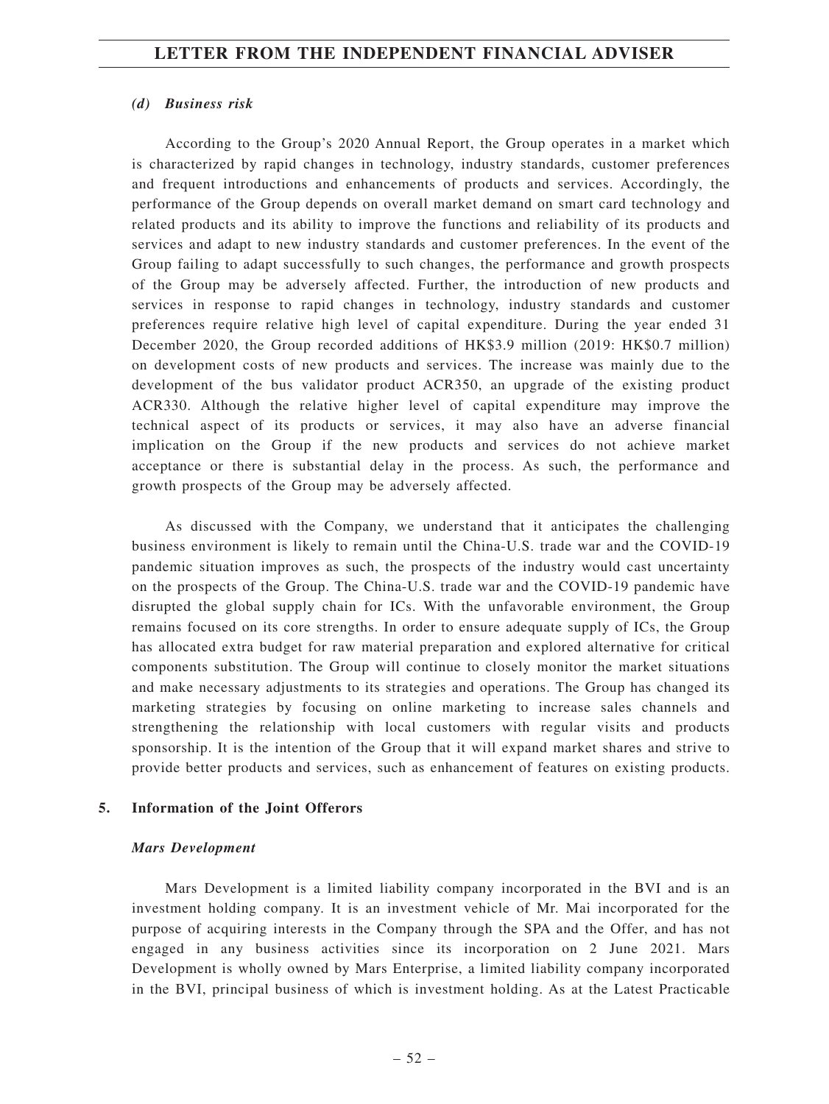#### *(d) Business risk*

According to the Group's 2020 Annual Report, the Group operates in a market which is characterized by rapid changes in technology, industry standards, customer preferences and frequent introductions and enhancements of products and services. Accordingly, the performance of the Group depends on overall market demand on smart card technology and related products and its ability to improve the functions and reliability of its products and services and adapt to new industry standards and customer preferences. In the event of the Group failing to adapt successfully to such changes, the performance and growth prospects of the Group may be adversely affected. Further, the introduction of new products and services in response to rapid changes in technology, industry standards and customer preferences require relative high level of capital expenditure. During the year ended 31 December 2020, the Group recorded additions of HK\$3.9 million (2019: HK\$0.7 million) on development costs of new products and services. The increase was mainly due to the development of the bus validator product ACR350, an upgrade of the existing product ACR330. Although the relative higher level of capital expenditure may improve the technical aspect of its products or services, it may also have an adverse financial implication on the Group if the new products and services do not achieve market acceptance or there is substantial delay in the process. As such, the performance and growth prospects of the Group may be adversely affected.

As discussed with the Company, we understand that it anticipates the challenging business environment is likely to remain until the China-U.S. trade war and the COVID-19 pandemic situation improves as such, the prospects of the industry would cast uncertainty on the prospects of the Group. The China-U.S. trade war and the COVID-19 pandemic have disrupted the global supply chain for ICs. With the unfavorable environment, the Group remains focused on its core strengths. In order to ensure adequate supply of ICs, the Group has allocated extra budget for raw material preparation and explored alternative for critical components substitution. The Group will continue to closely monitor the market situations and make necessary adjustments to its strategies and operations. The Group has changed its marketing strategies by focusing on online marketing to increase sales channels and strengthening the relationship with local customers with regular visits and products sponsorship. It is the intention of the Group that it will expand market shares and strive to provide better products and services, such as enhancement of features on existing products.

### **5. Information of the Joint Offerors**

#### *Mars Development*

Mars Development is a limited liability company incorporated in the BVI and is an investment holding company. It is an investment vehicle of Mr. Mai incorporated for the purpose of acquiring interests in the Company through the SPA and the Offer, and has not engaged in any business activities since its incorporation on 2 June 2021. Mars Development is wholly owned by Mars Enterprise, a limited liability company incorporated in the BVI, principal business of which is investment holding. As at the Latest Practicable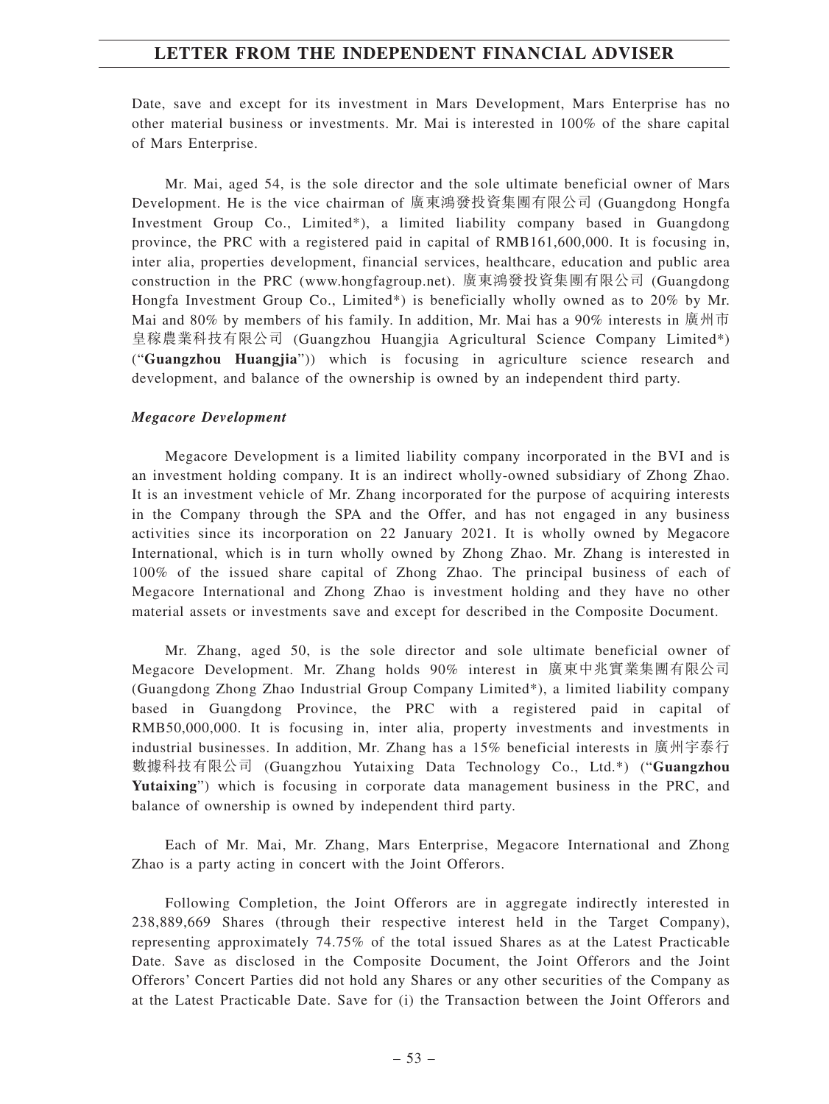Date, save and except for its investment in Mars Development, Mars Enterprise has no other material business or investments. Mr. Mai is interested in 100% of the share capital of Mars Enterprise.

Mr. Mai, aged 54, is the sole director and the sole ultimate beneficial owner of Mars Development. He is the vice chairman of 廣東鴻發投資集團有限公司 (Guangdong Hongfa Investment Group Co., Limited\*), a limited liability company based in Guangdong province, the PRC with a registered paid in capital of RMB161,600,000. It is focusing in, inter alia, properties development, financial services, healthcare, education and public area construction in the PRC (www.hongfagroup.net). 廣東鴻發投資集團有限公司 (Guangdong Hongfa Investment Group Co., Limited\*) is beneficially wholly owned as to 20% by Mr. Mai and 80% by members of his family. In addition, Mr. Mai has a 90% interests in 廣州市 皇稼農業科技有限公司 (Guangzhou Huangjia Agricultural Science Company Limited\*) ("**Guangzhou Huangjia**")) which is focusing in agriculture science research and development, and balance of the ownership is owned by an independent third party.

### *Megacore Development*

Megacore Development is a limited liability company incorporated in the BVI and is an investment holding company. It is an indirect wholly-owned subsidiary of Zhong Zhao. It is an investment vehicle of Mr. Zhang incorporated for the purpose of acquiring interests in the Company through the SPA and the Offer, and has not engaged in any business activities since its incorporation on 22 January 2021. It is wholly owned by Megacore International, which is in turn wholly owned by Zhong Zhao. Mr. Zhang is interested in 100% of the issued share capital of Zhong Zhao. The principal business of each of Megacore International and Zhong Zhao is investment holding and they have no other material assets or investments save and except for described in the Composite Document.

Mr. Zhang, aged 50, is the sole director and sole ultimate beneficial owner of Megacore Development. Mr. Zhang holds 90% interest in 廣東中兆實業集團有限公司 (Guangdong Zhong Zhao Industrial Group Company Limited\*), a limited liability company based in Guangdong Province, the PRC with a registered paid in capital of RMB50,000,000. It is focusing in, inter alia, property investments and investments in industrial businesses. In addition, Mr. Zhang has a 15% beneficial interests in 廣州宇泰行 數據科技有限公司 (Guangzhou Yutaixing Data Technology Co., Ltd.\*) ("**Guangzhou Yutaixing**") which is focusing in corporate data management business in the PRC, and balance of ownership is owned by independent third party.

Each of Mr. Mai, Mr. Zhang, Mars Enterprise, Megacore International and Zhong Zhao is a party acting in concert with the Joint Offerors.

Following Completion, the Joint Offerors are in aggregate indirectly interested in 238,889,669 Shares (through their respective interest held in the Target Company), representing approximately 74.75% of the total issued Shares as at the Latest Practicable Date. Save as disclosed in the Composite Document, the Joint Offerors and the Joint Offerors' Concert Parties did not hold any Shares or any other securities of the Company as at the Latest Practicable Date. Save for (i) the Transaction between the Joint Offerors and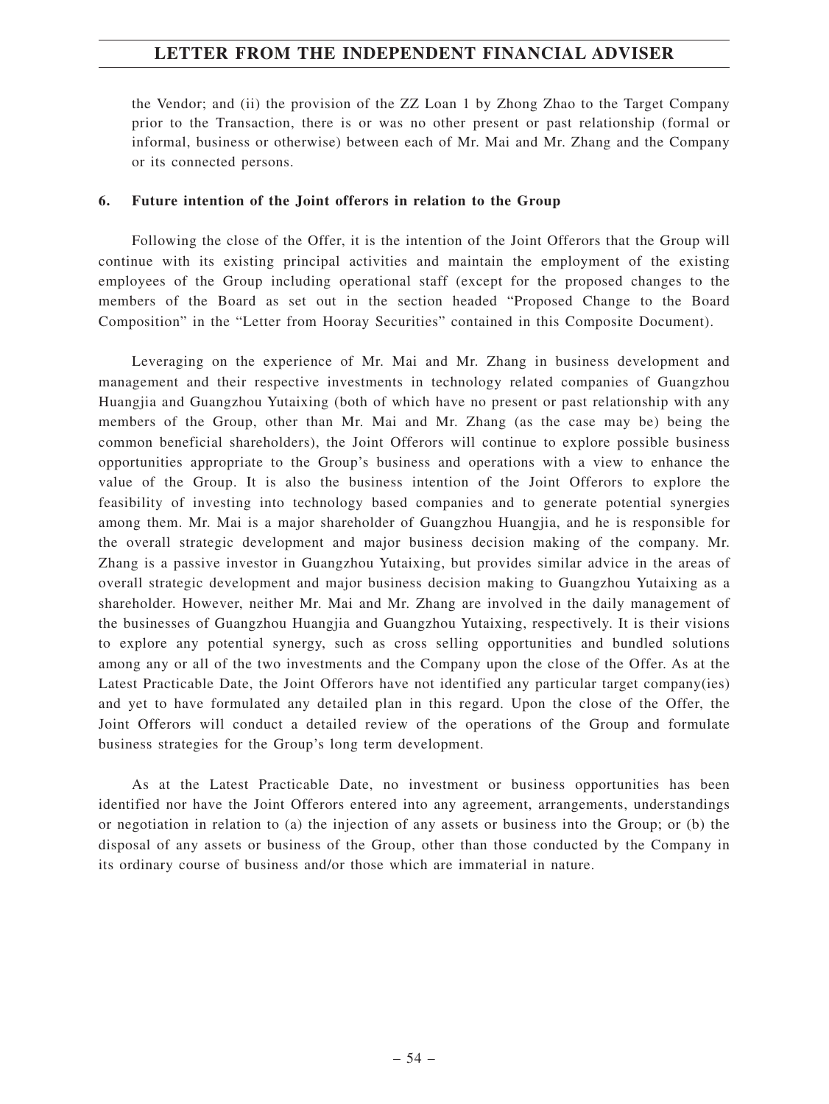the Vendor; and (ii) the provision of the ZZ Loan 1 by Zhong Zhao to the Target Company prior to the Transaction, there is or was no other present or past relationship (formal or informal, business or otherwise) between each of Mr. Mai and Mr. Zhang and the Company or its connected persons.

## **6. Future intention of the Joint offerors in relation to the Group**

Following the close of the Offer, it is the intention of the Joint Offerors that the Group will continue with its existing principal activities and maintain the employment of the existing employees of the Group including operational staff (except for the proposed changes to the members of the Board as set out in the section headed "Proposed Change to the Board Composition" in the "Letter from Hooray Securities" contained in this Composite Document).

Leveraging on the experience of Mr. Mai and Mr. Zhang in business development and management and their respective investments in technology related companies of Guangzhou Huangjia and Guangzhou Yutaixing (both of which have no present or past relationship with any members of the Group, other than Mr. Mai and Mr. Zhang (as the case may be) being the common beneficial shareholders), the Joint Offerors will continue to explore possible business opportunities appropriate to the Group's business and operations with a view to enhance the value of the Group. It is also the business intention of the Joint Offerors to explore the feasibility of investing into technology based companies and to generate potential synergies among them. Mr. Mai is a major shareholder of Guangzhou Huangjia, and he is responsible for the overall strategic development and major business decision making of the company. Mr. Zhang is a passive investor in Guangzhou Yutaixing, but provides similar advice in the areas of overall strategic development and major business decision making to Guangzhou Yutaixing as a shareholder. However, neither Mr. Mai and Mr. Zhang are involved in the daily management of the businesses of Guangzhou Huangjia and Guangzhou Yutaixing, respectively. It is their visions to explore any potential synergy, such as cross selling opportunities and bundled solutions among any or all of the two investments and the Company upon the close of the Offer. As at the Latest Practicable Date, the Joint Offerors have not identified any particular target company(ies) and yet to have formulated any detailed plan in this regard. Upon the close of the Offer, the Joint Offerors will conduct a detailed review of the operations of the Group and formulate business strategies for the Group's long term development.

As at the Latest Practicable Date, no investment or business opportunities has been identified nor have the Joint Offerors entered into any agreement, arrangements, understandings or negotiation in relation to (a) the injection of any assets or business into the Group; or (b) the disposal of any assets or business of the Group, other than those conducted by the Company in its ordinary course of business and/or those which are immaterial in nature.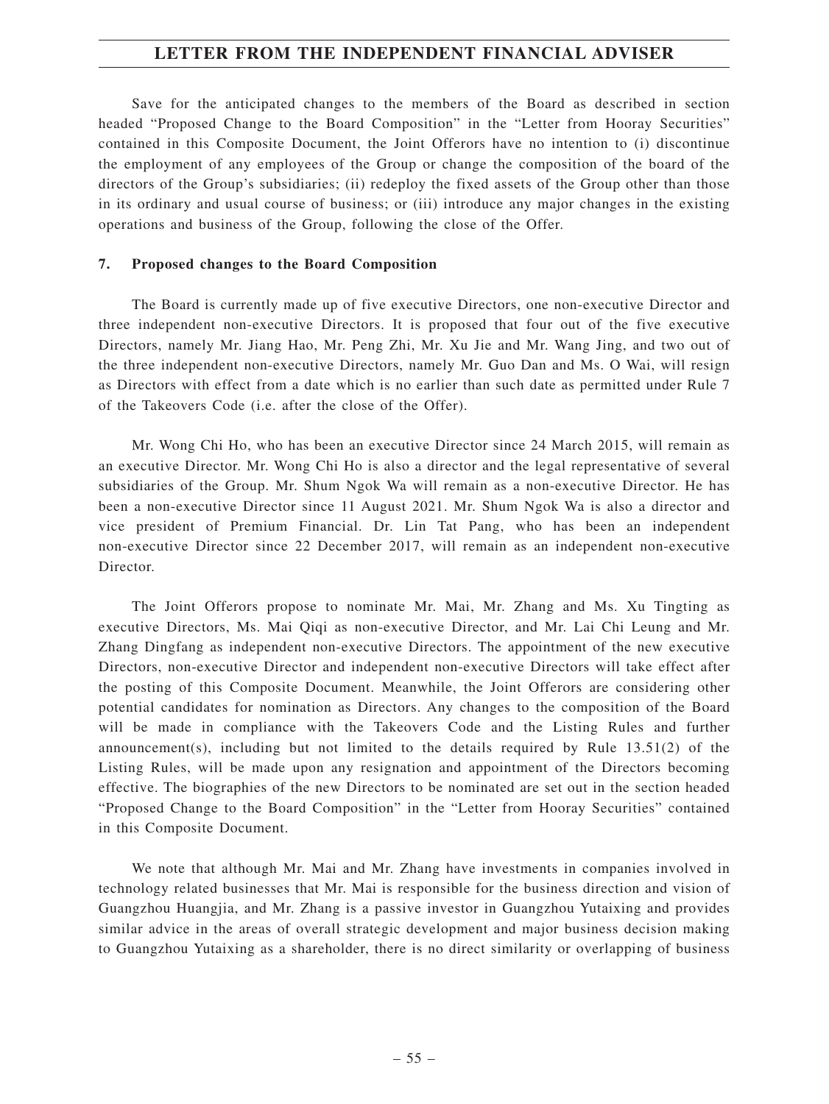Save for the anticipated changes to the members of the Board as described in section headed "Proposed Change to the Board Composition" in the "Letter from Hooray Securities" contained in this Composite Document, the Joint Offerors have no intention to (i) discontinue the employment of any employees of the Group or change the composition of the board of the directors of the Group's subsidiaries; (ii) redeploy the fixed assets of the Group other than those in its ordinary and usual course of business; or (iii) introduce any major changes in the existing operations and business of the Group, following the close of the Offer.

## **7. Proposed changes to the Board Composition**

The Board is currently made up of five executive Directors, one non-executive Director and three independent non-executive Directors. It is proposed that four out of the five executive Directors, namely Mr. Jiang Hao, Mr. Peng Zhi, Mr. Xu Jie and Mr. Wang Jing, and two out of the three independent non-executive Directors, namely Mr. Guo Dan and Ms. O Wai, will resign as Directors with effect from a date which is no earlier than such date as permitted under Rule 7 of the Takeovers Code (i.e. after the close of the Offer).

Mr. Wong Chi Ho, who has been an executive Director since 24 March 2015, will remain as an executive Director. Mr. Wong Chi Ho is also a director and the legal representative of several subsidiaries of the Group. Mr. Shum Ngok Wa will remain as a non-executive Director. He has been a non-executive Director since 11 August 2021. Mr. Shum Ngok Wa is also a director and vice president of Premium Financial. Dr. Lin Tat Pang, who has been an independent non-executive Director since 22 December 2017, will remain as an independent non-executive Director.

The Joint Offerors propose to nominate Mr. Mai, Mr. Zhang and Ms. Xu Tingting as executive Directors, Ms. Mai Qiqi as non-executive Director, and Mr. Lai Chi Leung and Mr. Zhang Dingfang as independent non-executive Directors. The appointment of the new executive Directors, non-executive Director and independent non-executive Directors will take effect after the posting of this Composite Document. Meanwhile, the Joint Offerors are considering other potential candidates for nomination as Directors. Any changes to the composition of the Board will be made in compliance with the Takeovers Code and the Listing Rules and further announcement(s), including but not limited to the details required by Rule 13.51(2) of the Listing Rules, will be made upon any resignation and appointment of the Directors becoming effective. The biographies of the new Directors to be nominated are set out in the section headed "Proposed Change to the Board Composition" in the "Letter from Hooray Securities" contained in this Composite Document.

We note that although Mr. Mai and Mr. Zhang have investments in companies involved in technology related businesses that Mr. Mai is responsible for the business direction and vision of Guangzhou Huangjia, and Mr. Zhang is a passive investor in Guangzhou Yutaixing and provides similar advice in the areas of overall strategic development and major business decision making to Guangzhou Yutaixing as a shareholder, there is no direct similarity or overlapping of business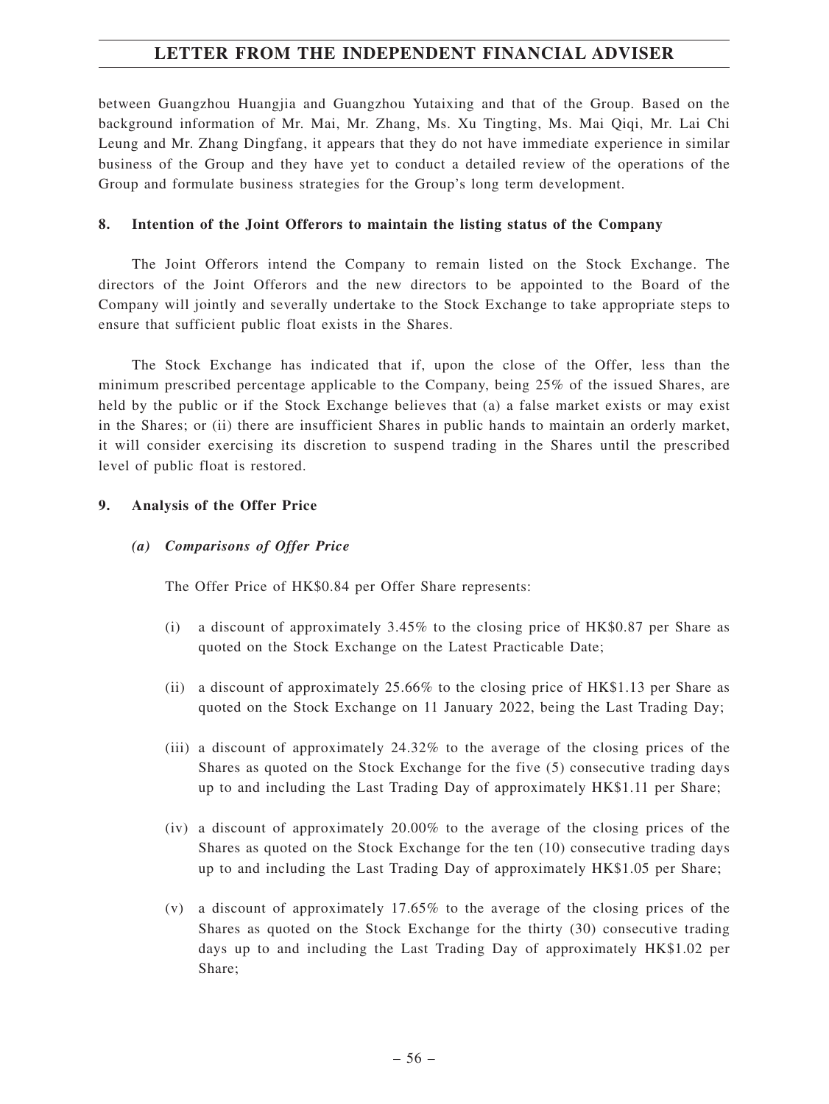between Guangzhou Huangjia and Guangzhou Yutaixing and that of the Group. Based on the background information of Mr. Mai, Mr. Zhang, Ms. Xu Tingting, Ms. Mai Qiqi, Mr. Lai Chi Leung and Mr. Zhang Dingfang, it appears that they do not have immediate experience in similar business of the Group and they have yet to conduct a detailed review of the operations of the Group and formulate business strategies for the Group's long term development.

## **8. Intention of the Joint Offerors to maintain the listing status of the Company**

The Joint Offerors intend the Company to remain listed on the Stock Exchange. The directors of the Joint Offerors and the new directors to be appointed to the Board of the Company will jointly and severally undertake to the Stock Exchange to take appropriate steps to ensure that sufficient public float exists in the Shares.

The Stock Exchange has indicated that if, upon the close of the Offer, less than the minimum prescribed percentage applicable to the Company, being 25% of the issued Shares, are held by the public or if the Stock Exchange believes that (a) a false market exists or may exist in the Shares; or (ii) there are insufficient Shares in public hands to maintain an orderly market, it will consider exercising its discretion to suspend trading in the Shares until the prescribed level of public float is restored.

## **9. Analysis of the Offer Price**

## *(a) Comparisons of Offer Price*

The Offer Price of HK\$0.84 per Offer Share represents:

- (i) a discount of approximately 3.45% to the closing price of HK\$0.87 per Share as quoted on the Stock Exchange on the Latest Practicable Date;
- (ii) a discount of approximately 25.66% to the closing price of HK\$1.13 per Share as quoted on the Stock Exchange on 11 January 2022, being the Last Trading Day;
- (iii) a discount of approximately 24.32% to the average of the closing prices of the Shares as quoted on the Stock Exchange for the five (5) consecutive trading days up to and including the Last Trading Day of approximately HK\$1.11 per Share;
- (iv) a discount of approximately 20.00% to the average of the closing prices of the Shares as quoted on the Stock Exchange for the ten (10) consecutive trading days up to and including the Last Trading Day of approximately HK\$1.05 per Share;
- (v) a discount of approximately 17.65% to the average of the closing prices of the Shares as quoted on the Stock Exchange for the thirty (30) consecutive trading days up to and including the Last Trading Day of approximately HK\$1.02 per Share;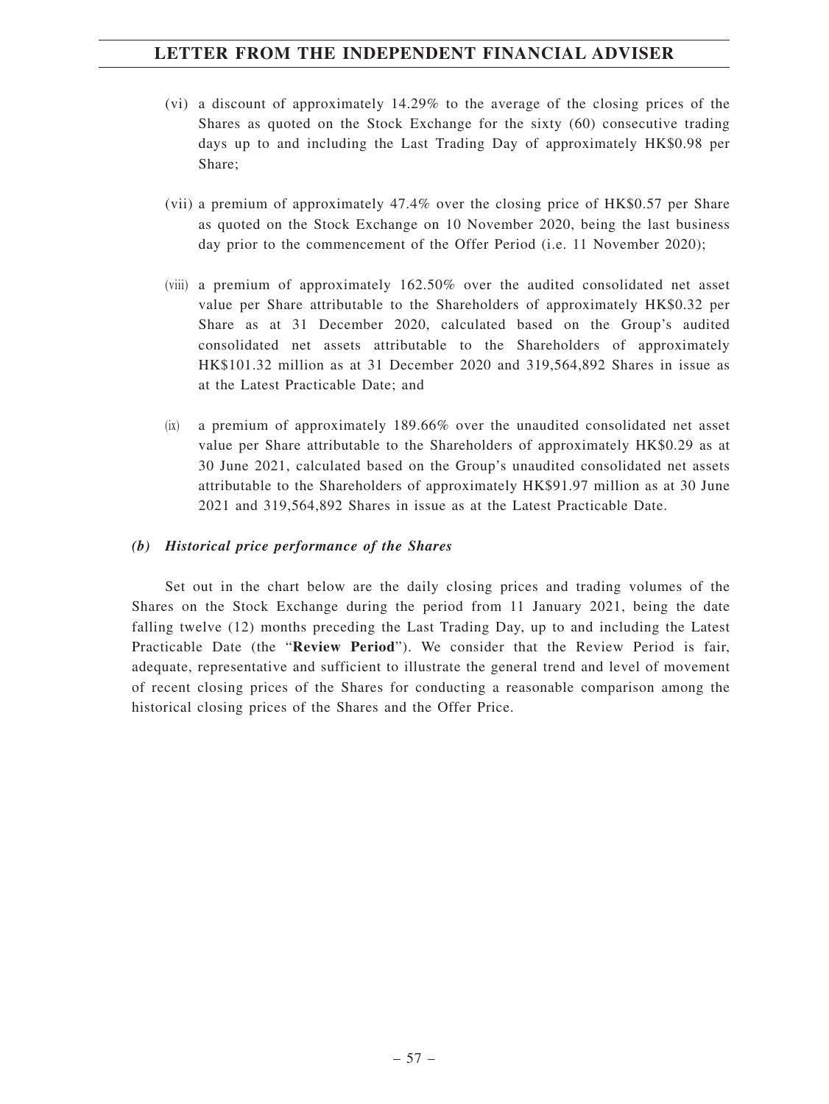- (vi) a discount of approximately 14.29% to the average of the closing prices of the Shares as quoted on the Stock Exchange for the sixty (60) consecutive trading days up to and including the Last Trading Day of approximately HK\$0.98 per Share;
- (vii) a premium of approximately 47.4% over the closing price of HK\$0.57 per Share as quoted on the Stock Exchange on 10 November 2020, being the last business day prior to the commencement of the Offer Period (i.e. 11 November 2020);
- (viii) a premium of approximately 162.50% over the audited consolidated net asset value per Share attributable to the Shareholders of approximately HK\$0.32 per Share as at 31 December 2020, calculated based on the Group's audited consolidated net assets attributable to the Shareholders of approximately HK\$101.32 million as at 31 December 2020 and 319,564,892 Shares in issue as at the Latest Practicable Date; and
- (ix) a premium of approximately 189.66% over the unaudited consolidated net asset value per Share attributable to the Shareholders of approximately HK\$0.29 as at 30 June 2021, calculated based on the Group's unaudited consolidated net assets attributable to the Shareholders of approximately HK\$91.97 million as at 30 June 2021 and 319,564,892 Shares in issue as at the Latest Practicable Date.

## *(b) Historical price performance of the Shares*

Set out in the chart below are the daily closing prices and trading volumes of the Shares on the Stock Exchange during the period from 11 January 2021, being the date falling twelve (12) months preceding the Last Trading Day, up to and including the Latest Practicable Date (the "**Review Period**"). We consider that the Review Period is fair, adequate, representative and sufficient to illustrate the general trend and level of movement of recent closing prices of the Shares for conducting a reasonable comparison among the historical closing prices of the Shares and the Offer Price.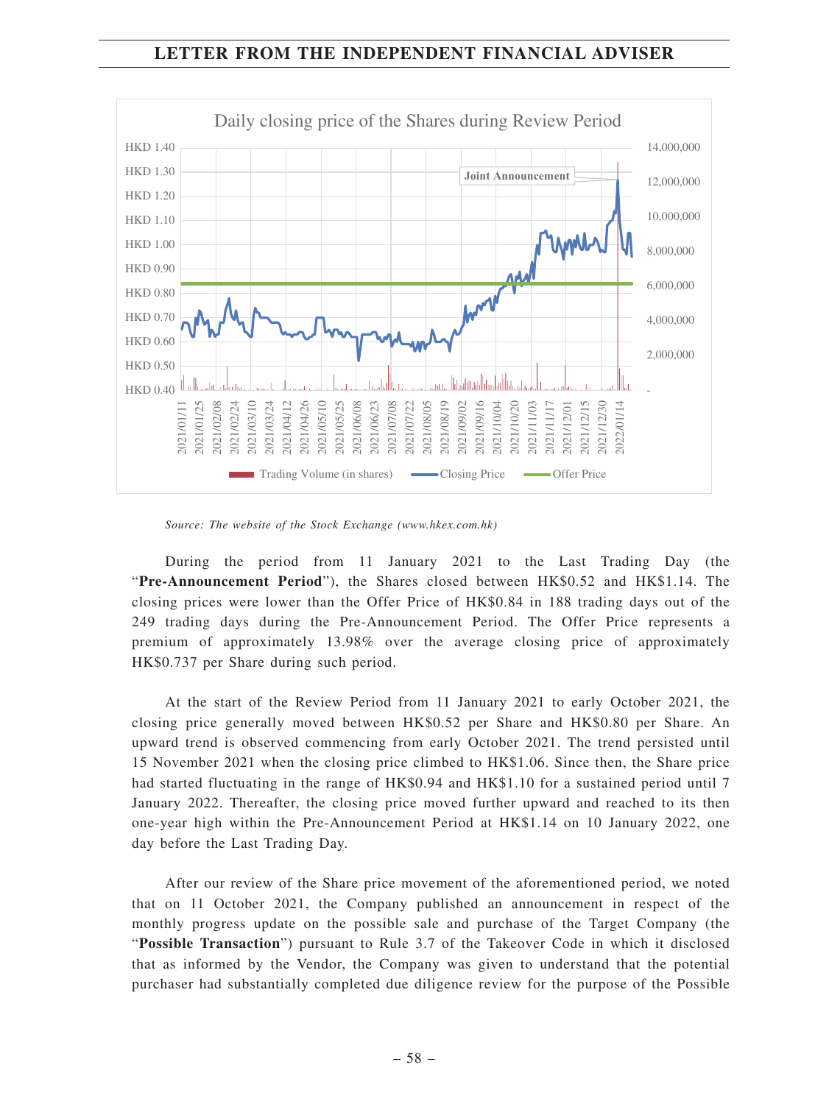

*Source: The website of the Stock Exchange (www.hkex.com.hk)*

During the period from 11 January 2021 to the Last Trading Day (the "**Pre-Announcement Period**"), the Shares closed between HK\$0.52 and HK\$1.14. The closing prices were lower than the Offer Price of HK\$0.84 in 188 trading days out of the 249 trading days during the Pre-Announcement Period. The Offer Price represents a premium of approximately 13.98% over the average closing price of approximately HK\$0.737 per Share during such period.

At the start of the Review Period from 11 January 2021 to early October 2021, the closing price generally moved between HK\$0.52 per Share and HK\$0.80 per Share. An upward trend is observed commencing from early October 2021. The trend persisted until 15 November 2021 when the closing price climbed to HK\$1.06. Since then, the Share price had started fluctuating in the range of HK\$0.94 and HK\$1.10 for a sustained period until 7 January 2022. Thereafter, the closing price moved further upward and reached to its then one-year high within the Pre-Announcement Period at HK\$1.14 on 10 January 2022, one day before the Last Trading Day.

After our review of the Share price movement of the aforementioned period, we noted that on 11 October 2021, the Company published an announcement in respect of the monthly progress update on the possible sale and purchase of the Target Company (the "**Possible Transaction**") pursuant to Rule 3.7 of the Takeover Code in which it disclosed that as informed by the Vendor, the Company was given to understand that the potential purchaser had substantially completed due diligence review for the purpose of the Possible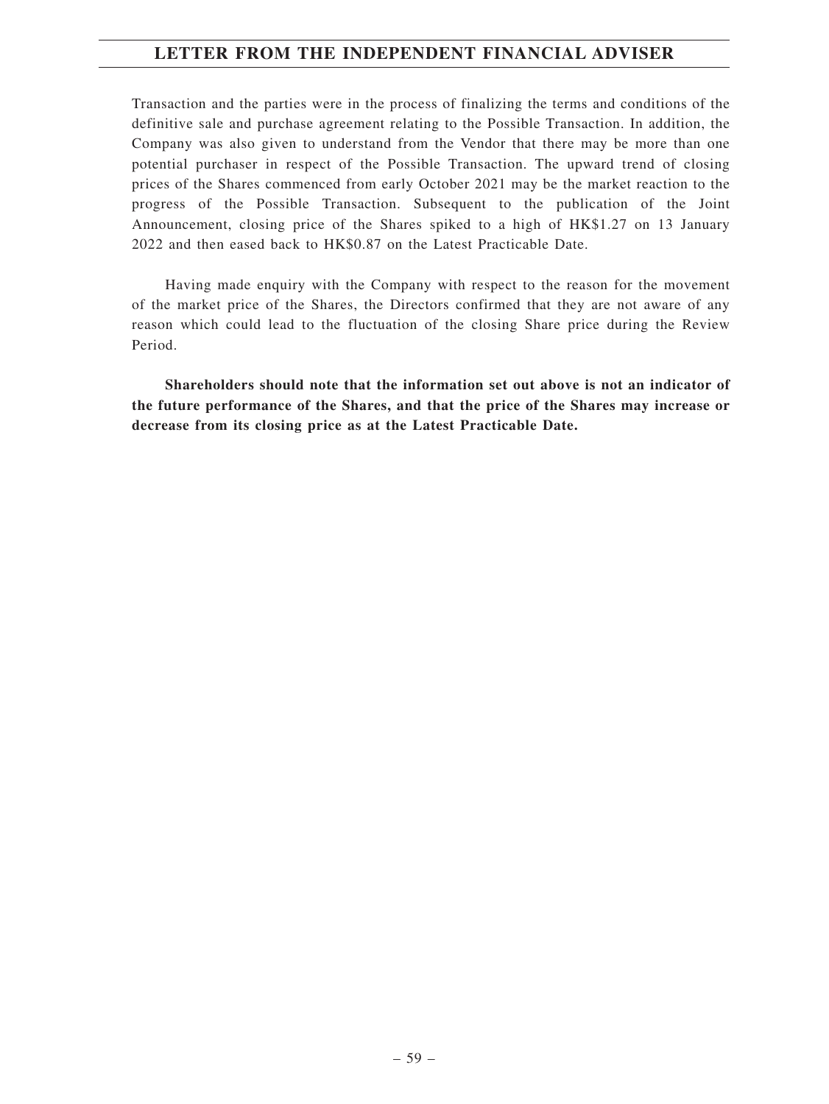Transaction and the parties were in the process of finalizing the terms and conditions of the definitive sale and purchase agreement relating to the Possible Transaction. In addition, the Company was also given to understand from the Vendor that there may be more than one potential purchaser in respect of the Possible Transaction. The upward trend of closing prices of the Shares commenced from early October 2021 may be the market reaction to the progress of the Possible Transaction. Subsequent to the publication of the Joint Announcement, closing price of the Shares spiked to a high of HK\$1.27 on 13 January 2022 and then eased back to HK\$0.87 on the Latest Practicable Date.

Having made enquiry with the Company with respect to the reason for the movement of the market price of the Shares, the Directors confirmed that they are not aware of any reason which could lead to the fluctuation of the closing Share price during the Review Period.

**Shareholders should note that the information set out above is not an indicator of the future performance of the Shares, and that the price of the Shares may increase or decrease from its closing price as at the Latest Practicable Date.**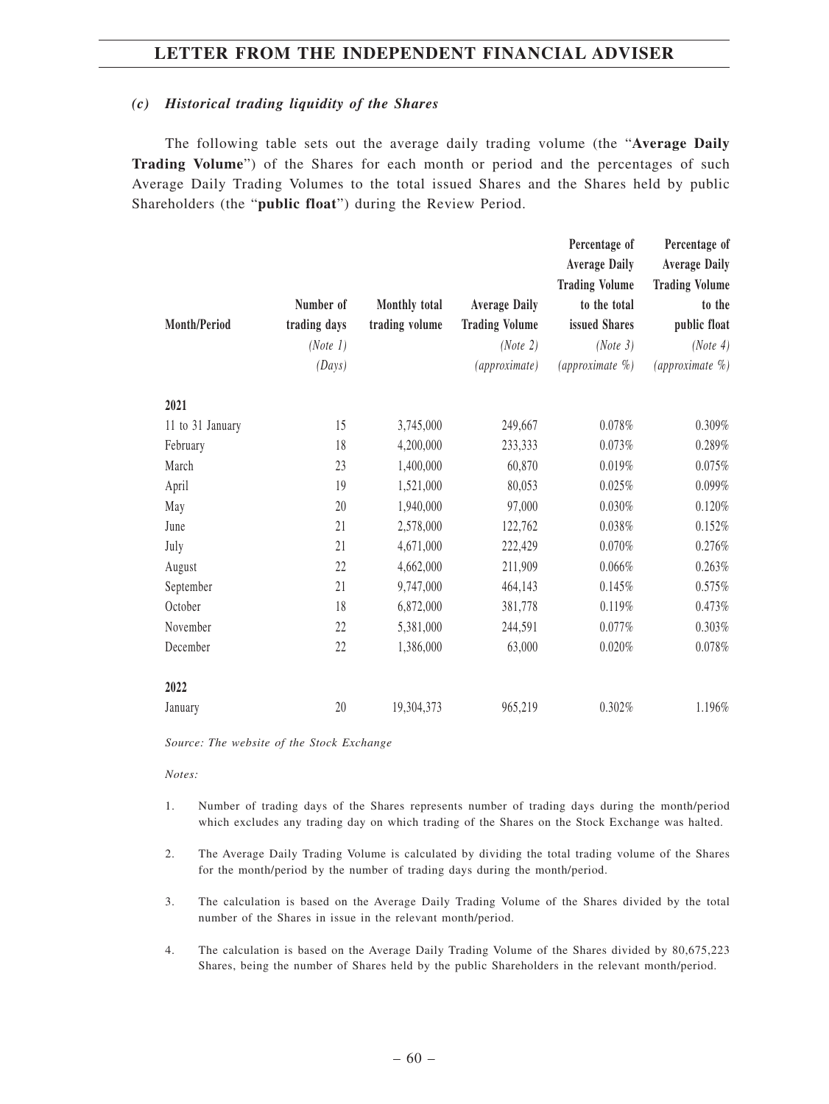#### *(c) Historical trading liquidity of the Shares*

The following table sets out the average daily trading volume (the "**Average Daily Trading Volume**") of the Shares for each month or period and the percentages of such Average Daily Trading Volumes to the total issued Shares and the Shares held by public Shareholders (the "**public float**") during the Review Period.

|                  | Number of    | Monthly total  | <b>Average Daily</b>  | Percentage of<br><b>Average Daily</b><br><b>Trading Volume</b><br>to the total | Percentage of<br><b>Average Daily</b><br><b>Trading Volume</b><br>to the |
|------------------|--------------|----------------|-----------------------|--------------------------------------------------------------------------------|--------------------------------------------------------------------------|
| Month/Period     | trading days | trading volume | <b>Trading Volume</b> | issued Shares                                                                  | public float                                                             |
|                  | (Note 1)     |                | (Note 2)              | (Note 3)                                                                       | (Note 4)                                                                 |
|                  | (Days)       |                | (approximate)         | (approximate $\%$ )                                                            | (approximate %)                                                          |
| 2021             |              |                |                       |                                                                                |                                                                          |
| 11 to 31 January | 15           | 3,745,000      | 249,667               | $0.078\%$                                                                      | 0.309%                                                                   |
| February         | 18           | 4,200,000      | 233,333               | 0.073%                                                                         | 0.289%                                                                   |
| March            | 23           | 1,400,000      | 60,870                | 0.019%                                                                         | 0.075%                                                                   |
| April            | 19           | 1,521,000      | 80,053                | 0.025%                                                                         | 0.099%                                                                   |
| May              | 20           | 1,940,000      | 97,000                | 0.030%                                                                         | 0.120%                                                                   |
| June             | 21           | 2,578,000      | 122,762               | 0.038%                                                                         | 0.152%                                                                   |
| July             | 21           | 4,671,000      | 222,429               | $0.070\%$                                                                      | 0.276%                                                                   |
| August           | 22           | 4,662,000      | 211,909               | 0.066%                                                                         | 0.263%                                                                   |
| September        | 21           | 9,747,000      | 464,143               | 0.145%                                                                         | 0.575%                                                                   |
| October          | 18           | 6,872,000      | 381,778               | 0.119%                                                                         | 0.473%                                                                   |
| November         | 22           | 5,381,000      | 244,591               | 0.077%                                                                         | 0.303%                                                                   |
| December         | 22           | 1,386,000      | 63,000                | 0.020%                                                                         | $0.078\%$                                                                |
| 2022             |              |                |                       |                                                                                |                                                                          |
| January          | 20           | 19,304,373     | 965,219               | 0.302%                                                                         | 1.196%                                                                   |

*Source: The website of the Stock Exchange*

*Notes:*

- 1. Number of trading days of the Shares represents number of trading days during the month/period which excludes any trading day on which trading of the Shares on the Stock Exchange was halted.
- 2. The Average Daily Trading Volume is calculated by dividing the total trading volume of the Shares for the month/period by the number of trading days during the month/period.
- 3. The calculation is based on the Average Daily Trading Volume of the Shares divided by the total number of the Shares in issue in the relevant month/period.
- 4. The calculation is based on the Average Daily Trading Volume of the Shares divided by 80,675,223 Shares, being the number of Shares held by the public Shareholders in the relevant month/period.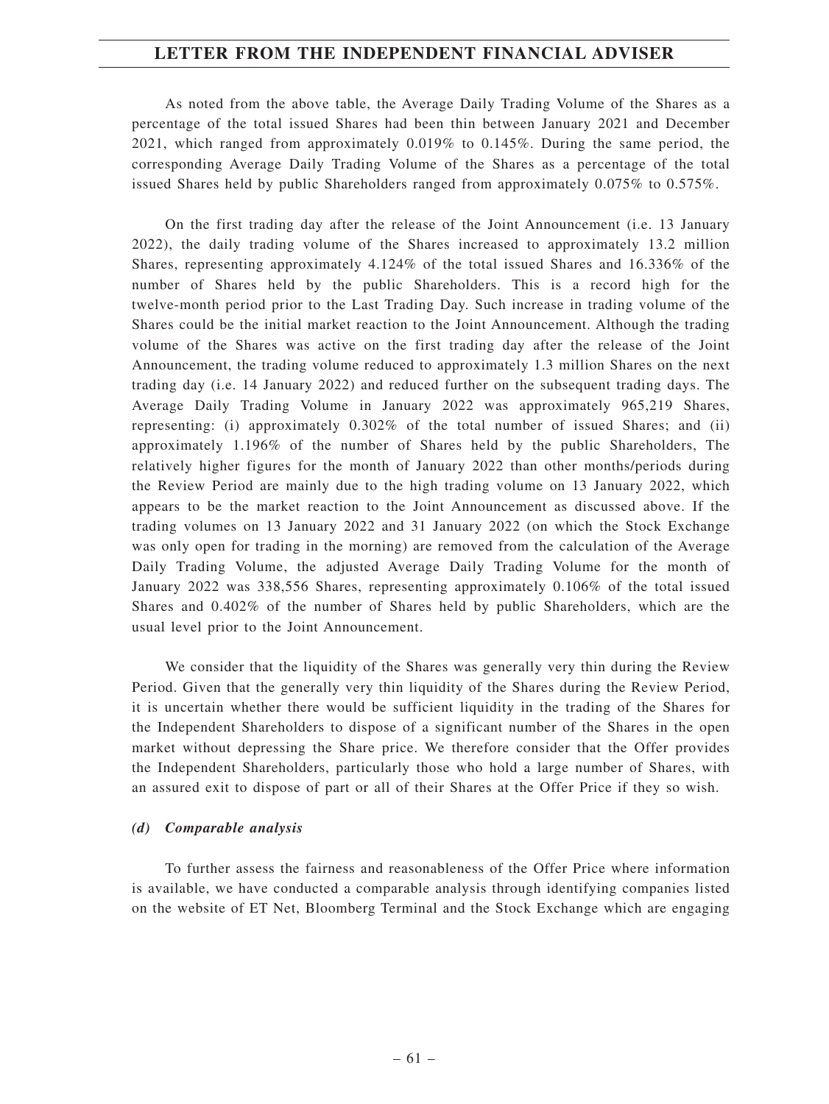As noted from the above table, the Average Daily Trading Volume of the Shares as a percentage of the total issued Shares had been thin between January 2021 and December 2021, which ranged from approximately 0.019% to 0.145%. During the same period, the corresponding Average Daily Trading Volume of the Shares as a percentage of the total issued Shares held by public Shareholders ranged from approximately 0.075% to 0.575%.

On the first trading day after the release of the Joint Announcement (i.e. 13 January 2022), the daily trading volume of the Shares increased to approximately 13.2 million Shares, representing approximately 4.124% of the total issued Shares and 16.336% of the number of Shares held by the public Shareholders. This is a record high for the twelve-month period prior to the Last Trading Day. Such increase in trading volume of the Shares could be the initial market reaction to the Joint Announcement. Although the trading volume of the Shares was active on the first trading day after the release of the Joint Announcement, the trading volume reduced to approximately 1.3 million Shares on the next trading day (i.e. 14 January 2022) and reduced further on the subsequent trading days. The Average Daily Trading Volume in January 2022 was approximately 965,219 Shares, representing: (i) approximately 0.302% of the total number of issued Shares; and (ii) approximately 1.196% of the number of Shares held by the public Shareholders, The relatively higher figures for the month of January 2022 than other months/periods during the Review Period are mainly due to the high trading volume on 13 January 2022, which appears to be the market reaction to the Joint Announcement as discussed above. If the trading volumes on 13 January 2022 and 31 January 2022 (on which the Stock Exchange was only open for trading in the morning) are removed from the calculation of the Average Daily Trading Volume, the adjusted Average Daily Trading Volume for the month of January 2022 was 338,556 Shares, representing approximately 0.106% of the total issued Shares and 0.402% of the number of Shares held by public Shareholders, which are the usual level prior to the Joint Announcement.

We consider that the liquidity of the Shares was generally very thin during the Review Period. Given that the generally very thin liquidity of the Shares during the Review Period, it is uncertain whether there would be sufficient liquidity in the trading of the Shares for the Independent Shareholders to dispose of a significant number of the Shares in the open market without depressing the Share price. We therefore consider that the Offer provides the Independent Shareholders, particularly those who hold a large number of Shares, with an assured exit to dispose of part or all of their Shares at the Offer Price if they so wish.

### *(d) Comparable analysis*

To further assess the fairness and reasonableness of the Offer Price where information is available, we have conducted a comparable analysis through identifying companies listed on the website of ET Net, Bloomberg Terminal and the Stock Exchange which are engaging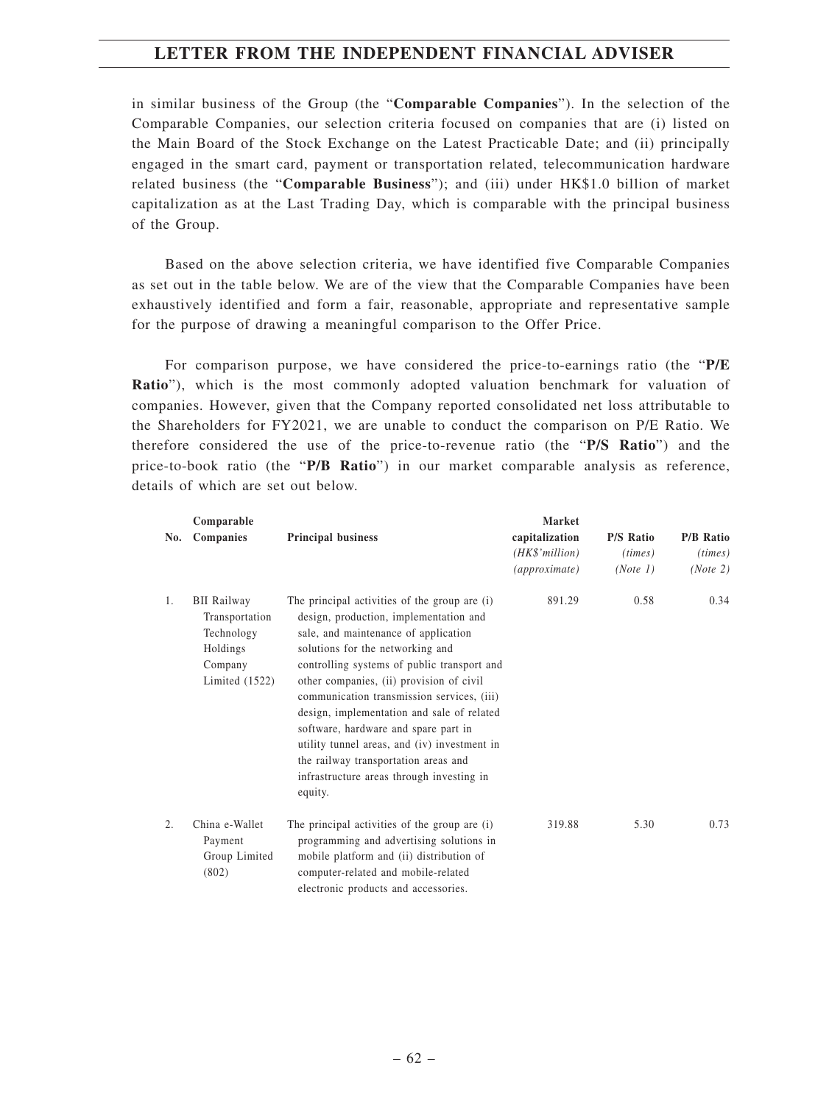in similar business of the Group (the "**Comparable Companies**"). In the selection of the Comparable Companies, our selection criteria focused on companies that are (i) listed on the Main Board of the Stock Exchange on the Latest Practicable Date; and (ii) principally engaged in the smart card, payment or transportation related, telecommunication hardware related business (the "**Comparable Business**"); and (iii) under HK\$1.0 billion of market capitalization as at the Last Trading Day, which is comparable with the principal business of the Group.

Based on the above selection criteria, we have identified five Comparable Companies as set out in the table below. We are of the view that the Comparable Companies have been exhaustively identified and form a fair, reasonable, appropriate and representative sample for the purpose of drawing a meaningful comparison to the Offer Price.

For comparison purpose, we have considered the price-to-earnings ratio (the "**P/E Ratio**"), which is the most commonly adopted valuation benchmark for valuation of companies. However, given that the Company reported consolidated net loss attributable to the Shareholders for FY2021, we are unable to conduct the comparison on P/E Ratio. We therefore considered the use of the price-to-revenue ratio (the "**P/S Ratio**") and the price-to-book ratio (the "**P/B Ratio**") in our market comparable analysis as reference, details of which are set out below.

|     | Comparable                                                                                    |                                                                                                                                                                                                                                                                                                                                                                                                                                                                                                                                                    | <b>Market</b>  |                  |                  |
|-----|-----------------------------------------------------------------------------------------------|----------------------------------------------------------------------------------------------------------------------------------------------------------------------------------------------------------------------------------------------------------------------------------------------------------------------------------------------------------------------------------------------------------------------------------------------------------------------------------------------------------------------------------------------------|----------------|------------------|------------------|
| No. | Companies                                                                                     | <b>Principal business</b>                                                                                                                                                                                                                                                                                                                                                                                                                                                                                                                          | capitalization | <b>P/S Ratio</b> | <b>P/B Ratio</b> |
|     |                                                                                               |                                                                                                                                                                                                                                                                                                                                                                                                                                                                                                                                                    | (HK\$'million) | (times)          | (times)          |
|     |                                                                                               |                                                                                                                                                                                                                                                                                                                                                                                                                                                                                                                                                    | (approximate)  | (Note 1)         | (Note 2)         |
| 1.  | <b>BII Railway</b><br>Transportation<br>Technology<br>Holdings<br>Company<br>Limited $(1522)$ | The principal activities of the group are (i)<br>design, production, implementation and<br>sale, and maintenance of application<br>solutions for the networking and<br>controlling systems of public transport and<br>other companies, (ii) provision of civil<br>communication transmission services, (iii)<br>design, implementation and sale of related<br>software, hardware and spare part in<br>utility tunnel areas, and (iv) investment in<br>the railway transportation areas and<br>infrastructure areas through investing in<br>equity. | 891.29         | 0.58             | 0.34             |
| 2.  | China e-Wallet<br>Payment<br>Group Limited<br>(802)                                           | The principal activities of the group are (i)<br>programming and advertising solutions in<br>mobile platform and (ii) distribution of<br>computer-related and mobile-related<br>electronic products and accessories.                                                                                                                                                                                                                                                                                                                               | 319.88         | 5.30             | 0.73             |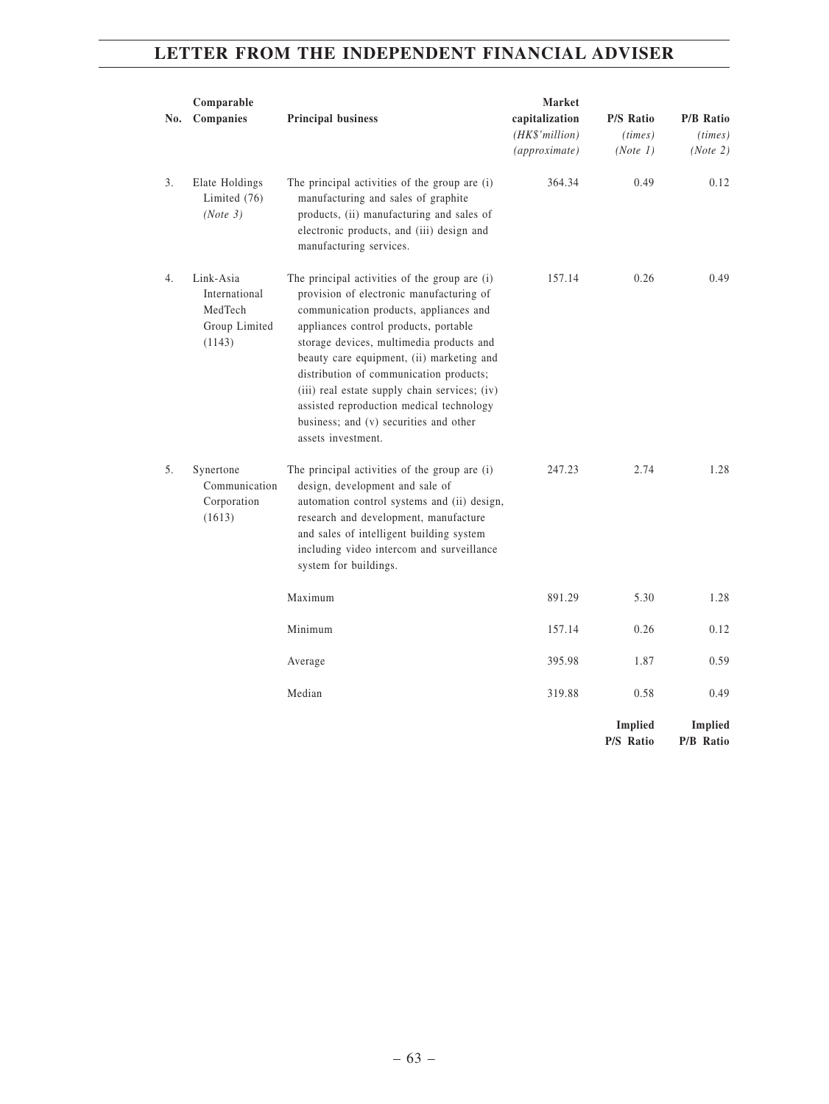| No. | Comparable<br>Companies                                          | <b>Principal business</b>                                                                                                                                                                                                                                                                                                                                                                                                                                                     | Market<br>capitalization<br>(HK\$' million)<br>(approximate) | <b>P/S Ratio</b><br>(times)<br>(Note 1) | <b>P/B Ratio</b><br>(times)<br>(Note 2) |
|-----|------------------------------------------------------------------|-------------------------------------------------------------------------------------------------------------------------------------------------------------------------------------------------------------------------------------------------------------------------------------------------------------------------------------------------------------------------------------------------------------------------------------------------------------------------------|--------------------------------------------------------------|-----------------------------------------|-----------------------------------------|
| 3.  | Elate Holdings<br>Limited (76)<br>(Note 3)                       | The principal activities of the group are (i)<br>manufacturing and sales of graphite<br>products, (ii) manufacturing and sales of<br>electronic products, and (iii) design and<br>manufacturing services.                                                                                                                                                                                                                                                                     | 364.34                                                       | 0.49                                    | 0.12                                    |
| 4.  | Link-Asia<br>International<br>MedTech<br>Group Limited<br>(1143) | The principal activities of the group are (i)<br>provision of electronic manufacturing of<br>communication products, appliances and<br>appliances control products, portable<br>storage devices, multimedia products and<br>beauty care equipment, (ii) marketing and<br>distribution of communication products;<br>(iii) real estate supply chain services; (iv)<br>assisted reproduction medical technology<br>business; and (v) securities and other<br>assets investment. | 157.14                                                       | 0.26                                    | 0.49                                    |
| 5.  | Synertone<br>Communication<br>Corporation<br>(1613)              | The principal activities of the group are (i)<br>design, development and sale of<br>automation control systems and (ii) design,<br>research and development, manufacture<br>and sales of intelligent building system<br>including video intercom and surveillance<br>system for buildings.                                                                                                                                                                                    | 247.23                                                       | 2.74                                    | 1.28                                    |
|     |                                                                  | Maximum                                                                                                                                                                                                                                                                                                                                                                                                                                                                       | 891.29                                                       | 5.30                                    | 1.28                                    |
|     |                                                                  | Minimum                                                                                                                                                                                                                                                                                                                                                                                                                                                                       | 157.14                                                       | 0.26                                    | 0.12                                    |
|     |                                                                  | Average                                                                                                                                                                                                                                                                                                                                                                                                                                                                       | 395.98                                                       | 1.87                                    | 0.59                                    |
|     |                                                                  | Median                                                                                                                                                                                                                                                                                                                                                                                                                                                                        | 319.88                                                       | 0.58                                    | 0.49                                    |
|     |                                                                  |                                                                                                                                                                                                                                                                                                                                                                                                                                                                               |                                                              | <b>Implied</b><br>P/S Ratio             | <b>Implied</b><br>P/B Ratio             |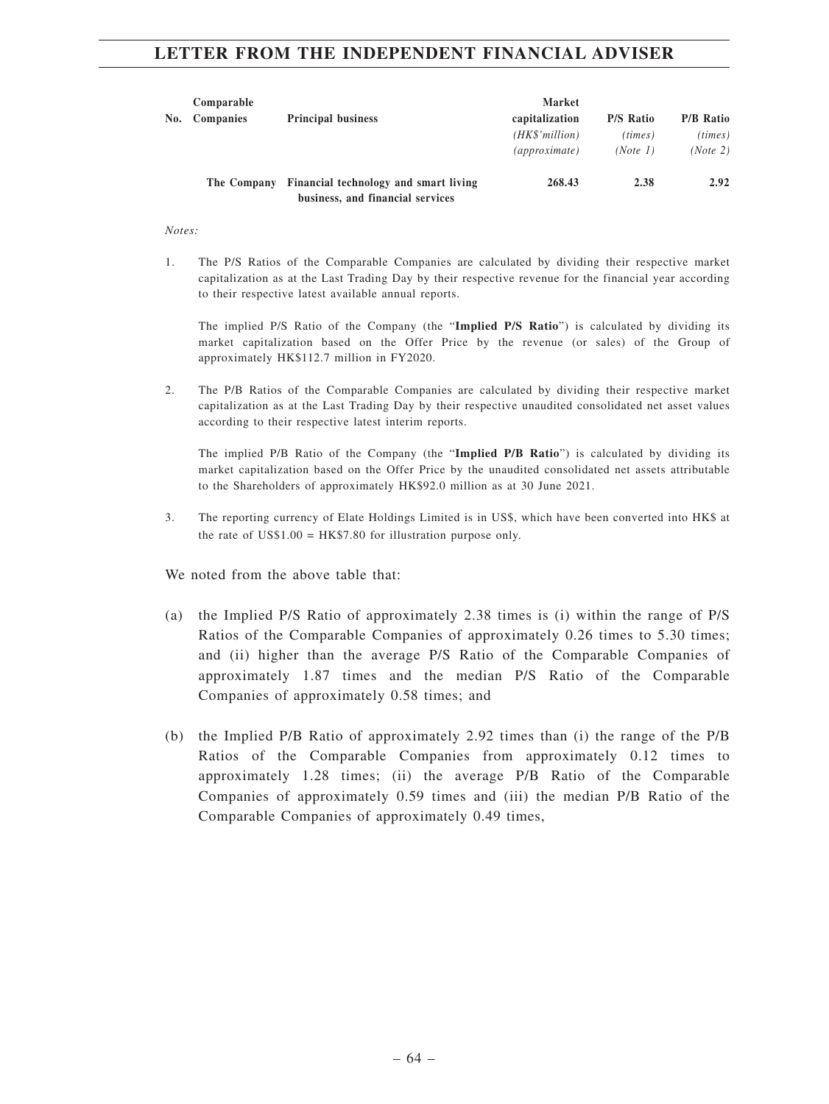| No. | Comparable<br><b>Companies</b> | <b>Principal business</b>                                                 | Market<br>capitalization<br>$(HK\$ <sup>'million)</sup><br><i>(approximate)</i> | <b>P/S Ratio</b><br>(times)<br>(Note 1) | <b>P/B Ratio</b><br>(times)<br>(Note 2) |
|-----|--------------------------------|---------------------------------------------------------------------------|---------------------------------------------------------------------------------|-----------------------------------------|-----------------------------------------|
|     | The Company                    | Financial technology and smart living<br>business, and financial services | 268.43                                                                          | 2.38                                    | 2.92                                    |

*Notes:*

1. The P/S Ratios of the Comparable Companies are calculated by dividing their respective market capitalization as at the Last Trading Day by their respective revenue for the financial year according to their respective latest available annual reports.

The implied P/S Ratio of the Company (the "**Implied P/S Ratio**") is calculated by dividing its market capitalization based on the Offer Price by the revenue (or sales) of the Group of approximately HK\$112.7 million in FY2020.

2. The P/B Ratios of the Comparable Companies are calculated by dividing their respective market capitalization as at the Last Trading Day by their respective unaudited consolidated net asset values according to their respective latest interim reports.

The implied P/B Ratio of the Company (the "**Implied P/B Ratio**") is calculated by dividing its market capitalization based on the Offer Price by the unaudited consolidated net assets attributable to the Shareholders of approximately HK\$92.0 million as at 30 June 2021.

3. The reporting currency of Elate Holdings Limited is in US\$, which have been converted into HK\$ at the rate of  $USS1.00 = HK$7.80$  for illustration purpose only.

We noted from the above table that:

- (a) the Implied P/S Ratio of approximately 2.38 times is (i) within the range of P/S Ratios of the Comparable Companies of approximately 0.26 times to 5.30 times; and (ii) higher than the average P/S Ratio of the Comparable Companies of approximately 1.87 times and the median P/S Ratio of the Comparable Companies of approximately 0.58 times; and
- (b) the Implied P/B Ratio of approximately 2.92 times than (i) the range of the P/B Ratios of the Comparable Companies from approximately 0.12 times to approximately 1.28 times; (ii) the average P/B Ratio of the Comparable Companies of approximately 0.59 times and (iii) the median P/B Ratio of the Comparable Companies of approximately 0.49 times,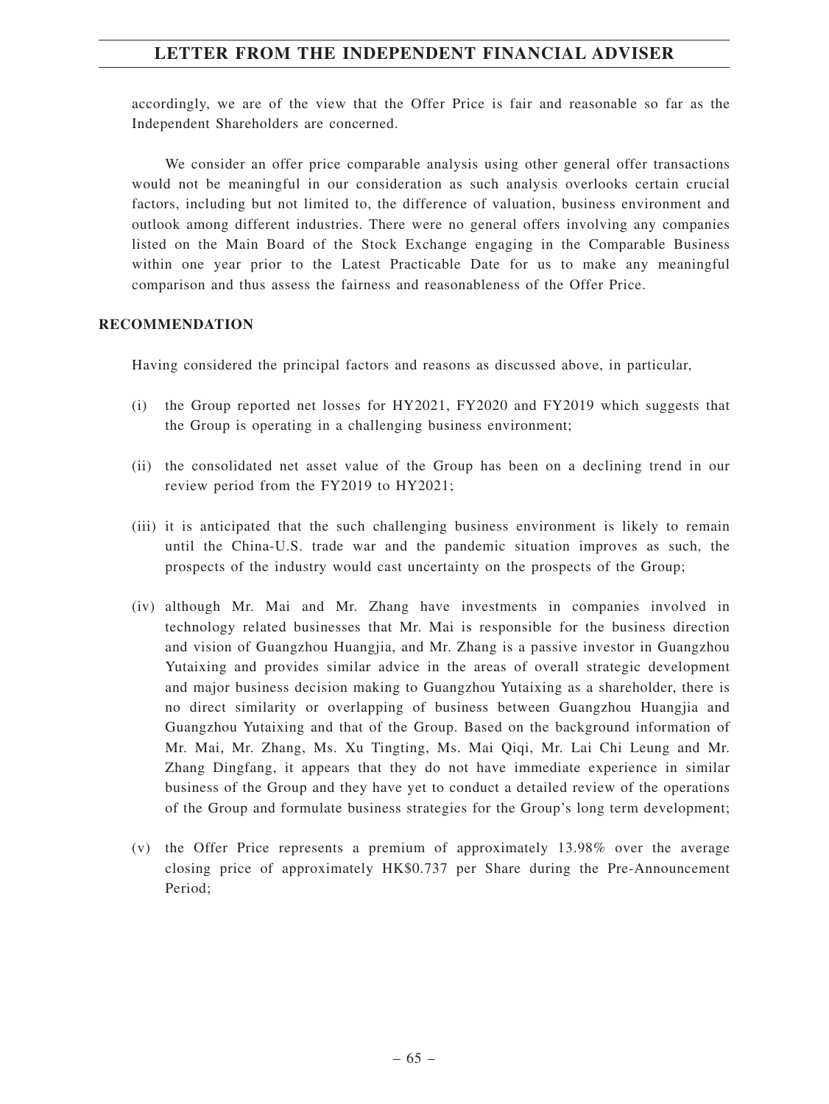accordingly, we are of the view that the Offer Price is fair and reasonable so far as the Independent Shareholders are concerned.

We consider an offer price comparable analysis using other general offer transactions would not be meaningful in our consideration as such analysis overlooks certain crucial factors, including but not limited to, the difference of valuation, business environment and outlook among different industries. There were no general offers involving any companies listed on the Main Board of the Stock Exchange engaging in the Comparable Business within one year prior to the Latest Practicable Date for us to make any meaningful comparison and thus assess the fairness and reasonableness of the Offer Price.

## **RECOMMENDATION**

Having considered the principal factors and reasons as discussed above, in particular,

- (i) the Group reported net losses for HY2021, FY2020 and FY2019 which suggests that the Group is operating in a challenging business environment;
- (ii) the consolidated net asset value of the Group has been on a declining trend in our review period from the FY2019 to HY2021;
- (iii) it is anticipated that the such challenging business environment is likely to remain until the China-U.S. trade war and the pandemic situation improves as such, the prospects of the industry would cast uncertainty on the prospects of the Group;
- (iv) although Mr. Mai and Mr. Zhang have investments in companies involved in technology related businesses that Mr. Mai is responsible for the business direction and vision of Guangzhou Huangjia, and Mr. Zhang is a passive investor in Guangzhou Yutaixing and provides similar advice in the areas of overall strategic development and major business decision making to Guangzhou Yutaixing as a shareholder, there is no direct similarity or overlapping of business between Guangzhou Huangjia and Guangzhou Yutaixing and that of the Group. Based on the background information of Mr. Mai, Mr. Zhang, Ms. Xu Tingting, Ms. Mai Qiqi, Mr. Lai Chi Leung and Mr. Zhang Dingfang, it appears that they do not have immediate experience in similar business of the Group and they have yet to conduct a detailed review of the operations of the Group and formulate business strategies for the Group's long term development;
- (v) the Offer Price represents a premium of approximately 13.98% over the average closing price of approximately HK\$0.737 per Share during the Pre-Announcement Period;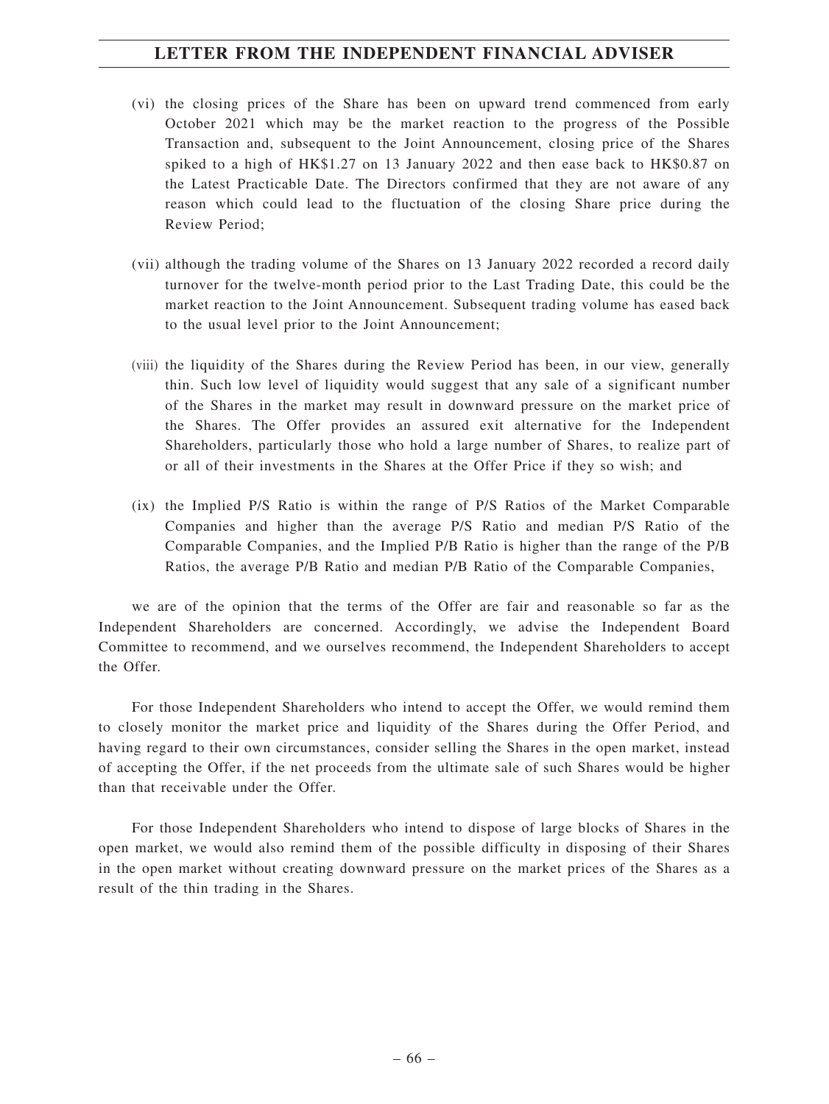- (vi) the closing prices of the Share has been on upward trend commenced from early October 2021 which may be the market reaction to the progress of the Possible Transaction and, subsequent to the Joint Announcement, closing price of the Shares spiked to a high of HK\$1.27 on 13 January 2022 and then ease back to HK\$0.87 on the Latest Practicable Date. The Directors confirmed that they are not aware of any reason which could lead to the fluctuation of the closing Share price during the Review Period;
- (vii) although the trading volume of the Shares on 13 January 2022 recorded a record daily turnover for the twelve-month period prior to the Last Trading Date, this could be the market reaction to the Joint Announcement. Subsequent trading volume has eased back to the usual level prior to the Joint Announcement;
- (viii) the liquidity of the Shares during the Review Period has been, in our view, generally thin. Such low level of liquidity would suggest that any sale of a significant number of the Shares in the market may result in downward pressure on the market price of the Shares. The Offer provides an assured exit alternative for the Independent Shareholders, particularly those who hold a large number of Shares, to realize part of or all of their investments in the Shares at the Offer Price if they so wish; and
- (ix) the Implied P/S Ratio is within the range of P/S Ratios of the Market Comparable Companies and higher than the average P/S Ratio and median P/S Ratio of the Comparable Companies, and the Implied P/B Ratio is higher than the range of the P/B Ratios, the average P/B Ratio and median P/B Ratio of the Comparable Companies,

we are of the opinion that the terms of the Offer are fair and reasonable so far as the Independent Shareholders are concerned. Accordingly, we advise the Independent Board Committee to recommend, and we ourselves recommend, the Independent Shareholders to accept the Offer.

For those Independent Shareholders who intend to accept the Offer, we would remind them to closely monitor the market price and liquidity of the Shares during the Offer Period, and having regard to their own circumstances, consider selling the Shares in the open market, instead of accepting the Offer, if the net proceeds from the ultimate sale of such Shares would be higher than that receivable under the Offer.

For those Independent Shareholders who intend to dispose of large blocks of Shares in the open market, we would also remind them of the possible difficulty in disposing of their Shares in the open market without creating downward pressure on the market prices of the Shares as a result of the thin trading in the Shares.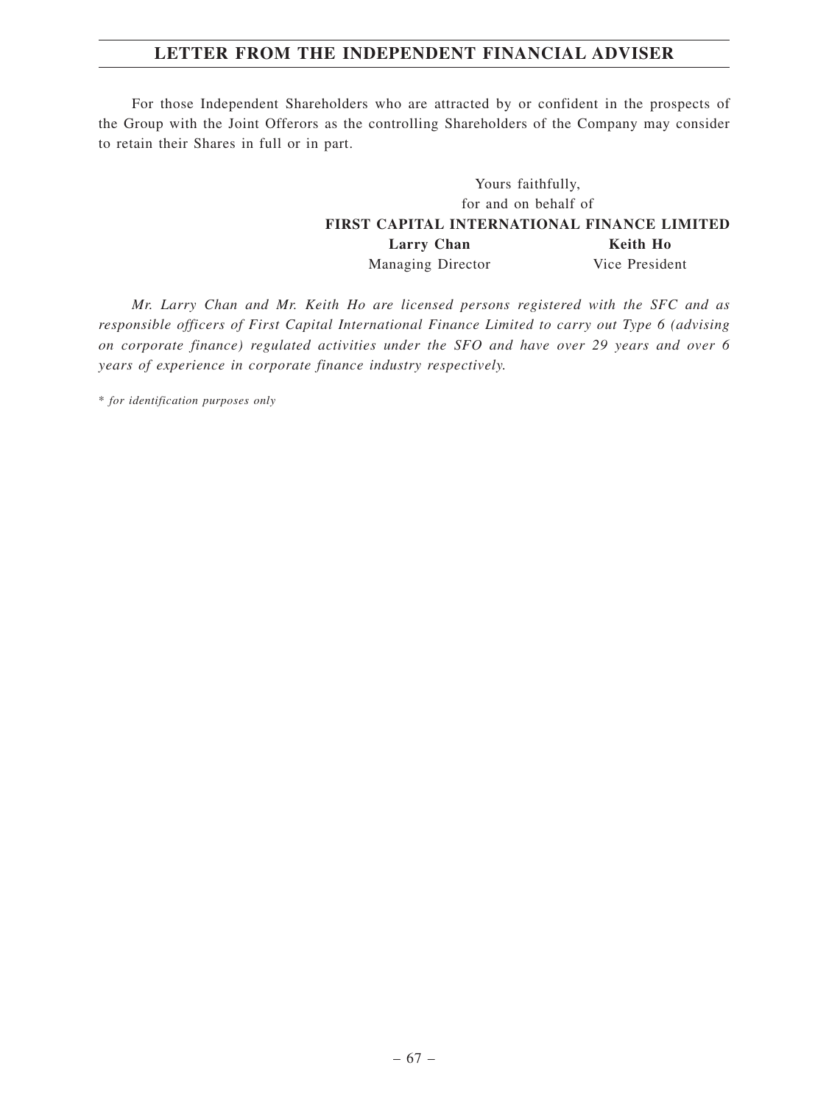For those Independent Shareholders who are attracted by or confident in the prospects of the Group with the Joint Offerors as the controlling Shareholders of the Company may consider to retain their Shares in full or in part.

# Yours faithfully, for and on behalf of **FIRST CAPITAL INTERNATIONAL FINANCE LIMITED** Larry Chan **Keith Ho** Managing Director Vice President

*Mr. Larry Chan and Mr. Keith Ho are licensed persons registered with the SFC and as responsible officers of First Capital International Finance Limited to carry out Type 6 (advising on corporate finance) regulated activities under the SFO and have over 29 years and over 6 years of experience in corporate finance industry respectively.*

\* *for identification purposes only*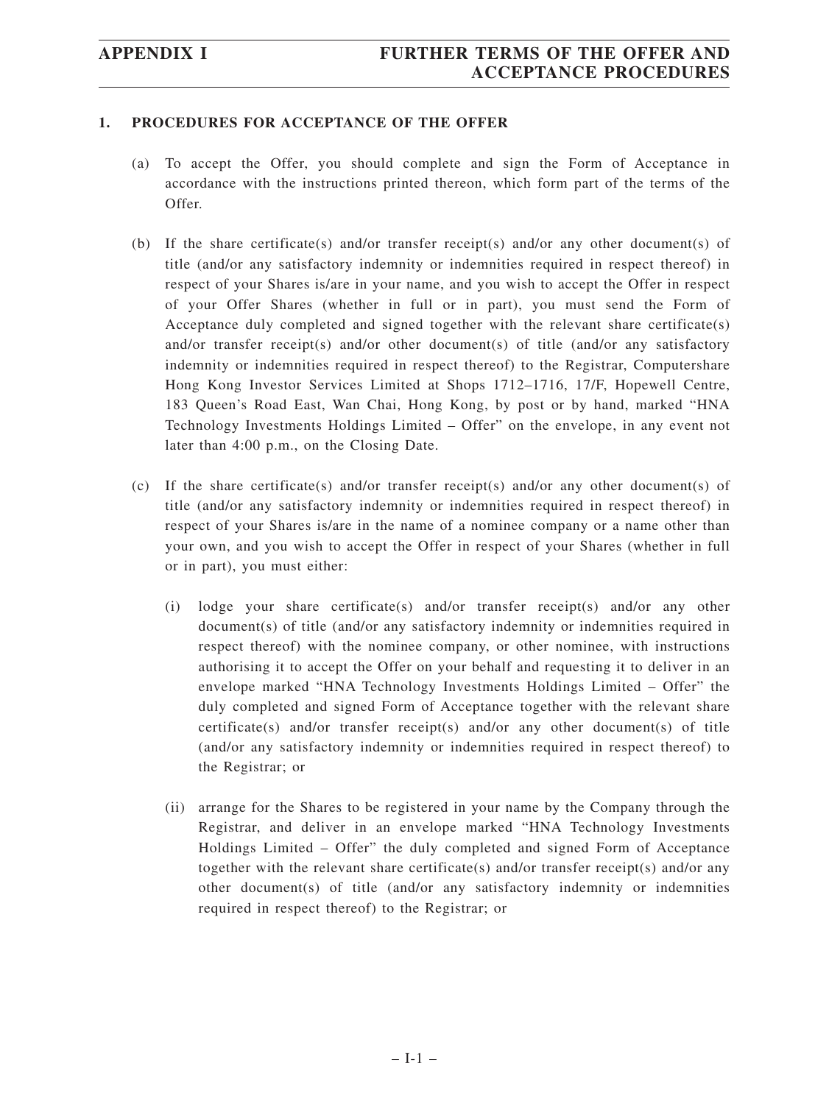# **1. PROCEDURES FOR ACCEPTANCE OF THE OFFER**

- (a) To accept the Offer, you should complete and sign the Form of Acceptance in accordance with the instructions printed thereon, which form part of the terms of the Offer.
- (b) If the share certificate(s) and/or transfer receipt(s) and/or any other document(s) of title (and/or any satisfactory indemnity or indemnities required in respect thereof) in respect of your Shares is/are in your name, and you wish to accept the Offer in respect of your Offer Shares (whether in full or in part), you must send the Form of Acceptance duly completed and signed together with the relevant share certificate(s) and/or transfer receipt(s) and/or other document(s) of title (and/or any satisfactory indemnity or indemnities required in respect thereof) to the Registrar, Computershare Hong Kong Investor Services Limited at Shops 1712–1716, 17/F, Hopewell Centre, 183 Queen's Road East, Wan Chai, Hong Kong, by post or by hand, marked "HNA Technology Investments Holdings Limited – Offer" on the envelope, in any event not later than 4:00 p.m., on the Closing Date.
- (c) If the share certificate(s) and/or transfer receipt(s) and/or any other document(s) of title (and/or any satisfactory indemnity or indemnities required in respect thereof) in respect of your Shares is/are in the name of a nominee company or a name other than your own, and you wish to accept the Offer in respect of your Shares (whether in full or in part), you must either:
	- (i) lodge your share certificate(s) and/or transfer receipt(s) and/or any other document(s) of title (and/or any satisfactory indemnity or indemnities required in respect thereof) with the nominee company, or other nominee, with instructions authorising it to accept the Offer on your behalf and requesting it to deliver in an envelope marked "HNA Technology Investments Holdings Limited – Offer" the duly completed and signed Form of Acceptance together with the relevant share certificate(s) and/or transfer receipt(s) and/or any other document(s) of title (and/or any satisfactory indemnity or indemnities required in respect thereof) to the Registrar; or
	- (ii) arrange for the Shares to be registered in your name by the Company through the Registrar, and deliver in an envelope marked "HNA Technology Investments Holdings Limited – Offer" the duly completed and signed Form of Acceptance together with the relevant share certificate(s) and/or transfer receipt(s) and/or any other document(s) of title (and/or any satisfactory indemnity or indemnities required in respect thereof) to the Registrar; or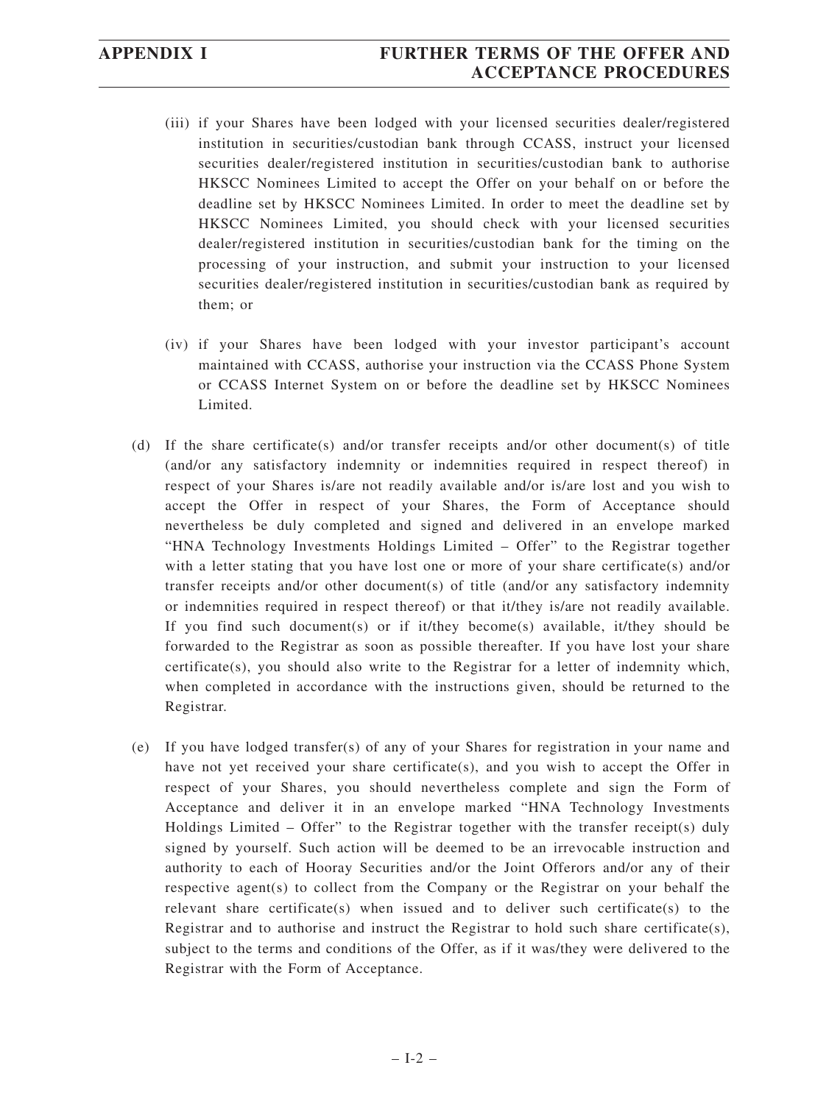# **APPENDIX I FURTHER TERMS OF THE OFFER AND ACCEPTANCE PROCEDURES**

- (iii) if your Shares have been lodged with your licensed securities dealer/registered institution in securities/custodian bank through CCASS, instruct your licensed securities dealer/registered institution in securities/custodian bank to authorise HKSCC Nominees Limited to accept the Offer on your behalf on or before the deadline set by HKSCC Nominees Limited. In order to meet the deadline set by HKSCC Nominees Limited, you should check with your licensed securities dealer/registered institution in securities/custodian bank for the timing on the processing of your instruction, and submit your instruction to your licensed securities dealer/registered institution in securities/custodian bank as required by them; or
- (iv) if your Shares have been lodged with your investor participant's account maintained with CCASS, authorise your instruction via the CCASS Phone System or CCASS Internet System on or before the deadline set by HKSCC Nominees Limited.
- (d) If the share certificate(s) and/or transfer receipts and/or other document(s) of title (and/or any satisfactory indemnity or indemnities required in respect thereof) in respect of your Shares is/are not readily available and/or is/are lost and you wish to accept the Offer in respect of your Shares, the Form of Acceptance should nevertheless be duly completed and signed and delivered in an envelope marked "HNA Technology Investments Holdings Limited – Offer" to the Registrar together with a letter stating that you have lost one or more of your share certificate(s) and/or transfer receipts and/or other document(s) of title (and/or any satisfactory indemnity or indemnities required in respect thereof) or that it/they is/are not readily available. If you find such document(s) or if it/they become(s) available, it/they should be forwarded to the Registrar as soon as possible thereafter. If you have lost your share certificate(s), you should also write to the Registrar for a letter of indemnity which, when completed in accordance with the instructions given, should be returned to the Registrar.
- (e) If you have lodged transfer(s) of any of your Shares for registration in your name and have not yet received your share certificate(s), and you wish to accept the Offer in respect of your Shares, you should nevertheless complete and sign the Form of Acceptance and deliver it in an envelope marked "HNA Technology Investments Holdings Limited – Offer" to the Registrar together with the transfer receipt(s) duly signed by yourself. Such action will be deemed to be an irrevocable instruction and authority to each of Hooray Securities and/or the Joint Offerors and/or any of their respective agent(s) to collect from the Company or the Registrar on your behalf the relevant share certificate(s) when issued and to deliver such certificate(s) to the Registrar and to authorise and instruct the Registrar to hold such share certificate(s), subject to the terms and conditions of the Offer, as if it was/they were delivered to the Registrar with the Form of Acceptance.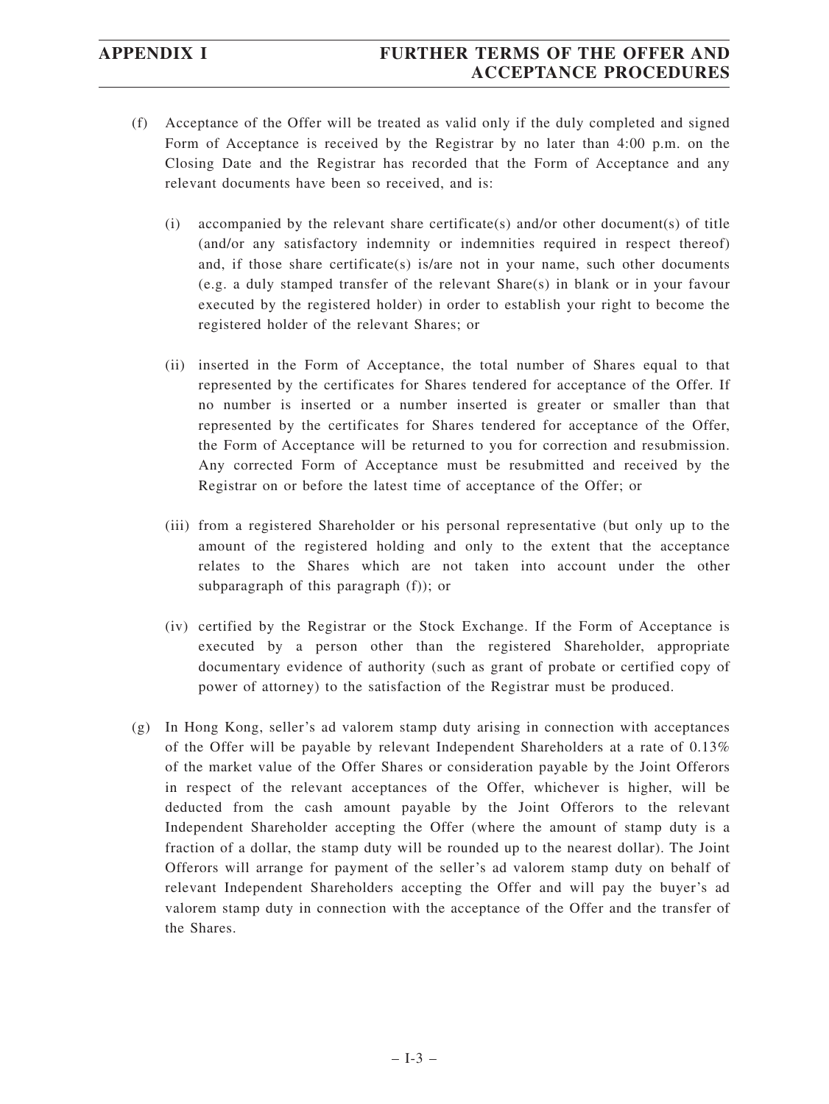- (f) Acceptance of the Offer will be treated as valid only if the duly completed and signed Form of Acceptance is received by the Registrar by no later than 4:00 p.m. on the Closing Date and the Registrar has recorded that the Form of Acceptance and any relevant documents have been so received, and is:
	- (i) accompanied by the relevant share certificate(s) and/or other document(s) of title (and/or any satisfactory indemnity or indemnities required in respect thereof) and, if those share certificate(s) is/are not in your name, such other documents (e.g. a duly stamped transfer of the relevant Share(s) in blank or in your favour executed by the registered holder) in order to establish your right to become the registered holder of the relevant Shares; or
	- (ii) inserted in the Form of Acceptance, the total number of Shares equal to that represented by the certificates for Shares tendered for acceptance of the Offer. If no number is inserted or a number inserted is greater or smaller than that represented by the certificates for Shares tendered for acceptance of the Offer, the Form of Acceptance will be returned to you for correction and resubmission. Any corrected Form of Acceptance must be resubmitted and received by the Registrar on or before the latest time of acceptance of the Offer; or
	- (iii) from a registered Shareholder or his personal representative (but only up to the amount of the registered holding and only to the extent that the acceptance relates to the Shares which are not taken into account under the other subparagraph of this paragraph (f)); or
	- (iv) certified by the Registrar or the Stock Exchange. If the Form of Acceptance is executed by a person other than the registered Shareholder, appropriate documentary evidence of authority (such as grant of probate or certified copy of power of attorney) to the satisfaction of the Registrar must be produced.
- (g) In Hong Kong, seller's ad valorem stamp duty arising in connection with acceptances of the Offer will be payable by relevant Independent Shareholders at a rate of 0.13% of the market value of the Offer Shares or consideration payable by the Joint Offerors in respect of the relevant acceptances of the Offer, whichever is higher, will be deducted from the cash amount payable by the Joint Offerors to the relevant Independent Shareholder accepting the Offer (where the amount of stamp duty is a fraction of a dollar, the stamp duty will be rounded up to the nearest dollar). The Joint Offerors will arrange for payment of the seller's ad valorem stamp duty on behalf of relevant Independent Shareholders accepting the Offer and will pay the buyer's ad valorem stamp duty in connection with the acceptance of the Offer and the transfer of the Shares.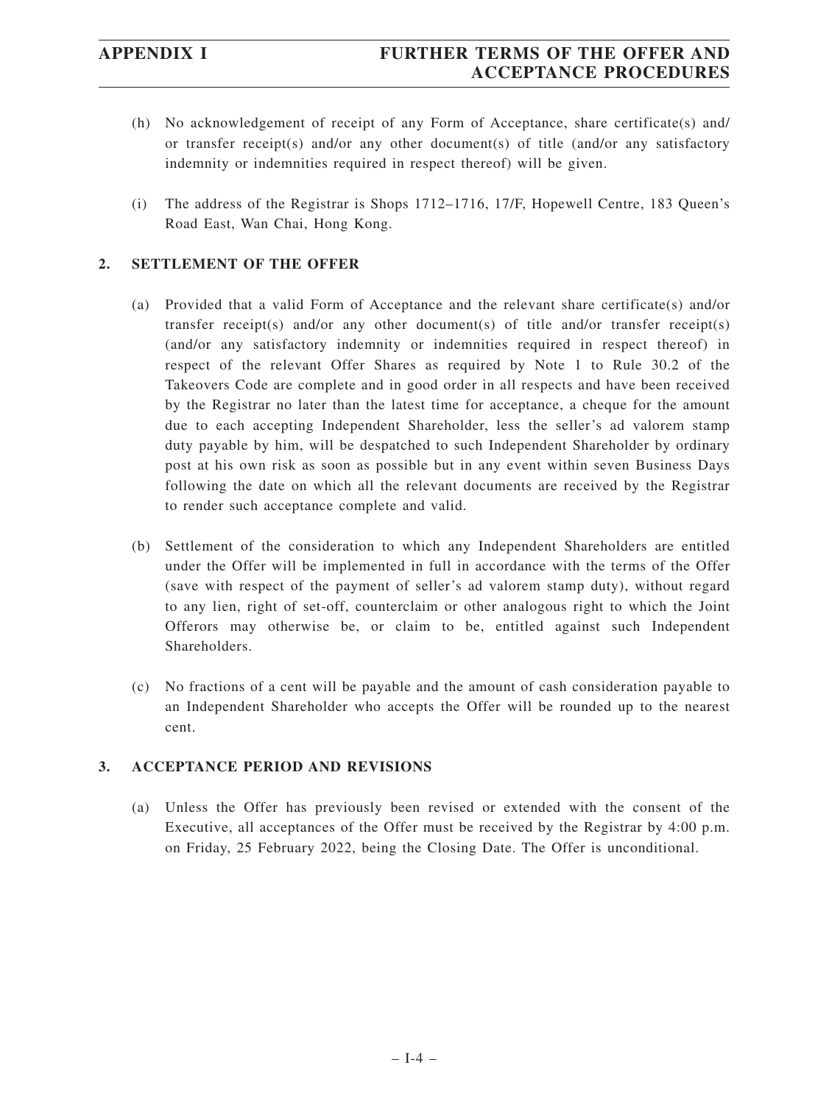- (h) No acknowledgement of receipt of any Form of Acceptance, share certificate(s) and/ or transfer receipt(s) and/or any other document(s) of title (and/or any satisfactory indemnity or indemnities required in respect thereof) will be given.
- (i) The address of the Registrar is Shops 1712–1716, 17/F, Hopewell Centre, 183 Queen's Road East, Wan Chai, Hong Kong.

# **2. SETTLEMENT OF THE OFFER**

- (a) Provided that a valid Form of Acceptance and the relevant share certificate(s) and/or transfer receipt(s) and/or any other document(s) of title and/or transfer receipt(s) (and/or any satisfactory indemnity or indemnities required in respect thereof) in respect of the relevant Offer Shares as required by Note 1 to Rule 30.2 of the Takeovers Code are complete and in good order in all respects and have been received by the Registrar no later than the latest time for acceptance, a cheque for the amount due to each accepting Independent Shareholder, less the seller's ad valorem stamp duty payable by him, will be despatched to such Independent Shareholder by ordinary post at his own risk as soon as possible but in any event within seven Business Days following the date on which all the relevant documents are received by the Registrar to render such acceptance complete and valid.
- (b) Settlement of the consideration to which any Independent Shareholders are entitled under the Offer will be implemented in full in accordance with the terms of the Offer (save with respect of the payment of seller's ad valorem stamp duty), without regard to any lien, right of set-off, counterclaim or other analogous right to which the Joint Offerors may otherwise be, or claim to be, entitled against such Independent Shareholders.
- (c) No fractions of a cent will be payable and the amount of cash consideration payable to an Independent Shareholder who accepts the Offer will be rounded up to the nearest cent.

## **3. ACCEPTANCE PERIOD AND REVISIONS**

(a) Unless the Offer has previously been revised or extended with the consent of the Executive, all acceptances of the Offer must be received by the Registrar by 4:00 p.m. on Friday, 25 February 2022, being the Closing Date. The Offer is unconditional.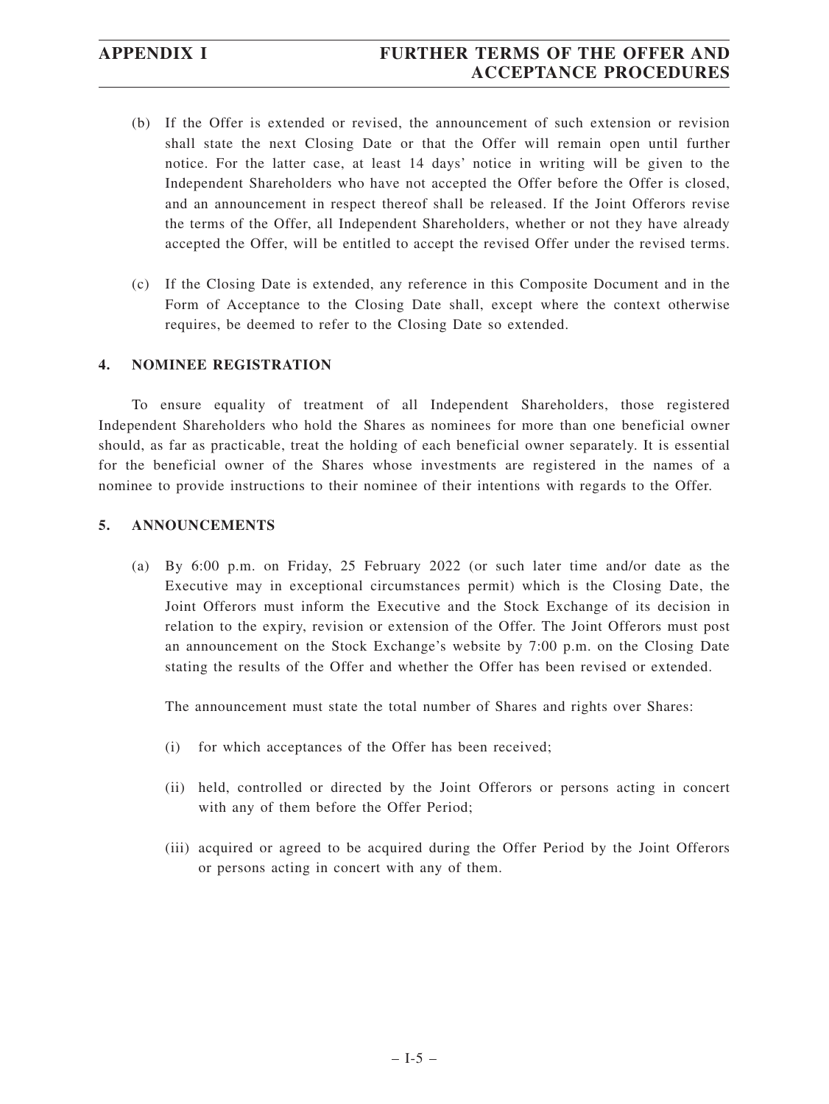# **APPENDIX I FURTHER TERMS OF THE OFFER AND ACCEPTANCE PROCEDURES**

- (b) If the Offer is extended or revised, the announcement of such extension or revision shall state the next Closing Date or that the Offer will remain open until further notice. For the latter case, at least 14 days' notice in writing will be given to the Independent Shareholders who have not accepted the Offer before the Offer is closed, and an announcement in respect thereof shall be released. If the Joint Offerors revise the terms of the Offer, all Independent Shareholders, whether or not they have already accepted the Offer, will be entitled to accept the revised Offer under the revised terms.
- (c) If the Closing Date is extended, any reference in this Composite Document and in the Form of Acceptance to the Closing Date shall, except where the context otherwise requires, be deemed to refer to the Closing Date so extended.

## **4. NOMINEE REGISTRATION**

To ensure equality of treatment of all Independent Shareholders, those registered Independent Shareholders who hold the Shares as nominees for more than one beneficial owner should, as far as practicable, treat the holding of each beneficial owner separately. It is essential for the beneficial owner of the Shares whose investments are registered in the names of a nominee to provide instructions to their nominee of their intentions with regards to the Offer.

## **5. ANNOUNCEMENTS**

(a) By 6:00 p.m. on Friday, 25 February 2022 (or such later time and/or date as the Executive may in exceptional circumstances permit) which is the Closing Date, the Joint Offerors must inform the Executive and the Stock Exchange of its decision in relation to the expiry, revision or extension of the Offer. The Joint Offerors must post an announcement on the Stock Exchange's website by 7:00 p.m. on the Closing Date stating the results of the Offer and whether the Offer has been revised or extended.

The announcement must state the total number of Shares and rights over Shares:

- (i) for which acceptances of the Offer has been received;
- (ii) held, controlled or directed by the Joint Offerors or persons acting in concert with any of them before the Offer Period;
- (iii) acquired or agreed to be acquired during the Offer Period by the Joint Offerors or persons acting in concert with any of them.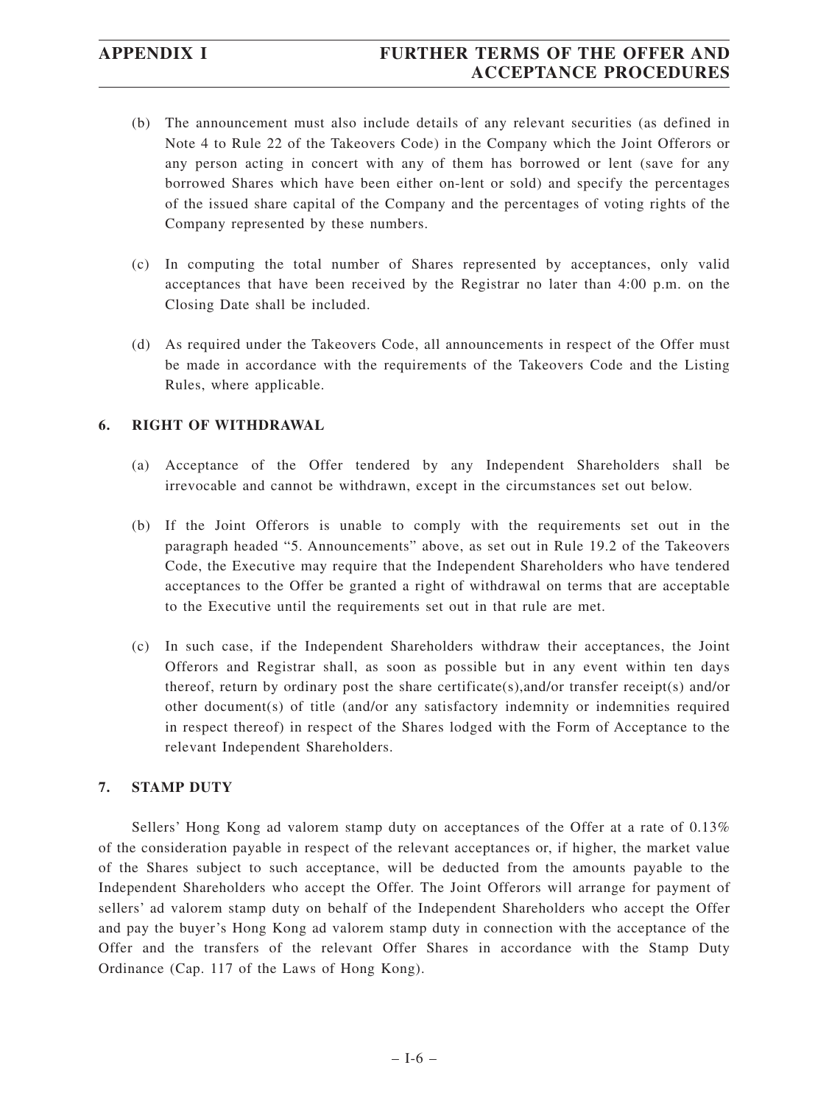# **APPENDIX I FURTHER TERMS OF THE OFFER AND ACCEPTANCE PROCEDURES**

- (b) The announcement must also include details of any relevant securities (as defined in Note 4 to Rule 22 of the Takeovers Code) in the Company which the Joint Offerors or any person acting in concert with any of them has borrowed or lent (save for any borrowed Shares which have been either on-lent or sold) and specify the percentages of the issued share capital of the Company and the percentages of voting rights of the Company represented by these numbers.
- (c) In computing the total number of Shares represented by acceptances, only valid acceptances that have been received by the Registrar no later than 4:00 p.m. on the Closing Date shall be included.
- (d) As required under the Takeovers Code, all announcements in respect of the Offer must be made in accordance with the requirements of the Takeovers Code and the Listing Rules, where applicable.

# **6. RIGHT OF WITHDRAWAL**

- (a) Acceptance of the Offer tendered by any Independent Shareholders shall be irrevocable and cannot be withdrawn, except in the circumstances set out below.
- (b) If the Joint Offerors is unable to comply with the requirements set out in the paragraph headed "5. Announcements" above, as set out in Rule 19.2 of the Takeovers Code, the Executive may require that the Independent Shareholders who have tendered acceptances to the Offer be granted a right of withdrawal on terms that are acceptable to the Executive until the requirements set out in that rule are met.
- (c) In such case, if the Independent Shareholders withdraw their acceptances, the Joint Offerors and Registrar shall, as soon as possible but in any event within ten days thereof, return by ordinary post the share certificate(s),and/or transfer receipt(s) and/or other document(s) of title (and/or any satisfactory indemnity or indemnities required in respect thereof) in respect of the Shares lodged with the Form of Acceptance to the relevant Independent Shareholders.

## **7. STAMP DUTY**

Sellers' Hong Kong ad valorem stamp duty on acceptances of the Offer at a rate of 0.13% of the consideration payable in respect of the relevant acceptances or, if higher, the market value of the Shares subject to such acceptance, will be deducted from the amounts payable to the Independent Shareholders who accept the Offer. The Joint Offerors will arrange for payment of sellers' ad valorem stamp duty on behalf of the Independent Shareholders who accept the Offer and pay the buyer's Hong Kong ad valorem stamp duty in connection with the acceptance of the Offer and the transfers of the relevant Offer Shares in accordance with the Stamp Duty Ordinance (Cap. 117 of the Laws of Hong Kong).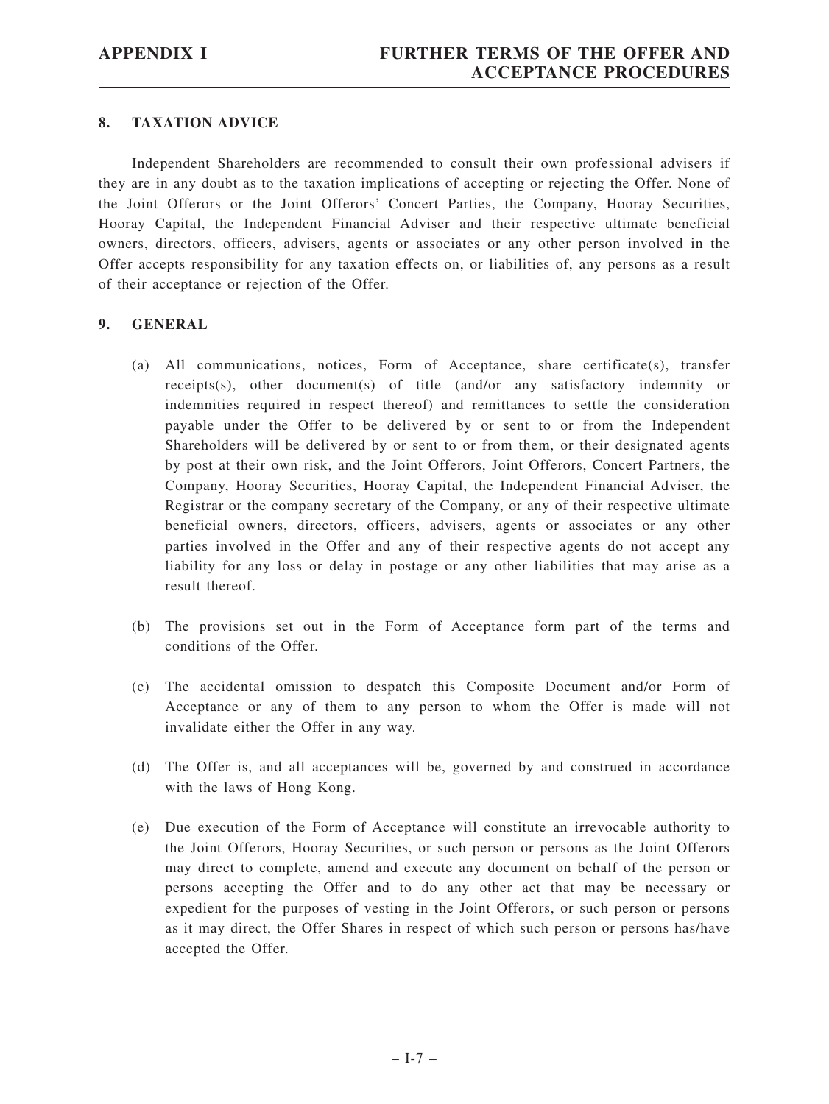## **8. TAXATION ADVICE**

Independent Shareholders are recommended to consult their own professional advisers if they are in any doubt as to the taxation implications of accepting or rejecting the Offer. None of the Joint Offerors or the Joint Offerors' Concert Parties, the Company, Hooray Securities, Hooray Capital, the Independent Financial Adviser and their respective ultimate beneficial owners, directors, officers, advisers, agents or associates or any other person involved in the Offer accepts responsibility for any taxation effects on, or liabilities of, any persons as a result of their acceptance or rejection of the Offer.

## **9. GENERAL**

- (a) All communications, notices, Form of Acceptance, share certificate(s), transfer receipts(s), other document(s) of title (and/or any satisfactory indemnity or indemnities required in respect thereof) and remittances to settle the consideration payable under the Offer to be delivered by or sent to or from the Independent Shareholders will be delivered by or sent to or from them, or their designated agents by post at their own risk, and the Joint Offerors, Joint Offerors, Concert Partners, the Company, Hooray Securities, Hooray Capital, the Independent Financial Adviser, the Registrar or the company secretary of the Company, or any of their respective ultimate beneficial owners, directors, officers, advisers, agents or associates or any other parties involved in the Offer and any of their respective agents do not accept any liability for any loss or delay in postage or any other liabilities that may arise as a result thereof.
- (b) The provisions set out in the Form of Acceptance form part of the terms and conditions of the Offer.
- (c) The accidental omission to despatch this Composite Document and/or Form of Acceptance or any of them to any person to whom the Offer is made will not invalidate either the Offer in any way.
- (d) The Offer is, and all acceptances will be, governed by and construed in accordance with the laws of Hong Kong.
- (e) Due execution of the Form of Acceptance will constitute an irrevocable authority to the Joint Offerors, Hooray Securities, or such person or persons as the Joint Offerors may direct to complete, amend and execute any document on behalf of the person or persons accepting the Offer and to do any other act that may be necessary or expedient for the purposes of vesting in the Joint Offerors, or such person or persons as it may direct, the Offer Shares in respect of which such person or persons has/have accepted the Offer.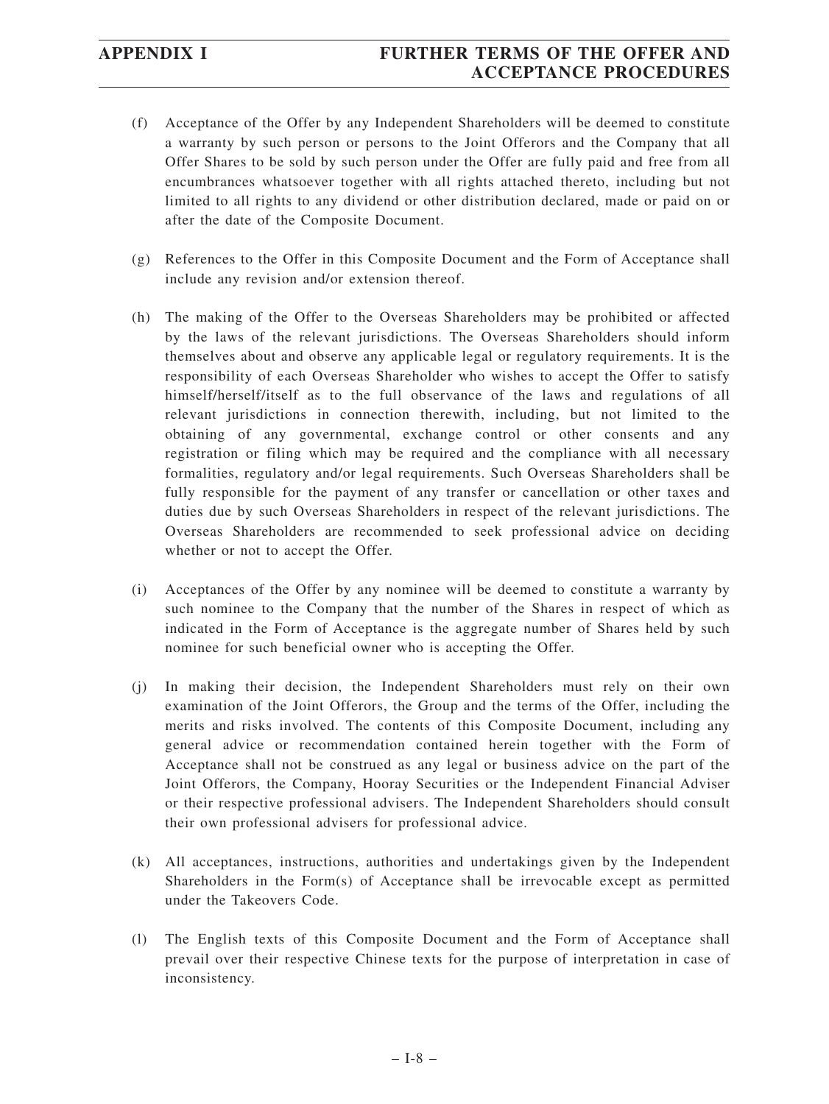# **APPENDIX I FURTHER TERMS OF THE OFFER AND ACCEPTANCE PROCEDURES**

- (f) Acceptance of the Offer by any Independent Shareholders will be deemed to constitute a warranty by such person or persons to the Joint Offerors and the Company that all Offer Shares to be sold by such person under the Offer are fully paid and free from all encumbrances whatsoever together with all rights attached thereto, including but not limited to all rights to any dividend or other distribution declared, made or paid on or after the date of the Composite Document.
- (g) References to the Offer in this Composite Document and the Form of Acceptance shall include any revision and/or extension thereof.
- (h) The making of the Offer to the Overseas Shareholders may be prohibited or affected by the laws of the relevant jurisdictions. The Overseas Shareholders should inform themselves about and observe any applicable legal or regulatory requirements. It is the responsibility of each Overseas Shareholder who wishes to accept the Offer to satisfy himself/herself/itself as to the full observance of the laws and regulations of all relevant jurisdictions in connection therewith, including, but not limited to the obtaining of any governmental, exchange control or other consents and any registration or filing which may be required and the compliance with all necessary formalities, regulatory and/or legal requirements. Such Overseas Shareholders shall be fully responsible for the payment of any transfer or cancellation or other taxes and duties due by such Overseas Shareholders in respect of the relevant jurisdictions. The Overseas Shareholders are recommended to seek professional advice on deciding whether or not to accept the Offer.
- (i) Acceptances of the Offer by any nominee will be deemed to constitute a warranty by such nominee to the Company that the number of the Shares in respect of which as indicated in the Form of Acceptance is the aggregate number of Shares held by such nominee for such beneficial owner who is accepting the Offer.
- (j) In making their decision, the Independent Shareholders must rely on their own examination of the Joint Offerors, the Group and the terms of the Offer, including the merits and risks involved. The contents of this Composite Document, including any general advice or recommendation contained herein together with the Form of Acceptance shall not be construed as any legal or business advice on the part of the Joint Offerors, the Company, Hooray Securities or the Independent Financial Adviser or their respective professional advisers. The Independent Shareholders should consult their own professional advisers for professional advice.
- (k) All acceptances, instructions, authorities and undertakings given by the Independent Shareholders in the Form(s) of Acceptance shall be irrevocable except as permitted under the Takeovers Code.
- (l) The English texts of this Composite Document and the Form of Acceptance shall prevail over their respective Chinese texts for the purpose of interpretation in case of inconsistency.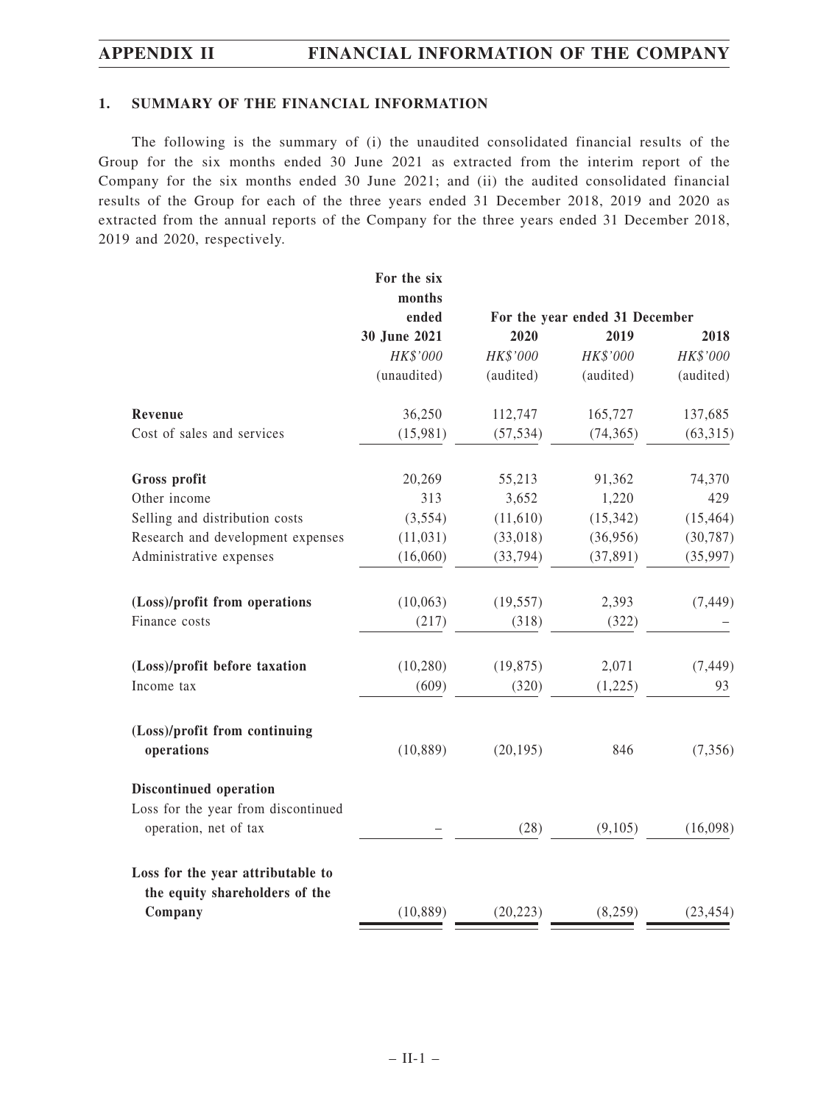## **1. SUMMARY OF THE FINANCIAL INFORMATION**

The following is the summary of (i) the unaudited consolidated financial results of the Group for the six months ended 30 June 2021 as extracted from the interim report of the Company for the six months ended 30 June 2021; and (ii) the audited consolidated financial results of the Group for each of the three years ended 31 December 2018, 2019 and 2020 as extracted from the annual reports of the Company for the three years ended 31 December 2018, 2019 and 2020, respectively.

|                                                              | For the six     |           |                                        |           |
|--------------------------------------------------------------|-----------------|-----------|----------------------------------------|-----------|
|                                                              | months<br>ended |           |                                        |           |
|                                                              | 30 June 2021    | 2020      | For the year ended 31 December<br>2019 | 2018      |
|                                                              | HK\$'000        | HK\$'000  | HK\$'000                               | HK\$'000  |
|                                                              | (unaudited)     | (audited) | (audited)                              | (audited) |
| Revenue                                                      | 36,250          | 112,747   | 165,727                                | 137,685   |
| Cost of sales and services                                   | (15,981)        | (57, 534) | (74, 365)                              | (63, 315) |
| Gross profit                                                 | 20,269          | 55,213    | 91,362                                 | 74,370    |
| Other income                                                 | 313             | 3,652     | 1,220                                  | 429       |
| Selling and distribution costs                               | (3,554)         | (11,610)  | (15, 342)                              | (15, 464) |
| Research and development expenses                            | (11, 031)       | (33, 018) | (36,956)                               | (30, 787) |
| Administrative expenses                                      | (16,060)        | (33, 794) | (37, 891)                              | (35,997)  |
| (Loss)/profit from operations                                | (10,063)        | (19, 557) | 2,393                                  | (7, 449)  |
| Finance costs                                                | (217)           | (318)     | (322)                                  |           |
| (Loss)/profit before taxation                                | (10, 280)       | (19, 875) | 2,071                                  | (7, 449)  |
| Income tax                                                   | (609)           | (320)     | (1,225)                                | 93        |
| (Loss)/profit from continuing<br>operations                  | (10, 889)       | (20, 195) | 846                                    | (7, 356)  |
|                                                              |                 |           |                                        |           |
| Discontinued operation                                       |                 |           |                                        |           |
| Loss for the year from discontinued<br>operation, net of tax |                 | (28)      | (9,105)                                | (16,098)  |
| Loss for the year attributable to                            |                 |           |                                        |           |
| the equity shareholders of the                               |                 |           |                                        |           |
| Company                                                      | (10, 889)       | (20, 223) | (8,259)                                | (23, 454) |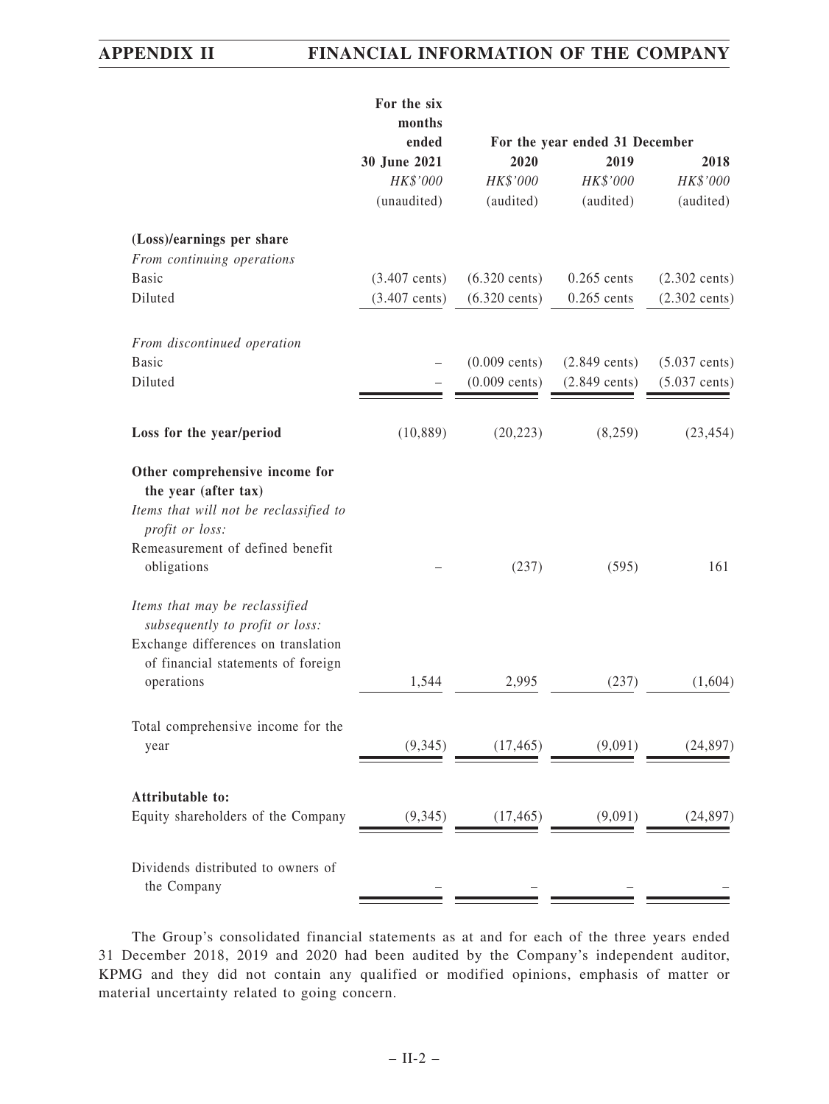|                                                                                                                     | For the six<br>months   |                         |                                |                         |
|---------------------------------------------------------------------------------------------------------------------|-------------------------|-------------------------|--------------------------------|-------------------------|
|                                                                                                                     | ended                   |                         | For the year ended 31 December |                         |
|                                                                                                                     | 30 June 2021            | 2020                    | 2019                           | 2018                    |
|                                                                                                                     | HK\$'000                | HK\$'000                | HK\$'000                       | HK\$'000                |
|                                                                                                                     | (unaudited)             | (audited)               | (audited)                      | (audited)               |
| (Loss)/earnings per share                                                                                           |                         |                         |                                |                         |
| From continuing operations                                                                                          |                         |                         |                                |                         |
| <b>Basic</b>                                                                                                        | $(3.407 \text{ cents})$ | $(6.320 \text{ cents})$ | $0.265$ cents                  | $(2.302 \text{ cents})$ |
| Diluted                                                                                                             | $(3.407 \text{ cents})$ | $(6.320 \text{ cents})$ | $0.265$ cents                  | $(2.302 \text{ cents})$ |
| From discontinued operation                                                                                         |                         |                         |                                |                         |
| <b>Basic</b>                                                                                                        |                         | $(0.009 \text{ cents})$ | $(2.849 \text{ cents})$        | $(5.037 \text{ cents})$ |
| Diluted                                                                                                             |                         | $(0.009 \text{ cents})$ | $(2.849 \text{ cents})$        | $(5.037 \text{ cents})$ |
|                                                                                                                     | (10, 889)               | (20, 223)               | (8,259)                        | (23, 454)               |
| Loss for the year/period                                                                                            |                         |                         |                                |                         |
| Other comprehensive income for<br>the year (after tax)<br>Items that will not be reclassified to<br>profit or loss: |                         |                         |                                |                         |
| Remeasurement of defined benefit<br>obligations                                                                     |                         | (237)                   | (595)                          | 161                     |
| Items that may be reclassified<br>subsequently to profit or loss:<br>Exchange differences on translation            |                         |                         |                                |                         |
| of financial statements of foreign                                                                                  |                         |                         |                                |                         |
| operations                                                                                                          | 1,544                   | 2,995                   | (237)                          | (1,604)                 |
| Total comprehensive income for the                                                                                  |                         |                         |                                |                         |
| year                                                                                                                | (9, 345)                | (17, 465)               | (9,091)                        | (24, 897)               |
| Attributable to:                                                                                                    |                         |                         |                                |                         |
| Equity shareholders of the Company                                                                                  | (9, 345)                | (17, 465)               | (9,091)                        | (24, 897)               |
|                                                                                                                     |                         |                         |                                |                         |
| Dividends distributed to owners of<br>the Company                                                                   |                         |                         |                                |                         |
|                                                                                                                     |                         |                         |                                |                         |

The Group's consolidated financial statements as at and for each of the three years ended 31 December 2018, 2019 and 2020 had been audited by the Company's independent auditor, KPMG and they did not contain any qualified or modified opinions, emphasis of matter or material uncertainty related to going concern.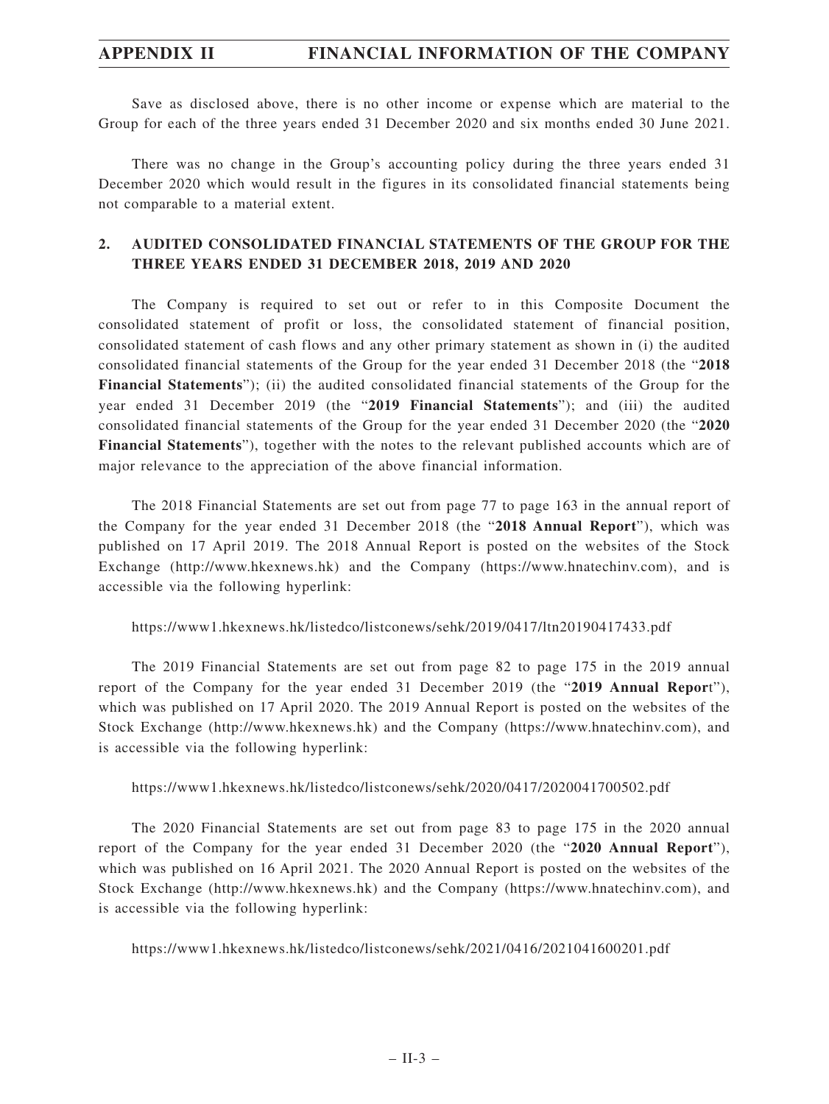Save as disclosed above, there is no other income or expense which are material to the Group for each of the three years ended 31 December 2020 and six months ended 30 June 2021.

There was no change in the Group's accounting policy during the three years ended 31 December 2020 which would result in the figures in its consolidated financial statements being not comparable to a material extent.

# **2. AUDITED CONSOLIDATED FINANCIAL STATEMENTS OF THE GROUP FOR THE THREE YEARS ENDED 31 DECEMBER 2018, 2019 AND 2020**

The Company is required to set out or refer to in this Composite Document the consolidated statement of profit or loss, the consolidated statement of financial position, consolidated statement of cash flows and any other primary statement as shown in (i) the audited consolidated financial statements of the Group for the year ended 31 December 2018 (the "**2018 Financial Statements**"); (ii) the audited consolidated financial statements of the Group for the year ended 31 December 2019 (the "**2019 Financial Statements**"); and (iii) the audited consolidated financial statements of the Group for the year ended 31 December 2020 (the "**2020 Financial Statements**"), together with the notes to the relevant published accounts which are of major relevance to the appreciation of the above financial information.

The 2018 Financial Statements are set out from page 77 to page 163 in the annual report of the Company for the year ended 31 December 2018 (the "**2018 Annual Report**"), which was published on 17 April 2019. The 2018 Annual Report is posted on the websites of the Stock Exchange (http://www.hkexnews.hk) and the Company (https://www.hnatechinv.com), and is accessible via the following hyperlink:

https://www1.hkexnews.hk/listedco/listconews/sehk/2019/0417/ltn20190417433.pdf

The 2019 Financial Statements are set out from page 82 to page 175 in the 2019 annual report of the Company for the year ended 31 December 2019 (the "**2019 Annual Repor**t"), which was published on 17 April 2020. The 2019 Annual Report is posted on the websites of the Stock Exchange (http://www.hkexnews.hk) and the Company (https://www.hnatechinv.com), and is accessible via the following hyperlink:

## https://www1.hkexnews.hk/listedco/listconews/sehk/2020/0417/2020041700502.pdf

The 2020 Financial Statements are set out from page 83 to page 175 in the 2020 annual report of the Company for the year ended 31 December 2020 (the "**2020 Annual Report**"), which was published on 16 April 2021. The 2020 Annual Report is posted on the websites of the Stock Exchange (http://www.hkexnews.hk) and the Company (https://www.hnatechinv.com), and is accessible via the following hyperlink:

https://www1.hkexnews.hk/listedco/listconews/sehk/2021/0416/2021041600201.pdf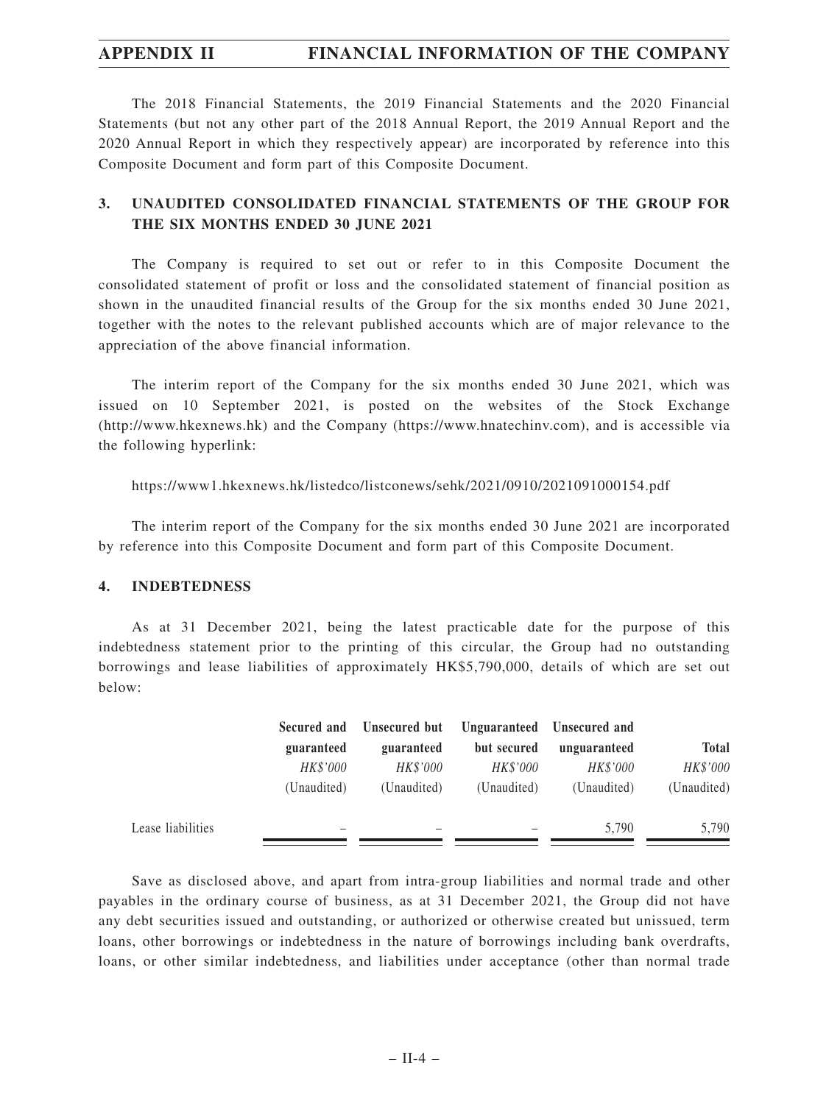The 2018 Financial Statements, the 2019 Financial Statements and the 2020 Financial Statements (but not any other part of the 2018 Annual Report, the 2019 Annual Report and the 2020 Annual Report in which they respectively appear) are incorporated by reference into this Composite Document and form part of this Composite Document.

# **3. UNAUDITED CONSOLIDATED FINANCIAL STATEMENTS OF THE GROUP FOR THE SIX MONTHS ENDED 30 JUNE 2021**

The Company is required to set out or refer to in this Composite Document the consolidated statement of profit or loss and the consolidated statement of financial position as shown in the unaudited financial results of the Group for the six months ended 30 June 2021, together with the notes to the relevant published accounts which are of major relevance to the appreciation of the above financial information.

The interim report of the Company for the six months ended 30 June 2021, which was issued on 10 September 2021, is posted on the websites of the Stock Exchange (http://www.hkexnews.hk) and the Company (https://www.hnatechinv.com), and is accessible via the following hyperlink:

### https://www1.hkexnews.hk/listedco/listconews/sehk/2021/0910/2021091000154.pdf

The interim report of the Company for the six months ended 30 June 2021 are incorporated by reference into this Composite Document and form part of this Composite Document.

### **4. INDEBTEDNESS**

As at 31 December 2021, being the latest practicable date for the purpose of this indebtedness statement prior to the printing of this circular, the Group had no outstanding borrowings and lease liabilities of approximately HK\$5,790,000, details of which are set out below:

|                   | Secured and | Unsecured but |             | Unguaranteed Unsecured and |              |
|-------------------|-------------|---------------|-------------|----------------------------|--------------|
|                   | guaranteed  | guaranteed    | but secured | unguaranteed               | <b>Total</b> |
|                   | HK\$'000    | HK\$'000      | HK\$'000    | HK\$'000                   | HK\$'000     |
|                   | (Unaudited) | (Unaudited)   | (Unaudited) | (Unaudited)                | (Unaudited)  |
| Lease liabilities |             |               |             | 5.790                      | 5,790        |

Save as disclosed above, and apart from intra-group liabilities and normal trade and other payables in the ordinary course of business, as at 31 December 2021, the Group did not have any debt securities issued and outstanding, or authorized or otherwise created but unissued, term loans, other borrowings or indebtedness in the nature of borrowings including bank overdrafts, loans, or other similar indebtedness, and liabilities under acceptance (other than normal trade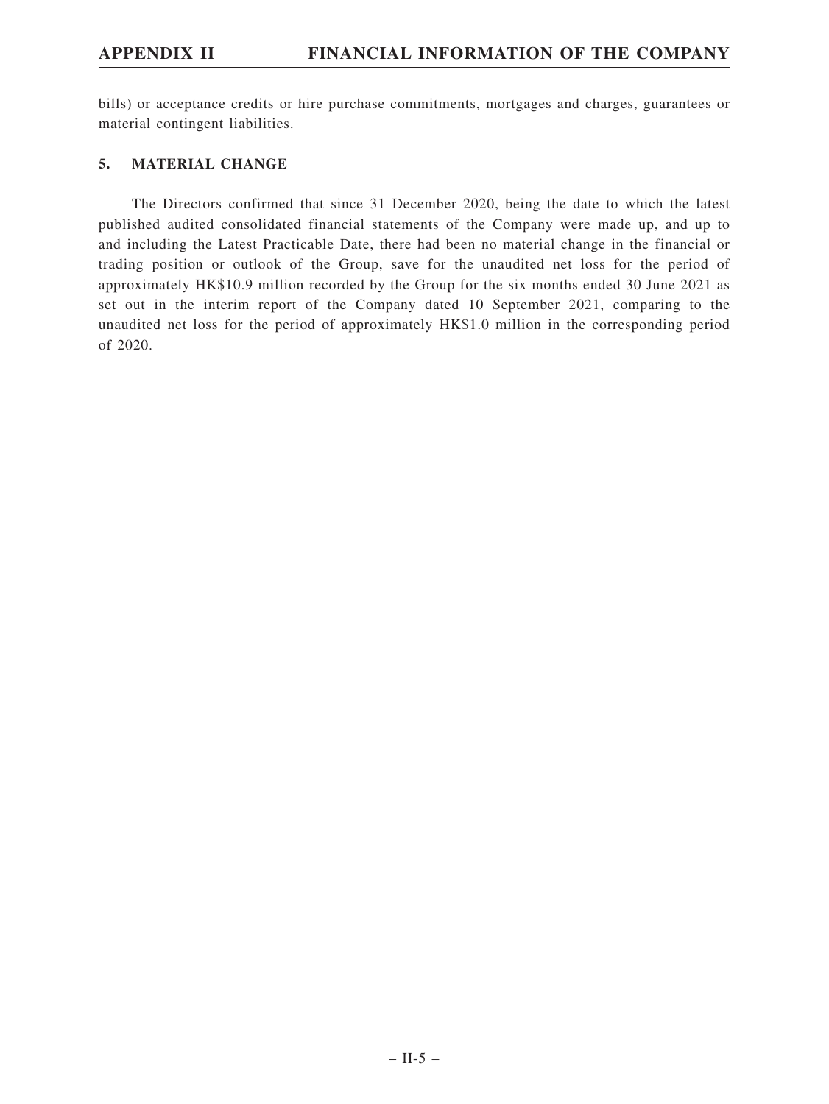bills) or acceptance credits or hire purchase commitments, mortgages and charges, guarantees or material contingent liabilities.

## **5. MATERIAL CHANGE**

The Directors confirmed that since 31 December 2020, being the date to which the latest published audited consolidated financial statements of the Company were made up, and up to and including the Latest Practicable Date, there had been no material change in the financial or trading position or outlook of the Group, save for the unaudited net loss for the period of approximately HK\$10.9 million recorded by the Group for the six months ended 30 June 2021 as set out in the interim report of the Company dated 10 September 2021, comparing to the unaudited net loss for the period of approximately HK\$1.0 million in the corresponding period of 2020.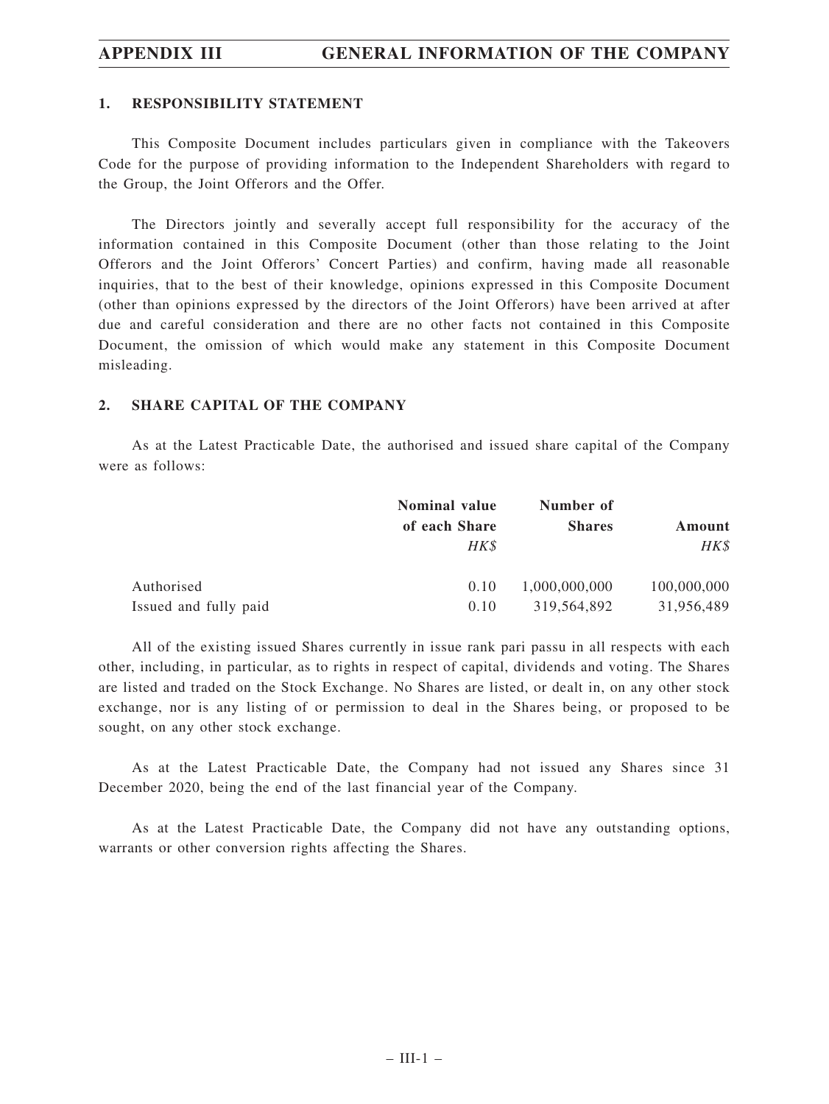### **1. RESPONSIBILITY STATEMENT**

This Composite Document includes particulars given in compliance with the Takeovers Code for the purpose of providing information to the Independent Shareholders with regard to the Group, the Joint Offerors and the Offer.

The Directors jointly and severally accept full responsibility for the accuracy of the information contained in this Composite Document (other than those relating to the Joint Offerors and the Joint Offerors' Concert Parties) and confirm, having made all reasonable inquiries, that to the best of their knowledge, opinions expressed in this Composite Document (other than opinions expressed by the directors of the Joint Offerors) have been arrived at after due and careful consideration and there are no other facts not contained in this Composite Document, the omission of which would make any statement in this Composite Document misleading.

## **2. SHARE CAPITAL OF THE COMPANY**

As at the Latest Practicable Date, the authorised and issued share capital of the Company were as follows:

|                       | <b>Nominal value</b> | Number of     |             |  |
|-----------------------|----------------------|---------------|-------------|--|
|                       | of each Share        | <b>Shares</b> | Amount      |  |
|                       | HK\$                 |               | HK\$        |  |
| Authorised            | 0.10                 | 1,000,000,000 | 100,000,000 |  |
| Issued and fully paid | 0.10                 | 319,564,892   | 31,956,489  |  |

All of the existing issued Shares currently in issue rank pari passu in all respects with each other, including, in particular, as to rights in respect of capital, dividends and voting. The Shares are listed and traded on the Stock Exchange. No Shares are listed, or dealt in, on any other stock exchange, nor is any listing of or permission to deal in the Shares being, or proposed to be sought, on any other stock exchange.

As at the Latest Practicable Date, the Company had not issued any Shares since 31 December 2020, being the end of the last financial year of the Company.

As at the Latest Practicable Date, the Company did not have any outstanding options, warrants or other conversion rights affecting the Shares.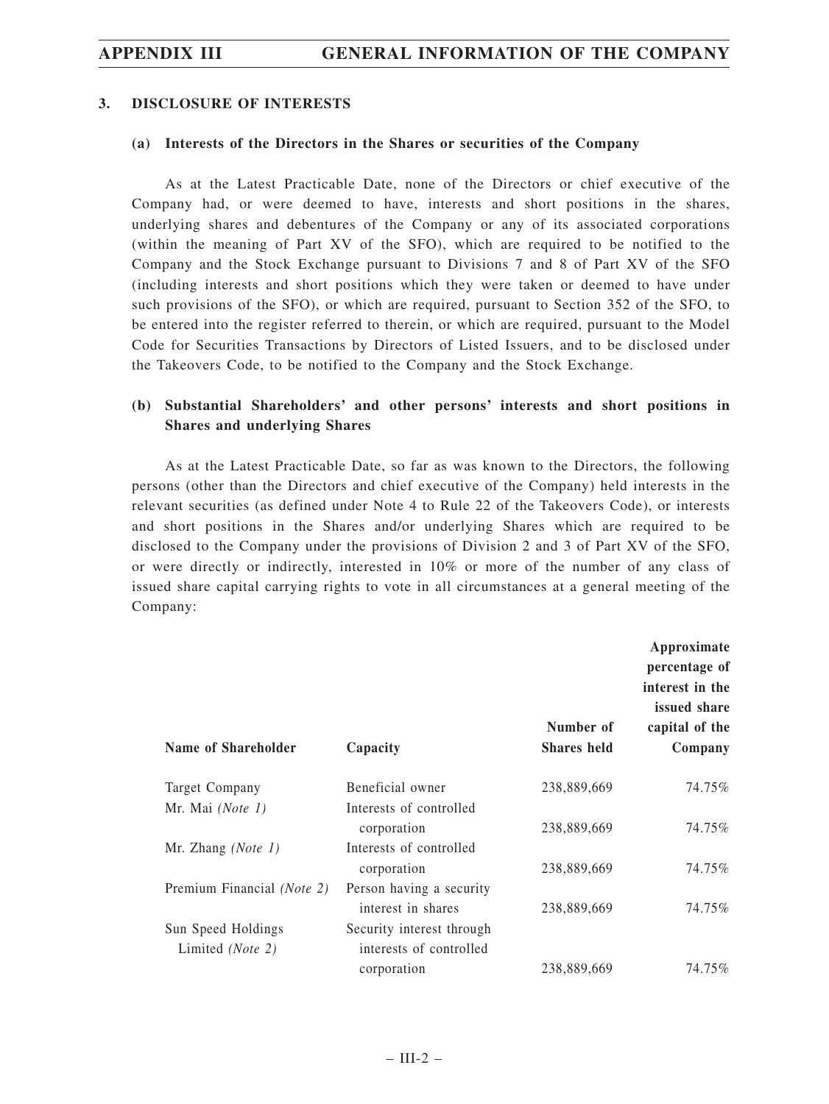### **3. DISCLOSURE OF INTERESTS**

### **(a) Interests of the Directors in the Shares or securities of the Company**

As at the Latest Practicable Date, none of the Directors or chief executive of the Company had, or were deemed to have, interests and short positions in the shares, underlying shares and debentures of the Company or any of its associated corporations (within the meaning of Part XV of the SFO), which are required to be notified to the Company and the Stock Exchange pursuant to Divisions 7 and 8 of Part XV of the SFO (including interests and short positions which they were taken or deemed to have under such provisions of the SFO), or which are required, pursuant to Section 352 of the SFO, to be entered into the register referred to therein, or which are required, pursuant to the Model Code for Securities Transactions by Directors of Listed Issuers, and to be disclosed under the Takeovers Code, to be notified to the Company and the Stock Exchange.

# **(b) Substantial Shareholders' and other persons' interests and short positions in Shares and underlying Shares**

As at the Latest Practicable Date, so far as was known to the Directors, the following persons (other than the Directors and chief executive of the Company) held interests in the relevant securities (as defined under Note 4 to Rule 22 of the Takeovers Code), or interests and short positions in the Shares and/or underlying Shares which are required to be disclosed to the Company under the provisions of Division 2 and 3 of Part XV of the SFO, or were directly or indirectly, interested in 10% or more of the number of any class of issued share capital carrying rights to vote in all circumstances at a general meeting of the Company:

|                            |                            | Number of          | Approximate<br>percentage of<br>interest in the<br>issued share<br>capital of the |
|----------------------------|----------------------------|--------------------|-----------------------------------------------------------------------------------|
| Name of Shareholder        | Capacity                   | <b>Shares</b> held | Company                                                                           |
| Target Company             | Beneficial owner           | 238,889,669        | 74.75%                                                                            |
| Mr. Mai (Note 1)           | Interests of controlled    |                    |                                                                                   |
|                            | corporation                | 238,889,669        | 74.75%                                                                            |
| Mr. Zhang $(Note 1)$       | Interests of controlled    |                    |                                                                                   |
|                            | corporation                | 238,889,669        | 74.75%                                                                            |
| Premium Financial (Note 2) | Person having a security   |                    |                                                                                   |
|                            | interest in shares         | 238,889,669        | 74.75%                                                                            |
| Sun Speed Holdings         | Security interest through. |                    |                                                                                   |
| Limited (Note 2)           | interests of controlled    |                    |                                                                                   |
|                            | corporation                | 238,889,669        | 74.75%                                                                            |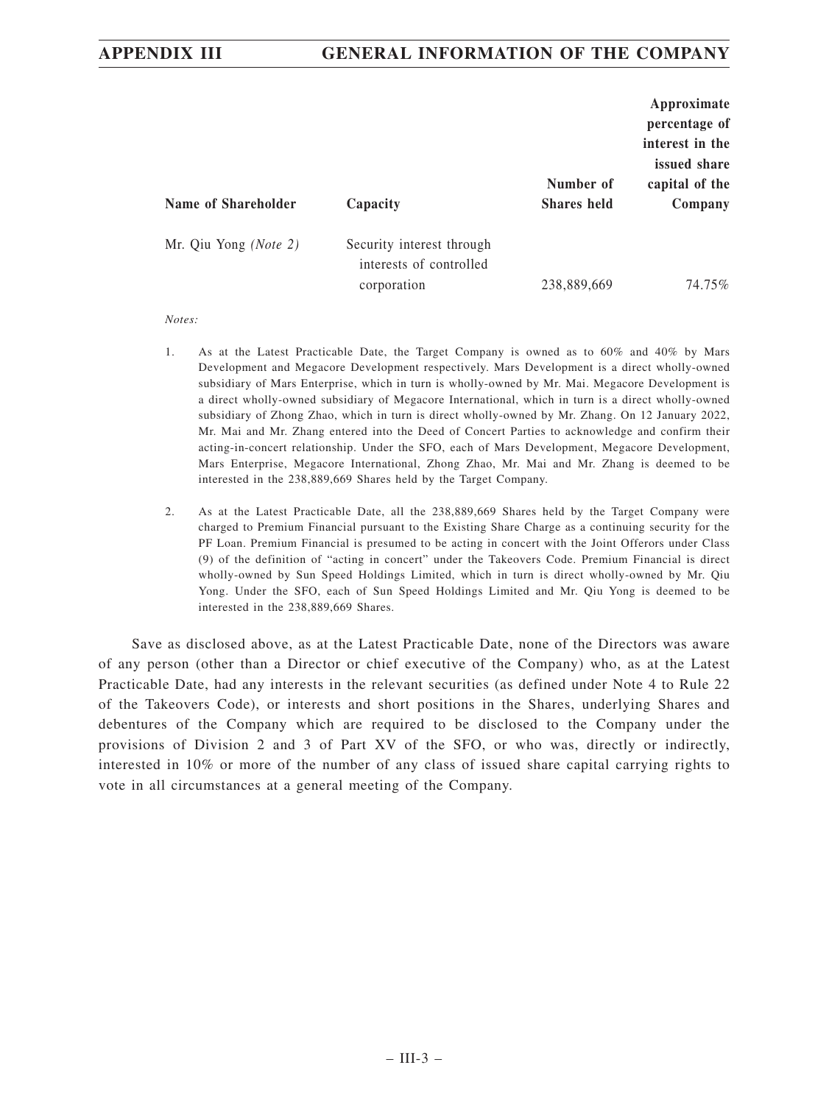| Name of Shareholder   | Capacity                                                            | Number of<br><b>Shares</b> held | Approximate<br>percentage of<br>interest in the<br>issued share<br>capital of the<br>Company |
|-----------------------|---------------------------------------------------------------------|---------------------------------|----------------------------------------------------------------------------------------------|
| Mr. Qiu Yong (Note 2) | Security interest through<br>interests of controlled<br>corporation | 238,889,669                     | 74.75%                                                                                       |

*Notes:*

- 1. As at the Latest Practicable Date, the Target Company is owned as to 60% and 40% by Mars Development and Megacore Development respectively. Mars Development is a direct wholly-owned subsidiary of Mars Enterprise, which in turn is wholly-owned by Mr. Mai. Megacore Development is a direct wholly-owned subsidiary of Megacore International, which in turn is a direct wholly-owned subsidiary of Zhong Zhao, which in turn is direct wholly-owned by Mr. Zhang. On 12 January 2022, Mr. Mai and Mr. Zhang entered into the Deed of Concert Parties to acknowledge and confirm their acting-in-concert relationship. Under the SFO, each of Mars Development, Megacore Development, Mars Enterprise, Megacore International, Zhong Zhao, Mr. Mai and Mr. Zhang is deemed to be interested in the 238,889,669 Shares held by the Target Company.
- 2. As at the Latest Practicable Date, all the 238,889,669 Shares held by the Target Company were charged to Premium Financial pursuant to the Existing Share Charge as a continuing security for the PF Loan. Premium Financial is presumed to be acting in concert with the Joint Offerors under Class (9) of the definition of "acting in concert" under the Takeovers Code. Premium Financial is direct wholly-owned by Sun Speed Holdings Limited, which in turn is direct wholly-owned by Mr. Qiu Yong. Under the SFO, each of Sun Speed Holdings Limited and Mr. Qiu Yong is deemed to be interested in the 238,889,669 Shares.

Save as disclosed above, as at the Latest Practicable Date, none of the Directors was aware of any person (other than a Director or chief executive of the Company) who, as at the Latest Practicable Date, had any interests in the relevant securities (as defined under Note 4 to Rule 22 of the Takeovers Code), or interests and short positions in the Shares, underlying Shares and debentures of the Company which are required to be disclosed to the Company under the provisions of Division 2 and 3 of Part XV of the SFO, or who was, directly or indirectly, interested in 10% or more of the number of any class of issued share capital carrying rights to vote in all circumstances at a general meeting of the Company.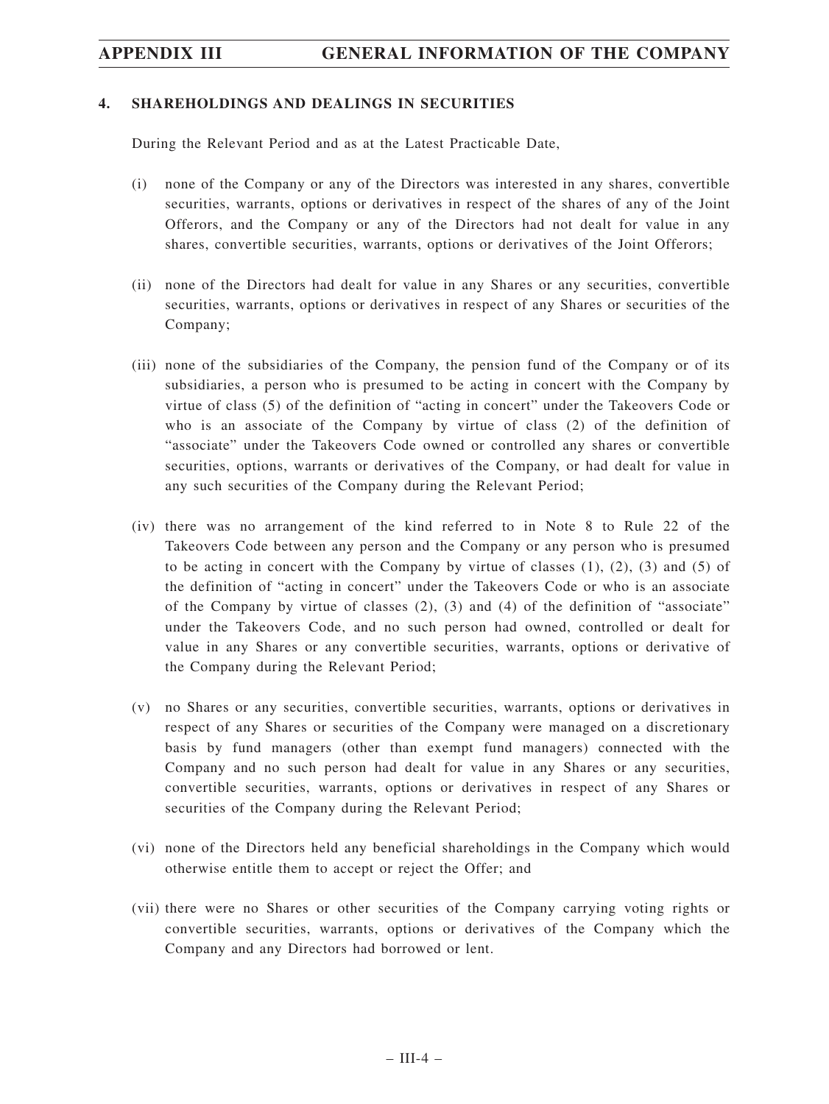## **4. SHAREHOLDINGS AND DEALINGS IN SECURITIES**

During the Relevant Period and as at the Latest Practicable Date,

- (i) none of the Company or any of the Directors was interested in any shares, convertible securities, warrants, options or derivatives in respect of the shares of any of the Joint Offerors, and the Company or any of the Directors had not dealt for value in any shares, convertible securities, warrants, options or derivatives of the Joint Offerors;
- (ii) none of the Directors had dealt for value in any Shares or any securities, convertible securities, warrants, options or derivatives in respect of any Shares or securities of the Company;
- (iii) none of the subsidiaries of the Company, the pension fund of the Company or of its subsidiaries, a person who is presumed to be acting in concert with the Company by virtue of class (5) of the definition of "acting in concert" under the Takeovers Code or who is an associate of the Company by virtue of class (2) of the definition of "associate" under the Takeovers Code owned or controlled any shares or convertible securities, options, warrants or derivatives of the Company, or had dealt for value in any such securities of the Company during the Relevant Period;
- (iv) there was no arrangement of the kind referred to in Note 8 to Rule 22 of the Takeovers Code between any person and the Company or any person who is presumed to be acting in concert with the Company by virtue of classes  $(1)$ ,  $(2)$ ,  $(3)$  and  $(5)$  of the definition of "acting in concert" under the Takeovers Code or who is an associate of the Company by virtue of classes  $(2)$ ,  $(3)$  and  $(4)$  of the definition of "associate" under the Takeovers Code, and no such person had owned, controlled or dealt for value in any Shares or any convertible securities, warrants, options or derivative of the Company during the Relevant Period;
- (v) no Shares or any securities, convertible securities, warrants, options or derivatives in respect of any Shares or securities of the Company were managed on a discretionary basis by fund managers (other than exempt fund managers) connected with the Company and no such person had dealt for value in any Shares or any securities, convertible securities, warrants, options or derivatives in respect of any Shares or securities of the Company during the Relevant Period;
- (vi) none of the Directors held any beneficial shareholdings in the Company which would otherwise entitle them to accept or reject the Offer; and
- (vii) there were no Shares or other securities of the Company carrying voting rights or convertible securities, warrants, options or derivatives of the Company which the Company and any Directors had borrowed or lent.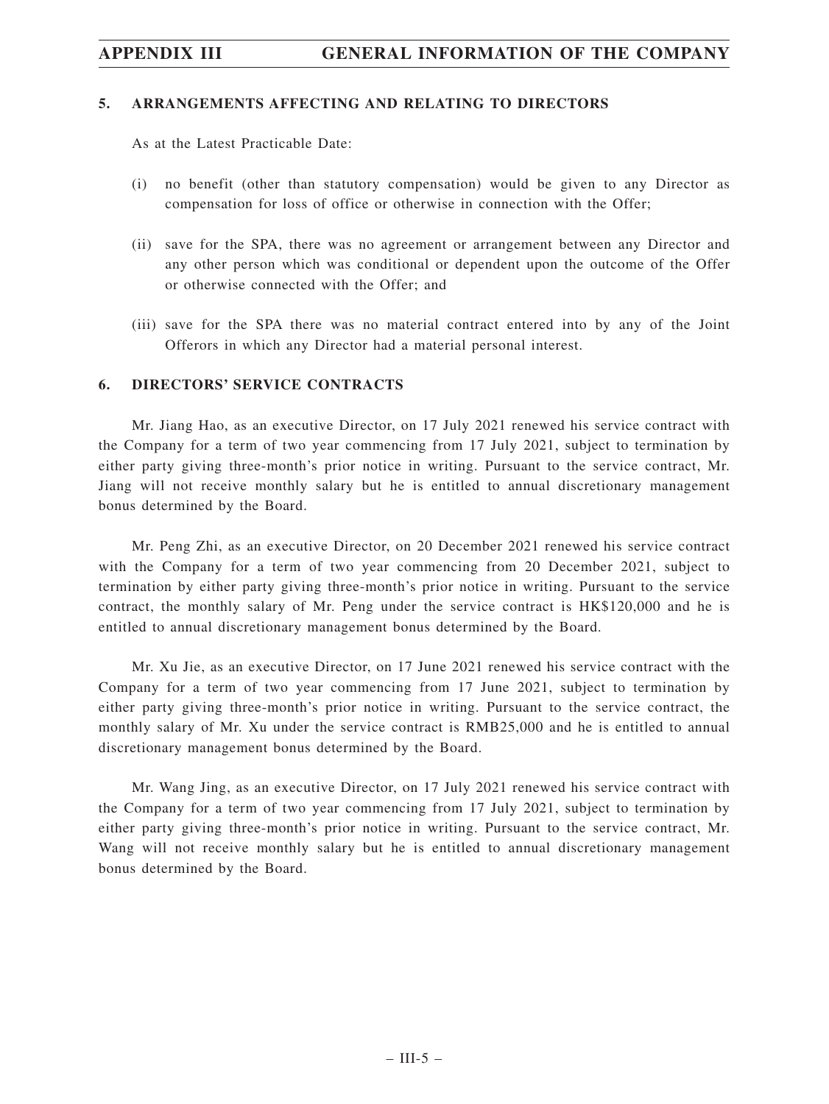### **5. ARRANGEMENTS AFFECTING AND RELATING TO DIRECTORS**

As at the Latest Practicable Date:

- (i) no benefit (other than statutory compensation) would be given to any Director as compensation for loss of office or otherwise in connection with the Offer;
- (ii) save for the SPA, there was no agreement or arrangement between any Director and any other person which was conditional or dependent upon the outcome of the Offer or otherwise connected with the Offer; and
- (iii) save for the SPA there was no material contract entered into by any of the Joint Offerors in which any Director had a material personal interest.

## **6. DIRECTORS' SERVICE CONTRACTS**

Mr. Jiang Hao, as an executive Director, on 17 July 2021 renewed his service contract with the Company for a term of two year commencing from 17 July 2021, subject to termination by either party giving three-month's prior notice in writing. Pursuant to the service contract, Mr. Jiang will not receive monthly salary but he is entitled to annual discretionary management bonus determined by the Board.

Mr. Peng Zhi, as an executive Director, on 20 December 2021 renewed his service contract with the Company for a term of two year commencing from 20 December 2021, subject to termination by either party giving three-month's prior notice in writing. Pursuant to the service contract, the monthly salary of Mr. Peng under the service contract is HK\$120,000 and he is entitled to annual discretionary management bonus determined by the Board.

Mr. Xu Jie, as an executive Director, on 17 June 2021 renewed his service contract with the Company for a term of two year commencing from 17 June 2021, subject to termination by either party giving three-month's prior notice in writing. Pursuant to the service contract, the monthly salary of Mr. Xu under the service contract is RMB25,000 and he is entitled to annual discretionary management bonus determined by the Board.

Mr. Wang Jing, as an executive Director, on 17 July 2021 renewed his service contract with the Company for a term of two year commencing from 17 July 2021, subject to termination by either party giving three-month's prior notice in writing. Pursuant to the service contract, Mr. Wang will not receive monthly salary but he is entitled to annual discretionary management bonus determined by the Board.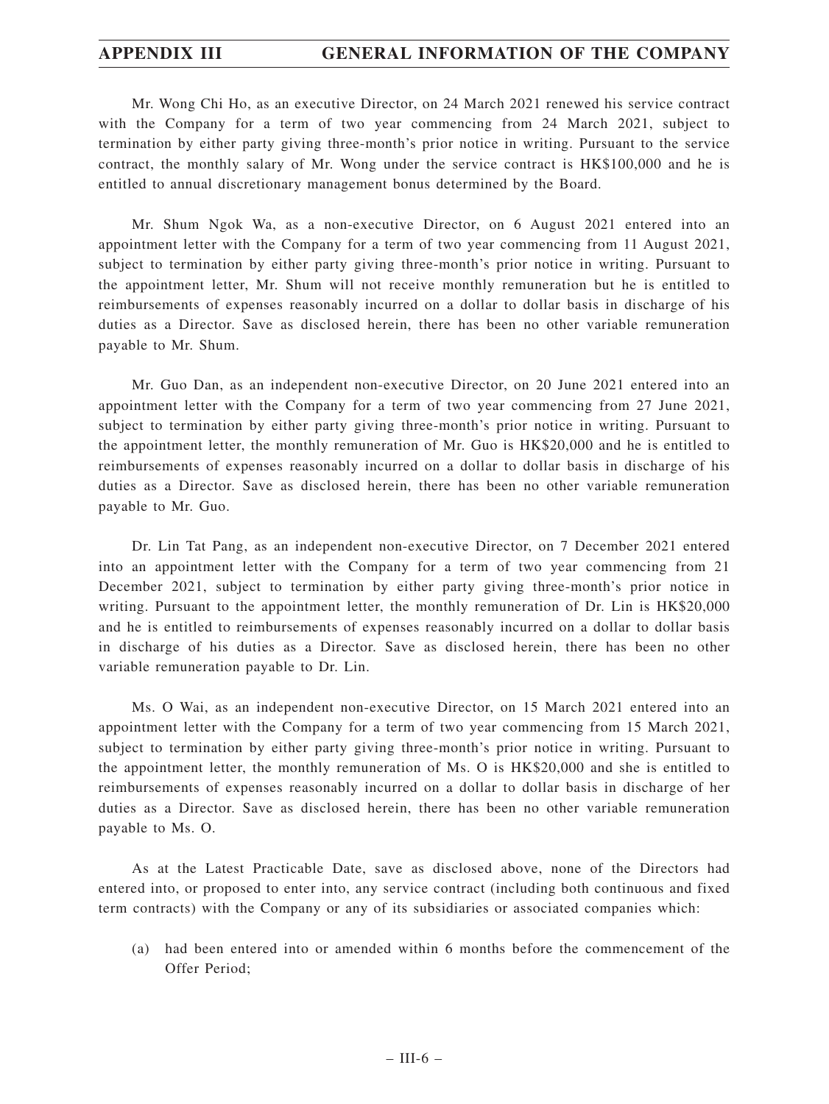Mr. Wong Chi Ho, as an executive Director, on 24 March 2021 renewed his service contract with the Company for a term of two year commencing from 24 March 2021, subject to termination by either party giving three-month's prior notice in writing. Pursuant to the service contract, the monthly salary of Mr. Wong under the service contract is HK\$100,000 and he is entitled to annual discretionary management bonus determined by the Board.

Mr. Shum Ngok Wa, as a non-executive Director, on 6 August 2021 entered into an appointment letter with the Company for a term of two year commencing from 11 August 2021, subject to termination by either party giving three-month's prior notice in writing. Pursuant to the appointment letter, Mr. Shum will not receive monthly remuneration but he is entitled to reimbursements of expenses reasonably incurred on a dollar to dollar basis in discharge of his duties as a Director. Save as disclosed herein, there has been no other variable remuneration payable to Mr. Shum.

Mr. Guo Dan, as an independent non-executive Director, on 20 June 2021 entered into an appointment letter with the Company for a term of two year commencing from 27 June 2021, subject to termination by either party giving three-month's prior notice in writing. Pursuant to the appointment letter, the monthly remuneration of Mr. Guo is HK\$20,000 and he is entitled to reimbursements of expenses reasonably incurred on a dollar to dollar basis in discharge of his duties as a Director. Save as disclosed herein, there has been no other variable remuneration payable to Mr. Guo.

Dr. Lin Tat Pang, as an independent non-executive Director, on 7 December 2021 entered into an appointment letter with the Company for a term of two year commencing from 21 December 2021, subject to termination by either party giving three-month's prior notice in writing. Pursuant to the appointment letter, the monthly remuneration of Dr. Lin is HK\$20,000 and he is entitled to reimbursements of expenses reasonably incurred on a dollar to dollar basis in discharge of his duties as a Director. Save as disclosed herein, there has been no other variable remuneration payable to Dr. Lin.

Ms. O Wai, as an independent non-executive Director, on 15 March 2021 entered into an appointment letter with the Company for a term of two year commencing from 15 March 2021, subject to termination by either party giving three-month's prior notice in writing. Pursuant to the appointment letter, the monthly remuneration of Ms. O is HK\$20,000 and she is entitled to reimbursements of expenses reasonably incurred on a dollar to dollar basis in discharge of her duties as a Director. Save as disclosed herein, there has been no other variable remuneration payable to Ms. O.

As at the Latest Practicable Date, save as disclosed above, none of the Directors had entered into, or proposed to enter into, any service contract (including both continuous and fixed term contracts) with the Company or any of its subsidiaries or associated companies which:

(a) had been entered into or amended within 6 months before the commencement of the Offer Period;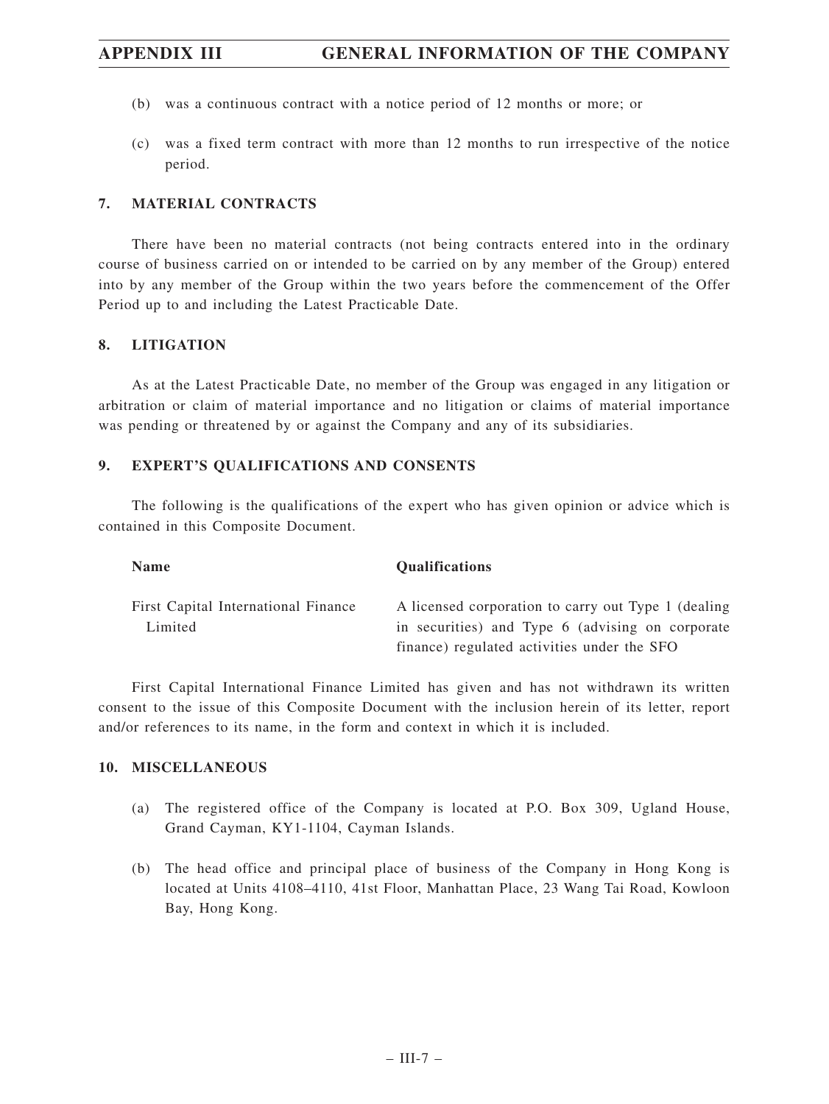- (b) was a continuous contract with a notice period of 12 months or more; or
- (c) was a fixed term contract with more than 12 months to run irrespective of the notice period.

## **7. MATERIAL CONTRACTS**

There have been no material contracts (not being contracts entered into in the ordinary course of business carried on or intended to be carried on by any member of the Group) entered into by any member of the Group within the two years before the commencement of the Offer Period up to and including the Latest Practicable Date.

## **8. LITIGATION**

As at the Latest Practicable Date, no member of the Group was engaged in any litigation or arbitration or claim of material importance and no litigation or claims of material importance was pending or threatened by or against the Company and any of its subsidiaries.

## **9. EXPERT'S QUALIFICATIONS AND CONSENTS**

The following is the qualifications of the expert who has given opinion or advice which is contained in this Composite Document.

| <b>Name</b>                         | <b>Oualifications</b>                                |
|-------------------------------------|------------------------------------------------------|
| First Capital International Finance | A licensed corporation to carry out Type 1 (dealing) |
| Limited                             | in securities) and Type 6 (advising on corporate     |
|                                     | finance) regulated activities under the SFO          |

First Capital International Finance Limited has given and has not withdrawn its written consent to the issue of this Composite Document with the inclusion herein of its letter, report and/or references to its name, in the form and context in which it is included.

## **10. MISCELLANEOUS**

- (a) The registered office of the Company is located at P.O. Box 309, Ugland House, Grand Cayman, KY1-1104, Cayman Islands.
- (b) The head office and principal place of business of the Company in Hong Kong is located at Units 4108–4110, 41st Floor, Manhattan Place, 23 Wang Tai Road, Kowloon Bay, Hong Kong.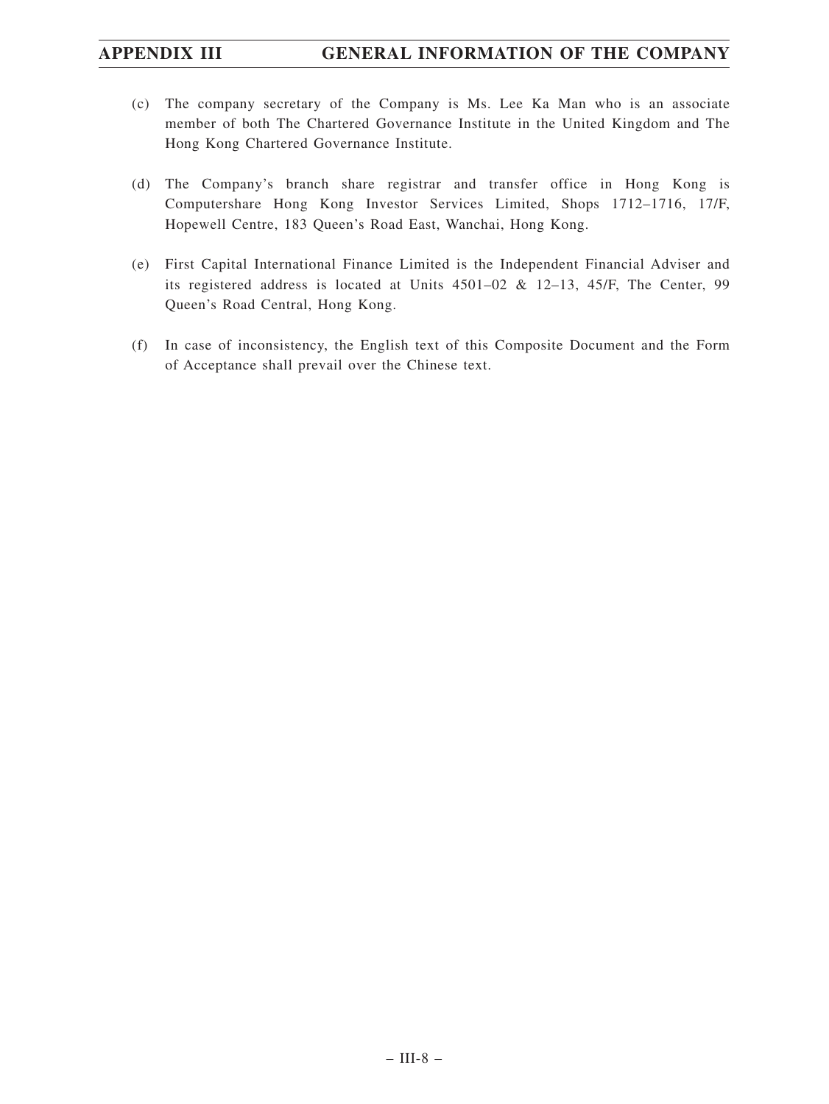- (c) The company secretary of the Company is Ms. Lee Ka Man who is an associate member of both The Chartered Governance Institute in the United Kingdom and The Hong Kong Chartered Governance Institute.
- (d) The Company's branch share registrar and transfer office in Hong Kong is Computershare Hong Kong Investor Services Limited, Shops 1712–1716, 17/F, Hopewell Centre, 183 Queen's Road East, Wanchai, Hong Kong.
- (e) First Capital International Finance Limited is the Independent Financial Adviser and its registered address is located at Units 4501–02 & 12–13, 45/F, The Center, 99 Queen's Road Central, Hong Kong.
- (f) In case of inconsistency, the English text of this Composite Document and the Form of Acceptance shall prevail over the Chinese text.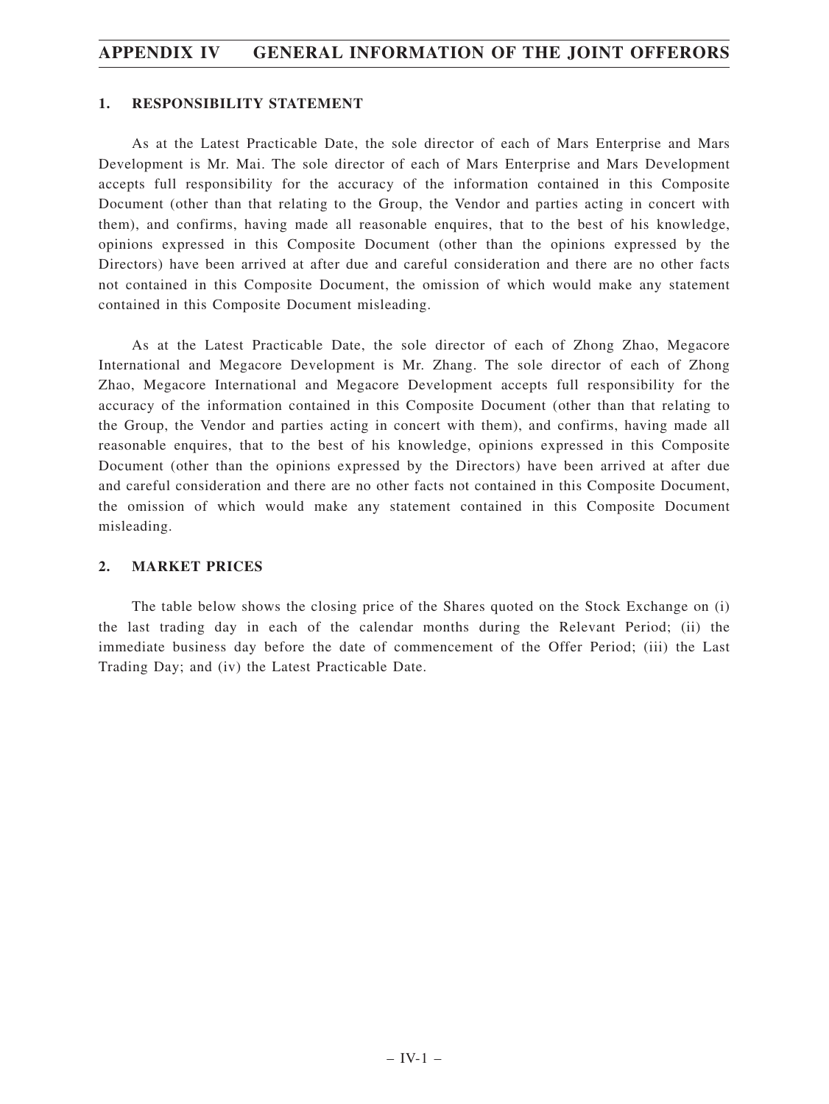## **1. RESPONSIBILITY STATEMENT**

As at the Latest Practicable Date, the sole director of each of Mars Enterprise and Mars Development is Mr. Mai. The sole director of each of Mars Enterprise and Mars Development accepts full responsibility for the accuracy of the information contained in this Composite Document (other than that relating to the Group, the Vendor and parties acting in concert with them), and confirms, having made all reasonable enquires, that to the best of his knowledge, opinions expressed in this Composite Document (other than the opinions expressed by the Directors) have been arrived at after due and careful consideration and there are no other facts not contained in this Composite Document, the omission of which would make any statement contained in this Composite Document misleading.

As at the Latest Practicable Date, the sole director of each of Zhong Zhao, Megacore International and Megacore Development is Mr. Zhang. The sole director of each of Zhong Zhao, Megacore International and Megacore Development accepts full responsibility for the accuracy of the information contained in this Composite Document (other than that relating to the Group, the Vendor and parties acting in concert with them), and confirms, having made all reasonable enquires, that to the best of his knowledge, opinions expressed in this Composite Document (other than the opinions expressed by the Directors) have been arrived at after due and careful consideration and there are no other facts not contained in this Composite Document, the omission of which would make any statement contained in this Composite Document misleading.

### **2. MARKET PRICES**

The table below shows the closing price of the Shares quoted on the Stock Exchange on (i) the last trading day in each of the calendar months during the Relevant Period; (ii) the immediate business day before the date of commencement of the Offer Period; (iii) the Last Trading Day; and (iv) the Latest Practicable Date.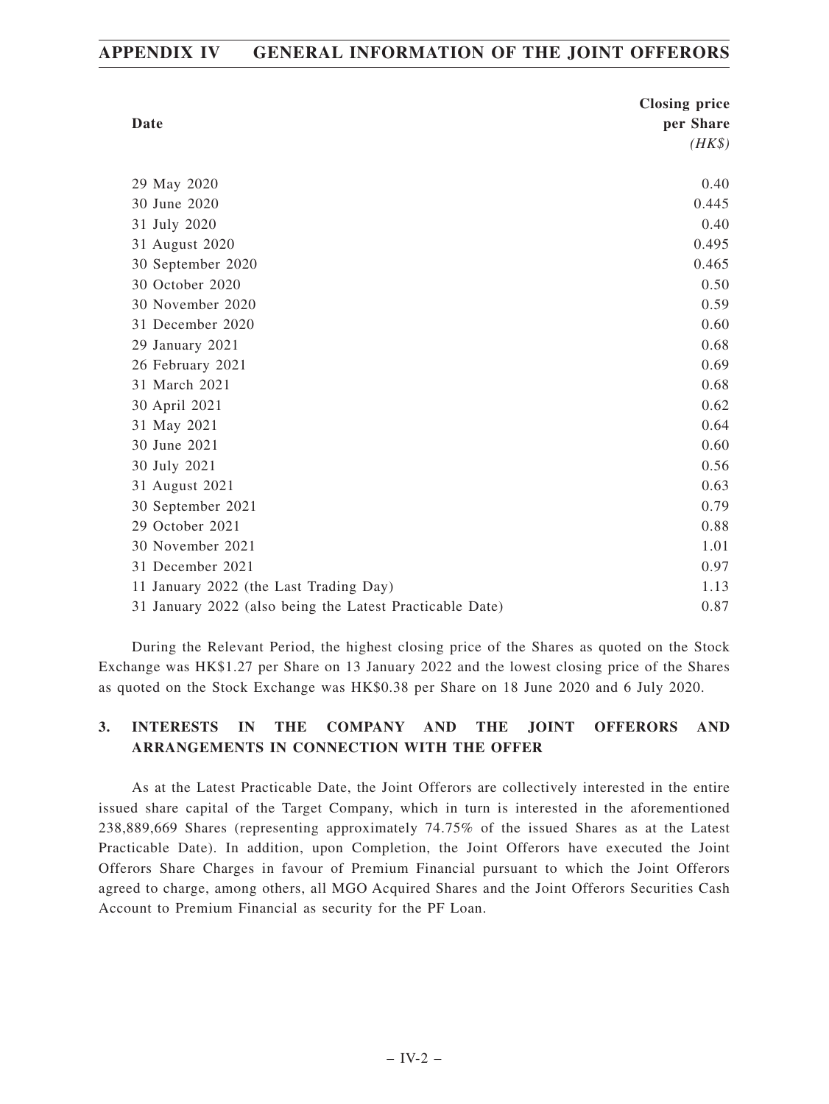| Date                                                     | <b>Closing price</b> |
|----------------------------------------------------------|----------------------|
|                                                          | per Share            |
|                                                          | $(HK\$               |
| 29 May 2020                                              | 0.40                 |
| 30 June 2020                                             | 0.445                |
| 31 July 2020                                             | 0.40                 |
| 31 August 2020                                           | 0.495                |
| 30 September 2020                                        | 0.465                |
| 30 October 2020                                          | 0.50                 |
| 30 November 2020                                         | 0.59                 |
| 31 December 2020                                         | 0.60                 |
| 29 January 2021                                          | 0.68                 |
| 26 February 2021                                         | 0.69                 |
| 31 March 2021                                            | 0.68                 |
| 30 April 2021                                            | 0.62                 |
| 31 May 2021                                              | 0.64                 |
| 30 June 2021                                             | 0.60                 |
| 30 July 2021                                             | 0.56                 |
| 31 August 2021                                           | 0.63                 |
| 30 September 2021                                        | 0.79                 |
| 29 October 2021                                          | 0.88                 |
| 30 November 2021                                         | 1.01                 |
| 31 December 2021                                         | 0.97                 |
| 11 January 2022 (the Last Trading Day)                   | 1.13                 |
| 31 January 2022 (also being the Latest Practicable Date) | 0.87                 |

During the Relevant Period, the highest closing price of the Shares as quoted on the Stock Exchange was HK\$1.27 per Share on 13 January 2022 and the lowest closing price of the Shares as quoted on the Stock Exchange was HK\$0.38 per Share on 18 June 2020 and 6 July 2020.

# **3. INTERESTS IN THE COMPANY AND THE JOINT OFFERORS AND ARRANGEMENTS IN CONNECTION WITH THE OFFER**

As at the Latest Practicable Date, the Joint Offerors are collectively interested in the entire issued share capital of the Target Company, which in turn is interested in the aforementioned 238,889,669 Shares (representing approximately 74.75% of the issued Shares as at the Latest Practicable Date). In addition, upon Completion, the Joint Offerors have executed the Joint Offerors Share Charges in favour of Premium Financial pursuant to which the Joint Offerors agreed to charge, among others, all MGO Acquired Shares and the Joint Offerors Securities Cash Account to Premium Financial as security for the PF Loan.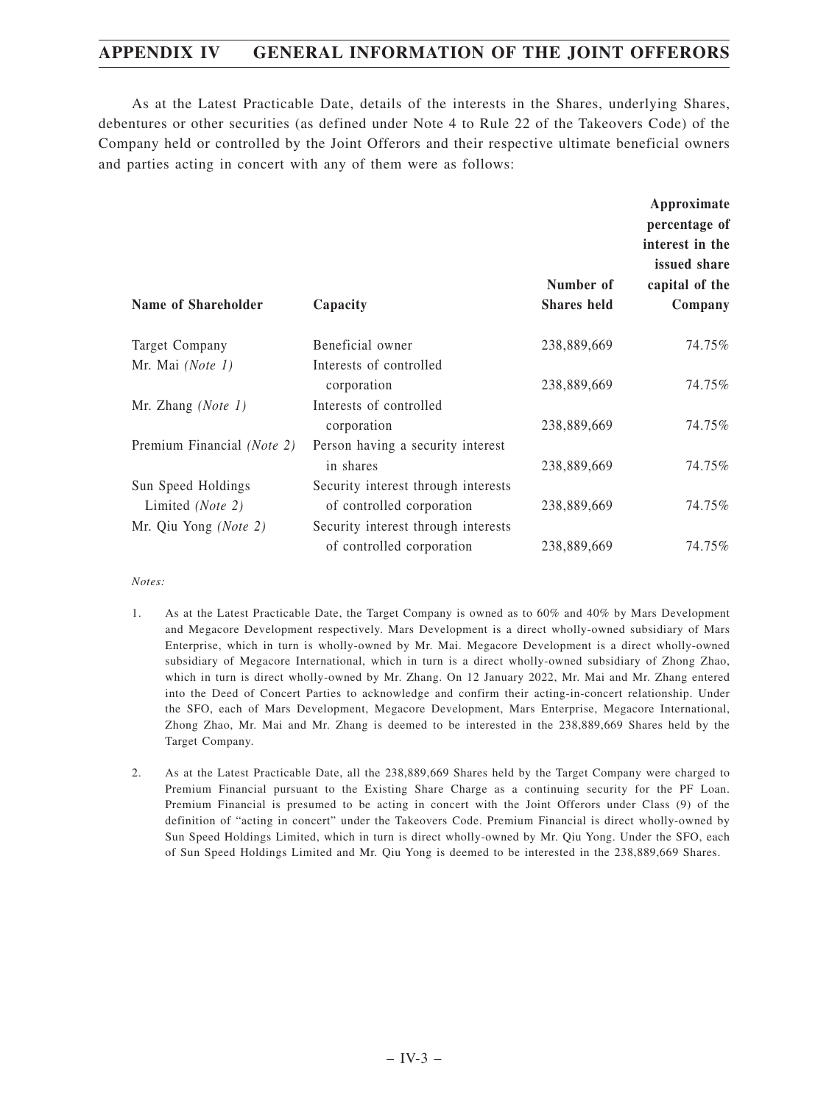As at the Latest Practicable Date, details of the interests in the Shares, underlying Shares, debentures or other securities (as defined under Note 4 to Rule 22 of the Takeovers Code) of the Company held or controlled by the Joint Offerors and their respective ultimate beneficial owners and parties acting in concert with any of them were as follows:

| Name of Shareholder        | Capacity                            | Number of<br><b>Shares</b> held | Approximate<br>percentage of<br>interest in the<br>issued share<br>capital of the<br>Company |
|----------------------------|-------------------------------------|---------------------------------|----------------------------------------------------------------------------------------------|
| Target Company             | Beneficial owner                    | 238,889,669                     | 74.75%                                                                                       |
| Mr. Mai $(Note 1)$         | Interests of controlled             |                                 |                                                                                              |
|                            | corporation                         | 238,889,669                     | 74.75%                                                                                       |
| Mr. Zhang (Note 1)         | Interests of controlled             |                                 |                                                                                              |
|                            | corporation                         | 238,889,669                     | 74.75%                                                                                       |
| Premium Financial (Note 2) | Person having a security interest   |                                 |                                                                                              |
|                            | in shares                           | 238,889,669                     | 74.75%                                                                                       |
| Sun Speed Holdings         | Security interest through interests |                                 |                                                                                              |
| Limited (Note 2)           | of controlled corporation           | 238,889,669                     | 74.75%                                                                                       |
| Mr. Qiu Yong (Note 2)      | Security interest through interests |                                 |                                                                                              |
|                            | of controlled corporation           | 238,889,669                     | 74.75%                                                                                       |

*Notes:*

- 1. As at the Latest Practicable Date, the Target Company is owned as to 60% and 40% by Mars Development and Megacore Development respectively. Mars Development is a direct wholly-owned subsidiary of Mars Enterprise, which in turn is wholly-owned by Mr. Mai. Megacore Development is a direct wholly-owned subsidiary of Megacore International, which in turn is a direct wholly-owned subsidiary of Zhong Zhao, which in turn is direct wholly-owned by Mr. Zhang. On 12 January 2022, Mr. Mai and Mr. Zhang entered into the Deed of Concert Parties to acknowledge and confirm their acting-in-concert relationship. Under the SFO, each of Mars Development, Megacore Development, Mars Enterprise, Megacore International, Zhong Zhao, Mr. Mai and Mr. Zhang is deemed to be interested in the 238,889,669 Shares held by the Target Company.
- 2. As at the Latest Practicable Date, all the 238,889,669 Shares held by the Target Company were charged to Premium Financial pursuant to the Existing Share Charge as a continuing security for the PF Loan. Premium Financial is presumed to be acting in concert with the Joint Offerors under Class (9) of the definition of "acting in concert" under the Takeovers Code. Premium Financial is direct wholly-owned by Sun Speed Holdings Limited, which in turn is direct wholly-owned by Mr. Qiu Yong. Under the SFO, each of Sun Speed Holdings Limited and Mr. Qiu Yong is deemed to be interested in the 238,889,669 Shares.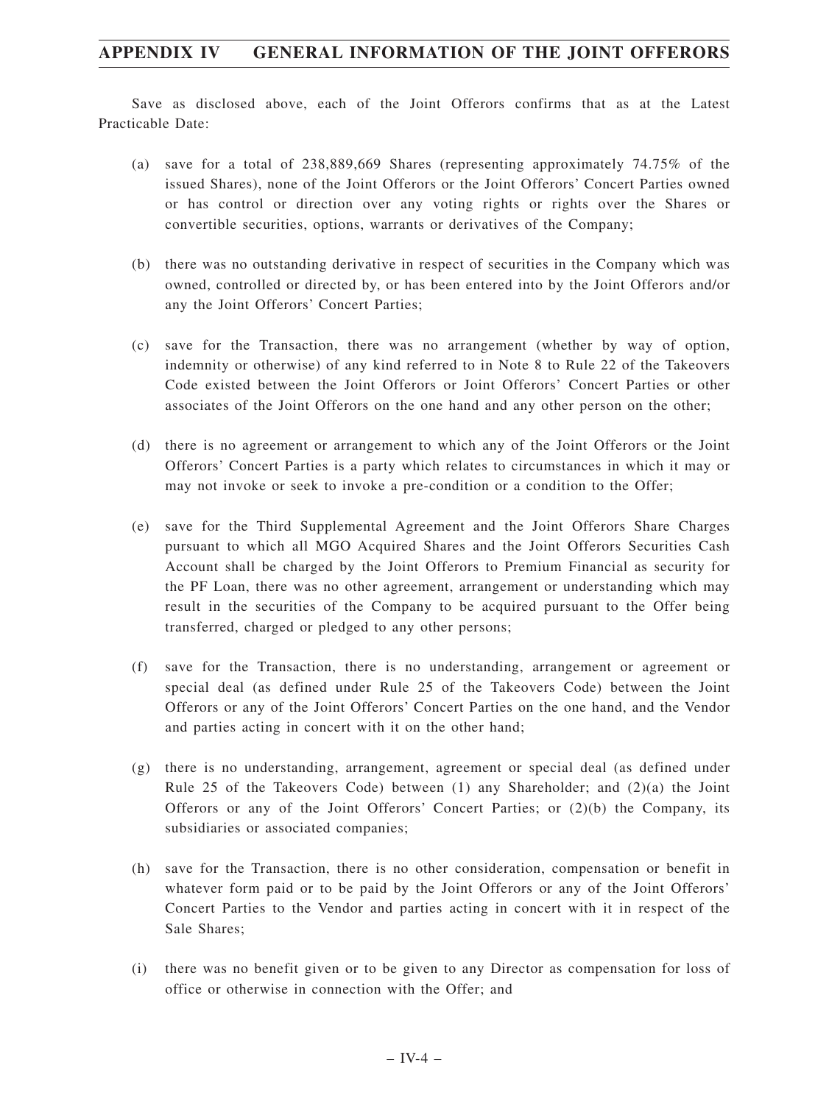Save as disclosed above, each of the Joint Offerors confirms that as at the Latest Practicable Date:

- (a) save for a total of 238,889,669 Shares (representing approximately 74.75% of the issued Shares), none of the Joint Offerors or the Joint Offerors' Concert Parties owned or has control or direction over any voting rights or rights over the Shares or convertible securities, options, warrants or derivatives of the Company;
- (b) there was no outstanding derivative in respect of securities in the Company which was owned, controlled or directed by, or has been entered into by the Joint Offerors and/or any the Joint Offerors' Concert Parties;
- (c) save for the Transaction, there was no arrangement (whether by way of option, indemnity or otherwise) of any kind referred to in Note 8 to Rule 22 of the Takeovers Code existed between the Joint Offerors or Joint Offerors' Concert Parties or other associates of the Joint Offerors on the one hand and any other person on the other;
- (d) there is no agreement or arrangement to which any of the Joint Offerors or the Joint Offerors' Concert Parties is a party which relates to circumstances in which it may or may not invoke or seek to invoke a pre-condition or a condition to the Offer;
- (e) save for the Third Supplemental Agreement and the Joint Offerors Share Charges pursuant to which all MGO Acquired Shares and the Joint Offerors Securities Cash Account shall be charged by the Joint Offerors to Premium Financial as security for the PF Loan, there was no other agreement, arrangement or understanding which may result in the securities of the Company to be acquired pursuant to the Offer being transferred, charged or pledged to any other persons;
- (f) save for the Transaction, there is no understanding, arrangement or agreement or special deal (as defined under Rule 25 of the Takeovers Code) between the Joint Offerors or any of the Joint Offerors' Concert Parties on the one hand, and the Vendor and parties acting in concert with it on the other hand;
- (g) there is no understanding, arrangement, agreement or special deal (as defined under Rule 25 of the Takeovers Code) between  $(1)$  any Shareholder; and  $(2)(a)$  the Joint Offerors or any of the Joint Offerors' Concert Parties; or  $(2)(b)$  the Company, its subsidiaries or associated companies;
- (h) save for the Transaction, there is no other consideration, compensation or benefit in whatever form paid or to be paid by the Joint Offerors or any of the Joint Offerors' Concert Parties to the Vendor and parties acting in concert with it in respect of the Sale Shares;
- (i) there was no benefit given or to be given to any Director as compensation for loss of office or otherwise in connection with the Offer; and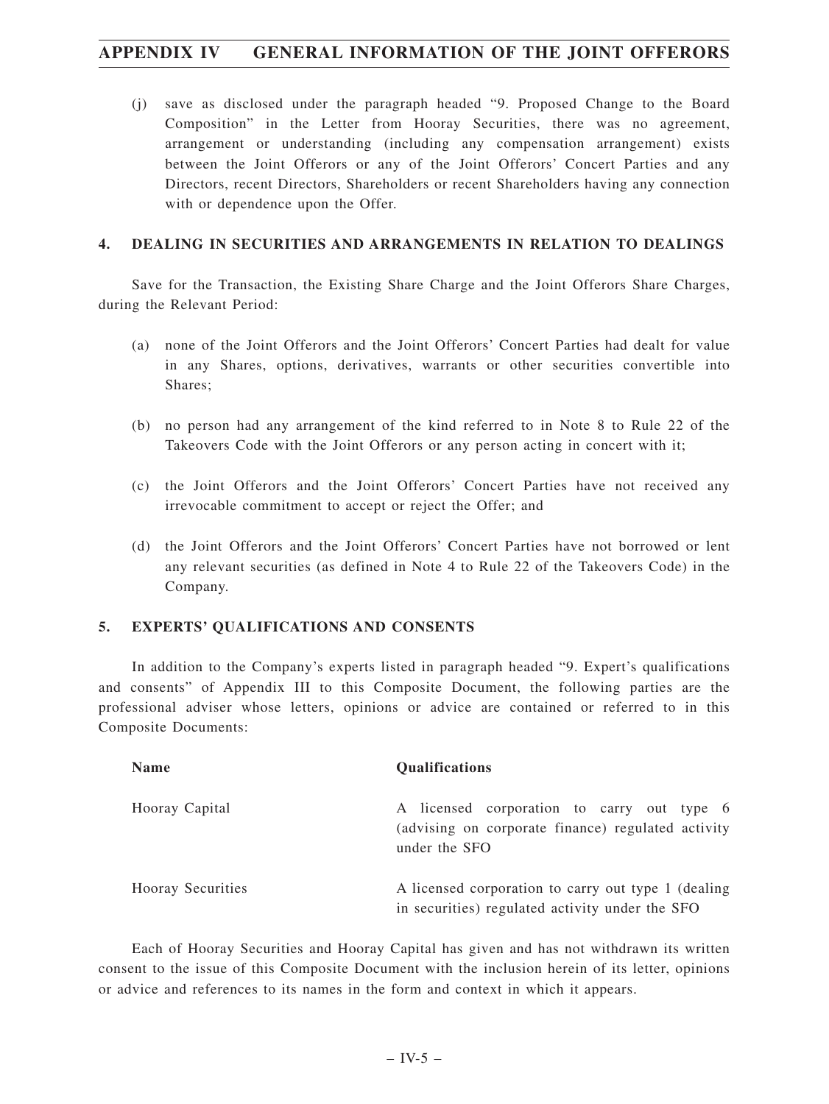(j) save as disclosed under the paragraph headed "9. Proposed Change to the Board Composition" in the Letter from Hooray Securities, there was no agreement, arrangement or understanding (including any compensation arrangement) exists between the Joint Offerors or any of the Joint Offerors' Concert Parties and any Directors, recent Directors, Shareholders or recent Shareholders having any connection with or dependence upon the Offer.

# **4. DEALING IN SECURITIES AND ARRANGEMENTS IN RELATION TO DEALINGS**

Save for the Transaction, the Existing Share Charge and the Joint Offerors Share Charges, during the Relevant Period:

- (a) none of the Joint Offerors and the Joint Offerors' Concert Parties had dealt for value in any Shares, options, derivatives, warrants or other securities convertible into Shares;
- (b) no person had any arrangement of the kind referred to in Note 8 to Rule 22 of the Takeovers Code with the Joint Offerors or any person acting in concert with it;
- (c) the Joint Offerors and the Joint Offerors' Concert Parties have not received any irrevocable commitment to accept or reject the Offer; and
- (d) the Joint Offerors and the Joint Offerors' Concert Parties have not borrowed or lent any relevant securities (as defined in Note 4 to Rule 22 of the Takeovers Code) in the Company.

## **5. EXPERTS' QUALIFICATIONS AND CONSENTS**

In addition to the Company's experts listed in paragraph headed "9. Expert's qualifications and consents" of Appendix III to this Composite Document, the following parties are the professional adviser whose letters, opinions or advice are contained or referred to in this Composite Documents:

| <b>Name</b>              | <b>Qualifications</b>                                                                                             |
|--------------------------|-------------------------------------------------------------------------------------------------------------------|
| Hooray Capital           | A licensed corporation to carry out type 6<br>(advising on corporate finance) regulated activity<br>under the SFO |
| <b>Hooray Securities</b> | A licensed corporation to carry out type 1 (dealing)<br>in securities) regulated activity under the SFO           |

Each of Hooray Securities and Hooray Capital has given and has not withdrawn its written consent to the issue of this Composite Document with the inclusion herein of its letter, opinions or advice and references to its names in the form and context in which it appears.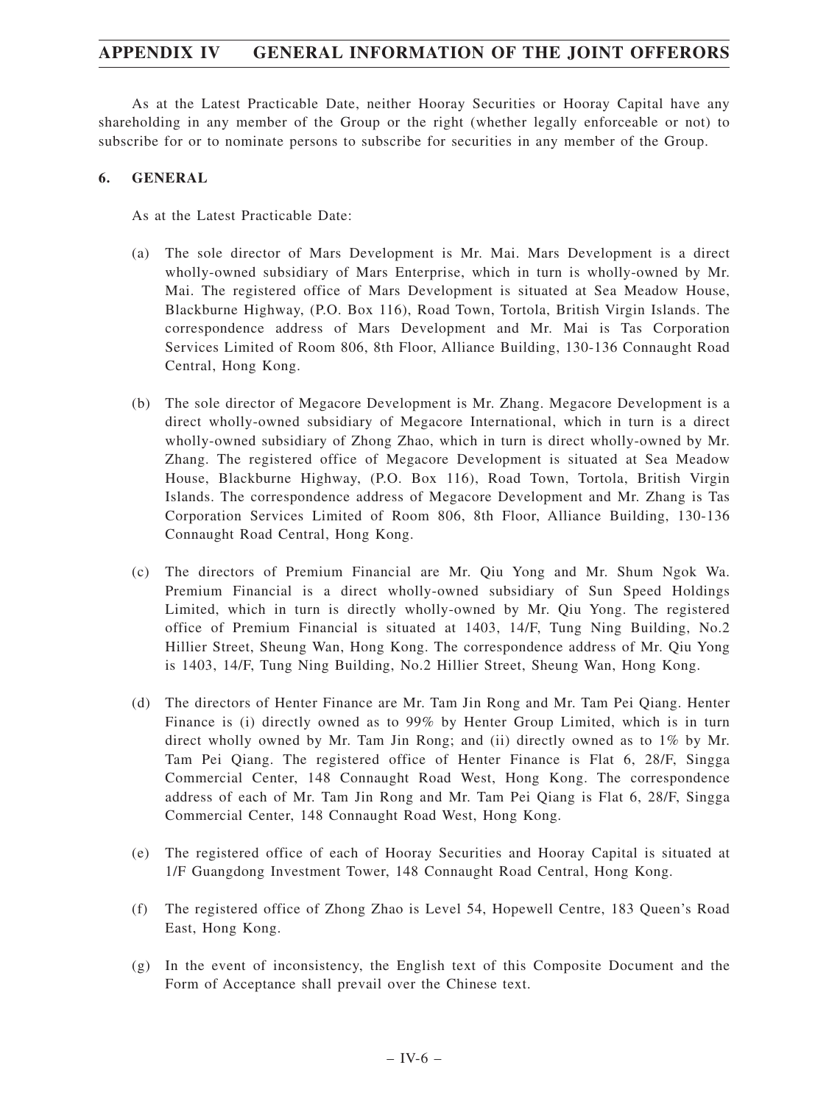As at the Latest Practicable Date, neither Hooray Securities or Hooray Capital have any shareholding in any member of the Group or the right (whether legally enforceable or not) to subscribe for or to nominate persons to subscribe for securities in any member of the Group.

## **6. GENERAL**

As at the Latest Practicable Date:

- (a) The sole director of Mars Development is Mr. Mai. Mars Development is a direct wholly-owned subsidiary of Mars Enterprise, which in turn is wholly-owned by Mr. Mai. The registered office of Mars Development is situated at Sea Meadow House, Blackburne Highway, (P.O. Box 116), Road Town, Tortola, British Virgin Islands. The correspondence address of Mars Development and Mr. Mai is Tas Corporation Services Limited of Room 806, 8th Floor, Alliance Building, 130-136 Connaught Road Central, Hong Kong.
- (b) The sole director of Megacore Development is Mr. Zhang. Megacore Development is a direct wholly-owned subsidiary of Megacore International, which in turn is a direct wholly-owned subsidiary of Zhong Zhao, which in turn is direct wholly-owned by Mr. Zhang. The registered office of Megacore Development is situated at Sea Meadow House, Blackburne Highway, (P.O. Box 116), Road Town, Tortola, British Virgin Islands. The correspondence address of Megacore Development and Mr. Zhang is Tas Corporation Services Limited of Room 806, 8th Floor, Alliance Building, 130-136 Connaught Road Central, Hong Kong.
- (c) The directors of Premium Financial are Mr. Qiu Yong and Mr. Shum Ngok Wa. Premium Financial is a direct wholly-owned subsidiary of Sun Speed Holdings Limited, which in turn is directly wholly-owned by Mr. Qiu Yong. The registered office of Premium Financial is situated at 1403, 14/F, Tung Ning Building, No.2 Hillier Street, Sheung Wan, Hong Kong. The correspondence address of Mr. Qiu Yong is 1403, 14/F, Tung Ning Building, No.2 Hillier Street, Sheung Wan, Hong Kong.
- (d) The directors of Henter Finance are Mr. Tam Jin Rong and Mr. Tam Pei Qiang. Henter Finance is (i) directly owned as to 99% by Henter Group Limited, which is in turn direct wholly owned by Mr. Tam Jin Rong; and (ii) directly owned as to 1% by Mr. Tam Pei Qiang. The registered office of Henter Finance is Flat 6, 28/F, Singga Commercial Center, 148 Connaught Road West, Hong Kong. The correspondence address of each of Mr. Tam Jin Rong and Mr. Tam Pei Qiang is Flat 6, 28/F, Singga Commercial Center, 148 Connaught Road West, Hong Kong.
- (e) The registered office of each of Hooray Securities and Hooray Capital is situated at 1/F Guangdong Investment Tower, 148 Connaught Road Central, Hong Kong.
- (f) The registered office of Zhong Zhao is Level 54, Hopewell Centre, 183 Queen's Road East, Hong Kong.
- (g) In the event of inconsistency, the English text of this Composite Document and the Form of Acceptance shall prevail over the Chinese text.